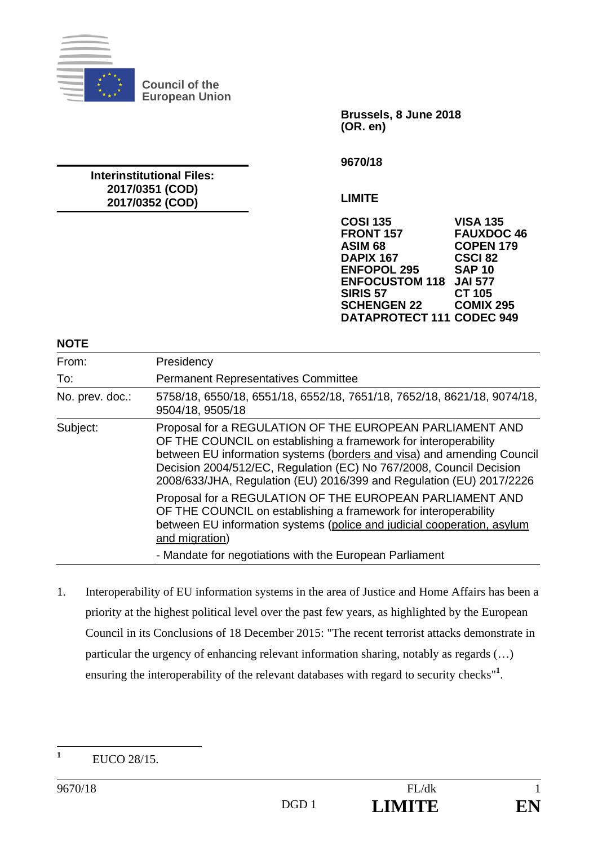

**Council of the European Union** 

**Interinstitutional Files: 2017/0351 (COD) 2017/0352 (COD)** 

**Brussels, 8 June 2018 (OR. en)** 

**9670/18** 

**LIMITE** 

**COSI 135 VISA 135 FRONT 157 FAUXDOC 46 ASIM 68 COPEN 179 DAPIX 167 CSCI 82 ENFOPOL 295 SAP 10<br>ENFOCUSTOM 118 JAI 577 ENFOCUSTOM 118 JAI 577 SIRIS 57** CT 105<br>**SCHENGEN 22** COMIX 295 **SCHENGEN 22 DATAPROTECT 111 CODEC 949**

**NOTE** 

| From:           | Presidency                                                                                                                                                                                                                                                                                                                                           |
|-----------------|------------------------------------------------------------------------------------------------------------------------------------------------------------------------------------------------------------------------------------------------------------------------------------------------------------------------------------------------------|
| To:             | <b>Permanent Representatives Committee</b>                                                                                                                                                                                                                                                                                                           |
| No. prev. doc.: | 5758/18, 6550/18, 6551/18, 6552/18, 7651/18, 7652/18, 8621/18, 9074/18,<br>9504/18, 9505/18                                                                                                                                                                                                                                                          |
| Subject:        | Proposal for a REGULATION OF THE EUROPEAN PARLIAMENT AND<br>OF THE COUNCIL on establishing a framework for interoperability<br>between EU information systems (borders and visa) and amending Council<br>Decision 2004/512/EC, Regulation (EC) No 767/2008, Council Decision<br>2008/633/JHA, Regulation (EU) 2016/399 and Regulation (EU) 2017/2226 |
|                 | Proposal for a REGULATION OF THE EUROPEAN PARLIAMENT AND<br>OF THE COUNCIL on establishing a framework for interoperability<br>between EU information systems (police and judicial cooperation, asylum<br>and migration)                                                                                                                             |
|                 | - Mandate for negotiations with the European Parliament                                                                                                                                                                                                                                                                                              |

1. Interoperability of EU information systems in the area of Justice and Home Affairs has been a priority at the highest political level over the past few years, as highlighted by the European Council in its Conclusions of 18 December 2015: "The recent terrorist attacks demonstrate in particular the urgency of enhancing relevant information sharing, notably as regards (…) ensuring the interoperability of the relevant databases with regard to security checks"<sup>1</sup>.

 **1** EUCO 28/15.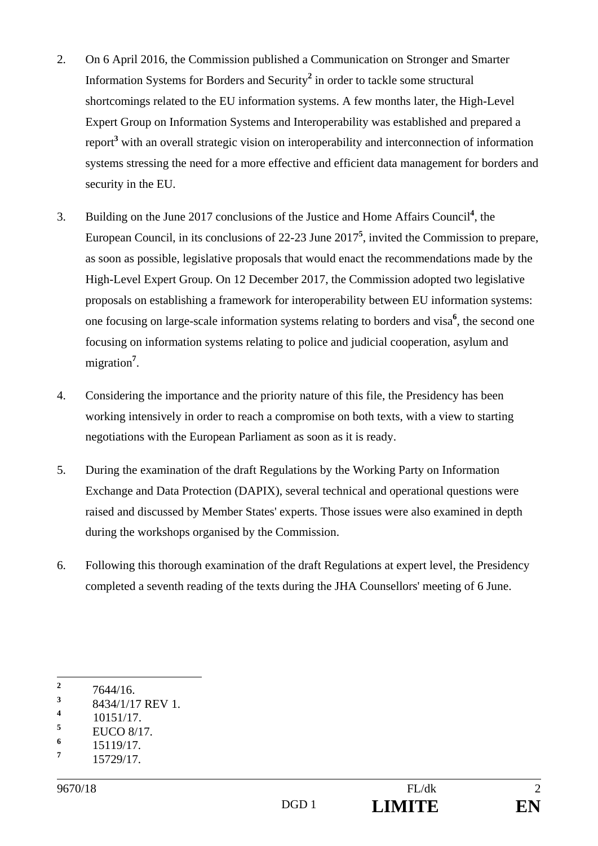- 2. On 6 April 2016, the Commission published a Communication on Stronger and Smarter Information Systems for Borders and Security**<sup>2</sup>** in order to tackle some structural shortcomings related to the EU information systems. A few months later, the High-Level Expert Group on Information Systems and Interoperability was established and prepared a report**<sup>3</sup>** with an overall strategic vision on interoperability and interconnection of information systems stressing the need for a more effective and efficient data management for borders and security in the EU.
- 3. Building on the June 2017 conclusions of the Justice and Home Affairs Council**<sup>4</sup>** , the European Council, in its conclusions of 22-23 June 2017**<sup>5</sup>** , invited the Commission to prepare, as soon as possible, legislative proposals that would enact the recommendations made by the High-Level Expert Group. On 12 December 2017, the Commission adopted two legislative proposals on establishing a framework for interoperability between EU information systems: one focusing on large-scale information systems relating to borders and visa**<sup>6</sup>** , the second one focusing on information systems relating to police and judicial cooperation, asylum and migration**<sup>7</sup>** .
- 4. Considering the importance and the priority nature of this file, the Presidency has been working intensively in order to reach a compromise on both texts, with a view to starting negotiations with the European Parliament as soon as it is ready.
- 5. During the examination of the draft Regulations by the Working Party on Information Exchange and Data Protection (DAPIX), several technical and operational questions were raised and discussed by Member States' experts. Those issues were also examined in depth during the workshops organised by the Commission.
- 6. Following this thorough examination of the draft Regulations at expert level, the Presidency completed a seventh reading of the texts during the JHA Counsellors' meeting of 6 June.

 **2** 7644/16.

**<sup>3</sup>** 8434/1/17 REV 1.

**<sup>4</sup>** 10151/17.

**<sup>5</sup>** EUCO 8/17.

**<sup>6</sup>** 15119/17.

**<sup>7</sup>** 15729/17.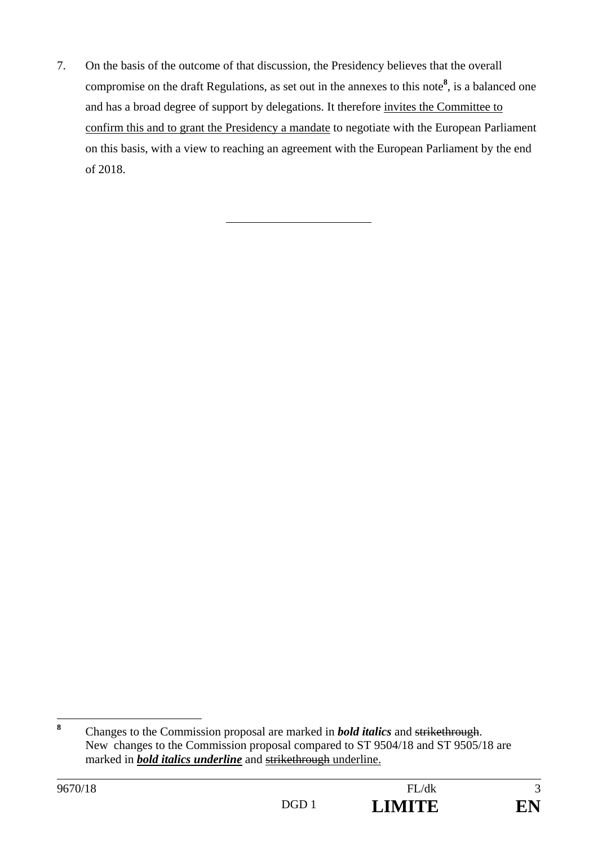7. On the basis of the outcome of that discussion, the Presidency believes that the overall compromise on the draft Regulations, as set out in the annexes to this note**<sup>8</sup>** , is a balanced one and has a broad degree of support by delegations. It therefore invites the Committee to confirm this and to grant the Presidency a mandate to negotiate with the European Parliament on this basis, with a view to reaching an agreement with the European Parliament by the end of 2018.

 **8** Changes to the Commission proposal are marked in *bold italics* and strikethrough. New changes to the Commission proposal compared to ST 9504/18 and ST 9505/18 are marked in *bold italics underline* and strikethrough underline.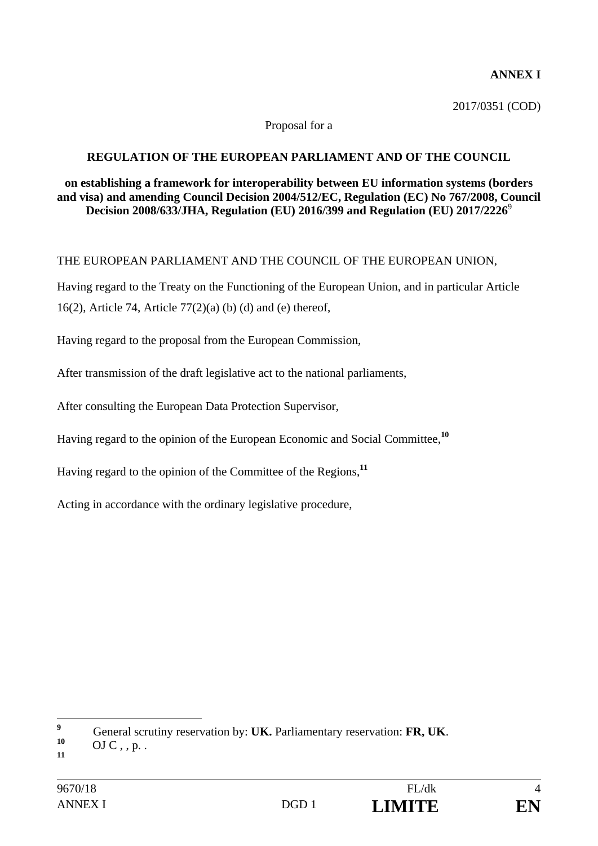#### **ANNEX I**

2017/0351 (COD)

#### Proposal for a

#### **REGULATION OF THE EUROPEAN PARLIAMENT AND OF THE COUNCIL**

#### **on establishing a framework for interoperability between EU information systems (borders and visa) and amending Council Decision 2004/512/EC, Regulation (EC) No 767/2008, Council Decision 2008/633/JHA, Regulation (EU) 2016/399 and Regulation (EU) 2017/2226**<sup>9</sup>

#### THE EUROPEAN PARLIAMENT AND THE COUNCIL OF THE EUROPEAN UNION,

Having regard to the Treaty on the Functioning of the European Union, and in particular Article 16(2), Article 74, Article  $77(2)$ (a) (b) (d) and (e) thereof,

Having regard to the proposal from the European Commission,

After transmission of the draft legislative act to the national parliaments,

After consulting the European Data Protection Supervisor,

Having regard to the opinion of the European Economic and Social Committee,**<sup>10</sup>**

Having regard to the opinion of the Committee of the Regions,**<sup>11</sup>**

Acting in accordance with the ordinary legislative procedure,

 **9** General scrutiny reservation by: **UK.** Parliamentary reservation: **FR, UK.** OJ C, , p.

**<sup>11</sup>**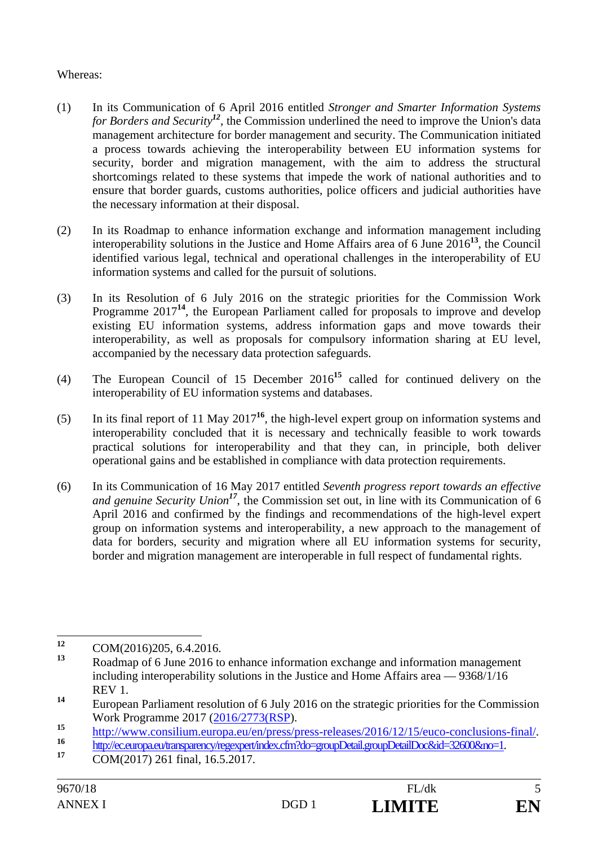#### Whereas:

- (1) In its Communication of 6 April 2016 entitled *Stronger and Smarter Information Systems for Borders and Security<sup>12</sup>*, the Commission underlined the need to improve the Union's data management architecture for border management and security. The Communication initiated a process towards achieving the interoperability between EU information systems for security, border and migration management, with the aim to address the structural shortcomings related to these systems that impede the work of national authorities and to ensure that border guards, customs authorities, police officers and judicial authorities have the necessary information at their disposal.
- (2) In its Roadmap to enhance information exchange and information management including interoperability solutions in the Justice and Home Affairs area of 6 June 2016**<sup>13</sup>**, the Council identified various legal, technical and operational challenges in the interoperability of EU information systems and called for the pursuit of solutions.
- (3) In its Resolution of 6 July 2016 on the strategic priorities for the Commission Work Programme 2017<sup>14</sup>, the European Parliament called for proposals to improve and develop existing EU information systems, address information gaps and move towards their interoperability, as well as proposals for compulsory information sharing at EU level, accompanied by the necessary data protection safeguards.
- (4) The European Council of 15 December 2016**<sup>15</sup>** called for continued delivery on the interoperability of EU information systems and databases.
- (5) In its final report of 11 May 2017**<sup>16</sup>**, the high-level expert group on information systems and interoperability concluded that it is necessary and technically feasible to work towards practical solutions for interoperability and that they can, in principle, both deliver operational gains and be established in compliance with data protection requirements.
- (6) In its Communication of 16 May 2017 entitled *Seventh progress report towards an effective and genuine Security Union<sup>17</sup>*, the Commission set out, in line with its Communication of 6 April 2016 and confirmed by the findings and recommendations of the high-level expert group on information systems and interoperability, a new approach to the management of data for borders, security and migration where all EU information systems for security, border and migration management are interoperable in full respect of fundamental rights.

 $12$ **<sup>12</sup>** COM(2016)205, 6.4.2016.

**<sup>13</sup>** Roadmap of 6 June 2016 to enhance information exchange and information management including interoperability solutions in the Justice and Home Affairs area — 9368/1/16 REV 1.

**<sup>14</sup>** European Parliament resolution of 6 July 2016 on the strategic priorities for the Commission Work Programme 2017 (2016/2773(RSP).

<sup>15&</sup>lt;br>
http://www.consilium.europa.eu/en/press/press-releases/2016/12/15/euco-conclusions-final/<br>
17 COM(2017) 261 final, 16.5.2017.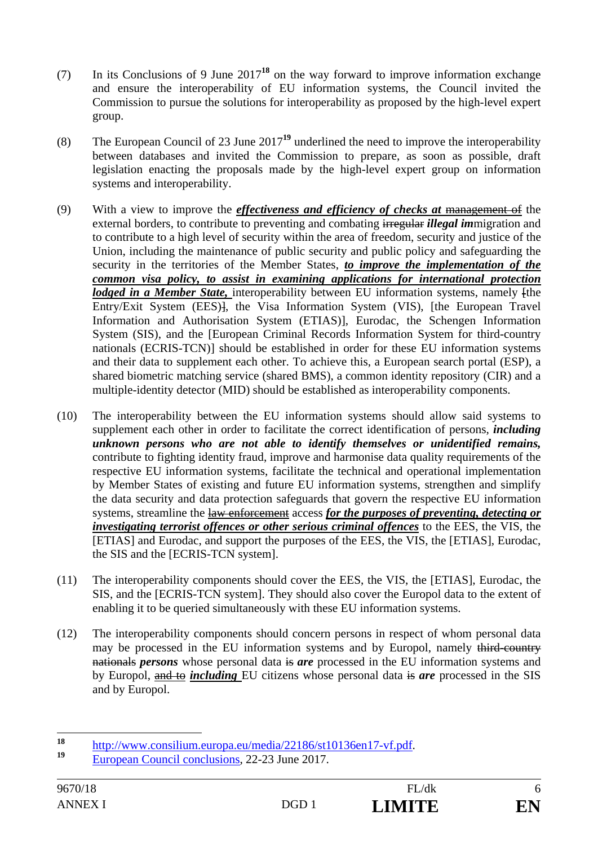- (7) In its Conclusions of 9 June 2017**<sup>18</sup>** on the way forward to improve information exchange and ensure the interoperability of EU information systems, the Council invited the Commission to pursue the solutions for interoperability as proposed by the high-level expert group.
- (8) The European Council of 23 June 2017**<sup>19</sup>** underlined the need to improve the interoperability between databases and invited the Commission to prepare, as soon as possible, draft legislation enacting the proposals made by the high-level expert group on information systems and interoperability.
- (9) With a view to improve the *effectiveness and efficiency of checks at* management of the external borders, to contribute to preventing and combating irregular *illegal im*migration and to contribute to a high level of security within the area of freedom, security and justice of the Union, including the maintenance of public security and public policy and safeguarding the security in the territories of the Member States, *to improve the implementation of the common visa policy, to assist in examining applications for international protection lodged in a Member State,* interoperability between EU information systems, namely [the Entry/Exit System (EES)], the Visa Information System (VIS), [the European Travel Information and Authorisation System (ETIAS)], Eurodac, the Schengen Information System (SIS), and the [European Criminal Records Information System for third-country nationals (ECRIS-TCN)] should be established in order for these EU information systems and their data to supplement each other. To achieve this, a European search portal (ESP), a shared biometric matching service (shared BMS), a common identity repository (CIR) and a multiple-identity detector (MID) should be established as interoperability components.
- (10) The interoperability between the EU information systems should allow said systems to supplement each other in order to facilitate the correct identification of persons, *including unknown persons who are not able to identify themselves or unidentified remains,*  contribute to fighting identity fraud, improve and harmonise data quality requirements of the respective EU information systems, facilitate the technical and operational implementation by Member States of existing and future EU information systems, strengthen and simplify the data security and data protection safeguards that govern the respective EU information systems, streamline the law enforcement access *for the purposes of preventing, detecting or investigating terrorist offences or other serious criminal offences* to the EES, the VIS, the [ETIAS] and Eurodac, and support the purposes of the EES, the VIS, the [ETIAS], Eurodac, the SIS and the [ECRIS-TCN system].
- (11) The interoperability components should cover the EES, the VIS, the [ETIAS], Eurodac, the SIS, and the [ECRIS-TCN system]. They should also cover the Europol data to the extent of enabling it to be queried simultaneously with these EU information systems.
- (12) The interoperability components should concern persons in respect of whom personal data may be processed in the EU information systems and by Europol, namely third-country nationals *persons* whose personal data is *are* processed in the EU information systems and by Europol, and to *including* EU citizens whose personal data is *are* processed in the SIS and by Europol.

<sup>18</sup> <sup>18</sup> http://www.consilium.europa.eu/media/22186/st10136en17-vf.pdf.<br>
European Council conclusions, 22-23 June 2017.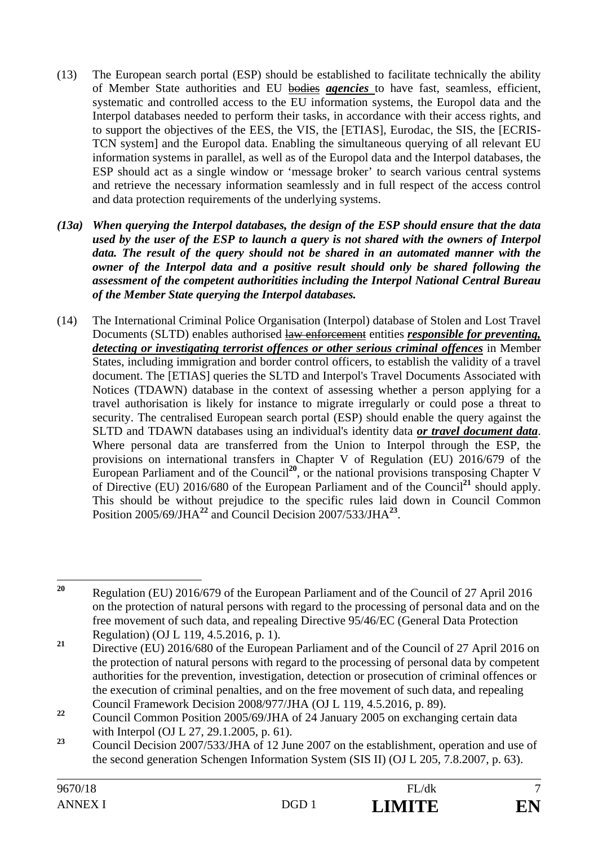- (13) The European search portal (ESP) should be established to facilitate technically the ability of Member State authorities and EU bodies *agencies* to have fast, seamless, efficient, systematic and controlled access to the EU information systems, the Europol data and the Interpol databases needed to perform their tasks, in accordance with their access rights, and to support the objectives of the EES, the VIS, the [ETIAS], Eurodac, the SIS, the [ECRIS-TCN system] and the Europol data. Enabling the simultaneous querying of all relevant EU information systems in parallel, as well as of the Europol data and the Interpol databases, the ESP should act as a single window or 'message broker' to search various central systems and retrieve the necessary information seamlessly and in full respect of the access control and data protection requirements of the underlying systems.
- *(13a) When querying the Interpol databases, the design of the ESP should ensure that the data used by the user of the ESP to launch a query is not shared with the owners of Interpol data. The result of the query should not be shared in an automated manner with the owner of the Interpol data and a positive result should only be shared following the assessment of the competent authoritities including the Interpol National Central Bureau of the Member State querying the Interpol databases.*
- (14) The International Criminal Police Organisation (Interpol) database of Stolen and Lost Travel Documents (SLTD) enables authorised law enforcement entities *responsible for preventing, detecting or investigating terrorist offences or other serious criminal offences* in Member States, including immigration and border control officers, to establish the validity of a travel document. The [ETIAS] queries the SLTD and Interpol's Travel Documents Associated with Notices (TDAWN) database in the context of assessing whether a person applying for a travel authorisation is likely for instance to migrate irregularly or could pose a threat to security. The centralised European search portal (ESP) should enable the query against the SLTD and TDAWN databases using an individual's identity data *or travel document data*. Where personal data are transferred from the Union to Interpol through the ESP, the provisions on international transfers in Chapter V of Regulation (EU) 2016/679 of the European Parliament and of the Council**<sup>20</sup>**, or the national provisions transposing Chapter V of Directive (EU) 2016/680 of the European Parliament and of the Council**<sup>21</sup>** should apply. This should be without prejudice to the specific rules laid down in Council Common Position 2005/69/JHA**<sup>22</sup>** and Council Decision 2007/533/JHA**<sup>23</sup>**.

 $20$ **<sup>20</sup>** Regulation (EU) 2016/679 of the European Parliament and of the Council of 27 April 2016 on the protection of natural persons with regard to the processing of personal data and on the free movement of such data, and repealing Directive 95/46/EC (General Data Protection Regulation) (OJ L 119, 4.5.2016, p. 1).

<sup>&</sup>lt;sup>21</sup> Directive (EU) 2016/680 of the European Parliament and of the Council of 27 April 2016 on the protection of natural persons with regard to the processing of personal data by competent authorities for the prevention, investigation, detection or prosecution of criminal offences or the execution of criminal penalties, and on the free movement of such data, and repealing Council Framework Decision 2008/977/JHA (OJ L 119, 4.5.2016, p. 89).

<sup>&</sup>lt;sup>22</sup> Council Common Position 2005/69/JHA of 24 January 2005 on exchanging certain data with Interpol (OJ L 27, 29.1.2005, p. 61).

**<sup>23</sup>** Council Decision 2007/533/JHA of 12 June 2007 on the establishment, operation and use of the second generation Schengen Information System (SIS II) (OJ L 205, 7.8.2007, p. 63).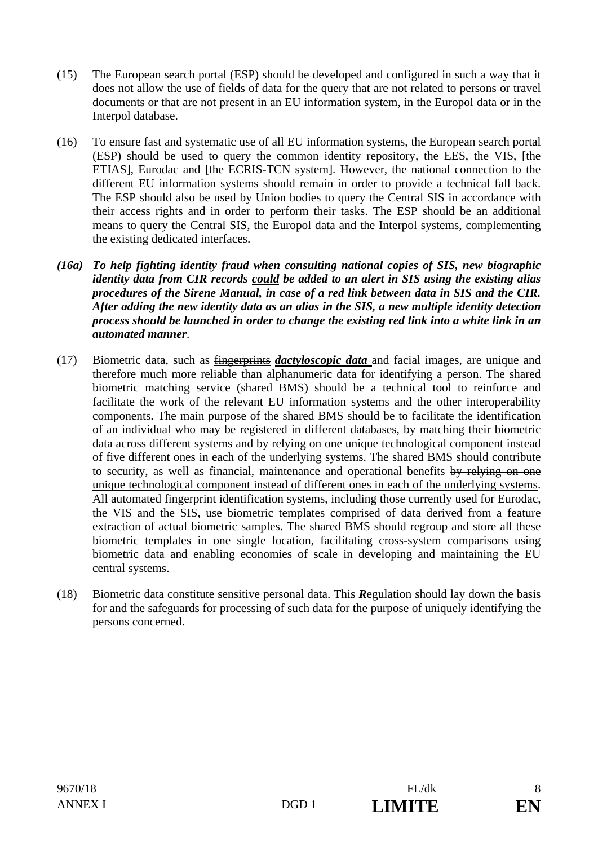- (15) The European search portal (ESP) should be developed and configured in such a way that it does not allow the use of fields of data for the query that are not related to persons or travel documents or that are not present in an EU information system, in the Europol data or in the Interpol database.
- (16) To ensure fast and systematic use of all EU information systems, the European search portal (ESP) should be used to query the common identity repository, the EES, the VIS, [the ETIAS], Eurodac and [the ECRIS-TCN system]. However, the national connection to the different EU information systems should remain in order to provide a technical fall back. The ESP should also be used by Union bodies to query the Central SIS in accordance with their access rights and in order to perform their tasks. The ESP should be an additional means to query the Central SIS, the Europol data and the Interpol systems, complementing the existing dedicated interfaces.
- *(16a) To help fighting identity fraud when consulting national copies of SIS, new biographic identity data from CIR records could be added to an alert in SIS using the existing alias procedures of the Sirene Manual, in case of a red link between data in SIS and the CIR. After adding the new identity data as an alias in the SIS, a new multiple identity detection process should be launched in order to change the existing red link into a white link in an automated manner*.
- (17) Biometric data, such as fingerprints *dactyloscopic data* and facial images, are unique and therefore much more reliable than alphanumeric data for identifying a person. The shared biometric matching service (shared BMS) should be a technical tool to reinforce and facilitate the work of the relevant EU information systems and the other interoperability components. The main purpose of the shared BMS should be to facilitate the identification of an individual who may be registered in different databases, by matching their biometric data across different systems and by relying on one unique technological component instead of five different ones in each of the underlying systems. The shared BMS should contribute to security, as well as financial, maintenance and operational benefits by relying on one unique technological component instead of different ones in each of the underlying systems. All automated fingerprint identification systems, including those currently used for Eurodac, the VIS and the SIS, use biometric templates comprised of data derived from a feature extraction of actual biometric samples. The shared BMS should regroup and store all these biometric templates in one single location, facilitating cross-system comparisons using biometric data and enabling economies of scale in developing and maintaining the EU central systems.
- (18) Biometric data constitute sensitive personal data. This *R*egulation should lay down the basis for and the safeguards for processing of such data for the purpose of uniquely identifying the persons concerned.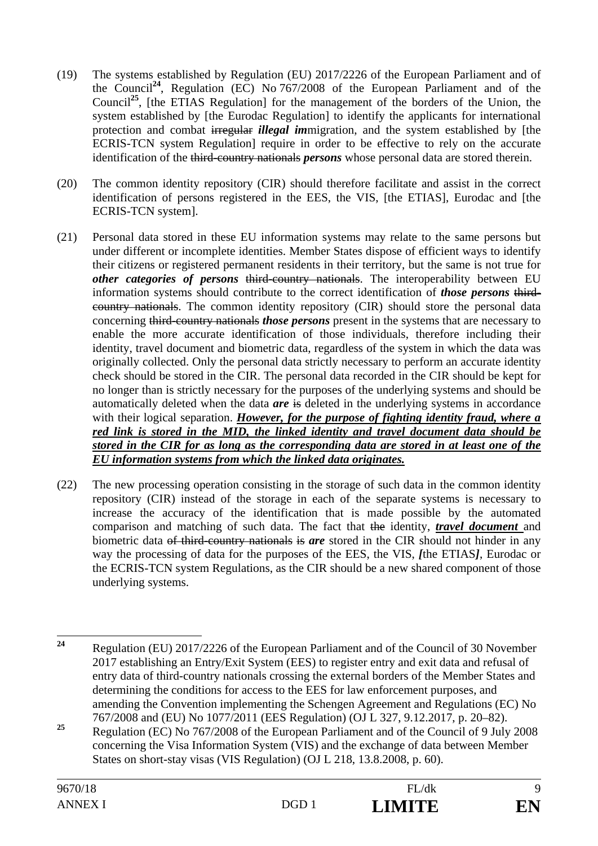- (19) The systems established by Regulation (EU) 2017/2226 of the European Parliament and of the Council**<sup>24</sup>**, Regulation (EC) No 767/2008 of the European Parliament and of the Council**<sup>25</sup>**, [the ETIAS Regulation] for the management of the borders of the Union, the system established by [the Eurodac Regulation] to identify the applicants for international protection and combat irregular *illegal im*migration, and the system established by [the ECRIS-TCN system Regulation] require in order to be effective to rely on the accurate identification of the third-country nationals *persons* whose personal data are stored therein.
- (20) The common identity repository (CIR) should therefore facilitate and assist in the correct identification of persons registered in the EES, the VIS, [the ETIAS], Eurodac and [the ECRIS-TCN system].
- (21) Personal data stored in these EU information systems may relate to the same persons but under different or incomplete identities. Member States dispose of efficient ways to identify their citizens or registered permanent residents in their territory, but the same is not true for *other categories of persons* third-country nationals. The interoperability between EU information systems should contribute to the correct identification of *those persons* thirdcountry nationals. The common identity repository (CIR) should store the personal data concerning third-country nationals *those persons* present in the systems that are necessary to enable the more accurate identification of those individuals, therefore including their identity, travel document and biometric data, regardless of the system in which the data was originally collected. Only the personal data strictly necessary to perform an accurate identity check should be stored in the CIR. The personal data recorded in the CIR should be kept for no longer than is strictly necessary for the purposes of the underlying systems and should be automatically deleted when the data *are* is deleted in the underlying systems in accordance with their logical separation. *However, for the purpose of fighting identity fraud, where a red link is stored in the MID, the linked identity and travel document data should be stored in the CIR for as long as the corresponding data are stored in at least one of the EU information systems from which the linked data originates.*
- (22) The new processing operation consisting in the storage of such data in the common identity repository (CIR) instead of the storage in each of the separate systems is necessary to increase the accuracy of the identification that is made possible by the automated comparison and matching of such data. The fact that the identity, *travel document* and biometric data of third-country nationals is *are* stored in the CIR should not hinder in any way the processing of data for the purposes of the EES, the VIS, *[*the ETIAS*]*, Eurodac or the ECRIS-TCN system Regulations, as the CIR should be a new shared component of those underlying systems.

<sup>25</sup> Regulation (EC) No 767/2008 of the European Parliament and of the Council of 9 July 2008 concerning the Visa Information System (VIS) and the exchange of data between Member States on short-stay visas (VIS Regulation) (OJ L 218, 13.8.2008, p. 60).

 $24$ **<sup>24</sup>** Regulation (EU) 2017/2226 of the European Parliament and of the Council of 30 November 2017 establishing an Entry/Exit System (EES) to register entry and exit data and refusal of entry data of third-country nationals crossing the external borders of the Member States and determining the conditions for access to the EES for law enforcement purposes, and amending the Convention implementing the Schengen Agreement and Regulations (EC) No 767/2008 and (EU) No 1077/2011 (EES Regulation) (OJ L 327, 9.12.2017, p. 20–82).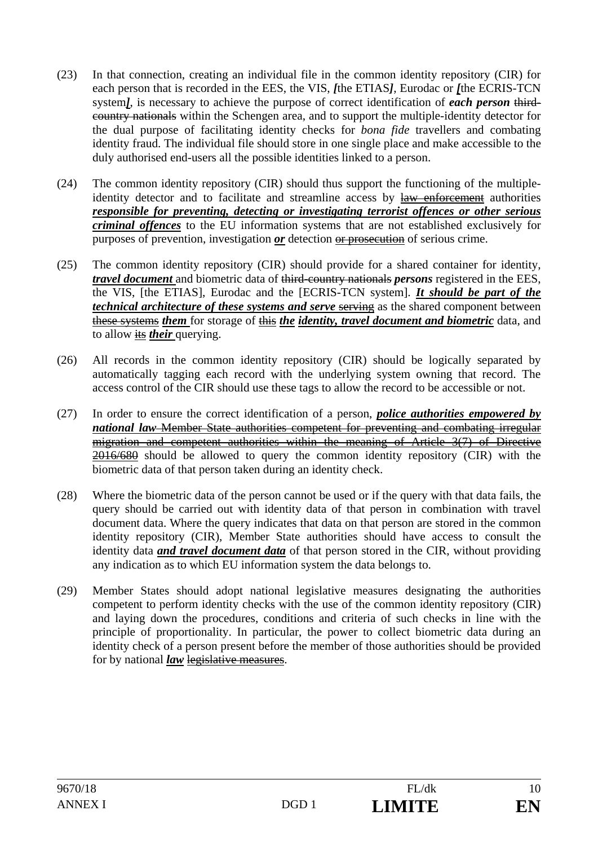- (23) In that connection, creating an individual file in the common identity repository (CIR) for each person that is recorded in the EES, the VIS, *[*the ETIAS*]*, Eurodac or *[*the ECRIS-TCN system*]*, is necessary to achieve the purpose of correct identification of *each person* thirdcountry nationals within the Schengen area, and to support the multiple-identity detector for the dual purpose of facilitating identity checks for *bona fide* travellers and combating identity fraud. The individual file should store in one single place and make accessible to the duly authorised end-users all the possible identities linked to a person.
- (24) The common identity repository (CIR) should thus support the functioning of the multipleidentity detector and to facilitate and streamline access by law enforcement authorities *responsible for preventing, detecting or investigating terrorist offences or other serious criminal offences* to the EU information systems that are not established exclusively for purposes of prevention, investigation *or* detection or prosecution of serious crime.
- (25) The common identity repository (CIR) should provide for a shared container for identity, *travel document* and biometric data of third-country nationals *persons* registered in the EES, the VIS, [the ETIAS], Eurodac and the [ECRIS-TCN system]. *It should be part of the technical architecture of these systems and serve serving* as the shared component between these systems *them* for storage of this *the identity, travel document and biometric* data, and to allow its *their* querying.
- (26) All records in the common identity repository (CIR) should be logically separated by automatically tagging each record with the underlying system owning that record. The access control of the CIR should use these tags to allow the record to be accessible or not.
- (27) In order to ensure the correct identification of a person, *police authorities empowered by national law* Member State authorities competent for preventing and combating irregular migration and competent authorities within the meaning of Article 3(7) of Directive 2016/680 should be allowed to query the common identity repository (CIR) with the biometric data of that person taken during an identity check.
- (28) Where the biometric data of the person cannot be used or if the query with that data fails, the query should be carried out with identity data of that person in combination with travel document data. Where the query indicates that data on that person are stored in the common identity repository (CIR), Member State authorities should have access to consult the identity data *and travel document data* of that person stored in the CIR, without providing any indication as to which EU information system the data belongs to.
- (29) Member States should adopt national legislative measures designating the authorities competent to perform identity checks with the use of the common identity repository (CIR) and laying down the procedures, conditions and criteria of such checks in line with the principle of proportionality. In particular, the power to collect biometric data during an identity check of a person present before the member of those authorities should be provided for by national *law* legislative measures.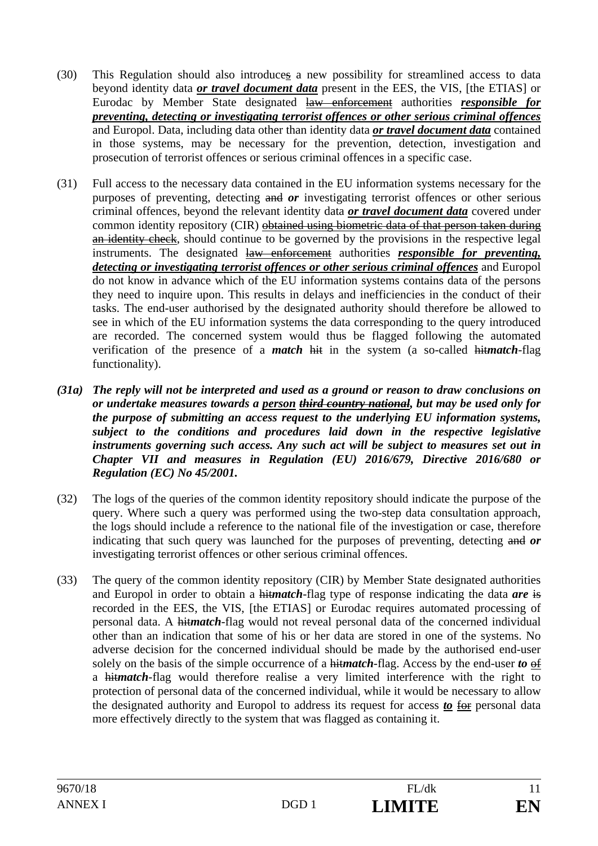- (30) This Regulation should also introduces a new possibility for streamlined access to data beyond identity data *or travel document data* present in the EES, the VIS, [the ETIAS] or Eurodac by Member State designated law enforcement authorities *responsible for preventing, detecting or investigating terrorist offences or other serious criminal offences* and Europol. Data, including data other than identity data *or travel document data* contained in those systems, may be necessary for the prevention, detection, investigation and prosecution of terrorist offences or serious criminal offences in a specific case.
- (31) Full access to the necessary data contained in the EU information systems necessary for the purposes of preventing, detecting and *or* investigating terrorist offences or other serious criminal offences, beyond the relevant identity data *or travel document data* covered under common identity repository (CIR) obtained using biometric data of that person taken during an identity check, should continue to be governed by the provisions in the respective legal instruments. The designated law enforcement authorities *responsible for preventing, detecting or investigating terrorist offences or other serious criminal offences* and Europol do not know in advance which of the EU information systems contains data of the persons they need to inquire upon. This results in delays and inefficiencies in the conduct of their tasks. The end-user authorised by the designated authority should therefore be allowed to see in which of the EU information systems the data corresponding to the query introduced are recorded. The concerned system would thus be flagged following the automated verification of the presence of a *match* hit in the system (a so-called hit*match*-flag functionality).
- *(31a) The reply will not be interpreted and used as a ground or reason to draw conclusions on or undertake measures towards a person third country national, but may be used only for the purpose of submitting an access request to the underlying EU information systems, subject to the conditions and procedures laid down in the respective legislative instruments governing such access. Any such act will be subject to measures set out in Chapter VII and measures in Regulation (EU) 2016/679, Directive 2016/680 or Regulation (EC) No 45/2001.*
- (32) The logs of the queries of the common identity repository should indicate the purpose of the query. Where such a query was performed using the two-step data consultation approach, the logs should include a reference to the national file of the investigation or case, therefore indicating that such query was launched for the purposes of preventing, detecting and *or* investigating terrorist offences or other serious criminal offences.
- (33) The query of the common identity repository (CIR) by Member State designated authorities and Europol in order to obtain a hit*match*-flag type of response indicating the data *are* is recorded in the EES, the VIS, [the ETIAS] or Eurodac requires automated processing of personal data. A hit*match*-flag would not reveal personal data of the concerned individual other than an indication that some of his or her data are stored in one of the systems. No adverse decision for the concerned individual should be made by the authorised end-user solely on the basis of the simple occurrence of a hit*match*-flag. Access by the end-user *to* of a hit*match*-flag would therefore realise a very limited interference with the right to protection of personal data of the concerned individual, while it would be necessary to allow the designated authority and Europol to address its request for access *to* for personal data more effectively directly to the system that was flagged as containing it.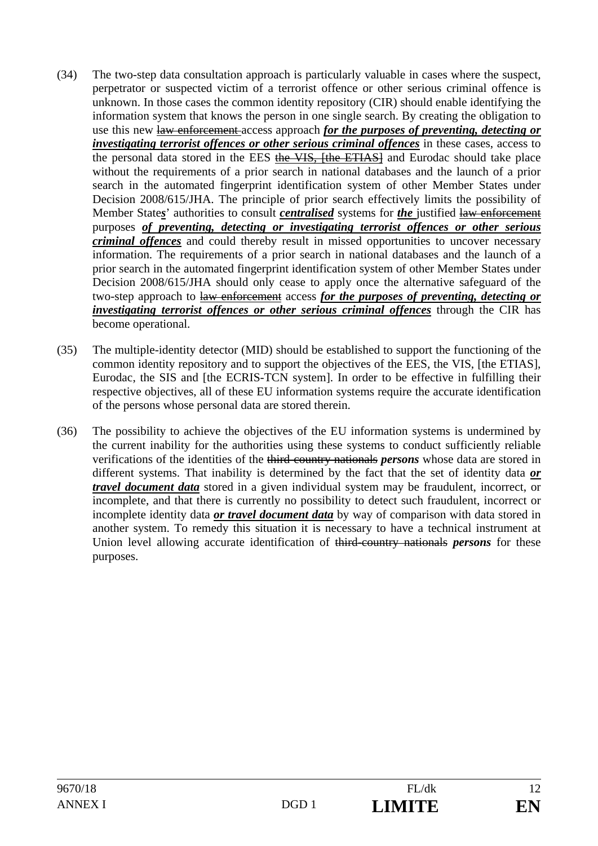- (34) The two-step data consultation approach is particularly valuable in cases where the suspect, perpetrator or suspected victim of a terrorist offence or other serious criminal offence is unknown. In those cases the common identity repository (CIR) should enable identifying the information system that knows the person in one single search. By creating the obligation to use this new law enforcement access approach *for the purposes of preventing, detecting or investigating terrorist offences or other serious criminal offences* in these cases, access to the personal data stored in the EES the VIS, [the ETIAS] and Eurodac should take place without the requirements of a prior search in national databases and the launch of a prior search in the automated fingerprint identification system of other Member States under Decision 2008/615/JHA. The principle of prior search effectively limits the possibility of Member State*s*' authorities to consult *centralised* systems for *the* justified law enforcement purposes *of preventing, detecting or investigating terrorist offences or other serious criminal offences* and could thereby result in missed opportunities to uncover necessary information. The requirements of a prior search in national databases and the launch of a prior search in the automated fingerprint identification system of other Member States under Decision 2008/615/JHA should only cease to apply once the alternative safeguard of the two-step approach to law enforcement access *for the purposes of preventing, detecting or investigating terrorist offences or other serious criminal offences* through the CIR has become operational.
- (35) The multiple-identity detector (MID) should be established to support the functioning of the common identity repository and to support the objectives of the EES, the VIS, [the ETIAS], Eurodac, the SIS and [the ECRIS-TCN system]. In order to be effective in fulfilling their respective objectives, all of these EU information systems require the accurate identification of the persons whose personal data are stored therein.
- (36) The possibility to achieve the objectives of the EU information systems is undermined by the current inability for the authorities using these systems to conduct sufficiently reliable verifications of the identities of the third-country nationals *persons* whose data are stored in different systems. That inability is determined by the fact that the set of identity data *or travel document data* stored in a given individual system may be fraudulent, incorrect, or incomplete, and that there is currently no possibility to detect such fraudulent, incorrect or incomplete identity data *or travel document data* by way of comparison with data stored in another system. To remedy this situation it is necessary to have a technical instrument at Union level allowing accurate identification of third-country nationals *persons* for these purposes.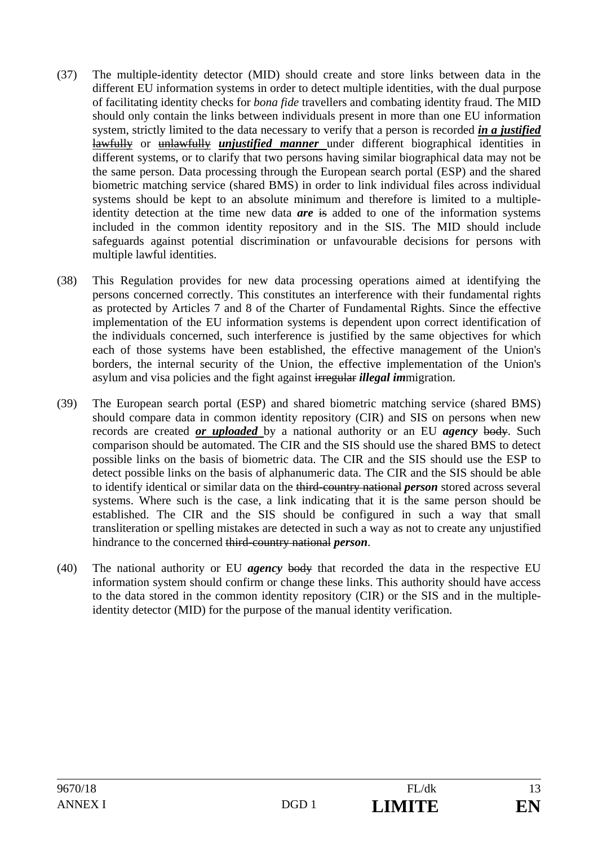- (37) The multiple-identity detector (MID) should create and store links between data in the different EU information systems in order to detect multiple identities, with the dual purpose of facilitating identity checks for *bona fide* travellers and combating identity fraud. The MID should only contain the links between individuals present in more than one EU information system, strictly limited to the data necessary to verify that a person is recorded *in a justified*  lawfully or unlawfully *unjustified manner* under different biographical identities in different systems, or to clarify that two persons having similar biographical data may not be the same person. Data processing through the European search portal (ESP) and the shared biometric matching service (shared BMS) in order to link individual files across individual systems should be kept to an absolute minimum and therefore is limited to a multipleidentity detection at the time new data *are* is added to one of the information systems included in the common identity repository and in the SIS. The MID should include safeguards against potential discrimination or unfavourable decisions for persons with multiple lawful identities.
- (38) This Regulation provides for new data processing operations aimed at identifying the persons concerned correctly. This constitutes an interference with their fundamental rights as protected by Articles 7 and 8 of the Charter of Fundamental Rights. Since the effective implementation of the EU information systems is dependent upon correct identification of the individuals concerned, such interference is justified by the same objectives for which each of those systems have been established, the effective management of the Union's borders, the internal security of the Union, the effective implementation of the Union's asylum and visa policies and the fight against irregular *illegal im*migration.
- (39) The European search portal (ESP) and shared biometric matching service (shared BMS) should compare data in common identity repository (CIR) and SIS on persons when new records are created *or uploaded* by a national authority or an EU *agency* body. Such comparison should be automated. The CIR and the SIS should use the shared BMS to detect possible links on the basis of biometric data. The CIR and the SIS should use the ESP to detect possible links on the basis of alphanumeric data. The CIR and the SIS should be able to identify identical or similar data on the third-country national *person* stored across several systems. Where such is the case, a link indicating that it is the same person should be established. The CIR and the SIS should be configured in such a way that small transliteration or spelling mistakes are detected in such a way as not to create any unjustified hindrance to the concerned third-country national *person*.
- (40) The national authority or EU *agency* body that recorded the data in the respective EU information system should confirm or change these links. This authority should have access to the data stored in the common identity repository (CIR) or the SIS and in the multipleidentity detector (MID) for the purpose of the manual identity verification.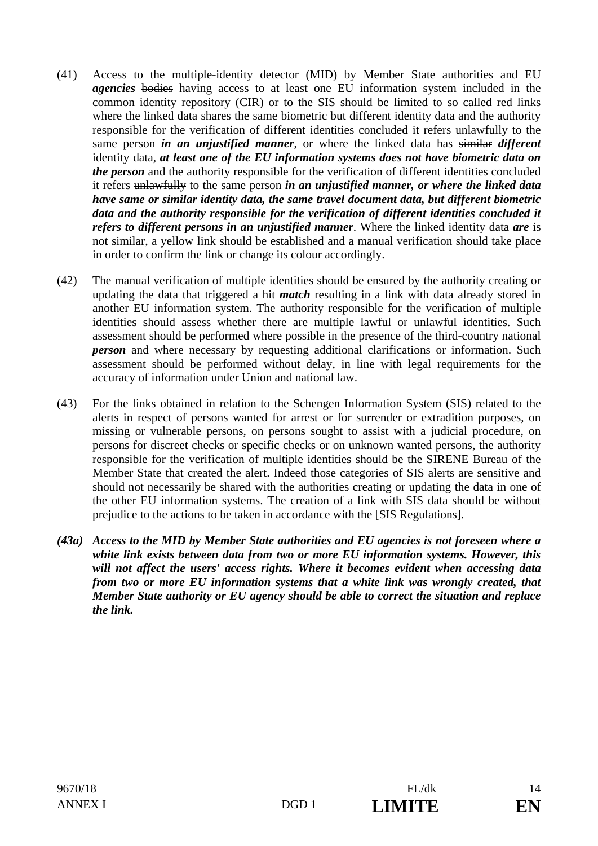- (41) Access to the multiple-identity detector (MID) by Member State authorities and EU *agencies* bodies having access to at least one EU information system included in the common identity repository (CIR) or to the SIS should be limited to so called red links where the linked data shares the same biometric but different identity data and the authority responsible for the verification of different identities concluded it refers unlawfully to the same person *in an unjustified manner*, or where the linked data has similar *different*  identity data, *at least one of the EU information systems does not have biometric data on the person* and the authority responsible for the verification of different identities concluded it refers unlawfully to the same person *in an unjustified manner, or where the linked data have same or similar identity data, the same travel document data, but different biometric data and the authority responsible for the verification of different identities concluded it refers to different persons in an unjustified manner*. Where the linked identity data *are* is not similar, a yellow link should be established and a manual verification should take place in order to confirm the link or change its colour accordingly.
- (42) The manual verification of multiple identities should be ensured by the authority creating or updating the data that triggered a hit *match* resulting in a link with data already stored in another EU information system. The authority responsible for the verification of multiple identities should assess whether there are multiple lawful or unlawful identities. Such assessment should be performed where possible in the presence of the third-country national *person* and where necessary by requesting additional clarifications or information. Such assessment should be performed without delay, in line with legal requirements for the accuracy of information under Union and national law.
- (43) For the links obtained in relation to the Schengen Information System (SIS) related to the alerts in respect of persons wanted for arrest or for surrender or extradition purposes, on missing or vulnerable persons, on persons sought to assist with a judicial procedure, on persons for discreet checks or specific checks or on unknown wanted persons, the authority responsible for the verification of multiple identities should be the SIRENE Bureau of the Member State that created the alert. Indeed those categories of SIS alerts are sensitive and should not necessarily be shared with the authorities creating or updating the data in one of the other EU information systems. The creation of a link with SIS data should be without prejudice to the actions to be taken in accordance with the [SIS Regulations].
- *(43a) Access to the MID by Member State authorities and EU agencies is not foreseen where a white link exists between data from two or more EU information systems. However, this will not affect the users' access rights. Where it becomes evident when accessing data from two or more EU information systems that a white link was wrongly created, that Member State authority or EU agency should be able to correct the situation and replace the link.*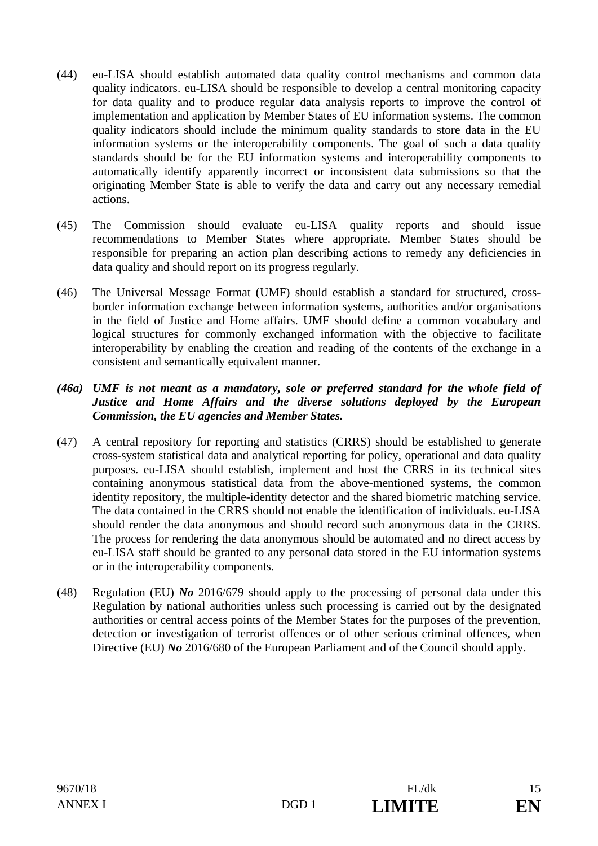- (44) eu-LISA should establish automated data quality control mechanisms and common data quality indicators. eu-LISA should be responsible to develop a central monitoring capacity for data quality and to produce regular data analysis reports to improve the control of implementation and application by Member States of EU information systems. The common quality indicators should include the minimum quality standards to store data in the EU information systems or the interoperability components. The goal of such a data quality standards should be for the EU information systems and interoperability components to automatically identify apparently incorrect or inconsistent data submissions so that the originating Member State is able to verify the data and carry out any necessary remedial actions.
- (45) The Commission should evaluate eu-LISA quality reports and should issue recommendations to Member States where appropriate. Member States should be responsible for preparing an action plan describing actions to remedy any deficiencies in data quality and should report on its progress regularly.
- (46) The Universal Message Format (UMF) should establish a standard for structured, crossborder information exchange between information systems, authorities and/or organisations in the field of Justice and Home affairs. UMF should define a common vocabulary and logical structures for commonly exchanged information with the objective to facilitate interoperability by enabling the creation and reading of the contents of the exchange in a consistent and semantically equivalent manner.

#### *(46a) UMF is not meant as a mandatory, sole or preferred standard for the whole field of Justice and Home Affairs and the diverse solutions deployed by the European Commission, the EU agencies and Member States.*

- (47) A central repository for reporting and statistics (CRRS) should be established to generate cross-system statistical data and analytical reporting for policy, operational and data quality purposes. eu-LISA should establish, implement and host the CRRS in its technical sites containing anonymous statistical data from the above-mentioned systems, the common identity repository, the multiple-identity detector and the shared biometric matching service. The data contained in the CRRS should not enable the identification of individuals. eu-LISA should render the data anonymous and should record such anonymous data in the CRRS. The process for rendering the data anonymous should be automated and no direct access by eu-LISA staff should be granted to any personal data stored in the EU information systems or in the interoperability components.
- (48) Regulation (EU) *No* 2016/679 should apply to the processing of personal data under this Regulation by national authorities unless such processing is carried out by the designated authorities or central access points of the Member States for the purposes of the prevention, detection or investigation of terrorist offences or of other serious criminal offences, when Directive (EU) *No* 2016/680 of the European Parliament and of the Council should apply.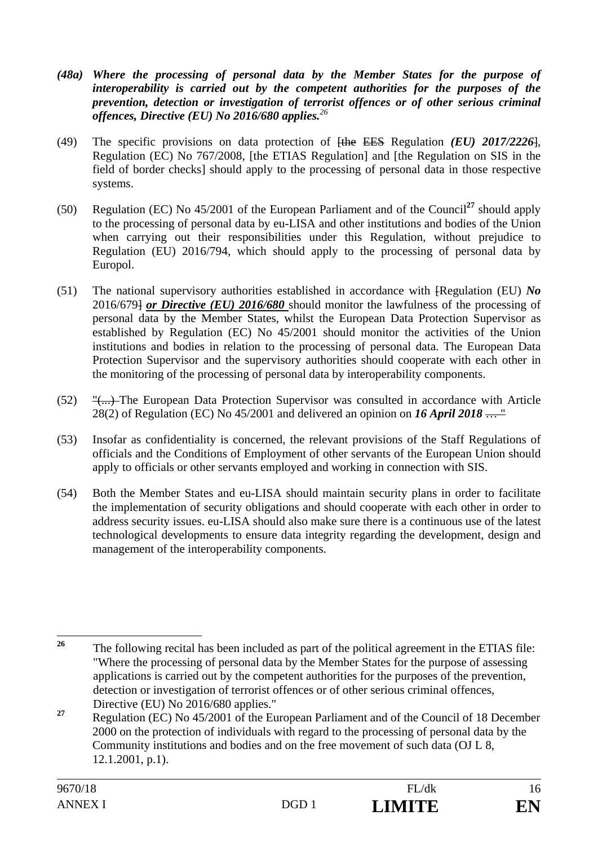- *(48a) Where the processing of personal data by the Member States for the purpose of interoperability is carried out by the competent authorities for the purposes of the prevention, detection or investigation of terrorist offences or of other serious criminal offences, Directive (EU) No 2016/680 applies.<sup>26</sup>*
- (49) The specific provisions on data protection of [the EES Regulation *(EU) 2017/2226*], Regulation (EC) No 767/2008, [the ETIAS Regulation] and [the Regulation on SIS in the field of border checks] should apply to the processing of personal data in those respective systems.
- (50) Regulation (EC) No 45/2001 of the European Parliament and of the Council**<sup>27</sup>** should apply to the processing of personal data by eu-LISA and other institutions and bodies of the Union when carrying out their responsibilities under this Regulation, without prejudice to Regulation (EU) 2016/794, which should apply to the processing of personal data by Europol.
- (51) The national supervisory authorities established in accordance with [Regulation (EU) *No*  2016/679] *or Directive (EU) 2016/680* should monitor the lawfulness of the processing of personal data by the Member States, whilst the European Data Protection Supervisor as established by Regulation (EC) No 45/2001 should monitor the activities of the Union institutions and bodies in relation to the processing of personal data. The European Data Protection Supervisor and the supervisory authorities should cooperate with each other in the monitoring of the processing of personal data by interoperability components.
- (52) "(...) The European Data Protection Supervisor was consulted in accordance with Article 28(2) of Regulation (EC) No 45/2001 and delivered an opinion on *16 April 2018* … "
- (53) Insofar as confidentiality is concerned, the relevant provisions of the Staff Regulations of officials and the Conditions of Employment of other servants of the European Union should apply to officials or other servants employed and working in connection with SIS.
- (54) Both the Member States and eu-LISA should maintain security plans in order to facilitate the implementation of security obligations and should cooperate with each other in order to address security issues. eu-LISA should also make sure there is a continuous use of the latest technological developments to ensure data integrity regarding the development, design and management of the interoperability components.

 $26$ **<sup>26</sup>** The following recital has been included as part of the political agreement in the ETIAS file: "Where the processing of personal data by the Member States for the purpose of assessing applications is carried out by the competent authorities for the purposes of the prevention, detection or investigation of terrorist offences or of other serious criminal offences, Directive (EU) No 2016/680 applies."

**<sup>27</sup>** Regulation (EC) No 45/2001 of the European Parliament and of the Council of 18 December 2000 on the protection of individuals with regard to the processing of personal data by the Community institutions and bodies and on the free movement of such data (OJ L 8, 12.1.2001, p.1).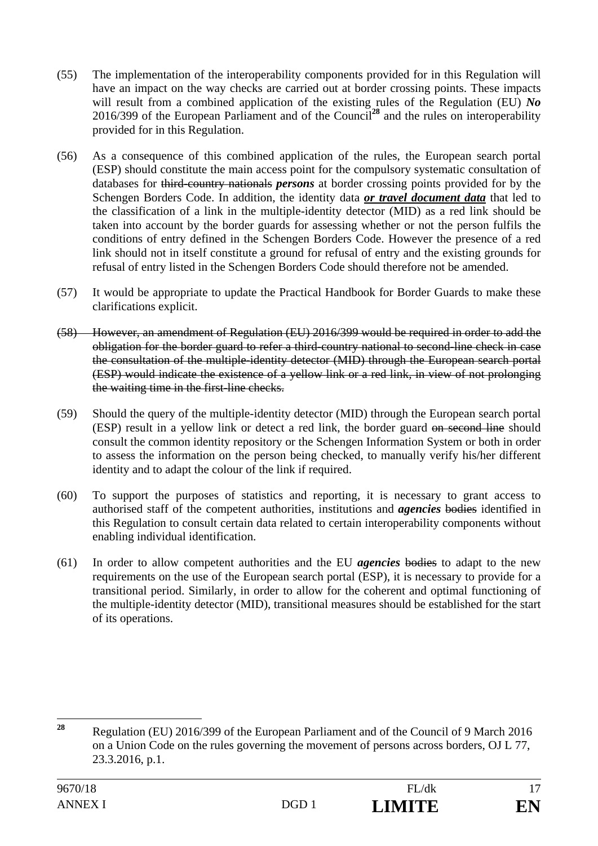- (55) The implementation of the interoperability components provided for in this Regulation will have an impact on the way checks are carried out at border crossing points. These impacts will result from a combined application of the existing rules of the Regulation (EU) *No*  2016/399 of the European Parliament and of the Council**<sup>28</sup>** and the rules on interoperability provided for in this Regulation.
- (56) As a consequence of this combined application of the rules, the European search portal (ESP) should constitute the main access point for the compulsory systematic consultation of databases for third-country nationals *persons* at border crossing points provided for by the Schengen Borders Code. In addition, the identity data *or travel document data* that led to the classification of a link in the multiple-identity detector (MID) as a red link should be taken into account by the border guards for assessing whether or not the person fulfils the conditions of entry defined in the Schengen Borders Code. However the presence of a red link should not in itself constitute a ground for refusal of entry and the existing grounds for refusal of entry listed in the Schengen Borders Code should therefore not be amended.
- (57) It would be appropriate to update the Practical Handbook for Border Guards to make these clarifications explicit.
- (58) However, an amendment of Regulation (EU) 2016/399 would be required in order to add the obligation for the border guard to refer a third-country national to second-line check in case the consultation of the multiple-identity detector (MID) through the European search portal (ESP) would indicate the existence of a yellow link or a red link, in view of not prolonging the waiting time in the first-line checks.
- (59) Should the query of the multiple-identity detector (MID) through the European search portal (ESP) result in a yellow link or detect a red link, the border guard on second line should consult the common identity repository or the Schengen Information System or both in order to assess the information on the person being checked, to manually verify his/her different identity and to adapt the colour of the link if required.
- (60) To support the purposes of statistics and reporting, it is necessary to grant access to authorised staff of the competent authorities, institutions and *agencies* bodies identified in this Regulation to consult certain data related to certain interoperability components without enabling individual identification.
- (61) In order to allow competent authorities and the EU *agencies* bodies to adapt to the new requirements on the use of the European search portal (ESP), it is necessary to provide for a transitional period. Similarly, in order to allow for the coherent and optimal functioning of the multiple-identity detector (MID), transitional measures should be established for the start of its operations.

<sup>28</sup> **<sup>28</sup>** Regulation (EU) 2016/399 of the European Parliament and of the Council of 9 March 2016 on a Union Code on the rules governing the movement of persons across borders, OJ L 77, 23.3.2016, p.1.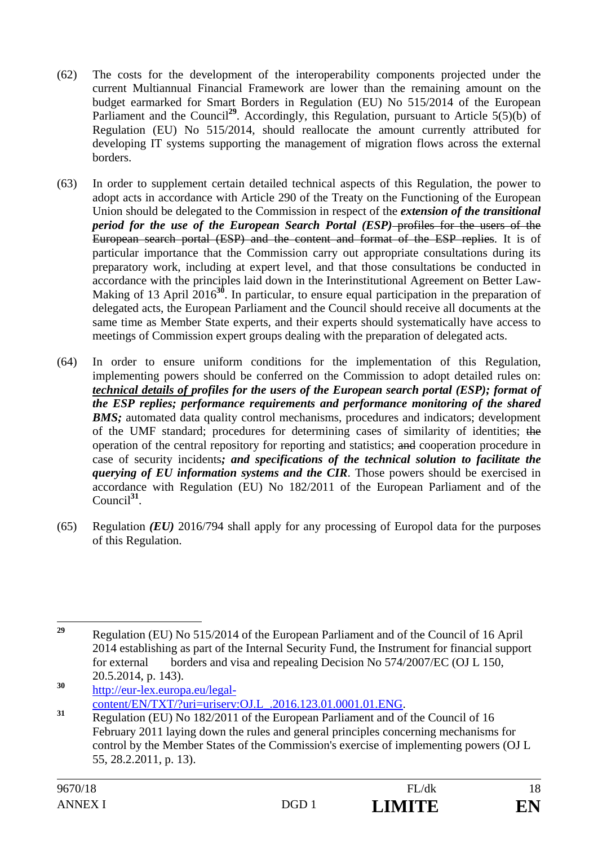- (62) The costs for the development of the interoperability components projected under the current Multiannual Financial Framework are lower than the remaining amount on the budget earmarked for Smart Borders in Regulation (EU) No 515/2014 of the European Parliament and the Council<sup>29</sup>. Accordingly, this Regulation, pursuant to Article 5(5)(b) of Regulation (EU) No 515/2014, should reallocate the amount currently attributed for developing IT systems supporting the management of migration flows across the external borders.
- (63) In order to supplement certain detailed technical aspects of this Regulation, the power to adopt acts in accordance with Article 290 of the Treaty on the Functioning of the European Union should be delegated to the Commission in respect of the *extension of the transitional period for the use of the European Search Portal (ESP)–profiles for the users of the* European search portal (ESP) and the content and format of the ESP replies. It is of particular importance that the Commission carry out appropriate consultations during its preparatory work, including at expert level, and that those consultations be conducted in accordance with the principles laid down in the Interinstitutional Agreement on Better Law-Making of 13 April 2016<sup>30</sup>. In particular, to ensure equal participation in the preparation of delegated acts, the European Parliament and the Council should receive all documents at the same time as Member State experts, and their experts should systematically have access to meetings of Commission expert groups dealing with the preparation of delegated acts.
- (64) In order to ensure uniform conditions for the implementation of this Regulation, implementing powers should be conferred on the Commission to adopt detailed rules on: *technical details of profiles for the users of the European search portal (ESP); format of the ESP replies; performance requirements and performance monitoring of the shared BMS*; automated data quality control mechanisms, procedures and indicators; development of the UMF standard; procedures for determining cases of similarity of identities; the operation of the central repository for reporting and statistics; and cooperation procedure in case of security incidents*; and specifications of the technical solution to facilitate the querying of EU information systems and the CIR*. Those powers should be exercised in accordance with Regulation (EU) No 182/2011 of the European Parliament and of the Council**<sup>31</sup>**.
- (65) Regulation *(EU)* 2016/794 shall apply for any processing of Europol data for the purposes of this Regulation.

**<sup>30</sup>** http://eur-lex.europa.eu/legal-

<sup>29</sup> **<sup>29</sup>** Regulation (EU) No 515/2014 of the European Parliament and of the Council of 16 April 2014 establishing as part of the Internal Security Fund, the Instrument for financial support for external borders and visa and repealing Decision No 574/2007/EC (OJ L 150, 20.5.2014, p. 143).

content/EN/TXT/?uri=uriserv:OJ.L\_.2016.123.01.0001.01.ENG. **<sup>31</sup>** Regulation (EU) No 182/2011 of the European Parliament and of the Council of 16 February 2011 laying down the rules and general principles concerning mechanisms for control by the Member States of the Commission's exercise of implementing powers (OJ L 55, 28.2.2011, p. 13).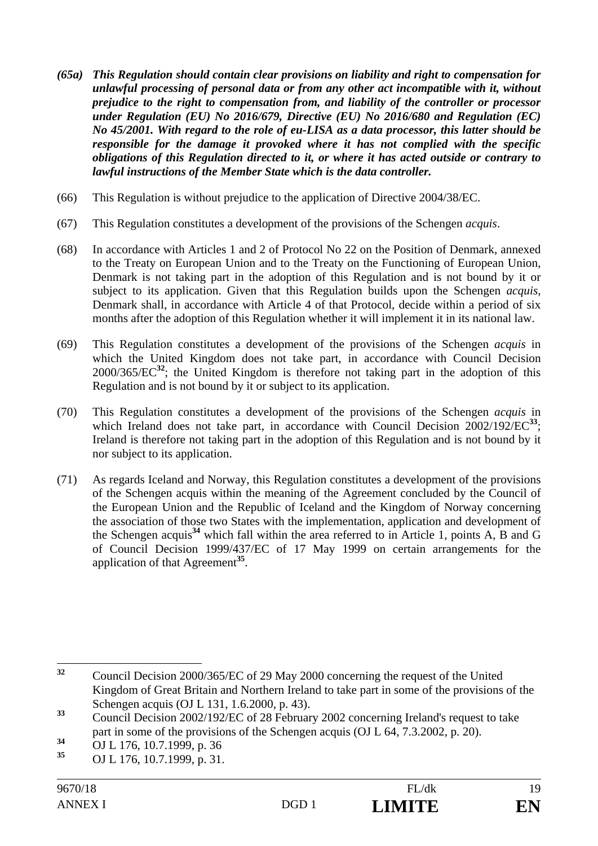- *(65a) This Regulation should contain clear provisions on liability and right to compensation for unlawful processing of personal data or from any other act incompatible with it, without prejudice to the right to compensation from, and liability of the controller or processor under Regulation (EU) No 2016/679, Directive (EU) No 2016/680 and Regulation (EC) No 45/2001. With regard to the role of eu-LISA as a data processor, this latter should be responsible for the damage it provoked where it has not complied with the specific obligations of this Regulation directed to it, or where it has acted outside or contrary to lawful instructions of the Member State which is the data controller.*
- (66) This Regulation is without prejudice to the application of Directive 2004/38/EC.
- (67) This Regulation constitutes a development of the provisions of the Schengen *acquis*.
- (68) In accordance with Articles 1 and 2 of Protocol No 22 on the Position of Denmark, annexed to the Treaty on European Union and to the Treaty on the Functioning of European Union, Denmark is not taking part in the adoption of this Regulation and is not bound by it or subject to its application. Given that this Regulation builds upon the Schengen *acquis*, Denmark shall, in accordance with Article 4 of that Protocol, decide within a period of six months after the adoption of this Regulation whether it will implement it in its national law.
- (69) This Regulation constitutes a development of the provisions of the Schengen *acquis* in which the United Kingdom does not take part, in accordance with Council Decision 2000/365/EC**<sup>32</sup>**; the United Kingdom is therefore not taking part in the adoption of this Regulation and is not bound by it or subject to its application.
- (70) This Regulation constitutes a development of the provisions of the Schengen *acquis* in which Ireland does not take part, in accordance with Council Decision 2002/192/EC<sup>33</sup>; Ireland is therefore not taking part in the adoption of this Regulation and is not bound by it nor subject to its application.
- (71) As regards Iceland and Norway, this Regulation constitutes a development of the provisions of the Schengen acquis within the meaning of the Agreement concluded by the Council of the European Union and the Republic of Iceland and the Kingdom of Norway concerning the association of those two States with the implementation, application and development of the Schengen acquis**<sup>34</sup>** which fall within the area referred to in Article 1, points A, B and G of Council Decision 1999/437/EC of 17 May 1999 on certain arrangements for the application of that Agreement**<sup>35</sup>**.

 $32$ **<sup>32</sup>** Council Decision 2000/365/EC of 29 May 2000 concerning the request of the United Kingdom of Great Britain and Northern Ireland to take part in some of the provisions of the Schengen acquis (OJ L 131, 1.6.2000, p. 43).

<sup>&</sup>lt;sup>33</sup> Council Decision 2002/192/EC of 28 February 2002 concerning Ireland's request to take part in some of the provisions of the Schengen acquis (OJ L 64, 7.3.2002, p. 20).

**<sup>34</sup>** OJ L 176, 10.7.1999, p. 36 **<sup>35</sup>** OJ L 176, 10.7.1999, p. 31.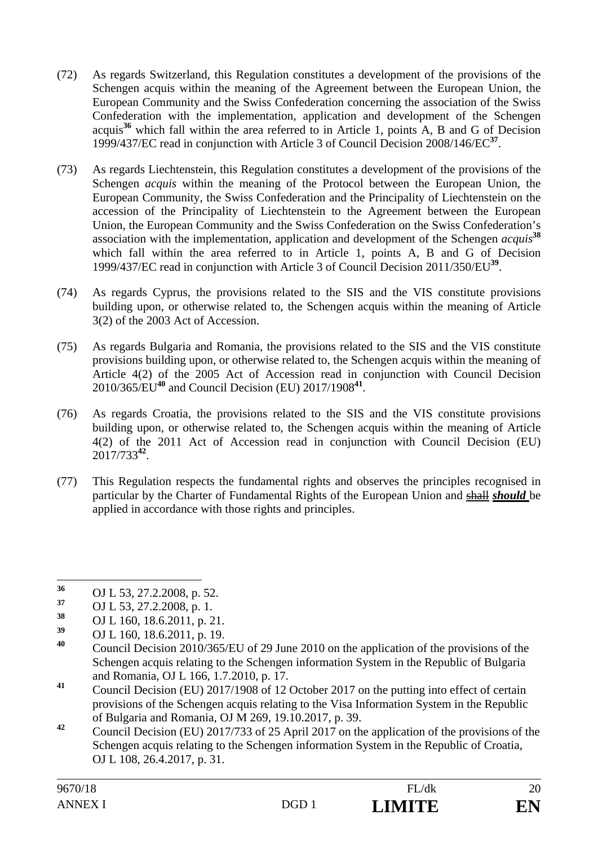- (72) As regards Switzerland, this Regulation constitutes a development of the provisions of the Schengen acquis within the meaning of the Agreement between the European Union, the European Community and the Swiss Confederation concerning the association of the Swiss Confederation with the implementation, application and development of the Schengen acquis**<sup>36</sup>** which fall within the area referred to in Article 1, points A, B and G of Decision 1999/437/EC read in conjunction with Article 3 of Council Decision 2008/146/EC**<sup>37</sup>**.
- (73) As regards Liechtenstein, this Regulation constitutes a development of the provisions of the Schengen *acquis* within the meaning of the Protocol between the European Union, the European Community, the Swiss Confederation and the Principality of Liechtenstein on the accession of the Principality of Liechtenstein to the Agreement between the European Union, the European Community and the Swiss Confederation on the Swiss Confederation's association with the implementation, application and development of the Schengen *acquis***<sup>38</sup>** which fall within the area referred to in Article 1, points A, B and G of Decision 1999/437/EC read in conjunction with Article 3 of Council Decision 2011/350/EU**<sup>39</sup>**.
- (74) As regards Cyprus, the provisions related to the SIS and the VIS constitute provisions building upon, or otherwise related to, the Schengen acquis within the meaning of Article 3(2) of the 2003 Act of Accession.
- (75) As regards Bulgaria and Romania, the provisions related to the SIS and the VIS constitute provisions building upon, or otherwise related to, the Schengen acquis within the meaning of Article 4(2) of the 2005 Act of Accession read in conjunction with Council Decision 2010/365/EU**<sup>40</sup>** and Council Decision (EU) 2017/1908**<sup>41</sup>**.
- (76) As regards Croatia, the provisions related to the SIS and the VIS constitute provisions building upon, or otherwise related to, the Schengen acquis within the meaning of Article 4(2) of the 2011 Act of Accession read in conjunction with Council Decision (EU) 2017/733**<sup>42</sup>**.
- (77) This Regulation respects the fundamental rights and observes the principles recognised in particular by the Charter of Fundamental Rights of the European Union and shall *should* be applied in accordance with those rights and principles.

 $36$ **<sup>36</sup>** OJ L 53, 27.2.2008, p. 52.

 $\frac{37}{38}$  OJ L 53, 27.2.2008, p. 1.

**<sup>38</sup>** OJ L 160, 18.6.2011, p. 21.

**<sup>39</sup>** OJ L 160, 18.6.2011, p. 19.

**<sup>40</sup>** Council Decision 2010/365/EU of 29 June 2010 on the application of the provisions of the Schengen acquis relating to the Schengen information System in the Republic of Bulgaria and Romania, OJ L 166, 1.7.2010, p. 17.

**<sup>41</sup>** Council Decision (EU) 2017/1908 of 12 October 2017 on the putting into effect of certain provisions of the Schengen acquis relating to the Visa Information System in the Republic of Bulgaria and Romania, OJ M 269, 19.10.2017, p. 39.

**<sup>42</sup>** Council Decision (EU) 2017/733 of 25 April 2017 on the application of the provisions of the Schengen acquis relating to the Schengen information System in the Republic of Croatia, OJ L 108, 26.4.2017, p. 31.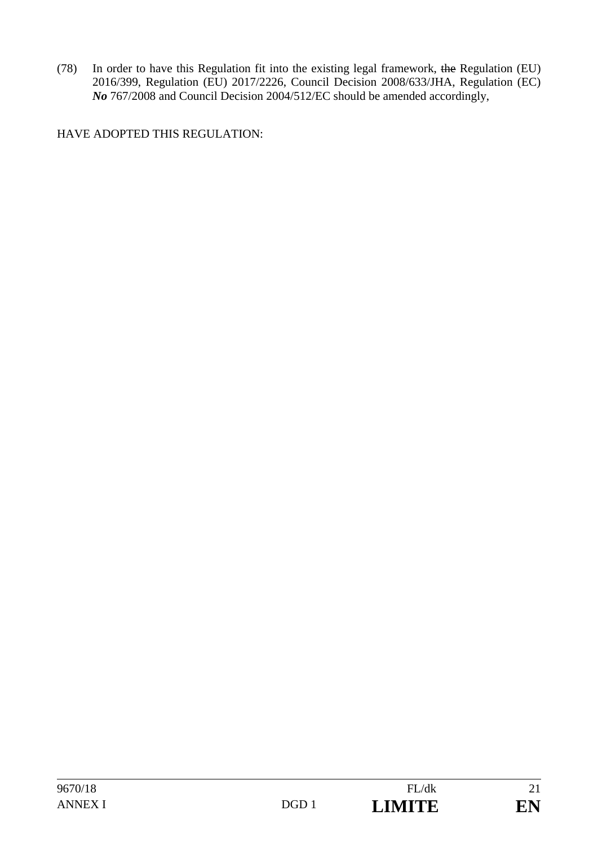(78) In order to have this Regulation fit into the existing legal framework, the Regulation (EU) 2016/399, Regulation (EU) 2017/2226, Council Decision 2008/633/JHA, Regulation (EC) *No* 767/2008 and Council Decision 2004/512/EC should be amended accordingly,

HAVE ADOPTED THIS REGULATION: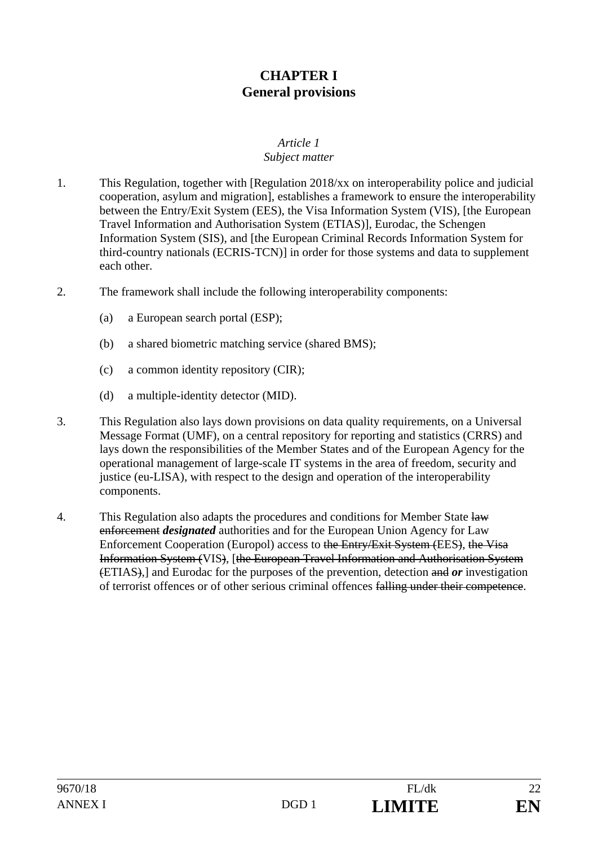## **CHAPTER I General provisions**

## *Article 1*

## *Subject matter*

- 1. This Regulation, together with [Regulation 2018/xx on interoperability police and judicial cooperation, asylum and migration], establishes a framework to ensure the interoperability between the Entry/Exit System (EES), the Visa Information System (VIS), [the European Travel Information and Authorisation System (ETIAS)], Eurodac, the Schengen Information System (SIS), and [the European Criminal Records Information System for third-country nationals (ECRIS-TCN)] in order for those systems and data to supplement each other.
- 2. The framework shall include the following interoperability components:
	- (a) a European search portal (ESP);
	- (b) a shared biometric matching service (shared BMS);
	- (c) a common identity repository (CIR);
	- (d) a multiple-identity detector (MID).
- 3. This Regulation also lays down provisions on data quality requirements, on a Universal Message Format (UMF), on a central repository for reporting and statistics (CRRS) and lays down the responsibilities of the Member States and of the European Agency for the operational management of large-scale IT systems in the area of freedom, security and justice (eu-LISA), with respect to the design and operation of the interoperability components.
- 4. This Regulation also adapts the procedures and conditions for Member State law enforcement *designated* authorities and for the European Union Agency for Law Enforcement Cooperation (Europol) access to the Entry/Exit System (EES), the Visa Information System (VIS), [the European Travel Information and Authorisation System (ETIAS),] and Eurodac for the purposes of the prevention, detection and *or* investigation of terrorist offences or of other serious criminal offences falling under their competence.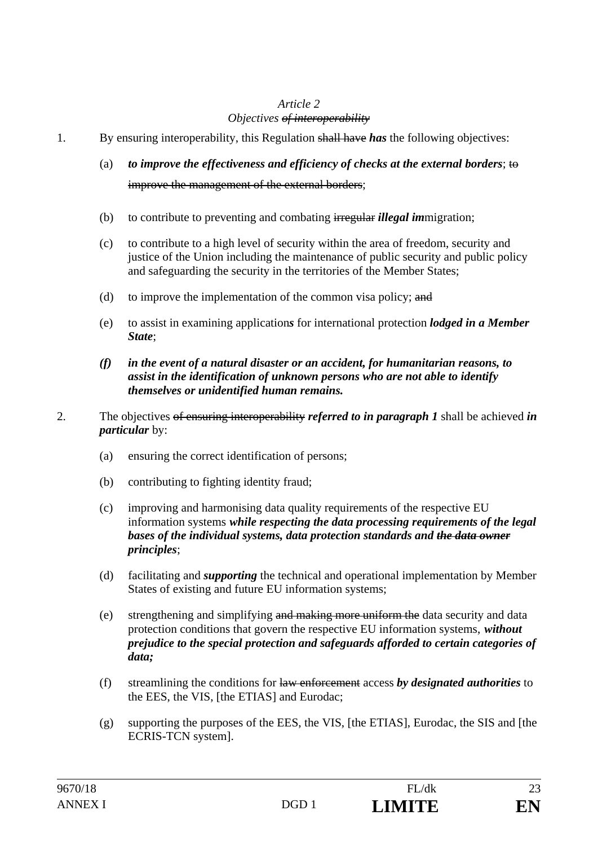#### *Article 2 Objectives of interoperability*

- 1. By ensuring interoperability, this Regulation shall have *has* the following objectives:
	- (a) *to improve the effectiveness and efficiency of checks at the external borders*; to improve the management of the external borders;
	- (b) to contribute to preventing and combating irregular *illegal im*migration;
	- (c) to contribute to a high level of security within the area of freedom, security and justice of the Union including the maintenance of public security and public policy and safeguarding the security in the territories of the Member States;
	- (d) to improve the implementation of the common visa policy;  $\frac{d}{dt}$
	- (e) to assist in examining application*s* for international protection *lodged in a Member State*;
	- *(f) in the event of a natural disaster or an accident, for humanitarian reasons, to assist in the identification of unknown persons who are not able to identify themselves or unidentified human remains.*
- 2. The objectives of ensuring interoperability *referred to in paragraph 1* shall be achieved *in particular* by:
	- (a) ensuring the correct identification of persons;
	- (b) contributing to fighting identity fraud;
	- (c) improving and harmonising data quality requirements of the respective EU information systems *while respecting the data processing requirements of the legal bases of the individual systems, data protection standards and the data owner principles*;
	- (d) facilitating and *supporting* the technical and operational implementation by Member States of existing and future EU information systems;
	- (e) strengthening and simplifying and making more uniform the data security and data protection conditions that govern the respective EU information systems, *without prejudice to the special protection and safeguards afforded to certain categories of data;*
	- (f) streamlining the conditions for law enforcement access *by designated authorities* to the EES, the VIS, [the ETIAS] and Eurodac;
	- (g) supporting the purposes of the EES, the VIS, [the ETIAS], Eurodac, the SIS and [the ECRIS-TCN system].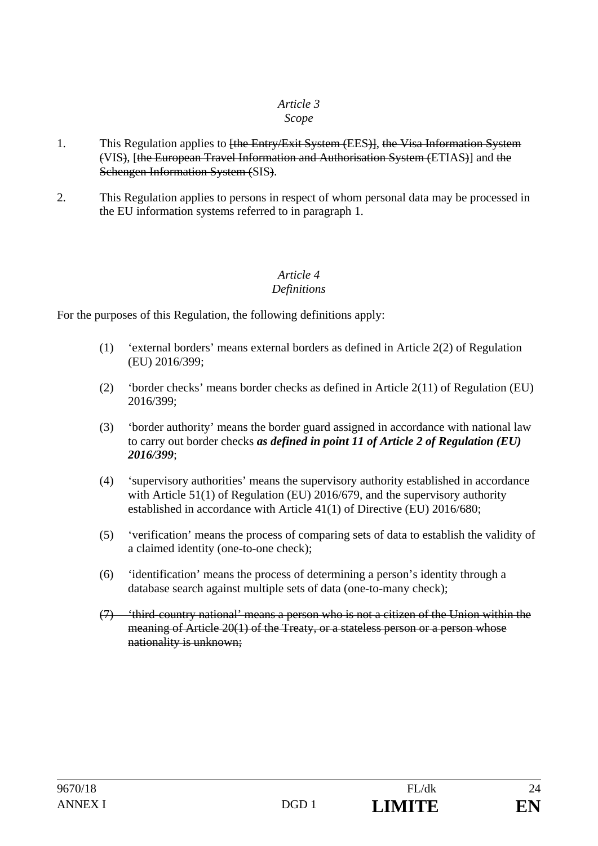## *Article 3*

#### *Scope*

- 1. This Regulation applies to <del>[the Entry/Exit System (EES)]</del>, the Visa Information System (VIS), [the European Travel Information and Authorisation System (ETIAS)] and the Schengen Information System (SIS).
- 2. This Regulation applies to persons in respect of whom personal data may be processed in the EU information systems referred to in paragraph 1.

#### *Article 4 Definitions*

For the purposes of this Regulation, the following definitions apply:

- (1) 'external borders' means external borders as defined in Article 2(2) of Regulation (EU) 2016/399;
- (2) 'border checks' means border checks as defined in Article 2(11) of Regulation (EU) 2016/399;
- (3) 'border authority' means the border guard assigned in accordance with national law to carry out border checks *as defined in point 11 of Article 2 of Regulation (EU) 2016/399*;
- (4) 'supervisory authorities' means the supervisory authority established in accordance with Article 51(1) of Regulation (EU) 2016/679, and the supervisory authority established in accordance with Article 41(1) of Directive (EU) 2016/680;
- (5) 'verification' means the process of comparing sets of data to establish the validity of a claimed identity (one-to-one check);
- (6) 'identification' means the process of determining a person's identity through a database search against multiple sets of data (one-to-many check);
- (7) 'third-country national' means a person who is not a citizen of the Union within the meaning of Article 20(1) of the Treaty, or a stateless person or a person whose nationality is unknown;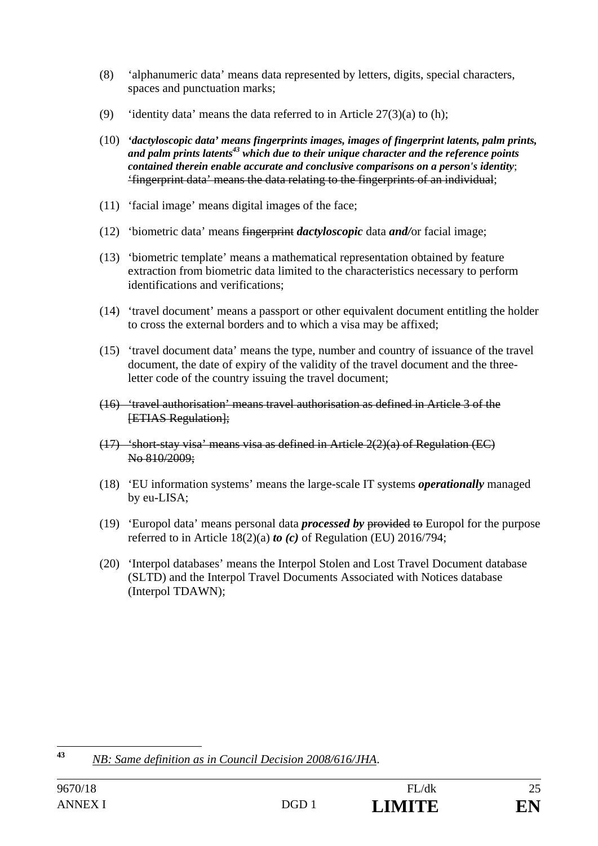- (8) 'alphanumeric data' means data represented by letters, digits, special characters, spaces and punctuation marks;
- (9) 'identity data' means the data referred to in Article  $27(3)(a)$  to (h);
- (10) *'dactyloscopic data' means fingerprints images, images of fingerprint latents, palm prints,*  and palm prints latents<sup>43</sup> which due to their unique character and the reference points *contained therein enable accurate and conclusive comparisons on a person's identity*; 'fingerprint data' means the data relating to the fingerprints of an individual;
- (11) 'facial image' means digital images of the face;
- (12) 'biometric data' means fingerprint *dactyloscopic* data *and/*or facial image;
- (13) 'biometric template' means a mathematical representation obtained by feature extraction from biometric data limited to the characteristics necessary to perform identifications and verifications;
- (14) 'travel document' means a passport or other equivalent document entitling the holder to cross the external borders and to which a visa may be affixed;
- (15) 'travel document data' means the type, number and country of issuance of the travel document, the date of expiry of the validity of the travel document and the threeletter code of the country issuing the travel document;
- (16) 'travel authorisation' means travel authorisation as defined in Article 3 of the **[ETIAS Regulation]:**
- $(17)$  'short-stay visa' means visa as defined in Article  $2(2)(a)$  of Regulation (EC) No 810/2009;
- (18) 'EU information systems' means the large-scale IT systems *operationally* managed by eu-LISA;
- (19) 'Europol data' means personal data *processed by* provided to Europol for the purpose referred to in Article 18(2)(a) *to (c)* of Regulation (EU) 2016/794;
- (20) 'Interpol databases' means the Interpol Stolen and Lost Travel Document database (SLTD) and the Interpol Travel Documents Associated with Notices database (Interpol TDAWN);

 $43$ **<sup>43</sup>** *NB: Same definition as in Council Decision 2008/616/JHA*.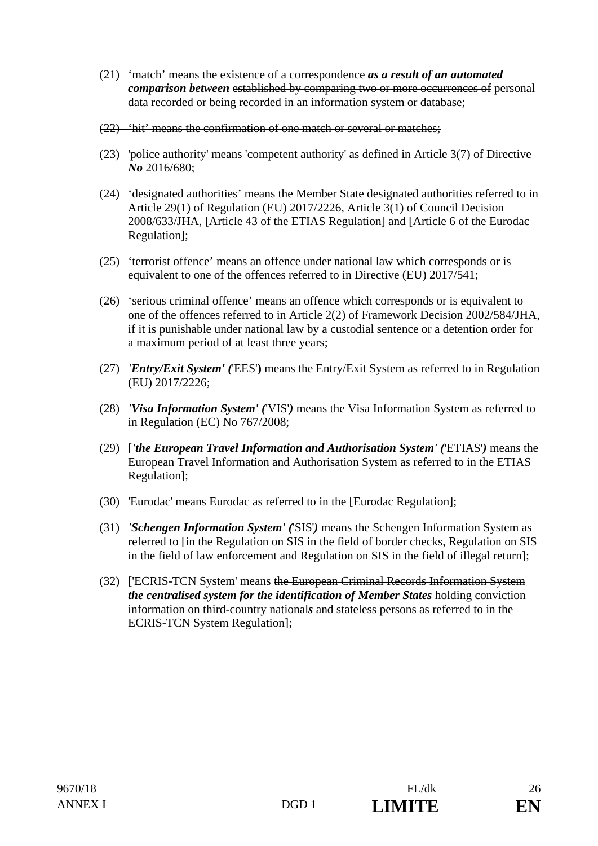- (21) 'match' means the existence of a correspondence *as a result of an automated comparison between* established by comparing two or more occurrences of personal data recorded or being recorded in an information system or database;
- (22) 'hit' means the confirmation of one match or several or matches;
- (23) 'police authority' means 'competent authority' as defined in Article 3(7) of Directive *No* 2016/680;
- (24) 'designated authorities' means the Member State designated authorities referred to in Article 29(1) of Regulation (EU) 2017/2226, Article 3(1) of Council Decision 2008/633/JHA, [Article 43 of the ETIAS Regulation] and [Article 6 of the Eurodac Regulation];
- (25) 'terrorist offence' means an offence under national law which corresponds or is equivalent to one of the offences referred to in Directive (EU) 2017/541;
- (26) 'serious criminal offence' means an offence which corresponds or is equivalent to one of the offences referred to in Article 2(2) of Framework Decision 2002/584/JHA, if it is punishable under national law by a custodial sentence or a detention order for a maximum period of at least three years;
- (27) *'Entry/Exit System' (*'EES'**)** means the Entry/Exit System as referred to in Regulation (EU) 2017/2226;
- (28) *'Visa Information System' (*'VIS'*)* means the Visa Information System as referred to in Regulation (EC) No 767/2008;
- (29) [*'the European Travel Information and Authorisation System' (*'ETIAS'*)* means the European Travel Information and Authorisation System as referred to in the ETIAS Regulation];
- (30) 'Eurodac' means Eurodac as referred to in the [Eurodac Regulation];
- (31) *'Schengen Information System' (*'SIS'*)* means the Schengen Information System as referred to [in the Regulation on SIS in the field of border checks, Regulation on SIS in the field of law enforcement and Regulation on SIS in the field of illegal return];
- (32) ['ECRIS-TCN System' means the European Criminal Records Information System *the centralised system for the identification of Member States* holding conviction information on third-country national*s* and stateless persons as referred to in the ECRIS-TCN System Regulation];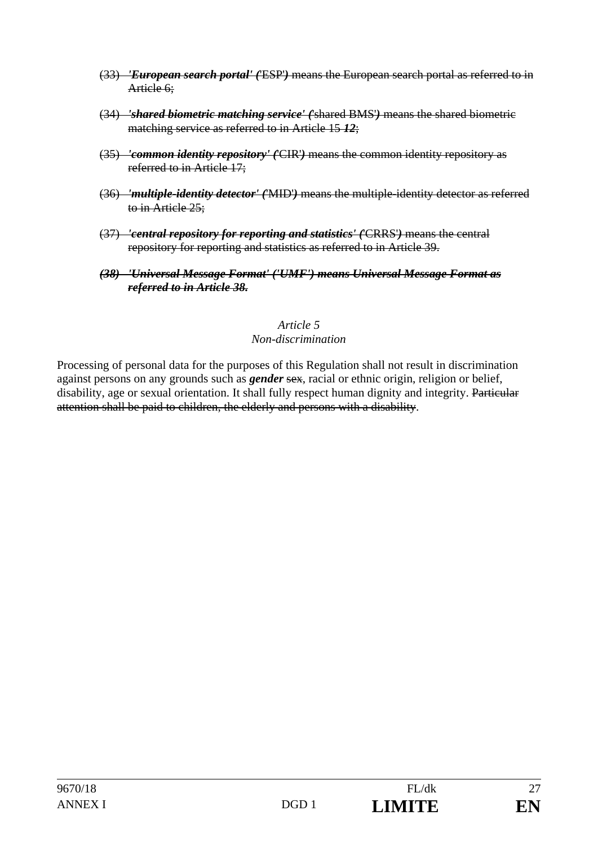- (33) *'European search portal' (*'ESP'*)* means the European search portal as referred to in Article 6:
- (34) *'shared biometric matching service' (*'shared BMS'*)* means the shared biometric matching service as referred to in Article 15 *12*;
- (35) *'common identity repository' (*'CIR'*)* means the common identity repository as referred to in Article 17;
- (36) *'multiple-identity detector' (*'MID'*)* means the multiple-identity detector as referred to in Article 25;
- (37) *'central repository for reporting and statistics' (*'CRRS'*)* means the central repository for reporting and statistics as referred to in Article 39.
- *(38) 'Universal Message Format' ('UMF') means Universal Message Format as referred to in Article 38.*

#### *Article 5 Non-discrimination*

Processing of personal data for the purposes of this Regulation shall not result in discrimination against persons on any grounds such as *gender* sex, racial or ethnic origin, religion or belief, disability, age or sexual orientation. It shall fully respect human dignity and integrity. Particular attention shall be paid to children, the elderly and persons with a disability.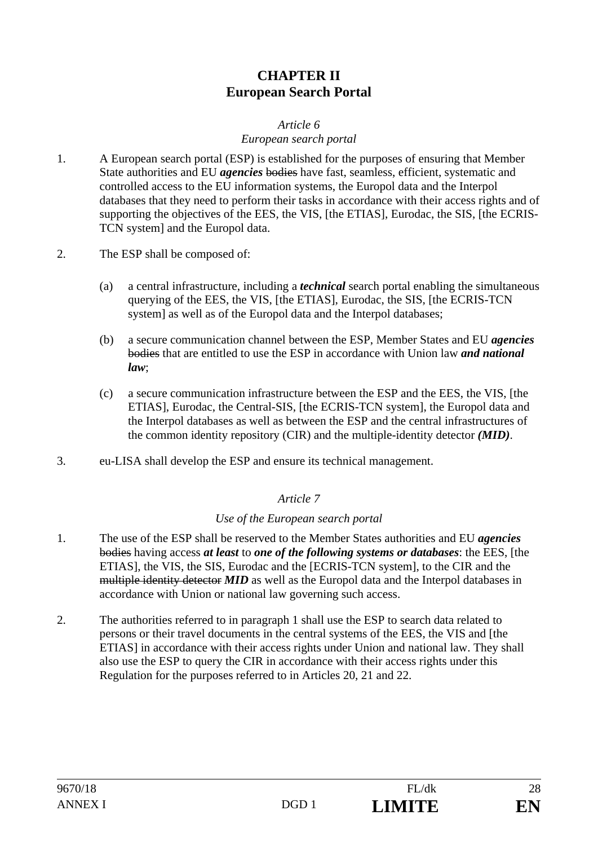## **CHAPTER II European Search Portal**

## *Article 6*

#### *European search portal*

- 1. A European search portal (ESP) is established for the purposes of ensuring that Member State authorities and EU *agencies* bodies have fast, seamless, efficient, systematic and controlled access to the EU information systems, the Europol data and the Interpol databases that they need to perform their tasks in accordance with their access rights and of supporting the objectives of the EES, the VIS, [the ETIAS], Eurodac, the SIS, [the ECRIS-TCN system] and the Europol data.
- 2. The ESP shall be composed of:
	- (a) a central infrastructure, including a *technical* search portal enabling the simultaneous querying of the EES, the VIS, [the ETIAS], Eurodac, the SIS, [the ECRIS-TCN system] as well as of the Europol data and the Interpol databases;
	- (b) a secure communication channel between the ESP, Member States and EU *agencies* bodies that are entitled to use the ESP in accordance with Union law *and national law*;
	- (c) a secure communication infrastructure between the ESP and the EES, the VIS, [the ETIAS], Eurodac, the Central-SIS, [the ECRIS-TCN system], the Europol data and the Interpol databases as well as between the ESP and the central infrastructures of the common identity repository (CIR) and the multiple-identity detector *(MID)*.
- 3. eu-LISA shall develop the ESP and ensure its technical management.

#### *Article 7*

#### *Use of the European search portal*

- 1. The use of the ESP shall be reserved to the Member States authorities and EU *agencies* bodies having access *at least* to *one of the following systems or databases*: the EES, [the ETIAS], the VIS, the SIS, Eurodac and the [ECRIS-TCN system], to the CIR and the multiple identity detector *MID* as well as the Europol data and the Interpol databases in accordance with Union or national law governing such access.
- 2. The authorities referred to in paragraph 1 shall use the ESP to search data related to persons or their travel documents in the central systems of the EES, the VIS and [the ETIAS] in accordance with their access rights under Union and national law. They shall also use the ESP to query the CIR in accordance with their access rights under this Regulation for the purposes referred to in Articles 20, 21 and 22.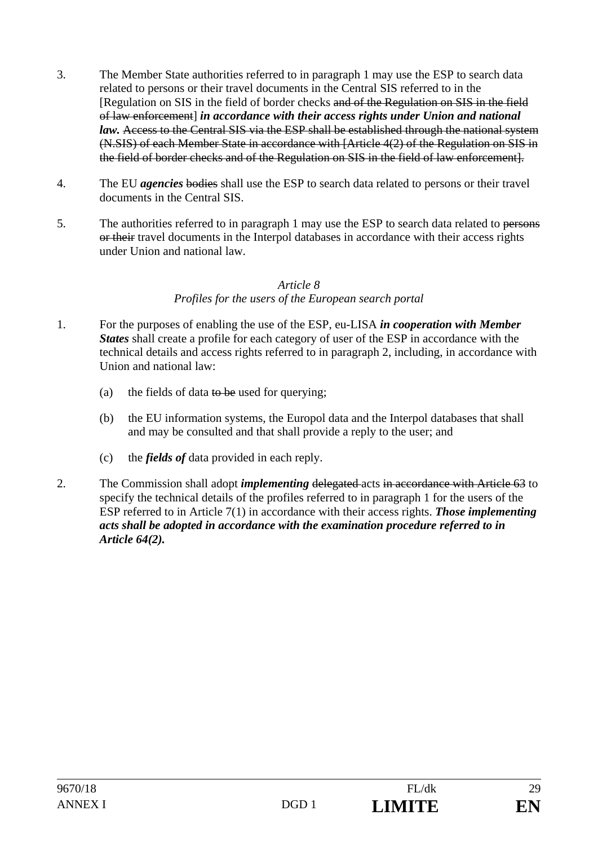- 3. The Member State authorities referred to in paragraph 1 may use the ESP to search data related to persons or their travel documents in the Central SIS referred to in the [Regulation on SIS in the field of border checks and of the Regulation on SIS in the field of law enforcement] *in accordance with their access rights under Union and national law.* Access to the Central SIS via the ESP shall be established through the national system (N.SIS) of each Member State in accordance with [Article 4(2) of the Regulation on SIS in the field of border checks and of the Regulation on SIS in the field of law enforcement].
- 4. The EU *agencies* bodies shall use the ESP to search data related to persons or their travel documents in the Central SIS.
- 5. The authorities referred to in paragraph 1 may use the ESP to search data related to persons or their travel documents in the Interpol databases in accordance with their access rights under Union and national law.

#### *Article 8 Profiles for the users of the European search portal*

- 1. For the purposes of enabling the use of the ESP, eu-LISA *in cooperation with Member States* shall create a profile for each category of user of the ESP in accordance with the technical details and access rights referred to in paragraph 2, including, in accordance with Union and national law:
	- (a) the fields of data to be used for querying;
	- (b) the EU information systems, the Europol data and the Interpol databases that shall and may be consulted and that shall provide a reply to the user; and
	- (c) the *fields of* data provided in each reply.
- 2. The Commission shall adopt *implementing* delegated acts in accordance with Article 63 to specify the technical details of the profiles referred to in paragraph 1 for the users of the ESP referred to in Article 7(1) in accordance with their access rights. *Those implementing acts shall be adopted in accordance with the examination procedure referred to in Article 64(2).*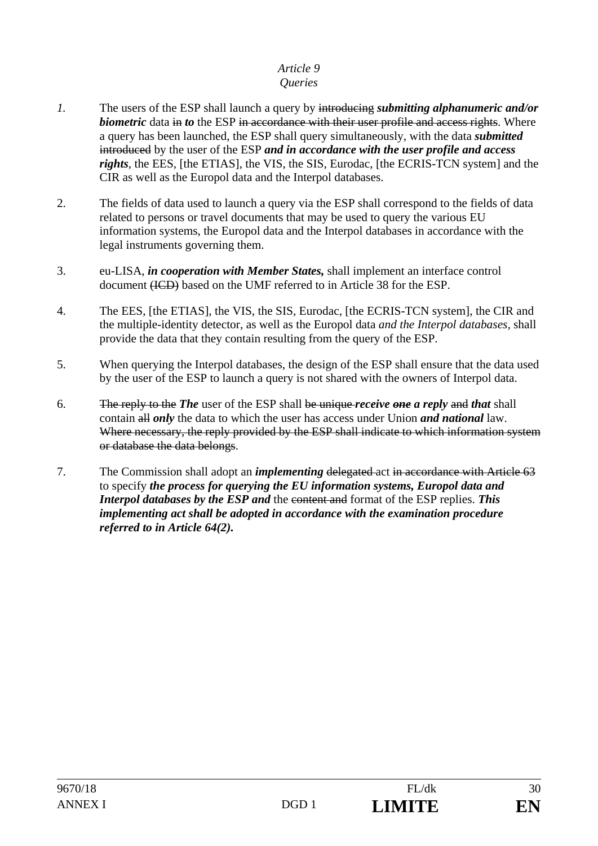# *Article 9*

## *Queries*

- *1.* The users of the ESP shall launch a query by introducing *submitting alphanumeric and/or biometric* data in *to* the ESP in accordance with their user profile and access rights. Where a query has been launched, the ESP shall query simultaneously, with the data *submitted* introduced by the user of the ESP *and in accordance with the user profile and access rights*, the EES*,* [the ETIAS], the VIS, the SIS, Eurodac, [the ECRIS-TCN system] and the CIR as well as the Europol data and the Interpol databases.
- 2. The fields of data used to launch a query via the ESP shall correspond to the fields of data related to persons or travel documents that may be used to query the various EU information systems, the Europol data and the Interpol databases in accordance with the legal instruments governing them.
- 3. eu-LISA, *in cooperation with Member States,* shall implement an interface control document (ICD) based on the UMF referred to in Article 38 for the ESP.
- 4. The EES, [the ETIAS], the VIS, the SIS, Eurodac, [the ECRIS-TCN system], the CIR and the multiple-identity detector, as well as the Europol data *and the Interpol databases,* shall provide the data that they contain resulting from the query of the ESP.
- 5. When querying the Interpol databases, the design of the ESP shall ensure that the data used by the user of the ESP to launch a query is not shared with the owners of Interpol data.
- 6. The reply to the *The* user of the ESP shall be unique *receive one a reply* and *that* shall contain all *only* the data to which the user has access under Union *and national* law. Where necessary, the reply provided by the ESP shall indicate to which information system or database the data belongs.
- 7. The Commission shall adopt an *implementing* delegated act in accordance with Article 63 to specify *the process for querying the EU information systems, Europol data and Interpol databases by the ESP and* the content and format of the ESP replies. *This implementing act shall be adopted in accordance with the examination procedure referred to in Article 64(2).*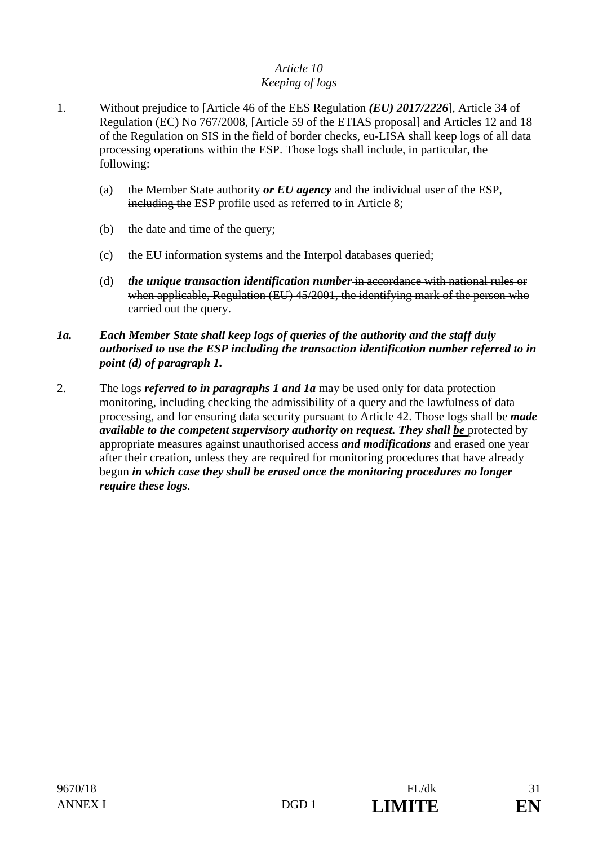#### *Article 10 Keeping of logs*

- 1. Without prejudice to [Article 46 of the EES Regulation *(EU) 2017/2226*], Article 34 of Regulation (EC) No 767/2008, [Article 59 of the ETIAS proposal] and Articles 12 and 18 of the Regulation on SIS in the field of border checks, eu-LISA shall keep logs of all data processing operations within the ESP. Those logs shall include, in particular, the following:
	- (a) the Member State authority *or EU agency* and the individual user of the ESP, including the ESP profile used as referred to in Article 8;
	- (b) the date and time of the query;
	- (c) the EU information systems and the Interpol databases queried;
	- (d) *the unique transaction identification number* in accordance with national rules or when applicable, Regulation (EU) 45/2001, the identifying mark of the person who carried out the query.

#### *1a. Each Member State shall keep logs of queries of the authority and the staff duly authorised to use the ESP including the transaction identification number referred to in point (d) of paragraph 1.*

2. The logs *referred to in paragraphs 1 and 1a* may be used only for data protection monitoring, including checking the admissibility of a query and the lawfulness of data processing, and for ensuring data security pursuant to Article 42. Those logs shall be *made available to the competent supervisory authority on request. They shall be* protected by appropriate measures against unauthorised access *and modifications* and erased one year after their creation, unless they are required for monitoring procedures that have already begun *in which case they shall be erased once the monitoring procedures no longer require these logs*.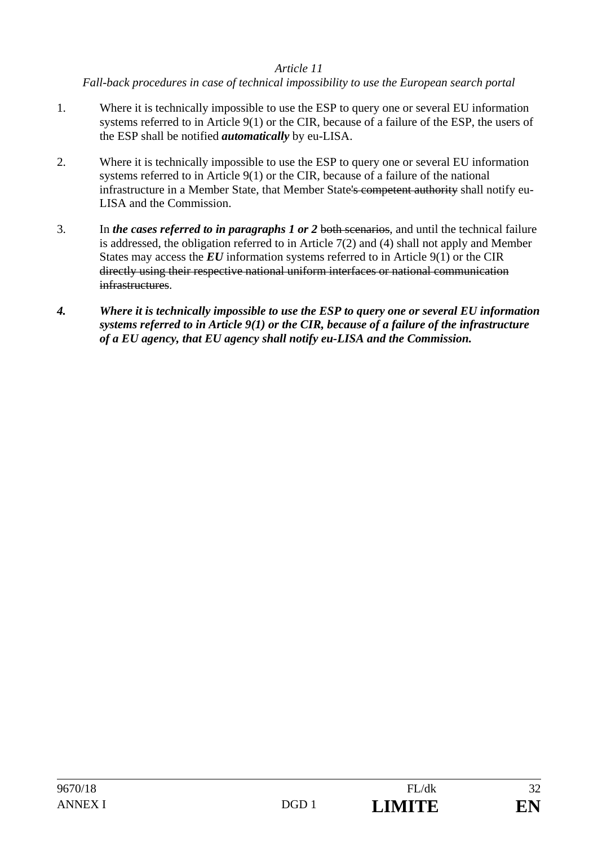#### *Article 11*

*Fall-back procedures in case of technical impossibility to use the European search portal* 

- 1. Where it is technically impossible to use the ESP to query one or several EU information systems referred to in Article 9(1) or the CIR, because of a failure of the ESP, the users of the ESP shall be notified *automatically* by eu-LISA.
- 2. Where it is technically impossible to use the ESP to query one or several EU information systems referred to in Article 9(1) or the CIR, because of a failure of the national infrastructure in a Member State, that Member State's competent authority shall notify eu-LISA and the Commission.
- 3. In *the cases referred to in paragraphs 1 or 2* both scenarios, and until the technical failure is addressed, the obligation referred to in Article 7(2) and (4) shall not apply and Member States may access the *EU* information systems referred to in Article 9(1) or the CIR directly using their respective national uniform interfaces or national communication infrastructures.
- *4. Where it is technically impossible to use the ESP to query one or several EU information systems referred to in Article 9(1) or the CIR, because of a failure of the infrastructure of a EU agency, that EU agency shall notify eu-LISA and the Commission.*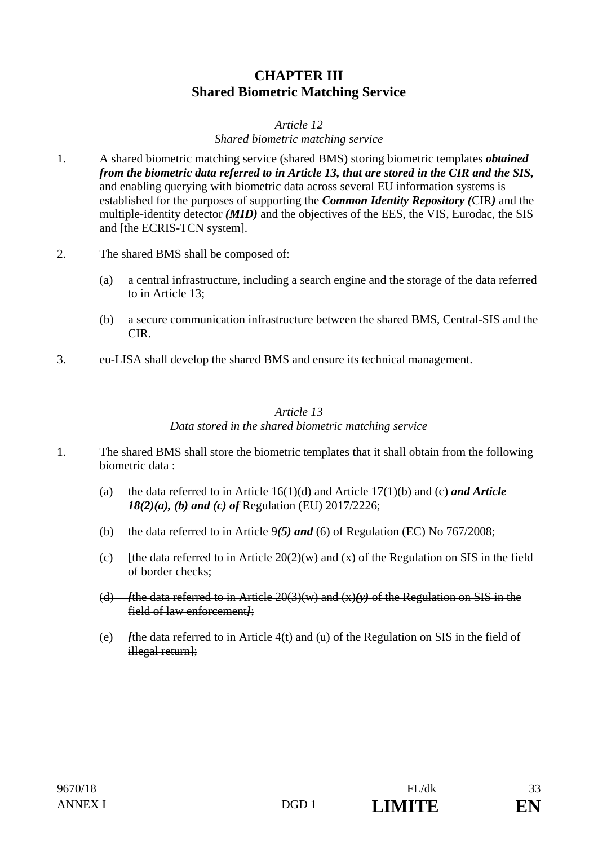## **CHAPTER III Shared Biometric Matching Service**

#### *Article 12 Shared biometric matching service*

- 1. A shared biometric matching service (shared BMS) storing biometric templates *obtained from the biometric data referred to in Article 13, that are stored in the CIR and the SIS,* and enabling querying with biometric data across several EU information systems is established for the purposes of supporting the *Common Identity Repository (*CIR*)* and the multiple-identity detector *(MID)* and the objectives of the EES, the VIS, Eurodac, the SIS and [the ECRIS-TCN system].
- 2. The shared BMS shall be composed of:
	- (a) a central infrastructure, including a search engine and the storage of the data referred to in Article 13;
	- (b) a secure communication infrastructure between the shared BMS, Central-SIS and the CIR.
- 3. eu-LISA shall develop the shared BMS and ensure its technical management.

#### *Article 13 Data stored in the shared biometric matching service*

- 1. The shared BMS shall store the biometric templates that it shall obtain from the following biometric data :
	- (a) the data referred to in Article 16(1)(d) and Article 17(1)(b) and (c) *and Article 18(2)(a), (b) and (c) of* Regulation (EU) 2017/2226;
	- (b) the data referred to in Article 9*(5) and* (6) of Regulation (EC) No 767/2008;
	- (c) Ithe data referred to in Article  $20(2)(w)$  and (x) of the Regulation on SIS in the field of border checks;
	- (d) *[*the data referred to in Article 20(3)(w) and (x)*(y)* of the Regulation on SIS in the field of law enforcement*]*;
	- (e) *[*the data referred to in Article 4(t) and (u) of the Regulation on SIS in the field of illegal return];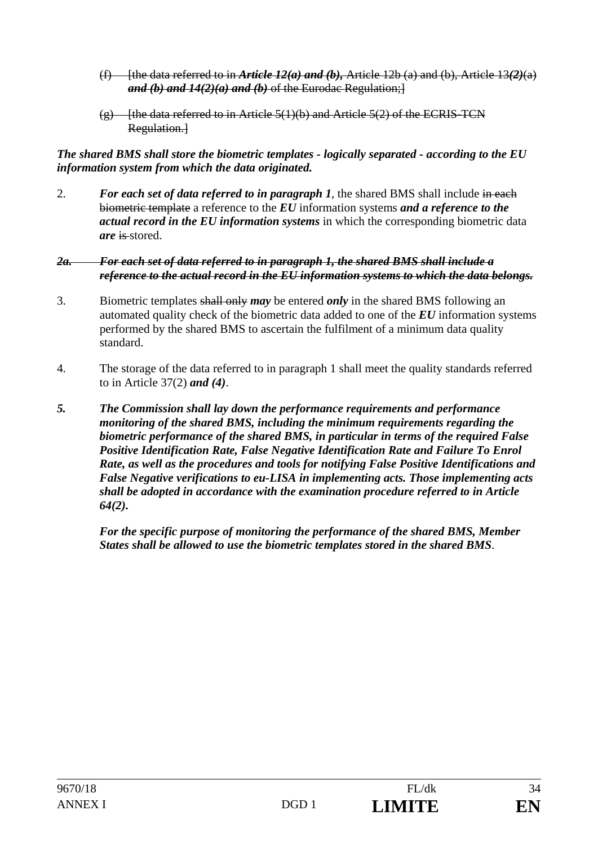- (f) [the data referred to in *Article 12(a) and (b),* Article 12b (a) and (b), Article 13*(2)*(a) *and (b) and 14(2)(a) and (b)* of the Eurodac Regulation;]
- $(g)$  [the data referred to in Article 5(1)(b) and Article 5(2) of the ECRIS-TCN Regulation.<sup>1</sup>

*The shared BMS shall store the biometric templates - logically separated - according to the EU information system from which the data originated.*

2. *For each set of data referred to in paragraph 1*, the shared BMS shall include in each biometric template a reference to the *EU* information systems *and a reference to the actual record in the EU information systems* in which the corresponding biometric data *are* is stored.

#### *2a. For each set of data referred to in paragraph 1, the shared BMS shall include a reference to the actual record in the EU information systems to which the data belongs.*

- 3. Biometric templates shall only *may* be entered *only* in the shared BMS following an automated quality check of the biometric data added to one of the *EU* information systems performed by the shared BMS to ascertain the fulfilment of a minimum data quality standard.
- 4. The storage of the data referred to in paragraph 1 shall meet the quality standards referred to in Article 37(2) *and (4)*.
- *5. The Commission shall lay down the performance requirements and performance monitoring of the shared BMS, including the minimum requirements regarding the biometric performance of the shared BMS, in particular in terms of the required False Positive Identification Rate, False Negative Identification Rate and Failure To Enrol Rate, as well as the procedures and tools for notifying False Positive Identifications and False Negative verifications to eu-LISA in implementing acts. Those implementing acts shall be adopted in accordance with the examination procedure referred to in Article 64(2).*

 *For the specific purpose of monitoring the performance of the shared BMS, Member States shall be allowed to use the biometric templates stored in the shared BMS*.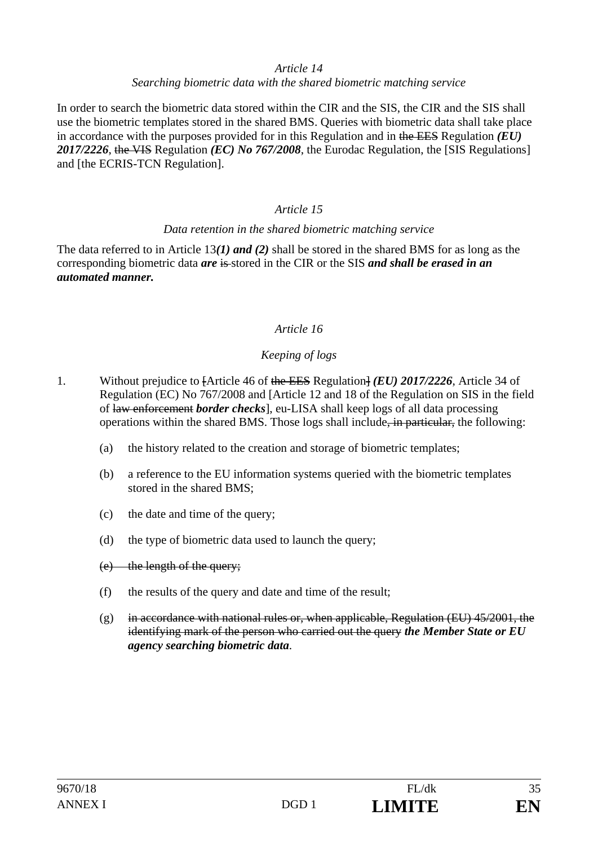#### *Article 14*

#### *Searching biometric data with the shared biometric matching service*

In order to search the biometric data stored within the CIR and the SIS, the CIR and the SIS shall use the biometric templates stored in the shared BMS. Queries with biometric data shall take place in accordance with the purposes provided for in this Regulation and in the EES Regulation *(EU) 2017/2226*, the VIS Regulation *(EC) No 767/2008*, the Eurodac Regulation, the [SIS Regulations] and [the ECRIS-TCN Regulation].

### *Article 15*

#### *Data retention in the shared biometric matching service*

The data referred to in Article 13*(1) and (2)* shall be stored in the shared BMS for as long as the corresponding biometric data *are* is stored in the CIR or the SIS *and shall be erased in an automated manner.* 

### *Article 16*

### *Keeping of logs*

- 1. Without prejudice to [Article 46 of the EES Regulation] *(EU) 2017/2226*, Article 34 of Regulation (EC) No 767/2008 and [Article 12 and 18 of the Regulation on SIS in the field of law enforcement *border checks*], eu-LISA shall keep logs of all data processing operations within the shared BMS. Those logs shall include, in particular, the following:
	- (a) the history related to the creation and storage of biometric templates;
	- (b) a reference to the EU information systems queried with the biometric templates stored in the shared BMS;
	- (c) the date and time of the query;
	- (d) the type of biometric data used to launch the query;
	- (e) the length of the query;
	- (f) the results of the query and date and time of the result;
	- $(g)$  in accordance with national rules or, when applicable, Regulation (EU) 45/2001, the identifying mark of the person who carried out the query *the Member State or EU agency searching biometric data*.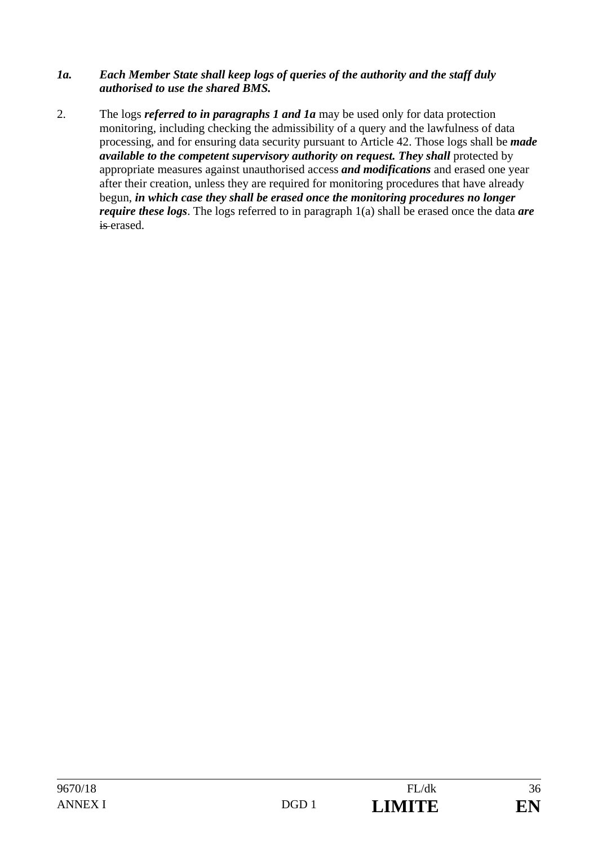#### *1a. Each Member State shall keep logs of queries of the authority and the staff duly authorised to use the shared BMS.*

2. The logs *referred to in paragraphs 1 and 1a* may be used only for data protection monitoring, including checking the admissibility of a query and the lawfulness of data processing, and for ensuring data security pursuant to Article 42. Those logs shall be *made available to the competent supervisory authority on request. They shall protected by* appropriate measures against unauthorised access *and modifications* and erased one year after their creation, unless they are required for monitoring procedures that have already begun, *in which case they shall be erased once the monitoring procedures no longer require these logs*. The logs referred to in paragraph 1(a) shall be erased once the data *are* is erased.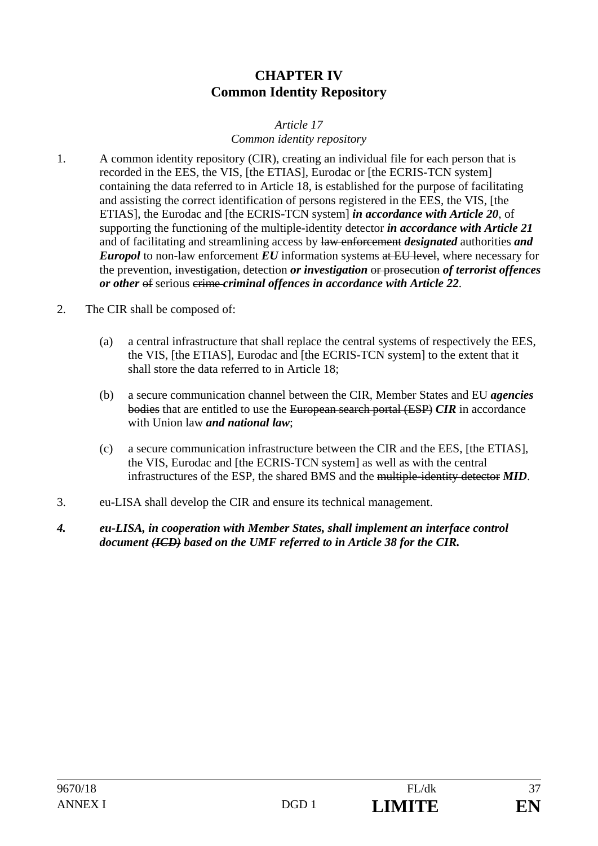# **CHAPTER IV Common Identity Repository**

## *Article 17 Common identity repository*

- 1. A common identity repository (CIR), creating an individual file for each person that is recorded in the EES, the VIS, [the ETIAS], Eurodac or [the ECRIS-TCN system] containing the data referred to in Article 18, is established for the purpose of facilitating and assisting the correct identification of persons registered in the EES, the VIS, [the ETIAS], the Eurodac and [the ECRIS-TCN system] *in accordance with Article 20*, of supporting the functioning of the multiple-identity detector *in accordance with Article 21* and of facilitating and streamlining access by law enforcement *designated* authorities *and Europol* to non-law enforcement *EU* information systems at EU level, where necessary for the prevention, investigation, detection *or investigation* or prosecution *of terrorist offences or other* of serious crime *criminal offences in accordance with Article 22*.
- 2. The CIR shall be composed of:
	- (a) a central infrastructure that shall replace the central systems of respectively the EES, the VIS, [the ETIAS], Eurodac and [the ECRIS-TCN system] to the extent that it shall store the data referred to in Article 18;
	- (b) a secure communication channel between the CIR, Member States and EU *agencies* bodies that are entitled to use the European search portal (ESP) *CIR* in accordance with Union law *and national law*;
	- (c) a secure communication infrastructure between the CIR and the EES, [the ETIAS], the VIS, Eurodac and [the ECRIS-TCN system] as well as with the central infrastructures of the ESP, the shared BMS and the multiple-identity detector *MID*.
- 3. eu-LISA shall develop the CIR and ensure its technical management.
- *4. eu-LISA, in cooperation with Member States, shall implement an interface control document (ICD) based on the UMF referred to in Article 38 for the CIR.*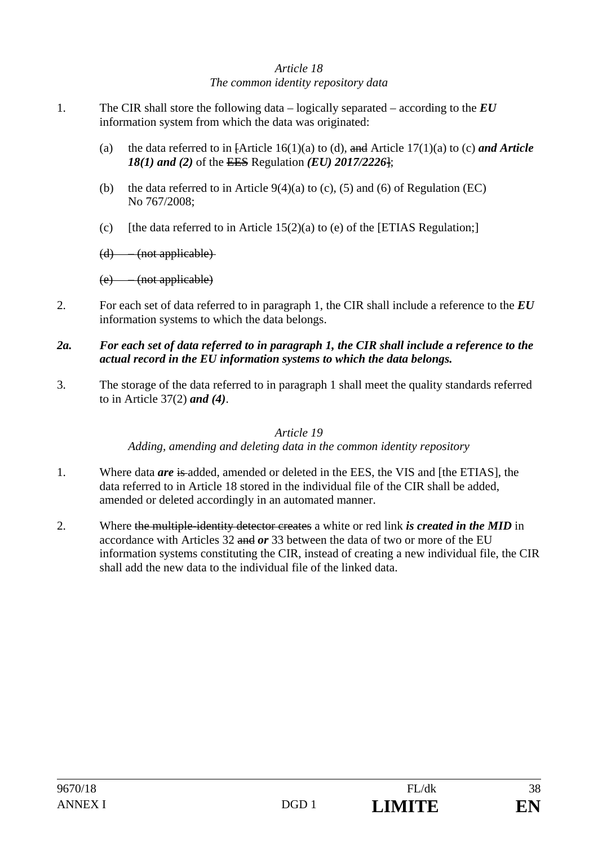# *Article 18 The common identity repository data*

- 1. The CIR shall store the following data logically separated according to the *EU* information system from which the data was originated:
	- (a) the data referred to in [Article 16(1)(a) to (d), and Article 17(1)(a) to (c) *and Article 18(1) and (2)* of the EES Regulation *(EU) 2017/2226*];
	- (b) the data referred to in Article  $9(4)(a)$  to (c), (5) and (6) of Regulation (EC) No 767/2008;
	- (c) [the data referred to in Article  $15(2)(a)$  to (e) of the [ETIAS Regulation;]

 $(d)$  – (not applicable)

(e) – (not applicable)

2. For each set of data referred to in paragraph 1, the CIR shall include a reference to the *EU* information systems to which the data belongs.

# *2a. For each set of data referred to in paragraph 1, the CIR shall include a reference to the actual record in the EU information systems to which the data belongs.*

3. The storage of the data referred to in paragraph 1 shall meet the quality standards referred to in Article 37(2) *and (4)*.

# *Article 19*

*Adding, amending and deleting data in the common identity repository* 

- 1. Where data *are* is added, amended or deleted in the EES, the VIS and [the ETIAS], the data referred to in Article 18 stored in the individual file of the CIR shall be added, amended or deleted accordingly in an automated manner.
- 2. Where the multiple-identity detector creates a white or red link *is created in the MID* in accordance with Articles 32 and *or* 33 between the data of two or more of the EU information systems constituting the CIR, instead of creating a new individual file, the CIR shall add the new data to the individual file of the linked data.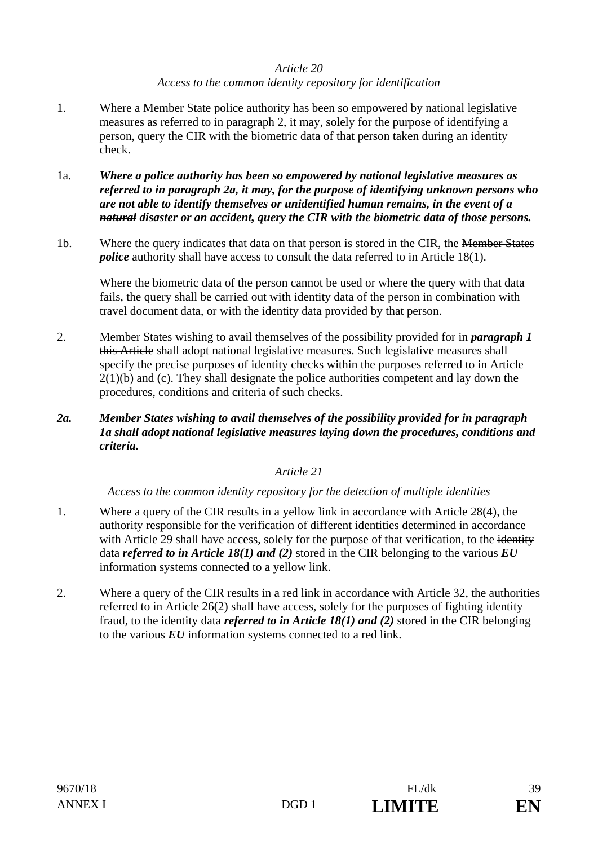# *Article 20 Access to the common identity repository for identification*

- 1. Where a <del>Member State</del> police authority has been so empowered by national legislative measures as referred to in paragraph 2, it may, solely for the purpose of identifying a person, query the CIR with the biometric data of that person taken during an identity check.
- 1a. *Where a police authority has been so empowered by national legislative measures as referred to in paragraph 2a, it may, for the purpose of identifying unknown persons who are not able to identify themselves or unidentified human remains, in the event of a natural disaster or an accident, query the CIR with the biometric data of those persons.*
- 1b. Where the query indicates that data on that person is stored in the CIR, the Member States *police* authority shall have access to consult the data referred to in Article 18(1).

Where the biometric data of the person cannot be used or where the query with that data fails, the query shall be carried out with identity data of the person in combination with travel document data, or with the identity data provided by that person.

- 2. Member States wishing to avail themselves of the possibility provided for in *paragraph 1*  this Article shall adopt national legislative measures. Such legislative measures shall specify the precise purposes of identity checks within the purposes referred to in Article  $2(1)(b)$  and (c). They shall designate the police authorities competent and lay down the procedures, conditions and criteria of such checks.
- *2a. Member States wishing to avail themselves of the possibility provided for in paragraph 1a shall adopt national legislative measures laying down the procedures, conditions and criteria.*

# *Article 21*

*Access to the common identity repository for the detection of multiple identities* 

- 1. Where a query of the CIR results in a yellow link in accordance with Article 28(4), the authority responsible for the verification of different identities determined in accordance with Article 29 shall have access, solely for the purpose of that verification, to the identity data *referred to in Article 18(1) and (2)* stored in the CIR belonging to the various *EU*  information systems connected to a yellow link.
- 2. Where a query of the CIR results in a red link in accordance with Article 32, the authorities referred to in Article 26(2) shall have access, solely for the purposes of fighting identity fraud, to the identity data *referred to in Article 18(1) and (2)* stored in the CIR belonging to the various *EU* information systems connected to a red link.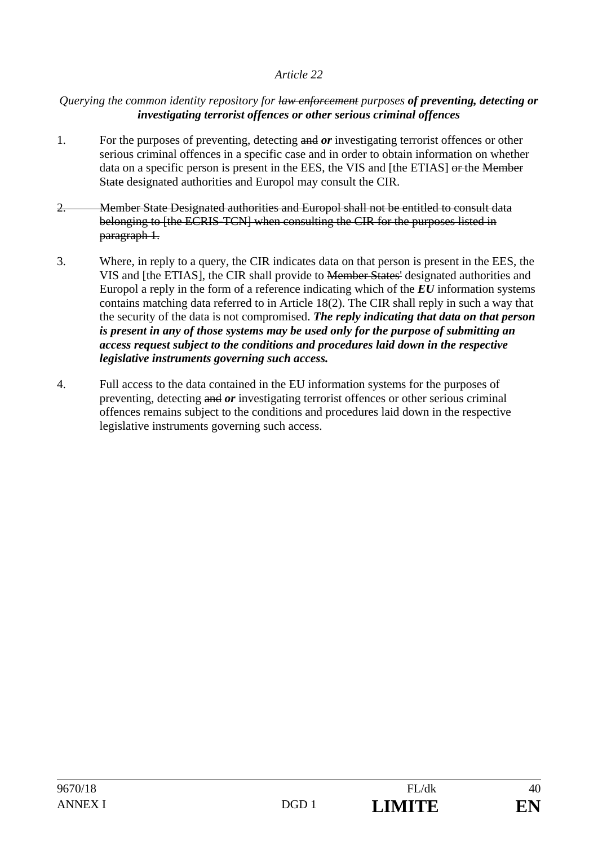### *Querying the common identity repository for law enforcement purposes of preventing, detecting or investigating terrorist offences or other serious criminal offences*

- 1. For the purposes of preventing, detecting and *or* investigating terrorist offences or other serious criminal offences in a specific case and in order to obtain information on whether data on a specific person is present in the EES, the VIS and [the ETIAS] or the Member State designated authorities and Europol may consult the CIR.
- 2. Member State Designated authorities and Europol shall not be entitled to consult data belonging to [the ECRIS-TCN] when consulting the CIR for the purposes listed in paragraph 1.
- 3. Where, in reply to a query, the CIR indicates data on that person is present in the EES, the VIS and [the ETIAS], the CIR shall provide to Member States' designated authorities and Europol a reply in the form of a reference indicating which of the *EU* information systems contains matching data referred to in Article 18(2). The CIR shall reply in such a way that the security of the data is not compromised. *The reply indicating that data on that person is present in any of those systems may be used only for the purpose of submitting an access request subject to the conditions and procedures laid down in the respective legislative instruments governing such access.*
- 4. Full access to the data contained in the EU information systems for the purposes of preventing, detecting and *or* investigating terrorist offences or other serious criminal offences remains subject to the conditions and procedures laid down in the respective legislative instruments governing such access.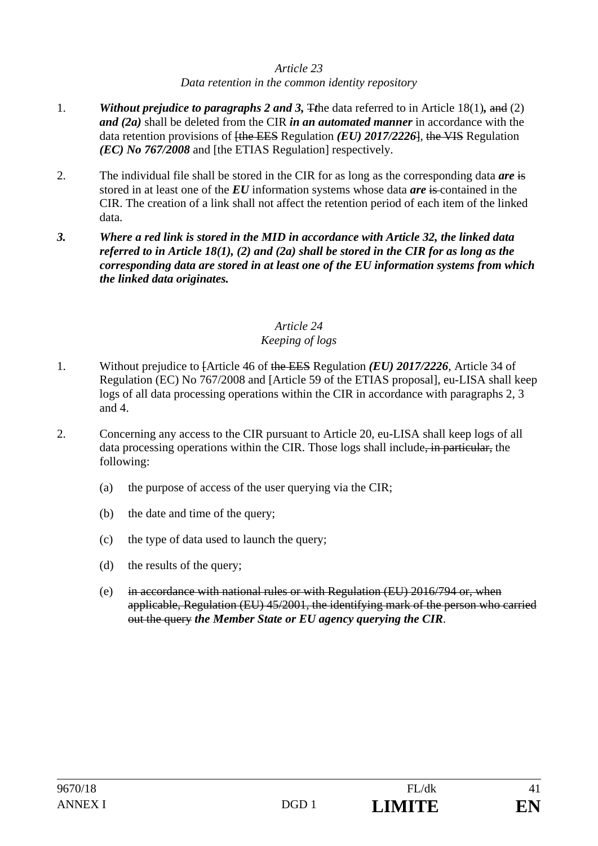#### *Article 23 Data retention in the common identity repository*

- 1. *Without prejudice to paragraphs 2 and 3,* T*t*he data referred to in Article 18(1)*,* and (2) *and (2a)* shall be deleted from the CIR *in an automated manner* in accordance with the data retention provisions of [the EES Regulation *(EU) 2017/2226*], the VIS Regulation *(EC) No 767/2008* and [the ETIAS Regulation] respectively.
- 2. The individual file shall be stored in the CIR for as long as the corresponding data *are* is stored in at least one of the *EU* information systems whose data *are* is contained in the CIR. The creation of a link shall not affect the retention period of each item of the linked data.
- *3. Where a red link is stored in the MID in accordance with Article 32, the linked data referred to in Article 18(1), (2) and (2a) shall be stored in the CIR for as long as the corresponding data are stored in at least one of the EU information systems from which the linked data originates.*

# *Article 24*

# *Keeping of logs*

- 1. Without prejudice to [Article 46 of the EES Regulation *(EU) 2017/2226*, Article 34 of Regulation (EC) No 767/2008 and [Article 59 of the ETIAS proposal], eu-LISA shall keep logs of all data processing operations within the CIR in accordance with paragraphs 2, 3 and 4.
- 2. Concerning any access to the CIR pursuant to Article 20, eu-LISA shall keep logs of all data processing operations within the CIR. Those logs shall include<del>, in particular,</del> the following:
	- (a) the purpose of access of the user querying via the CIR;
	- (b) the date and time of the query;
	- (c) the type of data used to launch the query;
	- (d) the results of the query;
	- (e) in accordance with national rules or with Regulation (EU) 2016/794 or, when applicable, Regulation (EU) 45/2001, the identifying mark of the person who carried out the query *the Member State or EU agency querying the CIR*.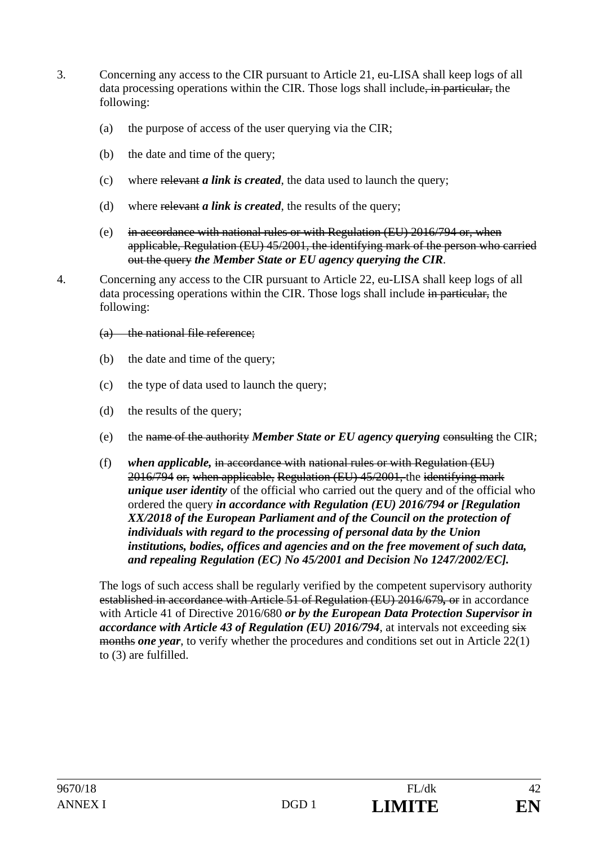- 3. Concerning any access to the CIR pursuant to Article 21, eu-LISA shall keep logs of all data processing operations within the CIR. Those logs shall include, in particular, the following:
	- (a) the purpose of access of the user querying via the CIR;
	- (b) the date and time of the query;
	- (c) where relevant *a link is created*, the data used to launch the query;
	- (d) where relevant *a link is created*, the results of the query;
	- (e) in accordance with national rules or with Regulation (EU) 2016/794 or, when applicable, Regulation (EU) 45/2001, the identifying mark of the person who carried out the query *the Member State or EU agency querying the CIR*.
- 4. Concerning any access to the CIR pursuant to Article 22, eu-LISA shall keep logs of all data processing operations within the CIR. Those logs shall include in particular, the following:
	- (a) the national file reference;
	- (b) the date and time of the query;
	- (c) the type of data used to launch the query;
	- (d) the results of the query;
	- (e) the name of the authority *Member State or EU agency querying* consulting the CIR;
	- (f) *when applicable,* in accordance with national rules or with Regulation (EU) 2016/794 or, when applicable, Regulation (EU) 45/2001, the identifying mark *unique user identity* of the official who carried out the query and of the official who ordered the query *in accordance with Regulation (EU) 2016/794 or [Regulation XX/2018 of the European Parliament and of the Council on the protection of individuals with regard to the processing of personal data by the Union institutions, bodies, offices and agencies and on the free movement of such data, and repealing Regulation (EC) No 45/2001 and Decision No 1247/2002/EC].*

The logs of such access shall be regularly verified by the competent supervisory authority established in accordance with Article 51 of Regulation (EU) 2016/679*,* or in accordance with Article 41 of Directive 2016/680 *or by the European Data Protection Supervisor in accordance with Article 43 of Regulation (EU) 2016/794*, at intervals not exceeding  $s\overline{s}$ months *one year*, to verify whether the procedures and conditions set out in Article 22(1) to (3) are fulfilled.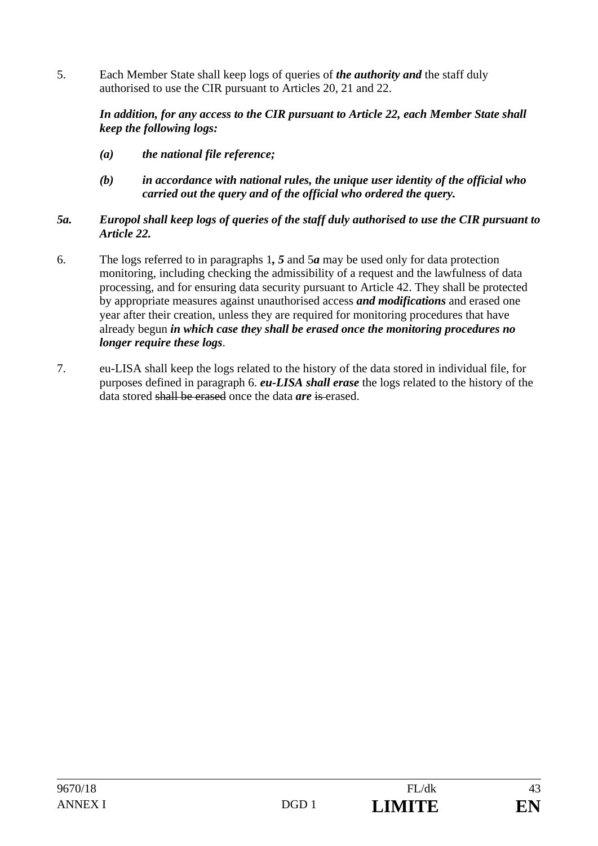5. Each Member State shall keep logs of queries of *the authority and* the staff duly authorised to use the CIR pursuant to Articles 20, 21 and 22.

## *In addition, for any access to the CIR pursuant to Article 22, each Member State shall keep the following logs:*

- *(a) the national file reference;*
- *(b) in accordance with national rules, the unique user identity of the official who carried out the query and of the official who ordered the query.*

# *5a. Europol shall keep logs of queries of the staff duly authorised to use the CIR pursuant to Article 22.*

- 6. The logs referred to in paragraphs 1*, 5* and 5*a* may be used only for data protection monitoring, including checking the admissibility of a request and the lawfulness of data processing, and for ensuring data security pursuant to Article 42. They shall be protected by appropriate measures against unauthorised access *and modifications* and erased one year after their creation, unless they are required for monitoring procedures that have already begun *in which case they shall be erased once the monitoring procedures no longer require these logs*.
- 7. eu-LISA shall keep the logs related to the history of the data stored in individual file, for purposes defined in paragraph 6. *eu-LISA shall erase* the logs related to the history of the data stored shall be erased once the data *are* is erased.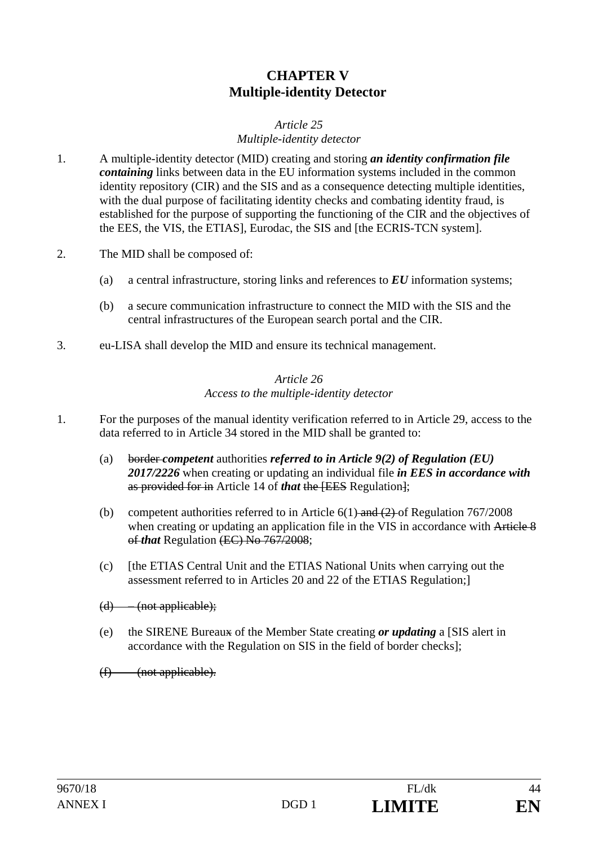# **CHAPTER V Multiple-identity Detector**

### *Article 25 Multiple-identity detector*

- 1. A multiple-identity detector (MID) creating and storing *an identity confirmation file containing* links between data in the EU information systems included in the common identity repository (CIR) and the SIS and as a consequence detecting multiple identities, with the dual purpose of facilitating identity checks and combating identity fraud, is established for the purpose of supporting the functioning of the CIR and the objectives of the EES, the VIS, the ETIAS], Eurodac, the SIS and [the ECRIS-TCN system].
- 2. The MID shall be composed of:
	- (a) a central infrastructure, storing links and references to *EU* information systems;
	- (b) a secure communication infrastructure to connect the MID with the SIS and the central infrastructures of the European search portal and the CIR.
- 3. eu-LISA shall develop the MID and ensure its technical management.

### *Article 26 Access to the multiple-identity detector*

- 1. For the purposes of the manual identity verification referred to in Article 29, access to the data referred to in Article 34 stored in the MID shall be granted to:
	- (a) border *competent* authorities *referred to in Article 9(2) of Regulation (EU) 2017/2226* when creating or updating an individual file *in EES in accordance with*  as provided for in Article 14 of *that* the [EES Regulation];
	- (b) competent authorities referred to in Article  $6(1)$  and  $(2)$  of Regulation 767/2008 when creating or updating an application file in the VIS in accordance with Article 8 of *that* Regulation (EC) No 767/2008;
	- (c) [the ETIAS Central Unit and the ETIAS National Units when carrying out the assessment referred to in Articles 20 and 22 of the ETIAS Regulation;]
	- $(d)$  (not applicable);
	- (e) the SIRENE Bureaux of the Member State creating *or updating* a [SIS alert in accordance with the Regulation on SIS in the field of border checks];

 $(f)$  – (not applicable).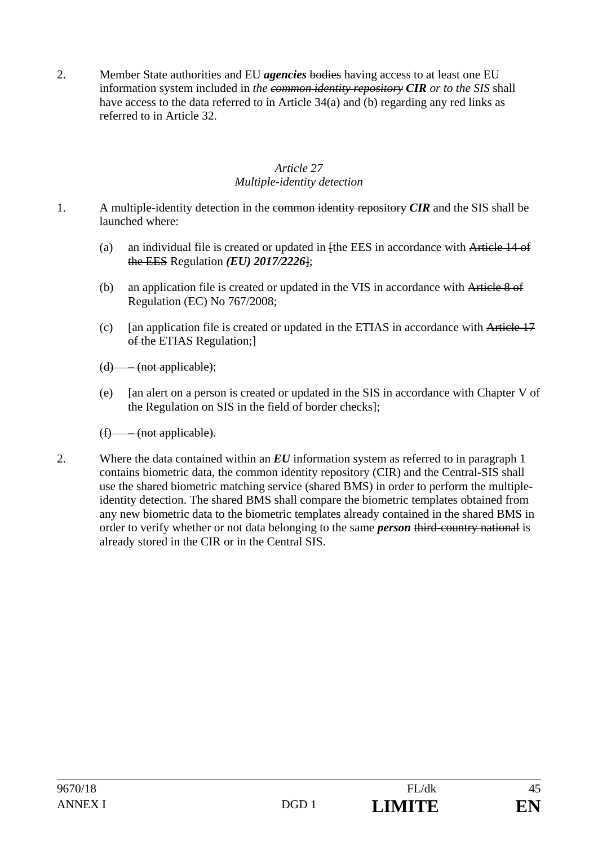2. Member State authorities and EU *agencies* bodies having access to at least one EU information system included in *the common identity repository CIR or to the SIS* shall have access to the data referred to in Article 34(a) and (b) regarding any red links as referred to in Article 32.

### *Article 27 Multiple-identity detection*

- 1. A multiple-identity detection in the common identity repository *CIR* and the SIS shall be launched where:
	- (a) an individual file is created or updated in  $[the EES]$  in accordance with Article 14 of the EES Regulation *(EU) 2017/2226*];
	- (b) an application file is created or updated in the VIS in accordance with Article 8 of Regulation (EC) No 767/2008;
	- (c) [an application file is created or updated in the ETIAS in accordance with Article 17 of the ETIAS Regulation;

 $(d)$  – (not applicable);

(e) [an alert on a person is created or updated in the SIS in accordance with Chapter V of the Regulation on SIS in the field of border checks];

# (f) – (not applicable).

2. Where the data contained within an *EU* information system as referred to in paragraph 1 contains biometric data, the common identity repository (CIR) and the Central-SIS shall use the shared biometric matching service (shared BMS) in order to perform the multipleidentity detection. The shared BMS shall compare the biometric templates obtained from any new biometric data to the biometric templates already contained in the shared BMS in order to verify whether or not data belonging to the same *person* third-country national is already stored in the CIR or in the Central SIS.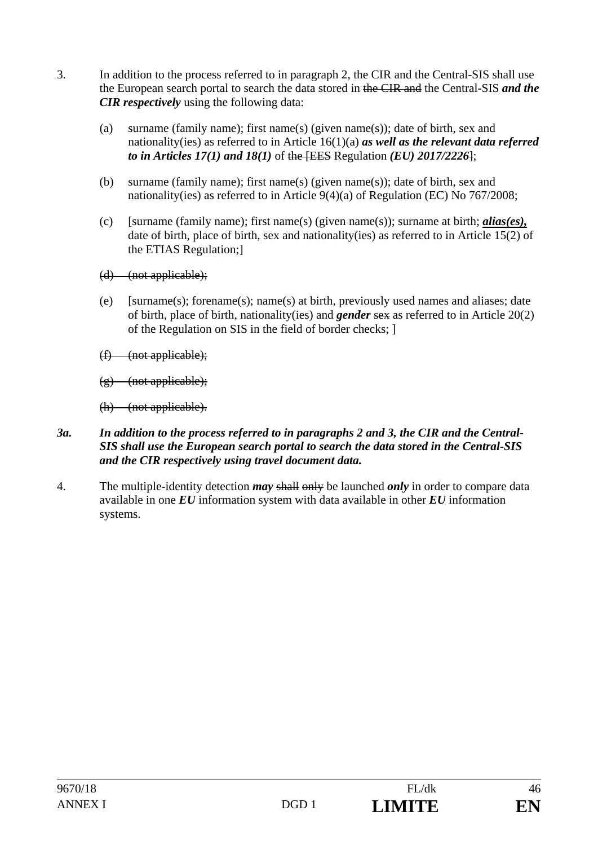- 3. In addition to the process referred to in paragraph 2, the CIR and the Central-SIS shall use the European search portal to search the data stored in the CIR and the Central-SIS *and the CIR respectively* using the following data:
	- (a) surname (family name); first name(s) (given name(s)); date of birth, sex and nationality(ies) as referred to in Article 16(1)(a) *as well as the relevant data referred to in Articles 17(1) and 18(1)* of the [EES Regulation *(EU) 2017/2226*];
	- (b) surname (family name); first name(s) (given name(s)); date of birth, sex and nationality(ies) as referred to in Article 9(4)(a) of Regulation (EC) No 767/2008;
	- (c) [surname (family name); first name(s) (given name(s)); surname at birth; *alias(es),*  date of birth, place of birth, sex and nationality(ies) as referred to in Article 15(2) of the ETIAS Regulation;]
	- (d) (not applicable);
	- (e) [surname(s); forename(s); name(s) at birth, previously used names and aliases; date of birth, place of birth, nationality(ies) and *gender* sex as referred to in Article 20(2) of the Regulation on SIS in the field of border checks; ]
	- $(f)$  (not applicable);
	- $(g)$  (not applicable);
	- (h) (not applicable).
- *3a. In addition to the process referred to in paragraphs 2 and 3, the CIR and the Central-SIS shall use the European search portal to search the data stored in the Central-SIS and the CIR respectively using travel document data.*
- 4. The multiple-identity detection *may* shall only be launched *only* in order to compare data available in one *EU* information system with data available in other *EU* information systems.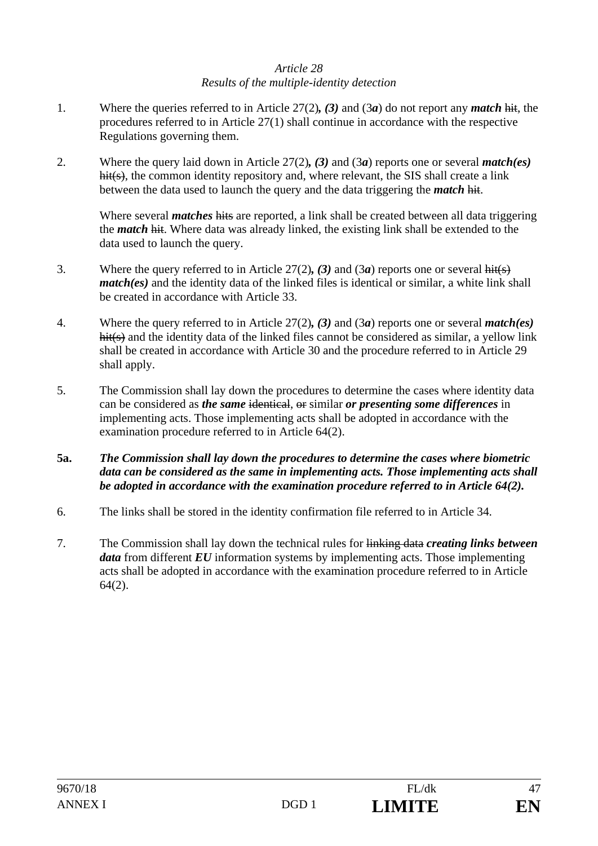# *Article 28 Results of the multiple-identity detection*

- 1. Where the queries referred to in Article 27(2)*, (3)* and (3*a*) do not report any *match* hit, the procedures referred to in Article 27(1) shall continue in accordance with the respective Regulations governing them.
- 2. Where the query laid down in Article 27(2)*, (3)* and (3*a*) reports one or several *match(es)*  hit(s), the common identity repository and, where relevant, the SIS shall create a link between the data used to launch the query and the data triggering the *match* hit.

 Where several *matches* hits are reported, a link shall be created between all data triggering the *match* hit. Where data was already linked, the existing link shall be extended to the data used to launch the query.

- 3. Where the query referred to in Article 27(2)*, (3)* and (3*a*) reports one or several hit(s) *match(es)* and the identity data of the linked files is identical or similar, a white link shall be created in accordance with Article 33.
- 4. Where the query referred to in Article 27(2)*, (3)* and (3*a*) reports one or several *match(es)* hit(s) and the identity data of the linked files cannot be considered as similar, a yellow link shall be created in accordance with Article 30 and the procedure referred to in Article 29 shall apply.
- 5. The Commission shall lay down the procedures to determine the cases where identity data can be considered as *the same* identical, or similar *or presenting some differences* in implementing acts. Those implementing acts shall be adopted in accordance with the examination procedure referred to in Article 64(2).
- **5a.** *The Commission shall lay down the procedures to determine the cases where biometric data can be considered as the same in implementing acts. Those implementing acts shall be adopted in accordance with the examination procedure referred to in Article 64(2).*
- 6. The links shall be stored in the identity confirmation file referred to in Article 34.
- 7. The Commission shall lay down the technical rules for linking data *creating links between data* from different *EU* information systems by implementing acts. Those implementing acts shall be adopted in accordance with the examination procedure referred to in Article 64(2).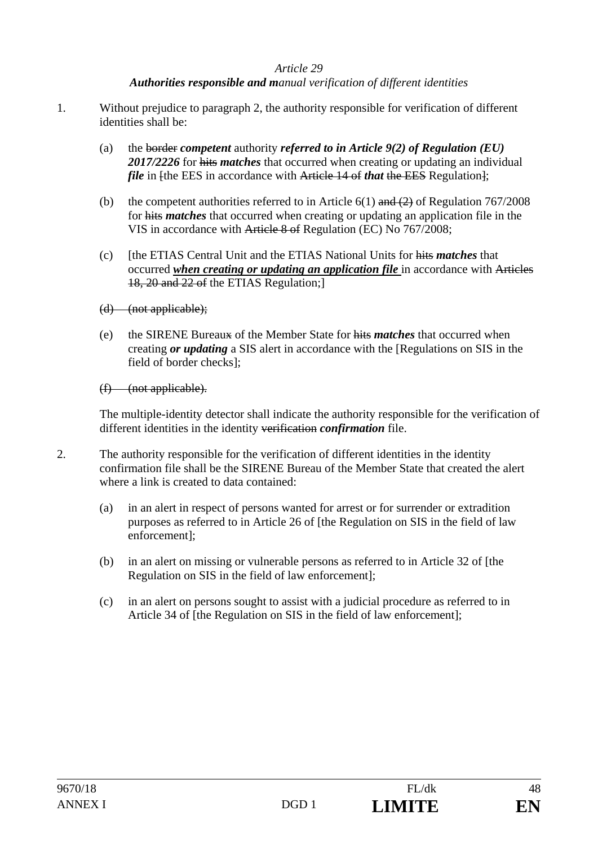# *Authorities responsible and manual verification of different identities*

- 1. Without prejudice to paragraph 2, the authority responsible for verification of different identities shall be:
	- (a) the border *competent* authority *referred to in Article 9(2) of Regulation (EU) 2017/2226* for hits *matches* that occurred when creating or updating an individual *file* in [the EES in accordance with Article 14 of *that* the EES Regulation];
	- (b) the competent authorities referred to in Article  $6(1)$  and  $(2)$  of Regulation 767/2008 for hits *matches* that occurred when creating or updating an application file in the VIS in accordance with Article 8 of Regulation (EC) No 767/2008;
	- (c) [the ETIAS Central Unit and the ETIAS National Units for hits *matches* that occurred *when creating or updating an application file* in accordance with Articles 18, 20 and 22 of the ETIAS Regulation;]
	- (d) (not applicable);
	- (e) the SIRENE Bureaux of the Member State for hits *matches* that occurred when creating *or updating* a SIS alert in accordance with the [Regulations on SIS in the field of border checks];

(f) (not applicable).

The multiple-identity detector shall indicate the authority responsible for the verification of different identities in the identity verification *confirmation* file.

- 2. The authority responsible for the verification of different identities in the identity confirmation file shall be the SIRENE Bureau of the Member State that created the alert where a link is created to data contained:
	- (a) in an alert in respect of persons wanted for arrest or for surrender or extradition purposes as referred to in Article 26 of [the Regulation on SIS in the field of law enforcement];
	- (b) in an alert on missing or vulnerable persons as referred to in Article 32 of [the Regulation on SIS in the field of law enforcement];
	- (c) in an alert on persons sought to assist with a judicial procedure as referred to in Article 34 of [the Regulation on SIS in the field of law enforcement];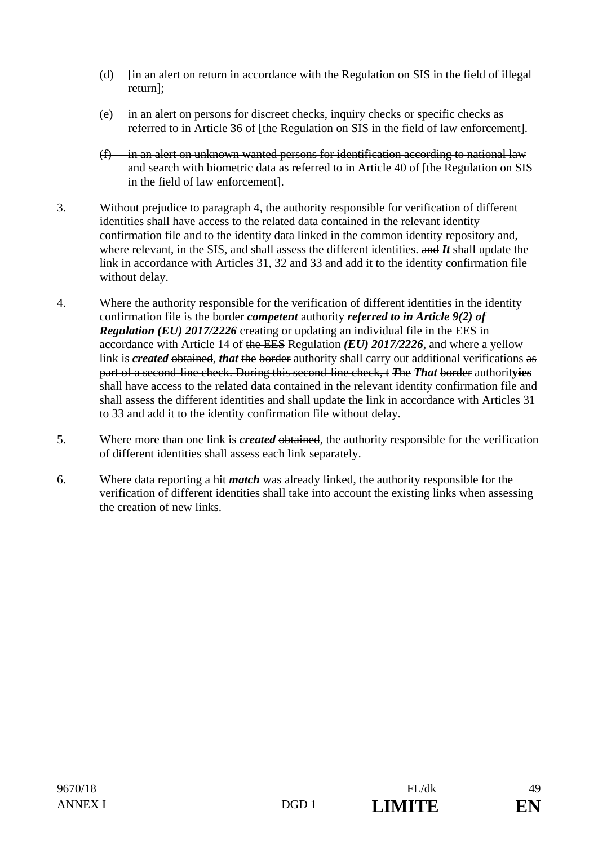- (d) [in an alert on return in accordance with the Regulation on SIS in the field of illegal return];
- (e) in an alert on persons for discreet checks, inquiry checks or specific checks as referred to in Article 36 of [the Regulation on SIS in the field of law enforcement].
- (f) in an alert on unknown wanted persons for identification according to national law and search with biometric data as referred to in Article 40 of [the Regulation on SIS in the field of law enforcement].
- 3. Without prejudice to paragraph 4, the authority responsible for verification of different identities shall have access to the related data contained in the relevant identity confirmation file and to the identity data linked in the common identity repository and, where relevant, in the SIS, and shall assess the different identities. and *It* shall update the link in accordance with Articles 31, 32 and 33 and add it to the identity confirmation file without delay.
- 4. Where the authority responsible for the verification of different identities in the identity confirmation file is the border *competent* authority *referred to in Article 9(2) of Regulation (EU) 2017/2226* creating or updating an individual file in the EES in accordance with Article 14 of the EES Regulation *(EU) 2017/2226*, and where a yellow link is *created* obtained, *that* the border authority shall carry out additional verifications as part of a second-line check. During this second-line check, t *T*he *That* border authorit**yies** shall have access to the related data contained in the relevant identity confirmation file and shall assess the different identities and shall update the link in accordance with Articles 31 to 33 and add it to the identity confirmation file without delay.
- 5. Where more than one link is *created* obtained, the authority responsible for the verification of different identities shall assess each link separately.
- 6. Where data reporting a hit *match* was already linked, the authority responsible for the verification of different identities shall take into account the existing links when assessing the creation of new links.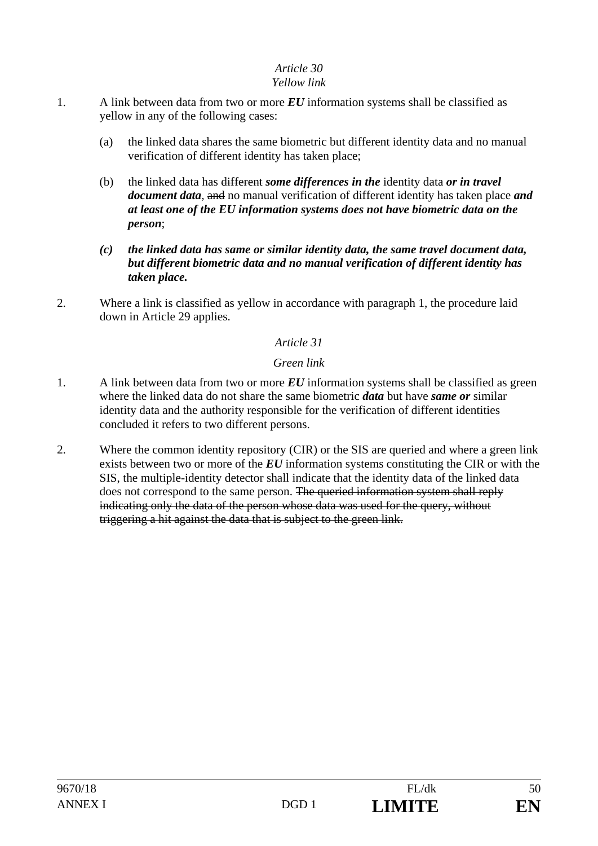# *Yellow link*

- 1. A link between data from two or more *EU* information systems shall be classified as yellow in any of the following cases:
	- (a) the linked data shares the same biometric but different identity data and no manual verification of different identity has taken place;
	- (b) the linked data has different *some differences in the* identity data *or in travel document data,* and no manual verification of different identity has taken place *and at least one of the EU information systems does not have biometric data on the person*;
	- *(c) the linked data has same or similar identity data, the same travel document data, but different biometric data and no manual verification of different identity has taken place.*
- 2. Where a link is classified as yellow in accordance with paragraph 1, the procedure laid down in Article 29 applies.

# *Article 31*

# *Green link*

- 1. A link between data from two or more *EU* information systems shall be classified as green where the linked data do not share the same biometric *data* but have *same or* similar identity data and the authority responsible for the verification of different identities concluded it refers to two different persons.
- 2. Where the common identity repository (CIR) or the SIS are queried and where a green link exists between two or more of the *EU* information systems constituting the CIR or with the SIS, the multiple-identity detector shall indicate that the identity data of the linked data does not correspond to the same person. The queried information system shall reply indicating only the data of the person whose data was used for the query, without triggering a hit against the data that is subject to the green link.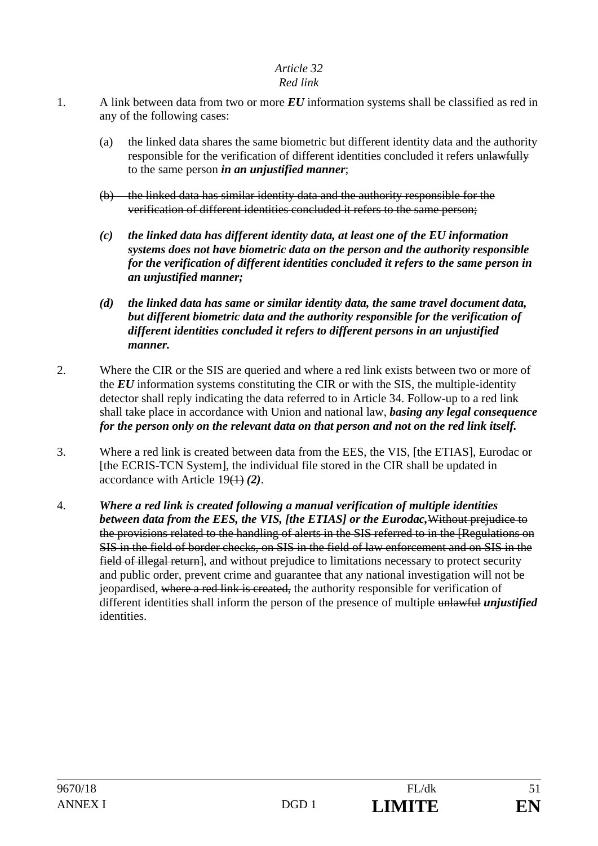# *Red link*

- 1. A link between data from two or more *EU* information systems shall be classified as red in any of the following cases:
	- (a) the linked data shares the same biometric but different identity data and the authority responsible for the verification of different identities concluded it refers unlawfully to the same person *in an unjustified manner*;
	- (b) the linked data has similar identity data and the authority responsible for the verification of different identities concluded it refers to the same person;
	- *(c) the linked data has different identity data, at least one of the EU information systems does not have biometric data on the person and the authority responsible for the verification of different identities concluded it refers to the same person in an unjustified manner;*
	- *(d) the linked data has same or similar identity data, the same travel document data, but different biometric data and the authority responsible for the verification of different identities concluded it refers to different persons in an unjustified manner.*
- 2. Where the CIR or the SIS are queried and where a red link exists between two or more of the *EU* information systems constituting the CIR or with the SIS, the multiple-identity detector shall reply indicating the data referred to in Article 34. Follow-up to a red link shall take place in accordance with Union and national law, *basing any legal consequence for the person only on the relevant data on that person and not on the red link itself.*
- 3. Where a red link is created between data from the EES, the VIS, [the ETIAS], Eurodac or [the ECRIS-TCN System], the individual file stored in the CIR shall be updated in accordance with Article 19(1) *(2)*.
- 4. *Where a red link is created following a manual verification of multiple identities between data from the EES, the VIS, [the ETIAS] or the Eurodac,*Without prejudice to the provisions related to the handling of alerts in the SIS referred to in the [Regulations on SIS in the field of border checks, on SIS in the field of law enforcement and on SIS in the field of illegal return, and without prejudice to limitations necessary to protect security and public order, prevent crime and guarantee that any national investigation will not be jeopardised, where a red link is created, the authority responsible for verification of different identities shall inform the person of the presence of multiple unlawful *unjustified*  identities.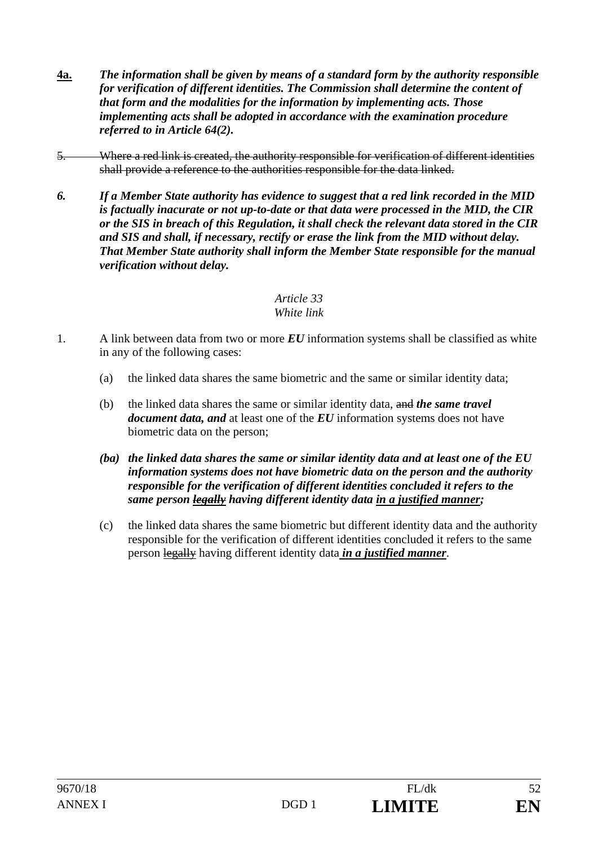- **4a.** *The information shall be given by means of a standard form by the authority responsible for verification of different identities. The Commission shall determine the content of that form and the modalities for the information by implementing acts. Those implementing acts shall be adopted in accordance with the examination procedure referred to in Article 64(2).*
- 5. Where a red link is created, the authority responsible for verification of different identities shall provide a reference to the authorities responsible for the data linked.
- *6. If a Member State authority has evidence to suggest that a red link recorded in the MID is factually inacurate or not up-to-date or that data were processed in the MID, the CIR or the SIS in breach of this Regulation, it shall check the relevant data stored in the CIR and SIS and shall, if necessary, rectify or erase the link from the MID without delay. That Member State authority shall inform the Member State responsible for the manual verification without delay.*

# *Article 33 White link*

- 1. A link between data from two or more *EU* information systems shall be classified as white in any of the following cases:
	- (a) the linked data shares the same biometric and the same or similar identity data;
	- (b) the linked data shares the same or similar identity data, and *the same travel document data, and* at least one of the *EU* information systems does not have biometric data on the person;
	- *(ba) the linked data shares the same or similar identity data and at least one of the EU information systems does not have biometric data on the person and the authority responsible for the verification of different identities concluded it refers to the same person legally having different identity data in a justified manner;*
	- (c) the linked data shares the same biometric but different identity data and the authority responsible for the verification of different identities concluded it refers to the same person legally having different identity data *in a justified manner*.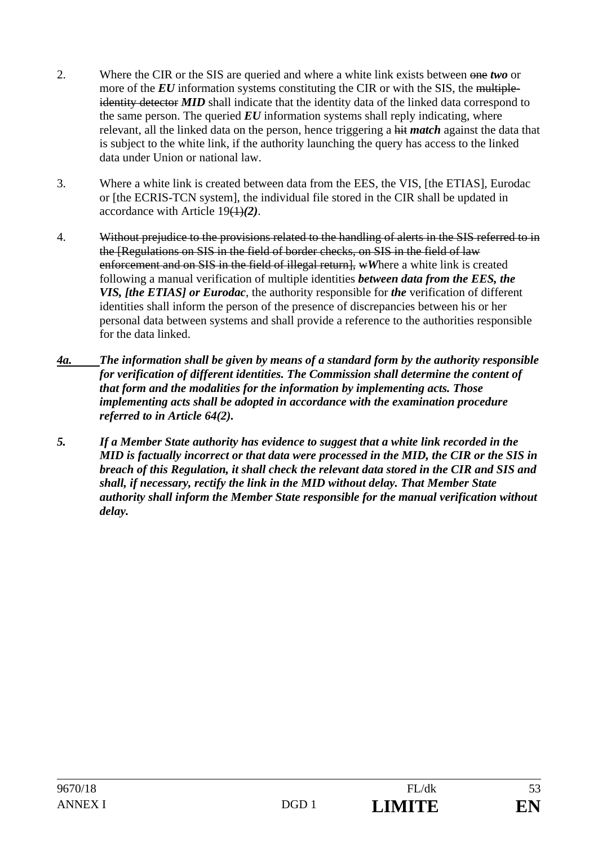- 2. Where the CIR or the SIS are queried and where a white link exists between one *two* or more of the *EU* information systems constituting the CIR or with the SIS, the multipleidentity detector **MID** shall indicate that the identity data of the linked data correspond to the same person. The queried  $EU$  information systems shall reply indicating, where relevant, all the linked data on the person, hence triggering a hit *match* against the data that is subject to the white link, if the authority launching the query has access to the linked data under Union or national law.
- 3. Where a white link is created between data from the EES, the VIS, [the ETIAS], Eurodac or [the ECRIS-TCN system], the individual file stored in the CIR shall be updated in accordance with Article 19(1)*(2)*.
- 4. Without prejudice to the provisions related to the handling of alerts in the SIS referred to in the [Regulations on SIS in the field of border checks, on SIS in the field of law enforcement and on SIS in the field of illegal return], wWhere a white link is created following a manual verification of multiple identities *between data from the EES, the VIS, [the ETIAS] or Eurodac*, the authority responsible for *the* verification of different identities shall inform the person of the presence of discrepancies between his or her personal data between systems and shall provide a reference to the authorities responsible for the data linked.
- *4a. The information shall be given by means of a standard form by the authority responsible for verification of different identities. The Commission shall determine the content of that form and the modalities for the information by implementing acts. Those implementing acts shall be adopted in accordance with the examination procedure referred to in Article 64(2).*
- *5. If a Member State authority has evidence to suggest that a white link recorded in the MID is factually incorrect or that data were processed in the MID, the CIR or the SIS in breach of this Regulation, it shall check the relevant data stored in the CIR and SIS and shall, if necessary, rectify the link in the MID without delay. That Member State authority shall inform the Member State responsible for the manual verification without delay.*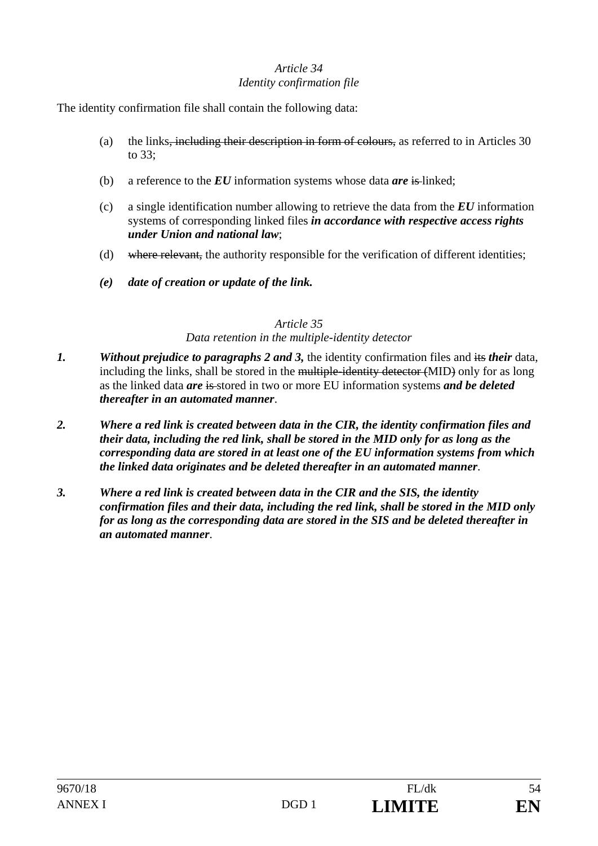# *Article 34 Identity confirmation file*

The identity confirmation file shall contain the following data:

- (a) the links, including their description in form of colours, as referred to in Articles 30 to 33;
- (b) a reference to the *EU* information systems whose data *are* is linked;
- (c) a single identification number allowing to retrieve the data from the *EU* information systems of corresponding linked files *in accordance with respective access rights under Union and national law*;
- (d) where relevant, the authority responsible for the verification of different identities;
- *(e) date of creation or update of the link.*

# *Article 35*

# *Data retention in the multiple-identity detector*

- *1. Without prejudice to paragraphs 2 and 3,* the identity confirmation files and its *their* data, including the links, shall be stored in the multiple-identity detector (MID) only for as long as the linked data *are* is stored in two or more EU information systems *and be deleted thereafter in an automated manner*.
- *2. Where a red link is created between data in the CIR, the identity confirmation files and their data, including the red link, shall be stored in the MID only for as long as the corresponding data are stored in at least one of the EU information systems from which the linked data originates and be deleted thereafter in an automated manner*.
- *3. Where a red link is created between data in the CIR and the SIS, the identity confirmation files and their data, including the red link, shall be stored in the MID only for as long as the corresponding data are stored in the SIS and be deleted thereafter in an automated manner*.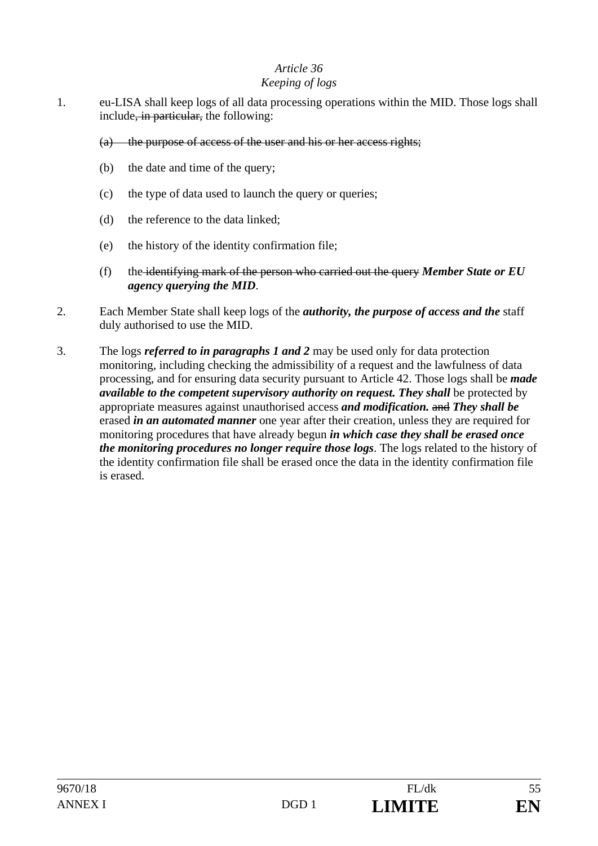### *Keeping of logs*

- 1. eu-LISA shall keep logs of all data processing operations within the MID. Those logs shall include<del>, in particular,</del> the following:
	- (a) the purpose of access of the user and his or her access rights;
	- (b) the date and time of the query;
	- (c) the type of data used to launch the query or queries;
	- (d) the reference to the data linked;
	- (e) the history of the identity confirmation file;
	- (f) the identifying mark of the person who carried out the query *Member State or EU agency querying the MID*.
- 2. Each Member State shall keep logs of the *authority, the purpose of access and the* staff duly authorised to use the MID.
- 3. The logs *referred to in paragraphs 1 and 2* may be used only for data protection monitoring, including checking the admissibility of a request and the lawfulness of data processing, and for ensuring data security pursuant to Article 42. Those logs shall be *made available to the competent supervisory authority on request. They shall be protected by* appropriate measures against unauthorised access *and modification.* and *They shall be* erased *in an automated manner* one year after their creation, unless they are required for monitoring procedures that have already begun *in which case they shall be erased once the monitoring procedures no longer require those logs*. The logs related to the history of the identity confirmation file shall be erased once the data in the identity confirmation file is erased.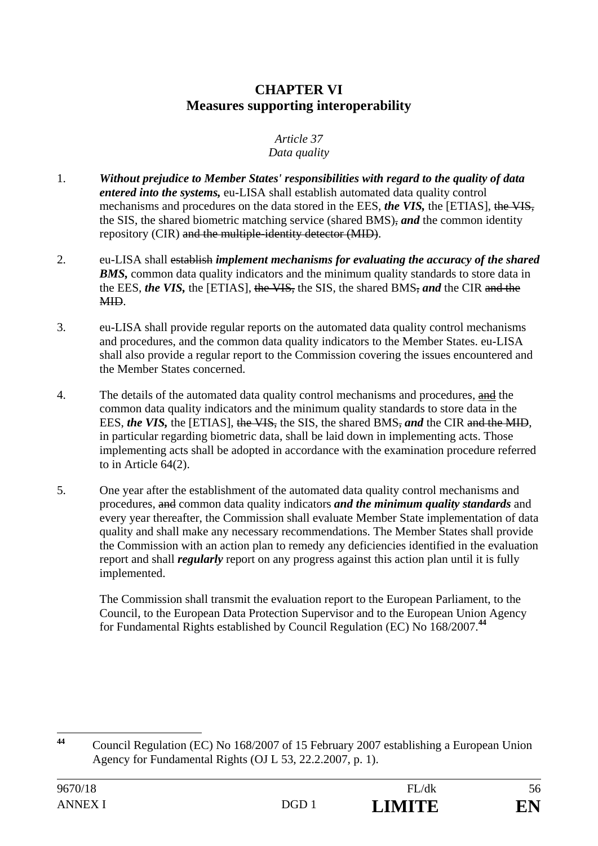# **CHAPTER VI Measures supporting interoperability**

#### *Article 37 Data quality*

- 1. *Without prejudice to Member States' responsibilities with regard to the quality of data entered into the systems,* eu-LISA shall establish automated data quality control mechanisms and procedures on the data stored in the EES, *the VIS,* the [ETIAS], the VIS, the SIS, the shared biometric matching service (shared BMS), *and* the common identity repository (CIR) and the multiple-identity detector (MID).
- 2. eu-LISA shall establish *implement mechanisms for evaluating the accuracy of the shared*  **BMS**, common data quality indicators and the minimum quality standards to store data in the EES, *the VIS,* the [ETIAS], the VIS, the SIS, the shared BMS, *and* the CIR and the MID.
- 3. eu-LISA shall provide regular reports on the automated data quality control mechanisms and procedures, and the common data quality indicators to the Member States. eu-LISA shall also provide a regular report to the Commission covering the issues encountered and the Member States concerned.
- 4. The details of the automated data quality control mechanisms and procedures, and the common data quality indicators and the minimum quality standards to store data in the EES, *the VIS*, the [ETIAS], the VIS, the SIS, the shared BMS, and the CIR and the MID, in particular regarding biometric data, shall be laid down in implementing acts. Those implementing acts shall be adopted in accordance with the examination procedure referred to in Article 64(2).
- 5. One year after the establishment of the automated data quality control mechanisms and procedures, and common data quality indicators *and the minimum quality standards* and every year thereafter, the Commission shall evaluate Member State implementation of data quality and shall make any necessary recommendations. The Member States shall provide the Commission with an action plan to remedy any deficiencies identified in the evaluation report and shall *regularly* report on any progress against this action plan until it is fully implemented.

 The Commission shall transmit the evaluation report to the European Parliament, to the Council, to the European Data Protection Supervisor and to the European Union Agency for Fundamental Rights established by Council Regulation (EC) No 168/2007.**<sup>44</sup>**

 $44$ **<sup>44</sup>** Council Regulation (EC) No 168/2007 of 15 February 2007 establishing a European Union Agency for Fundamental Rights (OJ L 53, 22.2.2007, p. 1).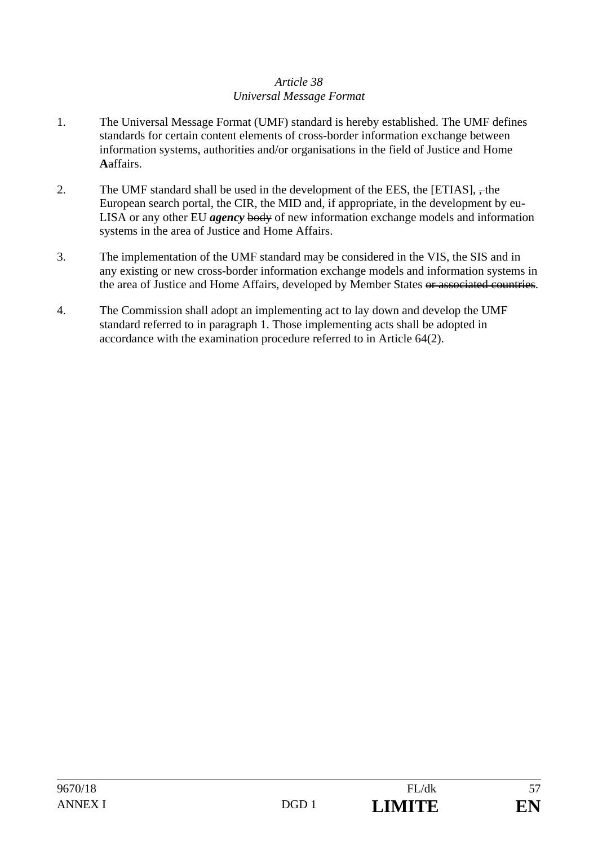### *Article 38 Universal Message Format*

- 1. The Universal Message Format (UMF) standard is hereby established. The UMF defines standards for certain content elements of cross-border information exchange between information systems, authorities and/or organisations in the field of Justice and Home **A**affairs.
- 2. The UMF standard shall be used in the development of the EES, the  $[ETIAS]$ ,  $\frac{1}{2}$ , the European search portal, the CIR, the MID and, if appropriate, in the development by eu-LISA or any other EU *agency* body of new information exchange models and information systems in the area of Justice and Home Affairs.
- 3. The implementation of the UMF standard may be considered in the VIS, the SIS and in any existing or new cross-border information exchange models and information systems in the area of Justice and Home Affairs, developed by Member States or associated countries.
- 4. The Commission shall adopt an implementing act to lay down and develop the UMF standard referred to in paragraph 1. Those implementing acts shall be adopted in accordance with the examination procedure referred to in Article 64(2).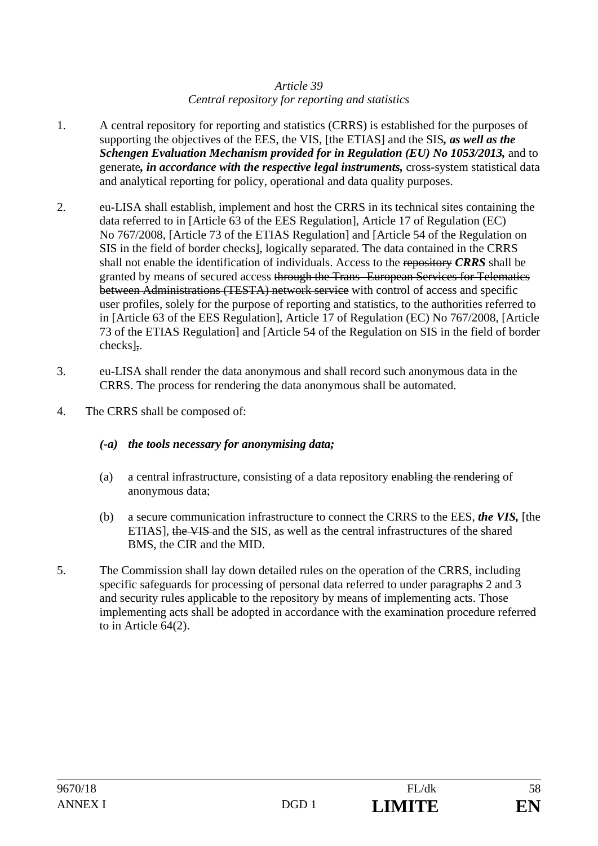# *Article 39 Central repository for reporting and statistics*

- 1. A central repository for reporting and statistics (CRRS) is established for the purposes of supporting the objectives of the EES, the VIS, [the ETIAS] and the SIS*, as well as the Schengen Evaluation Mechanism provided for in Regulation (EU) No 1053/2013,* and to generate*, in accordance with the respective legal instruments,* cross-system statistical data and analytical reporting for policy, operational and data quality purposes.
- 2. eu-LISA shall establish, implement and host the CRRS in its technical sites containing the data referred to in [Article 63 of the EES Regulation], Article 17 of Regulation (EC) No 767/2008, [Article 73 of the ETIAS Regulation] and [Article 54 of the Regulation on SIS in the field of border checks], logically separated. The data contained in the CRRS shall not enable the identification of individuals. Access to the repository *CRRS* shall be granted by means of secured access through the Trans- European Services for Telematics between Administrations (TESTA) network service with control of access and specific user profiles, solely for the purpose of reporting and statistics, to the authorities referred to in [Article 63 of the EES Regulation], Article 17 of Regulation (EC) No 767/2008, [Article 73 of the ETIAS Regulation] and [Article 54 of the Regulation on SIS in the field of border checks],.
- 3. eu-LISA shall render the data anonymous and shall record such anonymous data in the CRRS. The process for rendering the data anonymous shall be automated.
- 4. The CRRS shall be composed of:

# *(-a) the tools necessary for anonymising data;*

- (a) a central infrastructure, consisting of a data repository enabling the rendering of anonymous data;
- (b) a secure communication infrastructure to connect the CRRS to the EES, *the VIS,* [the ETIAS], the VIS and the SIS, as well as the central infrastructures of the shared BMS, the CIR and the MID.
- 5. The Commission shall lay down detailed rules on the operation of the CRRS, including specific safeguards for processing of personal data referred to under paragraph*s* 2 and 3 and security rules applicable to the repository by means of implementing acts. Those implementing acts shall be adopted in accordance with the examination procedure referred to in Article 64(2).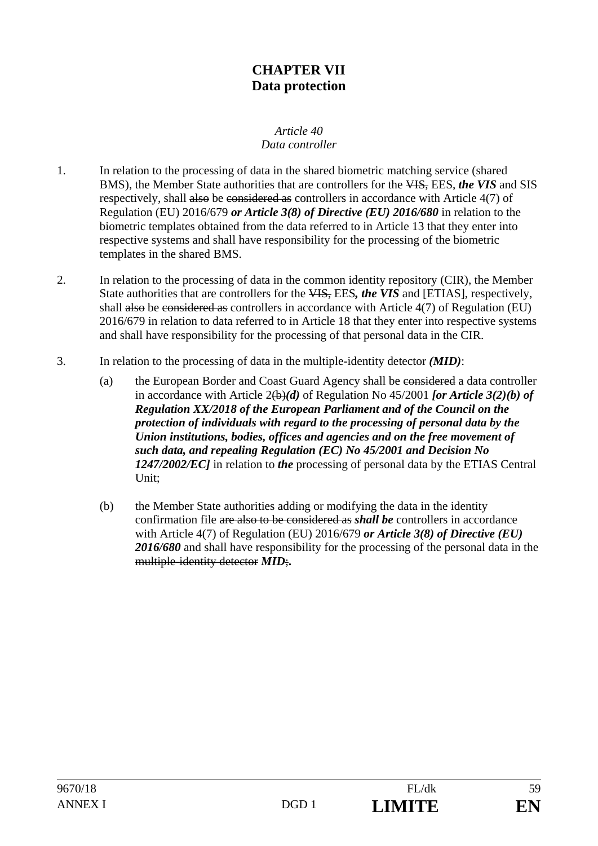# **CHAPTER VII Data protection**

#### *Article 40 Data controller*

- 1. In relation to the processing of data in the shared biometric matching service (shared BMS), the Member State authorities that are controllers for the VIS, EES, *the VIS* and SIS respectively, shall also be considered as controllers in accordance with Article 4(7) of Regulation (EU) 2016/679 *or Article 3(8) of Directive (EU) 2016/680* in relation to the biometric templates obtained from the data referred to in Article 13 that they enter into respective systems and shall have responsibility for the processing of the biometric templates in the shared BMS.
- 2. In relation to the processing of data in the common identity repository (CIR), the Member State authorities that are controllers for the VIS, EES*, the VIS* and [ETIAS], respectively, shall also be considered as controllers in accordance with Article 4(7) of Regulation (EU) 2016/679 in relation to data referred to in Article 18 that they enter into respective systems and shall have responsibility for the processing of that personal data in the CIR.
- 3. In relation to the processing of data in the multiple-identity detector *(MID)*:
	- (a) the European Border and Coast Guard Agency shall be considered a data controller in accordance with Article 2(b)*(d)* of Regulation No 45/2001 *[or Article 3(2)(b) of Regulation XX/2018 of the European Parliament and of the Council on the protection of individuals with regard to the processing of personal data by the Union institutions, bodies, offices and agencies and on the free movement of such data, and repealing Regulation (EC) No 45/2001 and Decision No 1247/2002/EC]* in relation to *the* processing of personal data by the ETIAS Central Unit;
	- (b) the Member State authorities adding or modifying the data in the identity confirmation file are also to be considered as *shall be* controllers in accordance with Article 4(7) of Regulation (EU) 2016/679 *or Article 3(8) of Directive (EU)*  2016/680 and shall have responsibility for the processing of the personal data in the multiple-identity detector *MID*;**.**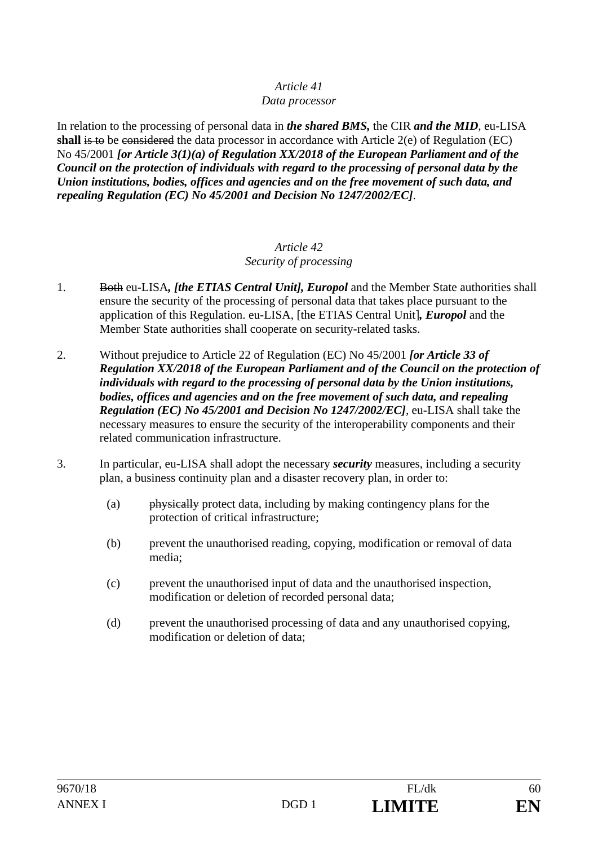### *Data processor*

In relation to the processing of personal data in *the shared BMS,* the CIR *and the MID*, eu-LISA **shall** is to be considered the data processor in accordance with Article 2(e) of Regulation (EC) No 45/2001 *[or Article 3(1)(a) of Regulation XX/2018 of the European Parliament and of the Council on the protection of individuals with regard to the processing of personal data by the Union institutions, bodies, offices and agencies and on the free movement of such data, and repealing Regulation (EC) No 45/2001 and Decision No 1247/2002/EC]*.

#### *Article 42 Security of processing*

- 1. Both eu-LISA*, [the ETIAS Central Unit], Europol* and the Member State authorities shall ensure the security of the processing of personal data that takes place pursuant to the application of this Regulation. eu-LISA, [the ETIAS Central Unit]*, Europol* and the Member State authorities shall cooperate on security-related tasks.
- 2. Without prejudice to Article 22 of Regulation (EC) No 45/2001 *[or Article 33 of Regulation XX/2018 of the European Parliament and of the Council on the protection of individuals with regard to the processing of personal data by the Union institutions, bodies, offices and agencies and on the free movement of such data, and repealing Regulation (EC) No 45/2001 and Decision No 1247/2002/EC]*, eu-LISA shall take the necessary measures to ensure the security of the interoperability components and their related communication infrastructure.
- 3. In particular, eu-LISA shall adopt the necessary *security* measures, including a security plan, a business continuity plan and a disaster recovery plan, in order to:
	- (a) physically protect data, including by making contingency plans for the protection of critical infrastructure;
	- (b) prevent the unauthorised reading, copying, modification or removal of data media;
	- (c) prevent the unauthorised input of data and the unauthorised inspection, modification or deletion of recorded personal data;
	- (d) prevent the unauthorised processing of data and any unauthorised copying, modification or deletion of data;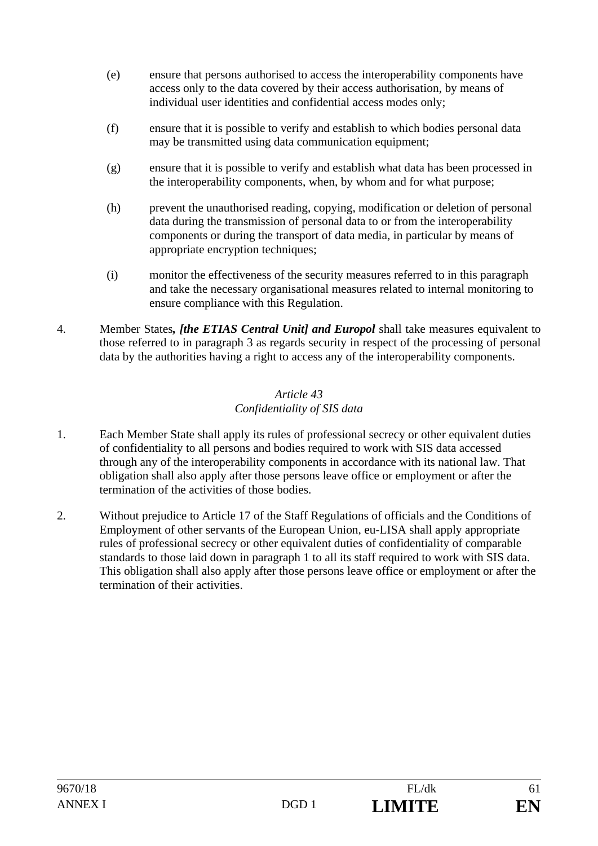- (e) ensure that persons authorised to access the interoperability components have access only to the data covered by their access authorisation, by means of individual user identities and confidential access modes only;
- (f) ensure that it is possible to verify and establish to which bodies personal data may be transmitted using data communication equipment;
- (g) ensure that it is possible to verify and establish what data has been processed in the interoperability components, when, by whom and for what purpose;
- (h) prevent the unauthorised reading, copying, modification or deletion of personal data during the transmission of personal data to or from the interoperability components or during the transport of data media, in particular by means of appropriate encryption techniques;
- (i) monitor the effectiveness of the security measures referred to in this paragraph and take the necessary organisational measures related to internal monitoring to ensure compliance with this Regulation.
- 4. Member States*, [the ETIAS Central Unit] and Europol* shall take measures equivalent to those referred to in paragraph 3 as regards security in respect of the processing of personal data by the authorities having a right to access any of the interoperability components.

# *Article 43 Confidentiality of SIS data*

- 1. Each Member State shall apply its rules of professional secrecy or other equivalent duties of confidentiality to all persons and bodies required to work with SIS data accessed through any of the interoperability components in accordance with its national law. That obligation shall also apply after those persons leave office or employment or after the termination of the activities of those bodies.
- 2. Without prejudice to Article 17 of the Staff Regulations of officials and the Conditions of Employment of other servants of the European Union, eu-LISA shall apply appropriate rules of professional secrecy or other equivalent duties of confidentiality of comparable standards to those laid down in paragraph 1 to all its staff required to work with SIS data. This obligation shall also apply after those persons leave office or employment or after the termination of their activities.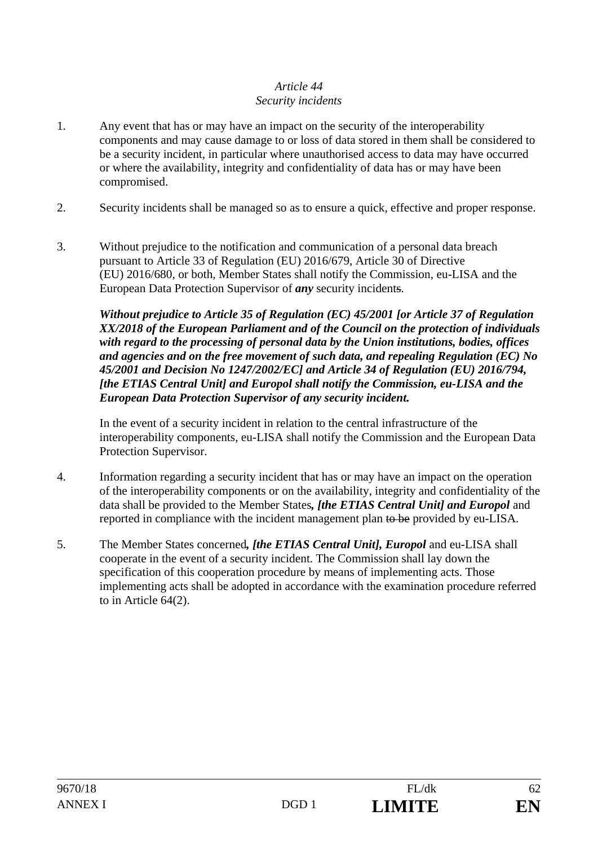# *Article 44 Security incidents*

- 1. Any event that has or may have an impact on the security of the interoperability components and may cause damage to or loss of data stored in them shall be considered to be a security incident, in particular where unauthorised access to data may have occurred or where the availability, integrity and confidentiality of data has or may have been compromised.
- 2. Security incidents shall be managed so as to ensure a quick, effective and proper response.
- 3. Without prejudice to the notification and communication of a personal data breach pursuant to Article 33 of Regulation (EU) 2016/679, Article 30 of Directive (EU) 2016/680, or both, Member States shall notify the Commission, eu-LISA and the European Data Protection Supervisor of *any* security incidents.

*Without prejudice to Article 35 of Regulation (EC) 45/2001 [or Article 37 of Regulation XX/2018 of the European Parliament and of the Council on the protection of individuals with regard to the processing of personal data by the Union institutions, bodies, offices and agencies and on the free movement of such data, and repealing Regulation (EC) No 45/2001 and Decision No 1247/2002/EC] and Article 34 of Regulation (EU) 2016/794, [the ETIAS Central Unit] and Europol shall notify the Commission, eu-LISA and the European Data Protection Supervisor of any security incident.*

 In the event of a security incident in relation to the central infrastructure of the interoperability components, eu-LISA shall notify the Commission and the European Data Protection Supervisor.

- 4. Information regarding a security incident that has or may have an impact on the operation of the interoperability components or on the availability, integrity and confidentiality of the data shall be provided to the Member States*, [the ETIAS Central Unit] and Europol* and reported in compliance with the incident management plan to be provided by eu-LISA.
- 5. The Member States concerned*, [the ETIAS Central Unit], Europol* and eu-LISA shall cooperate in the event of a security incident. The Commission shall lay down the specification of this cooperation procedure by means of implementing acts. Those implementing acts shall be adopted in accordance with the examination procedure referred to in Article 64(2).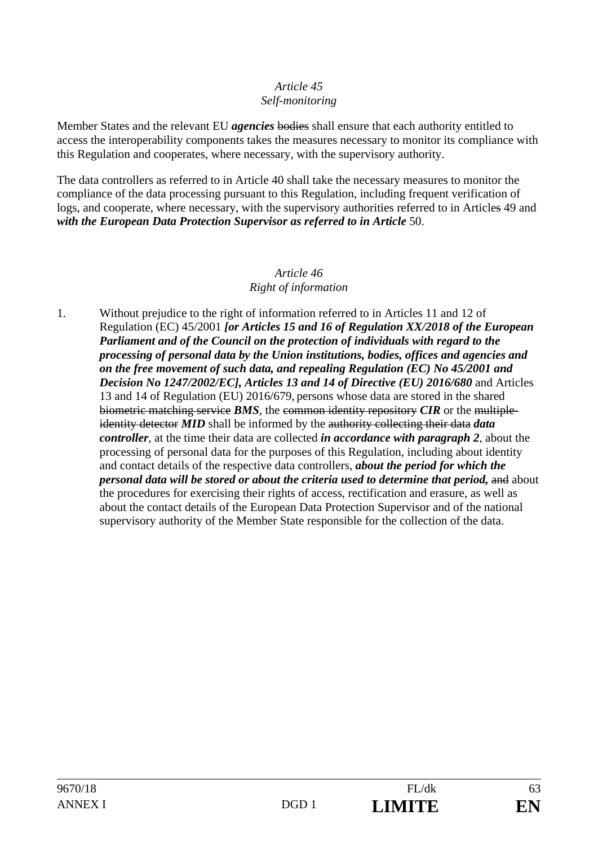### *Article 45 Self-monitoring*

Member States and the relevant EU *agencies* bodies shall ensure that each authority entitled to access the interoperability components takes the measures necessary to monitor its compliance with this Regulation and cooperates, where necessary, with the supervisory authority.

The data controllers as referred to in Article 40 shall take the necessary measures to monitor the compliance of the data processing pursuant to this Regulation, including frequent verification of logs, and cooperate, where necessary, with the supervisory authorities referred to in Articles 49 and with the European Data Protection Supervisor as referred to in Article 50.

#### *Article 46 Right of information*

1. Without prejudice to the right of information referred to in Articles 11 and 12 of Regulation (EC) 45/2001 *[or Articles 15 and 16 of Regulation XX/2018 of the European Parliament and of the Council on the protection of individuals with regard to the processing of personal data by the Union institutions, bodies, offices and agencies and on the free movement of such data, and repealing Regulation (EC) No 45/2001 and Decision No 1247/2002/EC], Articles 13 and 14 of Directive (EU) 2016/680* and Articles 13 and 14 of Regulation (EU) 2016/679, persons whose data are stored in the shared biometric matching service *BMS*, the common identity repository *CIR* or the multipleidentity detector *MID* shall be informed by the authority collecting their data *data controller*, at the time their data are collected *in accordance with paragraph 2*, about the processing of personal data for the purposes of this Regulation, including about identity and contact details of the respective data controllers, *about the period for which the personal data will be stored or about the criteria used to determine that period, and about* the procedures for exercising their rights of access, rectification and erasure, as well as about the contact details of the European Data Protection Supervisor and of the national supervisory authority of the Member State responsible for the collection of the data.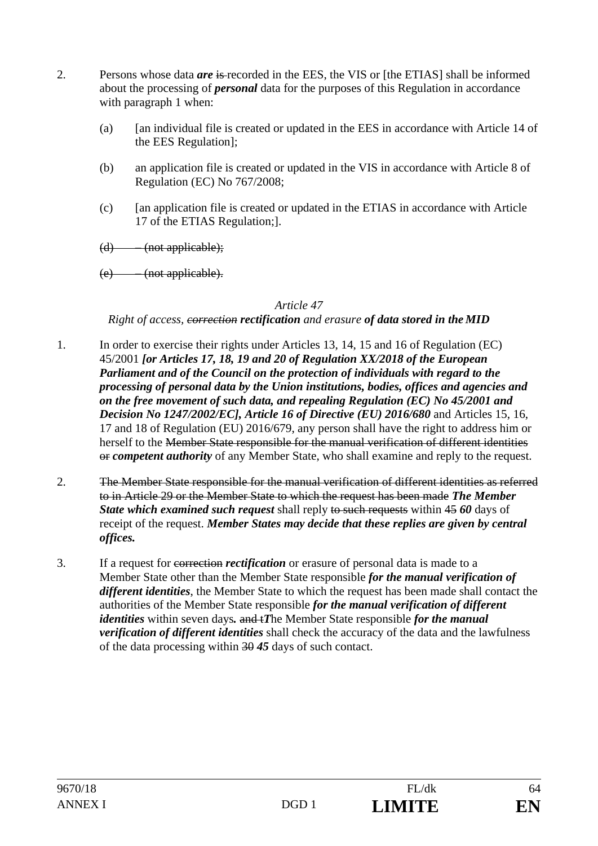- 2. Persons whose data *are* is recorded in the EES, the VIS or [the ETIAS] shall be informed about the processing of *personal* data for the purposes of this Regulation in accordance with paragraph 1 when:
	- (a) [an individual file is created or updated in the EES in accordance with Article 14 of the EES Regulation];
	- (b) an application file is created or updated in the VIS in accordance with Article 8 of Regulation (EC) No 767/2008;
	- (c) [an application file is created or updated in the ETIAS in accordance with Article 17 of the ETIAS Regulation;].
	- $(d)$  (not applicable);
	- (e) (not applicable).

### *Right of access, correction rectification and erasure of data stored in the MID*

- 1. In order to exercise their rights under Articles 13, 14, 15 and 16 of Regulation (EC) 45/2001 *[or Articles 17, 18, 19 and 20 of Regulation XX/2018 of the European Parliament and of the Council on the protection of individuals with regard to the processing of personal data by the Union institutions, bodies, offices and agencies and on the free movement of such data, and repealing Regulation (EC) No 45/2001 and Decision No 1247/2002/EC], Article 16 of Directive (EU) 2016/680 and Articles 15, 16,* 17 and 18 of Regulation (EU) 2016/679, any person shall have the right to address him or herself to the Member State responsible for the manual verification of different identities or *competent authority* of any Member State, who shall examine and reply to the request.
- 2. The Member State responsible for the manual verification of different identities as referred to in Article 29 or the Member State to which the request has been made *The Member*  **State which examined such request** shall reply to such requests within 45 60 days of receipt of the request. *Member States may decide that these replies are given by central offices.*
- 3. If a request for correction *rectification* or erasure of personal data is made to a Member State other than the Member State responsible *for the manual verification of different identities*, the Member State to which the request has been made shall contact the authorities of the Member State responsible *for the manual verification of different identities* within seven days*.* and t*T*he Member State responsible *for the manual verification of different identities* shall check the accuracy of the data and the lawfulness of the data processing within 30 *45* days of such contact.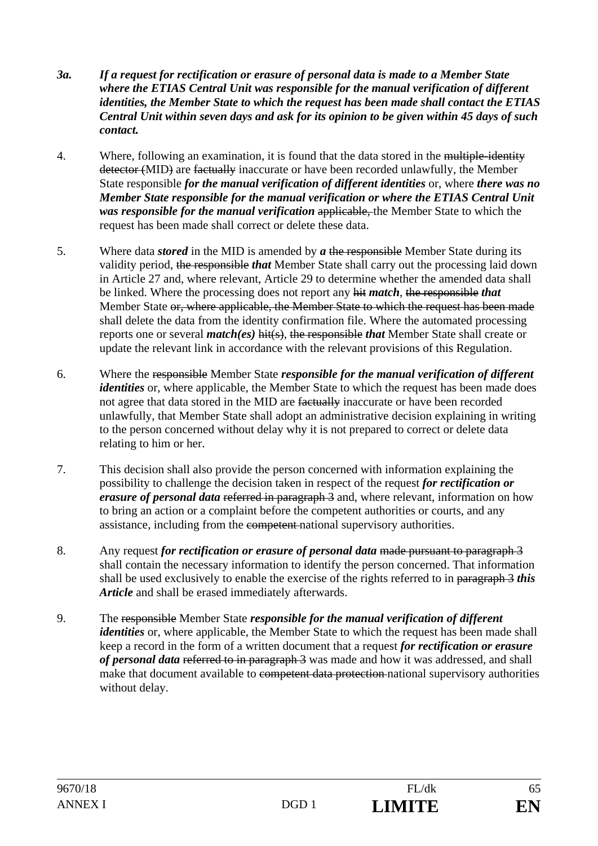- *3a. If a request for rectification or erasure of personal data is made to a Member State where the ETIAS Central Unit was responsible for the manual verification of different identities, the Member State to which the request has been made shall contact the ETIAS Central Unit within seven days and ask for its opinion to be given within 45 days of such contact.*
- 4. Where, following an examination, it is found that the data stored in the multiple-identity detector (MID) are factually inaccurate or have been recorded unlawfully, the Member State responsible *for the manual verification of different identities* or, where *there was no Member State responsible for the manual verification or where the ETIAS Central Unit was responsible for the manual verification* applicable, the Member State to which the request has been made shall correct or delete these data.
- 5. Where data *stored* in the MID is amended by *a* the responsible Member State during its validity period, the responsible *that* Member State shall carry out the processing laid down in Article 27 and, where relevant, Article 29 to determine whether the amended data shall be linked. Where the processing does not report any hit *match*, the responsible *that* Member State or, where applicable, the Member State to which the request has been made shall delete the data from the identity confirmation file. Where the automated processing reports one or several *match(es)* hit(s), the responsible *that* Member State shall create or update the relevant link in accordance with the relevant provisions of this Regulation.
- 6. Where the responsible Member State *responsible for the manual verification of different identities* or, where applicable, the Member State to which the request has been made does not agree that data stored in the MID are factually inaccurate or have been recorded unlawfully, that Member State shall adopt an administrative decision explaining in writing to the person concerned without delay why it is not prepared to correct or delete data relating to him or her.
- 7. This decision shall also provide the person concerned with information explaining the possibility to challenge the decision taken in respect of the request *for rectification or erasure of personal data* referred in paragraph 3 and, where relevant, information on how to bring an action or a complaint before the competent authorities or courts, and any assistance, including from the competent national supervisory authorities.
- 8. Any request *for rectification or erasure of personal data* made pursuant to paragraph 3 shall contain the necessary information to identify the person concerned. That information shall be used exclusively to enable the exercise of the rights referred to in paragraph 3 *this Article* and shall be erased immediately afterwards.
- 9. The responsible Member State *responsible for the manual verification of different identities* or, where applicable, the Member State to which the request has been made shall keep a record in the form of a written document that a request *for rectification or erasure of personal data* referred to in paragraph 3 was made and how it was addressed, and shall make that document available to competent data protection national supervisory authorities without delay.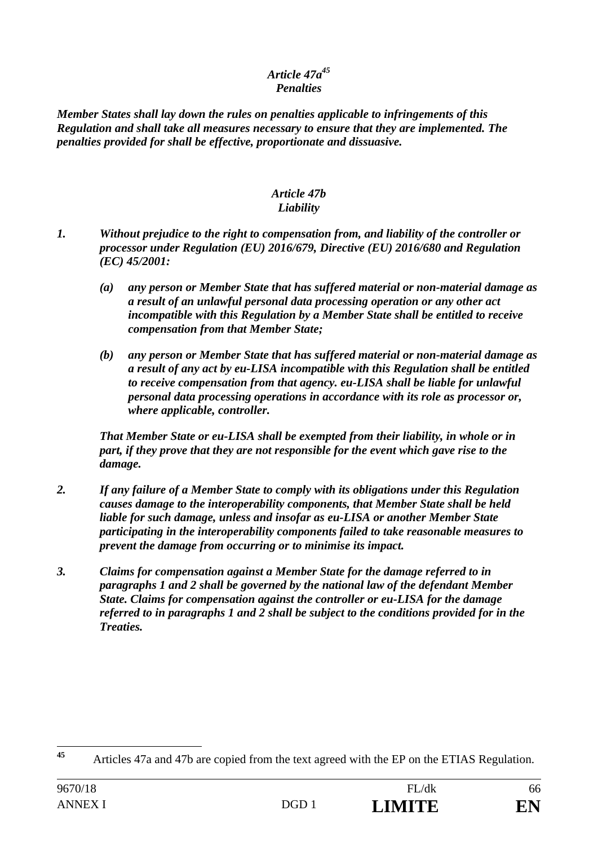# *Article 47a45 Penalties*

*Member States shall lay down the rules on penalties applicable to infringements of this Regulation and shall take all measures necessary to ensure that they are implemented. The penalties provided for shall be effective, proportionate and dissuasive.* 

#### *Article 47b Liability*

- *1. Without prejudice to the right to compensation from, and liability of the controller or processor under Regulation (EU) 2016/679, Directive (EU) 2016/680 and Regulation (EC) 45/2001:* 
	- *(a) any person or Member State that has suffered material or non-material damage as a result of an unlawful personal data processing operation or any other act incompatible with this Regulation by a Member State shall be entitled to receive compensation from that Member State;*
	- *(b) any person or Member State that has suffered material or non-material damage as a result of any act by eu-LISA incompatible with this Regulation shall be entitled to receive compensation from that agency. eu-LISA shall be liable for unlawful personal data processing operations in accordance with its role as processor or, where applicable, controller.*

*That Member State or eu-LISA shall be exempted from their liability, in whole or in part, if they prove that they are not responsible for the event which gave rise to the damage.* 

- *2. If any failure of a Member State to comply with its obligations under this Regulation causes damage to the interoperability components, that Member State shall be held liable for such damage, unless and insofar as eu-LISA or another Member State participating in the interoperability components failed to take reasonable measures to prevent the damage from occurring or to minimise its impact.*
- *3. Claims for compensation against a Member State for the damage referred to in paragraphs 1 and 2 shall be governed by the national law of the defendant Member State. Claims for compensation against the controller or eu-LISA for the damage referred to in paragraphs 1 and 2 shall be subject to the conditions provided for in the Treaties.*

 $45$ **<sup>45</sup>** Articles 47a and 47b are copied from the text agreed with the EP on the ETIAS Regulation.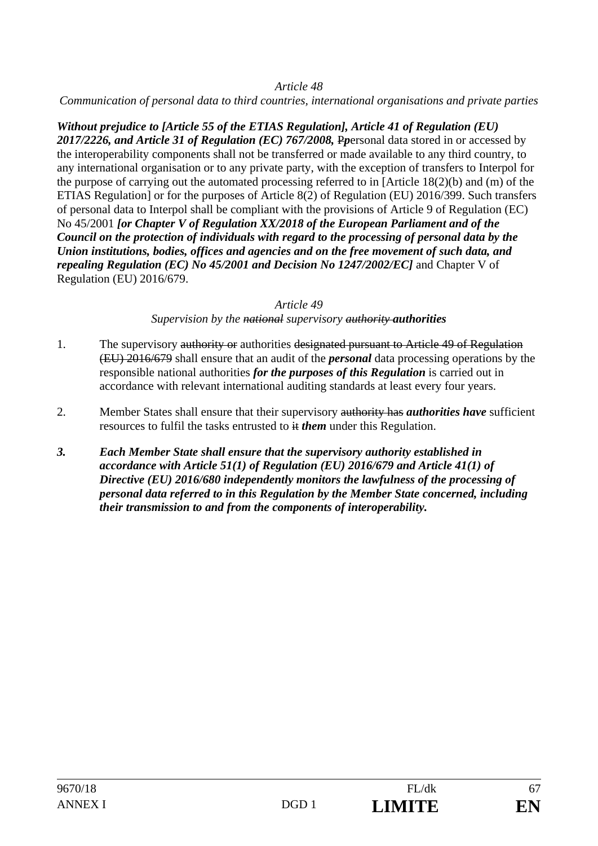*Communication of personal data to third countries, international organisations and private parties* 

*Without prejudice to [Article 55 of the ETIAS Regulation], Article 41 of Regulation (EU) 2017/2226, and Article 31 of Regulation (EC) 767/2008,* P*p*ersonal data stored in or accessed by the interoperability components shall not be transferred or made available to any third country, to any international organisation or to any private party, with the exception of transfers to Interpol for the purpose of carrying out the automated processing referred to in [Article 18(2)(b) and (m) of the ETIAS Regulation] or for the purposes of Article 8(2) of Regulation (EU) 2016/399. Such transfers of personal data to Interpol shall be compliant with the provisions of Article 9 of Regulation (EC) No 45/2001 *[or Chapter V of Regulation XX/2018 of the European Parliament and of the Council on the protection of individuals with regard to the processing of personal data by the Union institutions, bodies, offices and agencies and on the free movement of such data, and repealing Regulation (EC) No 45/2001 and Decision No 1247/2002/EC]* and Chapter V of Regulation (EU) 2016/679.

### *Article 49*

*Supervision by the national supervisory authority authorities*

- 1. The supervisory authority or authorities designated pursuant to Article 49 of Regulation (EU) 2016/679 shall ensure that an audit of the *personal* data processing operations by the responsible national authorities *for the purposes of this Regulation* is carried out in accordance with relevant international auditing standards at least every four years.
- 2. Member States shall ensure that their supervisory authority has *authorities have* sufficient resources to fulfil the tasks entrusted to it *them* under this Regulation.
- *3. Each Member State shall ensure that the supervisory authority established in accordance with Article 51(1) of Regulation (EU) 2016/679 and Article 41(1) of Directive (EU) 2016/680 independently monitors the lawfulness of the processing of personal data referred to in this Regulation by the Member State concerned, including their transmission to and from the components of interoperability.*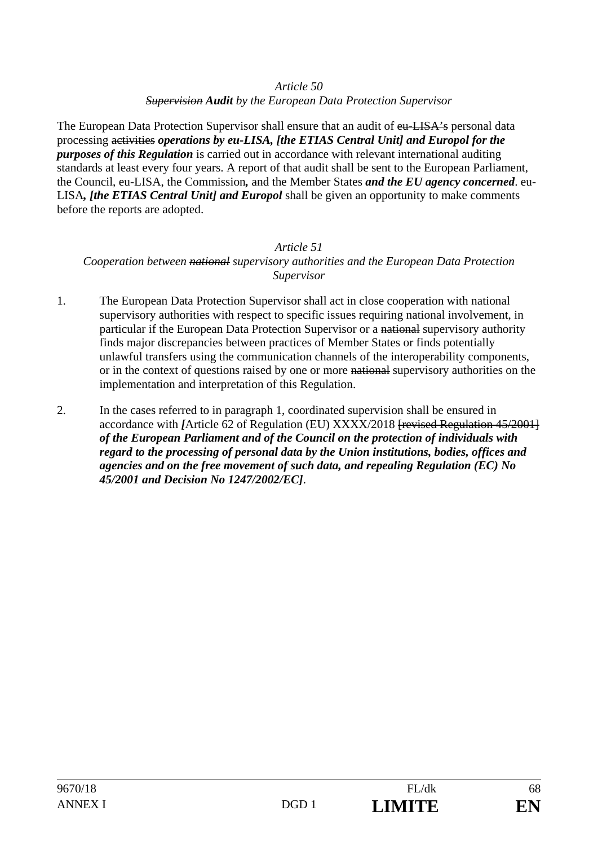*Supervision Audit by the European Data Protection Supervisor* 

The European Data Protection Supervisor shall ensure that an audit of eu-LISA's personal data processing activities *operations by eu-LISA, [the ETIAS Central Unit] and Europol for the purposes of this Regulation* is carried out in accordance with relevant international auditing standards at least every four years. A report of that audit shall be sent to the European Parliament, the Council, eu-LISA, the Commission*,* and the Member States *and the EU agency concerned*. eu-LISA*, [the ETIAS Central Unit] and Europol* shall be given an opportunity to make comments before the reports are adopted.

# *Article 51 Cooperation between national supervisory authorities and the European Data Protection Supervisor*

- 1. The European Data Protection Supervisor shall act in close cooperation with national supervisory authorities with respect to specific issues requiring national involvement, in particular if the European Data Protection Supervisor or a national supervisory authority finds major discrepancies between practices of Member States or finds potentially unlawful transfers using the communication channels of the interoperability components, or in the context of questions raised by one or more national supervisory authorities on the implementation and interpretation of this Regulation.
- 2. In the cases referred to in paragraph 1, coordinated supervision shall be ensured in accordance with *[Article 62 of Regulation (EU) XXXX/2018* [*revised Regulation 45/2001*] *of the European Parliament and of the Council on the protection of individuals with regard to the processing of personal data by the Union institutions, bodies, offices and agencies and on the free movement of such data, and repealing Regulation (EC) No 45/2001 and Decision No 1247/2002/EC]*.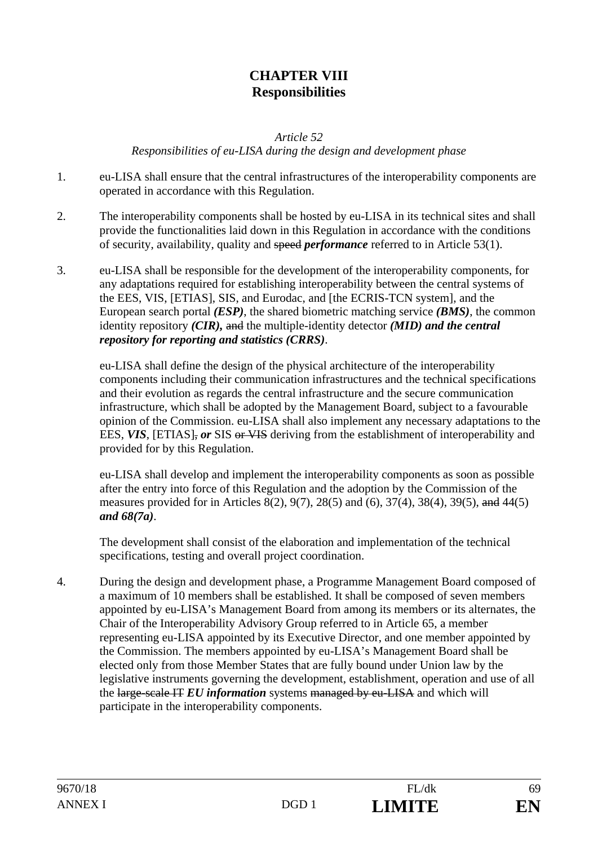# **CHAPTER VIII Responsibilities**

*Article 52* 

*Responsibilities of eu-LISA during the design and development phase* 

- 1. eu-LISA shall ensure that the central infrastructures of the interoperability components are operated in accordance with this Regulation.
- 2. The interoperability components shall be hosted by eu-LISA in its technical sites and shall provide the functionalities laid down in this Regulation in accordance with the conditions of security, availability, quality and speed *performance* referred to in Article 53(1).
- 3. eu-LISA shall be responsible for the development of the interoperability components, for any adaptations required for establishing interoperability between the central systems of the EES, VIS, [ETIAS], SIS, and Eurodac, and [the ECRIS-TCN system], and the European search portal *(ESP)*, the shared biometric matching service *(BMS)*, the common identity repository *(CIR),* and the multiple-identity detector *(MID) and the central repository for reporting and statistics (CRRS)*.

eu-LISA shall define the design of the physical architecture of the interoperability components including their communication infrastructures and the technical specifications and their evolution as regards the central infrastructure and the secure communication infrastructure, which shall be adopted by the Management Board, subject to a favourable opinion of the Commission. eu-LISA shall also implement any necessary adaptations to the EES, VIS, [ETIAS], or SIS or VIS deriving from the establishment of interoperability and provided for by this Regulation.

eu-LISA shall develop and implement the interoperability components as soon as possible after the entry into force of this Regulation and the adoption by the Commission of the measures provided for in Articles 8(2), 9(7), 28(5) and (6), 37(4), 38(4), 39(5), and 44(5) *and 68(7a)*.

The development shall consist of the elaboration and implementation of the technical specifications, testing and overall project coordination.

4. During the design and development phase, a Programme Management Board composed of a maximum of 10 members shall be established. It shall be composed of seven members appointed by eu-LISA's Management Board from among its members or its alternates, the Chair of the Interoperability Advisory Group referred to in Article 65, a member representing eu-LISA appointed by its Executive Director, and one member appointed by the Commission. The members appointed by eu-LISA's Management Board shall be elected only from those Member States that are fully bound under Union law by the legislative instruments governing the development, establishment, operation and use of all the large-scale IT *EU information* systems managed by eu-LISA and which will participate in the interoperability components.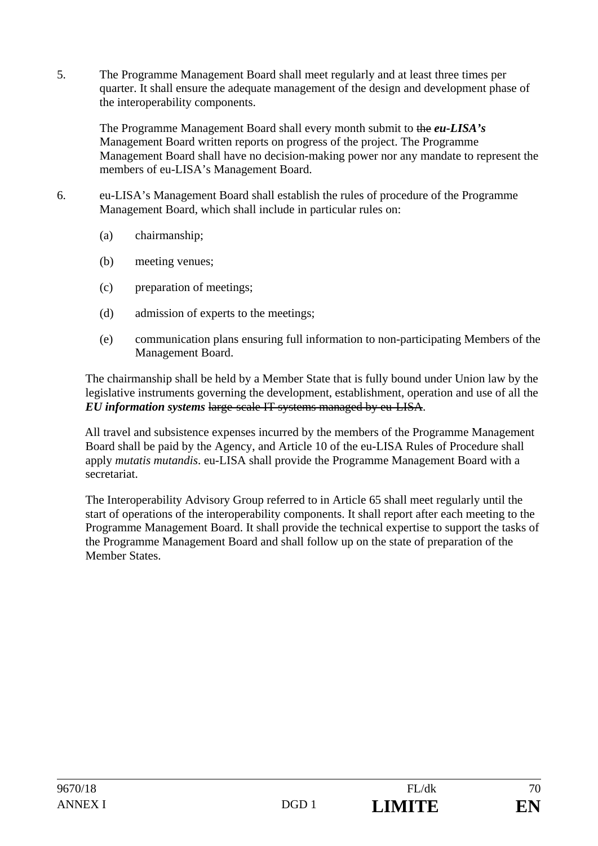5. The Programme Management Board shall meet regularly and at least three times per quarter. It shall ensure the adequate management of the design and development phase of the interoperability components.

The Programme Management Board shall every month submit to the *eu-LISA's* Management Board written reports on progress of the project. The Programme Management Board shall have no decision-making power nor any mandate to represent the members of eu-LISA's Management Board.

- 6. eu-LISA's Management Board shall establish the rules of procedure of the Programme Management Board, which shall include in particular rules on:
	- (a) chairmanship;
	- (b) meeting venues;
	- (c) preparation of meetings;
	- (d) admission of experts to the meetings;
	- (e) communication plans ensuring full information to non-participating Members of the Management Board.

The chairmanship shall be held by a Member State that is fully bound under Union law by the legislative instruments governing the development, establishment, operation and use of all the *EU information systems* large-scale IT systems managed by eu-LISA.

All travel and subsistence expenses incurred by the members of the Programme Management Board shall be paid by the Agency, and Article 10 of the eu-LISA Rules of Procedure shall apply *mutatis mutandis*. eu-LISA shall provide the Programme Management Board with a secretariat.

The Interoperability Advisory Group referred to in Article 65 shall meet regularly until the start of operations of the interoperability components. It shall report after each meeting to the Programme Management Board. It shall provide the technical expertise to support the tasks of the Programme Management Board and shall follow up on the state of preparation of the Member States.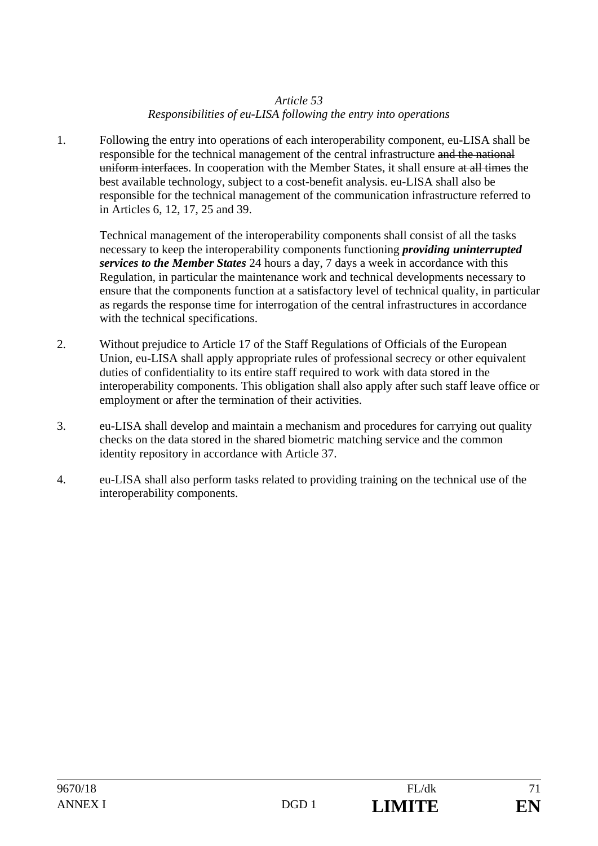# *Article 53 Responsibilities of eu-LISA following the entry into operations*

1. Following the entry into operations of each interoperability component, eu-LISA shall be responsible for the technical management of the central infrastructure and the national uniform interfaces. In cooperation with the Member States, it shall ensure at all times the best available technology, subject to a cost-benefit analysis. eu-LISA shall also be responsible for the technical management of the communication infrastructure referred to in Articles 6, 12, 17, 25 and 39.

Technical management of the interoperability components shall consist of all the tasks necessary to keep the interoperability components functioning *providing uninterrupted services to the Member States* 24 hours a day, 7 days a week in accordance with this Regulation, in particular the maintenance work and technical developments necessary to ensure that the components function at a satisfactory level of technical quality, in particular as regards the response time for interrogation of the central infrastructures in accordance with the technical specifications.

- 2. Without prejudice to Article 17 of the Staff Regulations of Officials of the European Union, eu-LISA shall apply appropriate rules of professional secrecy or other equivalent duties of confidentiality to its entire staff required to work with data stored in the interoperability components. This obligation shall also apply after such staff leave office or employment or after the termination of their activities.
- 3. eu-LISA shall develop and maintain a mechanism and procedures for carrying out quality checks on the data stored in the shared biometric matching service and the common identity repository in accordance with Article 37.
- 4. eu-LISA shall also perform tasks related to providing training on the technical use of the interoperability components.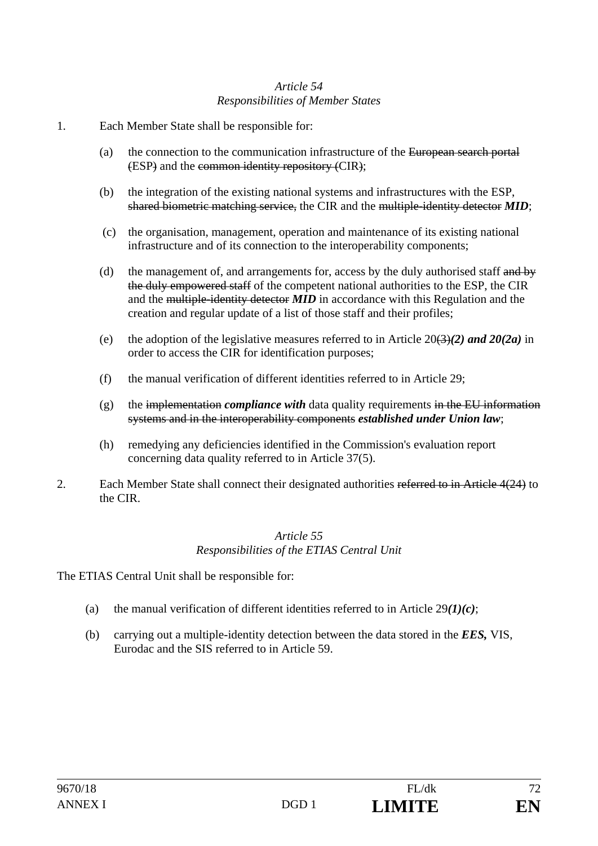# *Article 54 Responsibilities of Member States*

- 1. Each Member State shall be responsible for:
	- (a) the connection to the communication infrastructure of the European search portal (ESP) and the common identity repository (CIR);
	- (b) the integration of the existing national systems and infrastructures with the ESP, shared biometric matching service, the CIR and the multiple-identity detector *MID*;
	- (c) the organisation, management, operation and maintenance of its existing national infrastructure and of its connection to the interoperability components;
	- (d) the management of, and arrangements for, access by the duly authorised staff and by the duly empowered staff of the competent national authorities to the ESP, the CIR and the multiple-identity detector *MID* in accordance with this Regulation and the creation and regular update of a list of those staff and their profiles;
	- (e) the adoption of the legislative measures referred to in Article  $20(3)(2)$  and  $20(2a)$  in order to access the CIR for identification purposes;
	- (f) the manual verification of different identities referred to in Article 29;
	- $(g)$  the implementation *compliance with* data quality requirements in the EU information systems and in the interoperability components *established under Union law*;
	- (h) remedying any deficiencies identified in the Commission's evaluation report concerning data quality referred to in Article 37(5).
- 2. Each Member State shall connect their designated authorities referred to in Article 4(24) to the CIR.

### *Article 55 Responsibilities of the ETIAS Central Unit*

The ETIAS Central Unit shall be responsible for:

- (a) the manual verification of different identities referred to in Article 29*(1)(c)*;
- (b) carrying out a multiple-identity detection between the data stored in the *EES,* VIS, Eurodac and the SIS referred to in Article 59.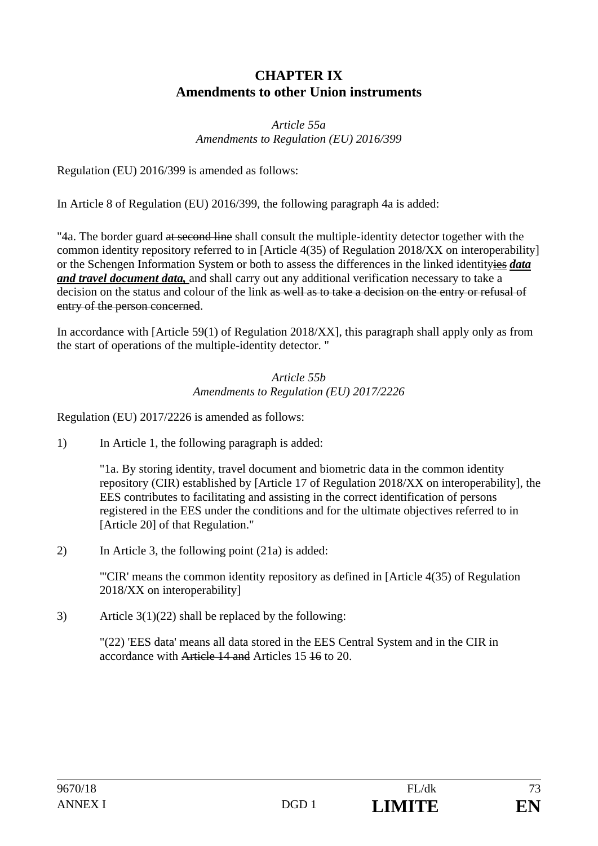# **CHAPTER IX Amendments to other Union instruments**

## *Article 55a Amendments to Regulation (EU) 2016/399*

Regulation (EU) 2016/399 is amended as follows:

In Article 8 of Regulation (EU) 2016/399, the following paragraph 4a is added:

"4a. The border guard at second line shall consult the multiple-identity detector together with the common identity repository referred to in [Article 4(35) of Regulation 2018/XX on interoperability] or the Schengen Information System or both to assess the differences in the linked identityies *data and travel document data,* and shall carry out any additional verification necessary to take a decision on the status and colour of the link as well as to take a decision on the entry or refusal of entry of the person concerned.

In accordance with [Article 59(1) of Regulation 2018/XX], this paragraph shall apply only as from the start of operations of the multiple-identity detector. "

## *Article 55b Amendments to Regulation (EU) 2017/2226*

Regulation (EU) 2017/2226 is amended as follows:

1) In Article 1, the following paragraph is added:

 "1a. By storing identity, travel document and biometric data in the common identity repository (CIR) established by [Article 17 of Regulation 2018/XX on interoperability], the EES contributes to facilitating and assisting in the correct identification of persons registered in the EES under the conditions and for the ultimate objectives referred to in [Article 20] of that Regulation."

2) In Article 3, the following point (21a) is added:

 "'CIR' means the common identity repository as defined in [Article 4(35) of Regulation 2018/XX on interoperability]

3) Article  $3(1)(22)$  shall be replaced by the following:

"(22) 'EES data' means all data stored in the EES Central System and in the CIR in accordance with Article 14 and Articles 15 16 to 20.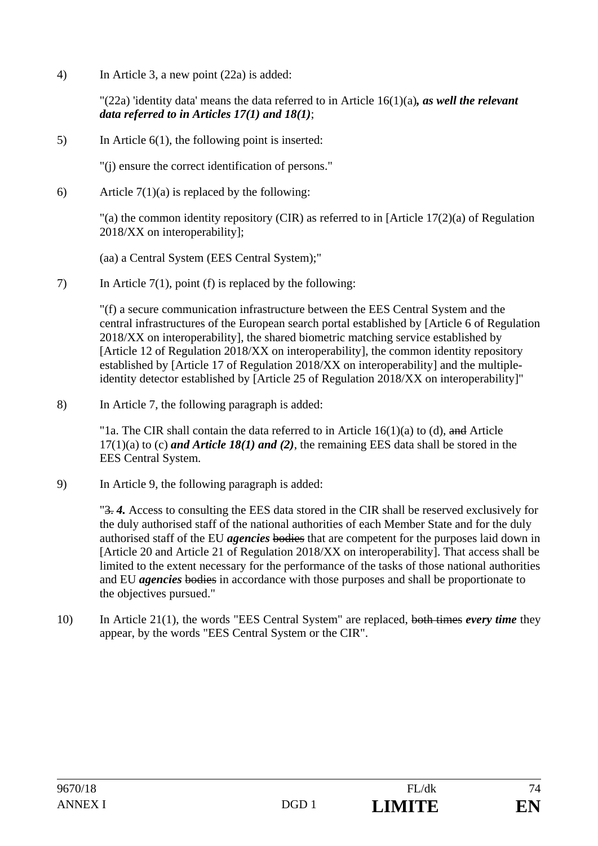4) In Article 3, a new point (22a) is added:

"(22a) 'identity data' means the data referred to in Article 16(1)(a)*, as well the relevant data referred to in Articles 17(1) and 18(1)*;

5) In Article 6(1), the following point is inserted:

"(j) ensure the correct identification of persons."

6) Article  $7(1)(a)$  is replaced by the following:

 "(a) the common identity repository (CIR) as referred to in [Article 17(2)(a) of Regulation 2018/XX on interoperability];

(aa) a Central System (EES Central System);"

7) In Article 7(1), point (f) is replaced by the following:

"(f) a secure communication infrastructure between the EES Central System and the central infrastructures of the European search portal established by [Article 6 of Regulation 2018/XX on interoperability], the shared biometric matching service established by [Article 12 of Regulation 2018/XX on interoperability], the common identity repository established by [Article 17 of Regulation 2018/XX on interoperability] and the multipleidentity detector established by [Article 25 of Regulation 2018/XX on interoperability]"

8) In Article 7, the following paragraph is added:

"1a. The CIR shall contain the data referred to in Article  $16(1)(a)$  to (d), and Article 17(1)(a) to (c) *and Article 18(1) and (2)*, the remaining EES data shall be stored in the EES Central System.

9) In Article 9, the following paragraph is added:

"3. *4.* Access to consulting the EES data stored in the CIR shall be reserved exclusively for the duly authorised staff of the national authorities of each Member State and for the duly authorised staff of the EU *agencies* bodies that are competent for the purposes laid down in [Article 20 and Article 21 of Regulation 2018/XX on interoperability]. That access shall be limited to the extent necessary for the performance of the tasks of those national authorities and EU *agencies* bodies in accordance with those purposes and shall be proportionate to the objectives pursued."

10) In Article 21(1), the words "EES Central System" are replaced, both times *every time* they appear, by the words "EES Central System or the CIR".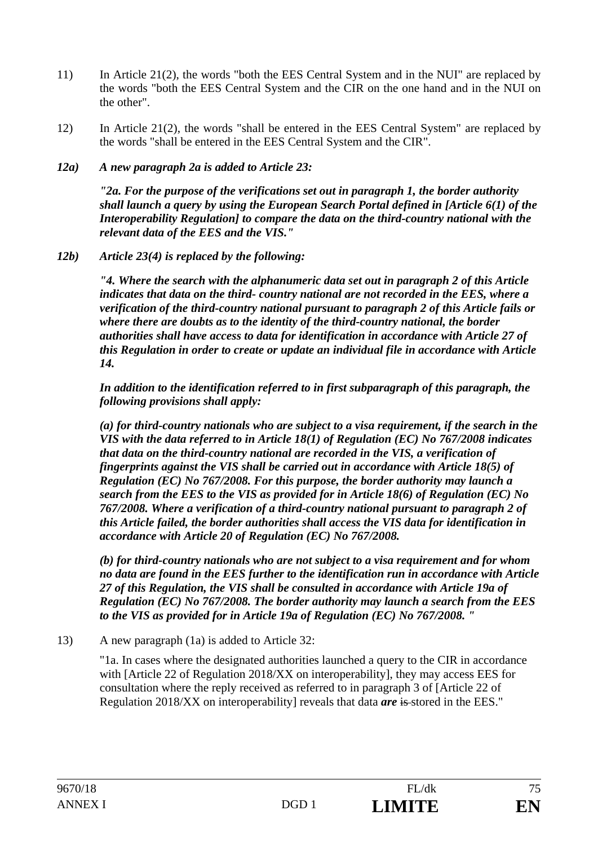- 11) In Article 21(2), the words "both the EES Central System and in the NUI" are replaced by the words "both the EES Central System and the CIR on the one hand and in the NUI on the other".
- 12) In Article 21(2), the words "shall be entered in the EES Central System" are replaced by the words "shall be entered in the EES Central System and the CIR".
- *12a) A new paragraph 2a is added to Article 23:*

 *"2a. For the purpose of the verifications set out in paragraph 1, the border authority shall launch a query by using the European Search Portal defined in [Article 6(1) of the Interoperability Regulation] to compare the data on the third-country national with the relevant data of the EES and the VIS."* 

*12b) Article 23(4) is replaced by the following:* 

*"4. Where the search with the alphanumeric data set out in paragraph 2 of this Article indicates that data on the third- country national are not recorded in the EES, where a verification of the third-country national pursuant to paragraph 2 of this Article fails or where there are doubts as to the identity of the third-country national, the border authorities shall have access to data for identification in accordance with Article 27 of this Regulation in order to create or update an individual file in accordance with Article 14.* 

*In addition to the identification referred to in first subparagraph of this paragraph, the following provisions shall apply:* 

*(a) for third-country nationals who are subject to a visa requirement, if the search in the VIS with the data referred to in Article 18(1) of Regulation (EC) No 767/2008 indicates that data on the third-country national are recorded in the VIS, a verification of fingerprints against the VIS shall be carried out in accordance with Article 18(5) of Regulation (EC) No 767/2008. For this purpose, the border authority may launch a search from the EES to the VIS as provided for in Article 18(6) of Regulation (EC) No 767/2008. Where a verification of a third-country national pursuant to paragraph 2 of this Article failed, the border authorities shall access the VIS data for identification in accordance with Article 20 of Regulation (EC) No 767/2008.* 

*(b) for third-country nationals who are not subject to a visa requirement and for whom no data are found in the EES further to the identification run in accordance with Article 27 of this Regulation, the VIS shall be consulted in accordance with Article 19a of Regulation (EC) No 767/2008. The border authority may launch a search from the EES to the VIS as provided for in Article 19a of Regulation (EC) No 767/2008. "* 

13) A new paragraph (1a) is added to Article 32:

"1a. In cases where the designated authorities launched a query to the CIR in accordance with [Article 22 of Regulation 2018/XX on interoperability], they may access EES for consultation where the reply received as referred to in paragraph 3 of [Article 22 of Regulation 2018/XX on interoperability] reveals that data *are* is stored in the EES."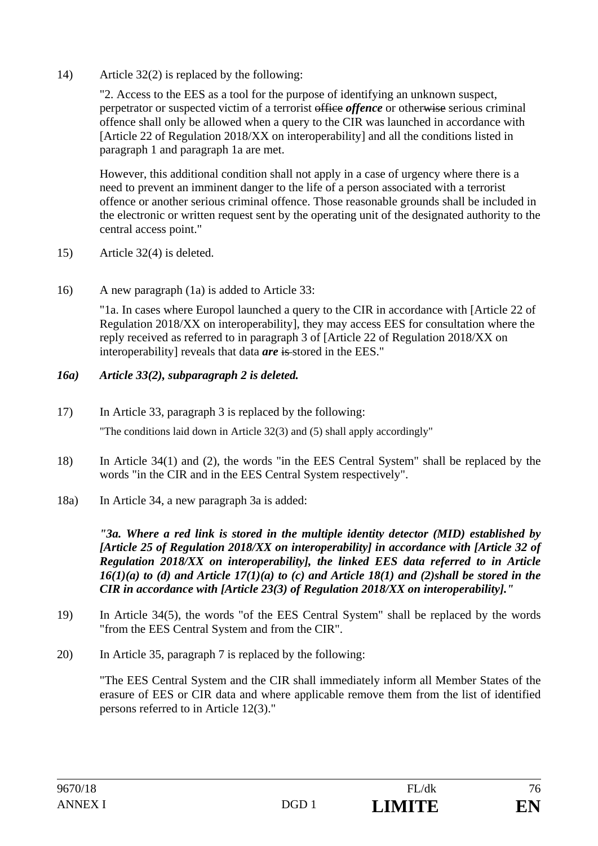14) Article 32(2) is replaced by the following:

"2. Access to the EES as a tool for the purpose of identifying an unknown suspect, perpetrator or suspected victim of a terrorist office *offence* or otherwise serious criminal offence shall only be allowed when a query to the CIR was launched in accordance with [Article 22 of Regulation 2018/XX on interoperability] and all the conditions listed in paragraph 1 and paragraph 1a are met.

However, this additional condition shall not apply in a case of urgency where there is a need to prevent an imminent danger to the life of a person associated with a terrorist offence or another serious criminal offence. Those reasonable grounds shall be included in the electronic or written request sent by the operating unit of the designated authority to the central access point."

- 15) Article 32(4) is deleted.
- 16) A new paragraph (1a) is added to Article 33:

"1a. In cases where Europol launched a query to the CIR in accordance with [Article 22 of Regulation 2018/XX on interoperability], they may access EES for consultation where the reply received as referred to in paragraph 3 of [Article 22 of Regulation 2018/XX on interoperability] reveals that data *are* is stored in the EES."

## *16a) Article 33(2), subparagraph 2 is deleted.*

- 17) In Article 33, paragraph 3 is replaced by the following: "The conditions laid down in Article 32(3) and (5) shall apply accordingly"
- 18) In Article 34(1) and (2), the words "in the EES Central System" shall be replaced by the words "in the CIR and in the EES Central System respectively".
- 18a) In Article 34, a new paragraph 3a is added:

*"3a. Where a red link is stored in the multiple identity detector (MID) established by [Article 25 of Regulation 2018/XX on interoperability] in accordance with [Article 32 of Regulation 2018/XX on interoperability], the linked EES data referred to in Article*   $16(1)(a)$  to (d) and Article  $17(1)(a)$  to (c) and Article 18(1) and (2)shall be stored in the *CIR in accordance with [Article 23(3) of Regulation 2018/XX on interoperability]."* 

- 19) In Article 34(5), the words "of the EES Central System" shall be replaced by the words "from the EES Central System and from the CIR".
- 20) In Article 35, paragraph 7 is replaced by the following:

 "The EES Central System and the CIR shall immediately inform all Member States of the erasure of EES or CIR data and where applicable remove them from the list of identified persons referred to in Article 12(3)."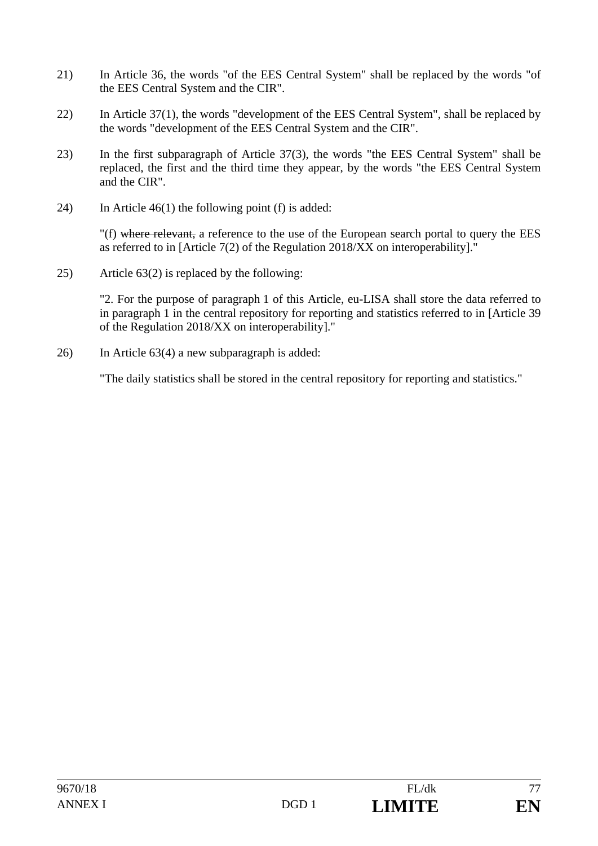- 21) In Article 36, the words "of the EES Central System" shall be replaced by the words "of the EES Central System and the CIR".
- 22) In Article 37(1), the words "development of the EES Central System", shall be replaced by the words "development of the EES Central System and the CIR".
- 23) In the first subparagraph of Article 37(3), the words "the EES Central System" shall be replaced, the first and the third time they appear, by the words "the EES Central System and the CIR".
- 24) In Article 46(1) the following point (f) is added:

"(f) where relevant, a reference to the use of the European search portal to query the EES as referred to in [Article 7(2) of the Regulation 2018/XX on interoperability]."

25) Article 63(2) is replaced by the following:

"2. For the purpose of paragraph 1 of this Article, eu-LISA shall store the data referred to in paragraph 1 in the central repository for reporting and statistics referred to in [Article 39 of the Regulation 2018/XX on interoperability]."

26) In Article 63(4) a new subparagraph is added:

"The daily statistics shall be stored in the central repository for reporting and statistics."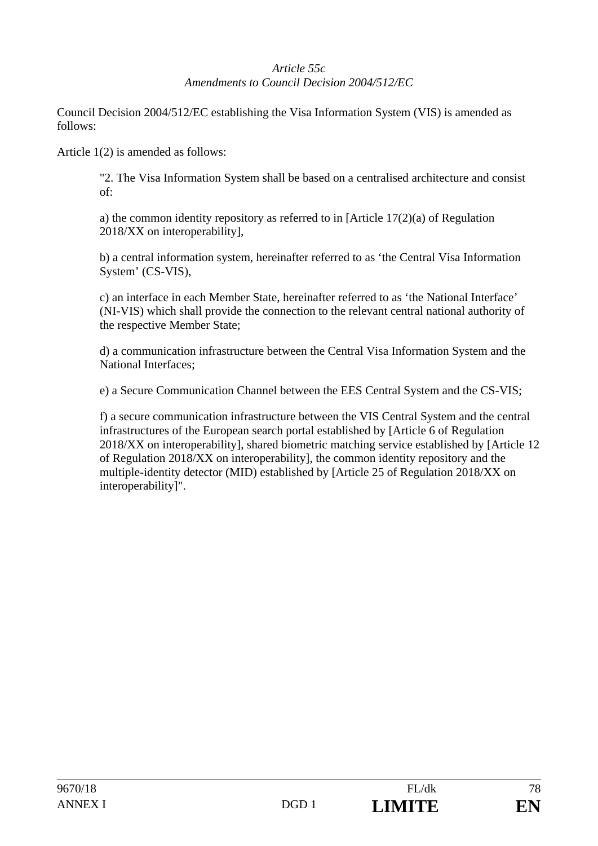# *Article 55c Amendments to Council Decision 2004/512/EC*

Council Decision 2004/512/EC establishing the Visa Information System (VIS) is amended as follows:

Article 1(2) is amended as follows:

"2. The Visa Information System shall be based on a centralised architecture and consist of:

a) the common identity repository as referred to in [Article 17(2)(a) of Regulation 2018/XX on interoperability],

b) a central information system, hereinafter referred to as 'the Central Visa Information System' (CS-VIS),

c) an interface in each Member State, hereinafter referred to as 'the National Interface' (NI-VIS) which shall provide the connection to the relevant central national authority of the respective Member State;

d) a communication infrastructure between the Central Visa Information System and the National Interfaces;

e) a Secure Communication Channel between the EES Central System and the CS-VIS;

f) a secure communication infrastructure between the VIS Central System and the central infrastructures of the European search portal established by [Article 6 of Regulation 2018/XX on interoperability], shared biometric matching service established by [Article 12 of Regulation 2018/XX on interoperability], the common identity repository and the multiple-identity detector (MID) established by [Article 25 of Regulation 2018/XX on interoperability]".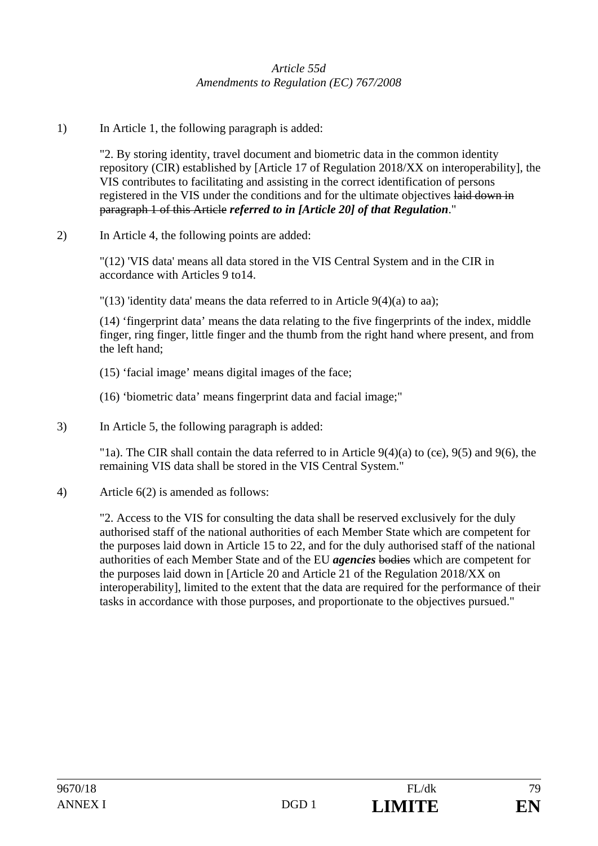## *Article 55d Amendments to Regulation (EC) 767/2008*

1) In Article 1, the following paragraph is added:

"2. By storing identity, travel document and biometric data in the common identity repository (CIR) established by [Article 17 of Regulation 2018/XX on interoperability], the VIS contributes to facilitating and assisting in the correct identification of persons registered in the VIS under the conditions and for the ultimate objectives laid down in paragraph 1 of this Article *referred to in [Article 20] of that Regulation*."

2) In Article 4, the following points are added:

"(12) 'VIS data' means all data stored in the VIS Central System and in the CIR in accordance with Articles 9 to14.

"(13) 'identity data' means the data referred to in Article  $9(4)(a)$  to aa);

(14) 'fingerprint data' means the data relating to the five fingerprints of the index, middle finger, ring finger, little finger and the thumb from the right hand where present, and from the left hand;

- (15) 'facial image' means digital images of the face;
- (16) 'biometric data' means fingerprint data and facial image;"
- 3) In Article 5, the following paragraph is added:

"1a). The CIR shall contain the data referred to in Article  $9(4)(a)$  to (ce),  $9(5)$  and  $9(6)$ , the remaining VIS data shall be stored in the VIS Central System."

4) Article 6(2) is amended as follows:

"2. Access to the VIS for consulting the data shall be reserved exclusively for the duly authorised staff of the national authorities of each Member State which are competent for the purposes laid down in Article 15 to 22, and for the duly authorised staff of the national authorities of each Member State and of the EU *agencies* bodies which are competent for the purposes laid down in [Article 20 and Article 21 of the Regulation 2018/XX on interoperability], limited to the extent that the data are required for the performance of their tasks in accordance with those purposes, and proportionate to the objectives pursued."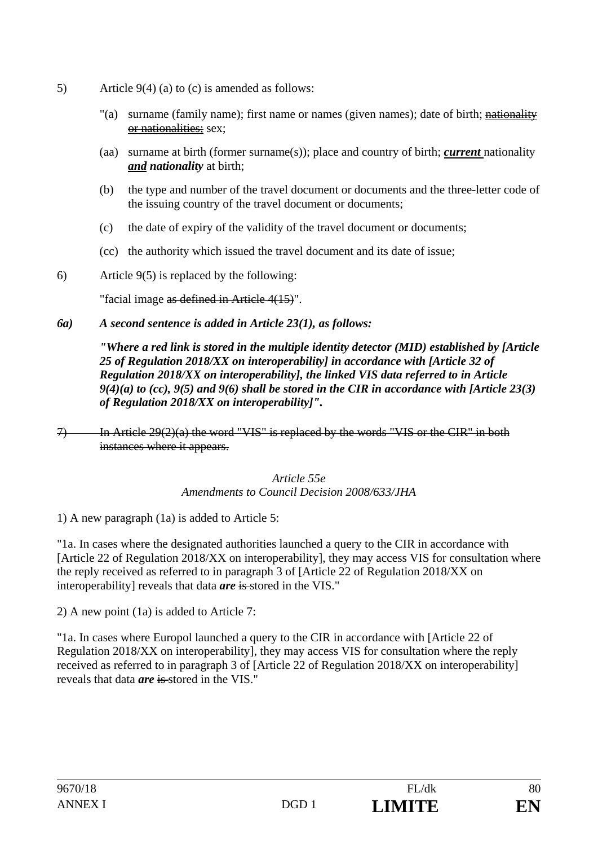- 5) Article 9(4) (a) to (c) is amended as follows:
	- "(a) surname (family name); first name or names (given names); date of birth; nationality or nationalities; sex;
	- (aa) surname at birth (former surname(s)); place and country of birth; *current* nationality *and nationality* at birth;
	- (b) the type and number of the travel document or documents and the three-letter code of the issuing country of the travel document or documents;
	- (c) the date of expiry of the validity of the travel document or documents;
	- (cc) the authority which issued the travel document and its date of issue;
- 6) Article 9(5) is replaced by the following:

"facial image as defined in Article 4(15)".

## *6a) A second sentence is added in Article 23(1), as follows:*

*"Where a red link is stored in the multiple identity detector (MID) established by [Article 25 of Regulation 2018/XX on interoperability] in accordance with [Article 32 of Regulation 2018/XX on interoperability], the linked VIS data referred to in Article 9(4)(a) to (cc), 9(5) and 9(6) shall be stored in the CIR in accordance with [Article 23(3) of Regulation 2018/XX on interoperability]".* 

7) In Article 29(2)(a) the word "VIS" is replaced by the words "VIS or the CIR" in both instances where it appears.

## *Article 55e Amendments to Council Decision 2008/633/JHA*

1) A new paragraph (1a) is added to Article 5:

"1a. In cases where the designated authorities launched a query to the CIR in accordance with [Article 22 of Regulation 2018/XX on interoperability], they may access VIS for consultation where the reply received as referred to in paragraph 3 of [Article 22 of Regulation 2018/XX on interoperability] reveals that data *are* is stored in the VIS."

2) A new point (1a) is added to Article 7:

"1a. In cases where Europol launched a query to the CIR in accordance with [Article 22 of Regulation 2018/XX on interoperability], they may access VIS for consultation where the reply received as referred to in paragraph 3 of [Article 22 of Regulation 2018/XX on interoperability] reveals that data *are* is stored in the VIS."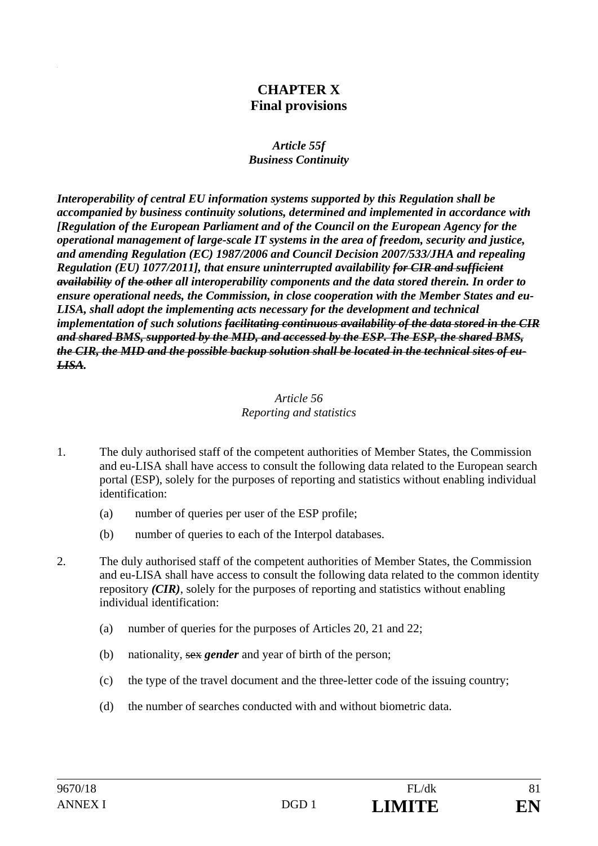# **CHAPTER X Final provisions**

#### *Article 55f Business Continuity*

*Interoperability of central EU information systems supported by this Regulation shall be accompanied by business continuity solutions, determined and implemented in accordance with [Regulation of the European Parliament and of the Council on the European Agency for the operational management of large-scale IT systems in the area of freedom, security and justice, and amending Regulation (EC) 1987/2006 and Council Decision 2007/533/JHA and repealing Regulation (EU) 1077/2011], that ensure uninterrupted availability for CIR and sufficient availability of the other all interoperability components and the data stored therein. In order to ensure operational needs, the Commission, in close cooperation with the Member States and eu-LISA, shall adopt the implementing acts necessary for the development and technical implementation of such solutions facilitating continuous availability of the data stored in the CIR and shared BMS, supported by the MID, and accessed by the ESP. The ESP, the shared BMS, the CIR, the MID and the possible backup solution shall be located in the technical sites of eu-LISA.* 

#### *Article 56 Reporting and statistics*

- 1. The duly authorised staff of the competent authorities of Member States, the Commission and eu-LISA shall have access to consult the following data related to the European search portal (ESP), solely for the purposes of reporting and statistics without enabling individual identification:
	- (a) number of queries per user of the ESP profile;
	- (b) number of queries to each of the Interpol databases.
- 2. The duly authorised staff of the competent authorities of Member States, the Commission and eu-LISA shall have access to consult the following data related to the common identity repository *(CIR)*, solely for the purposes of reporting and statistics without enabling individual identification:
	- (a) number of queries for the purposes of Articles 20, 21 and 22;
	- (b) nationality, sex *gender* and year of birth of the person;
	- (c) the type of the travel document and the three-letter code of the issuing country;
	- (d) the number of searches conducted with and without biometric data.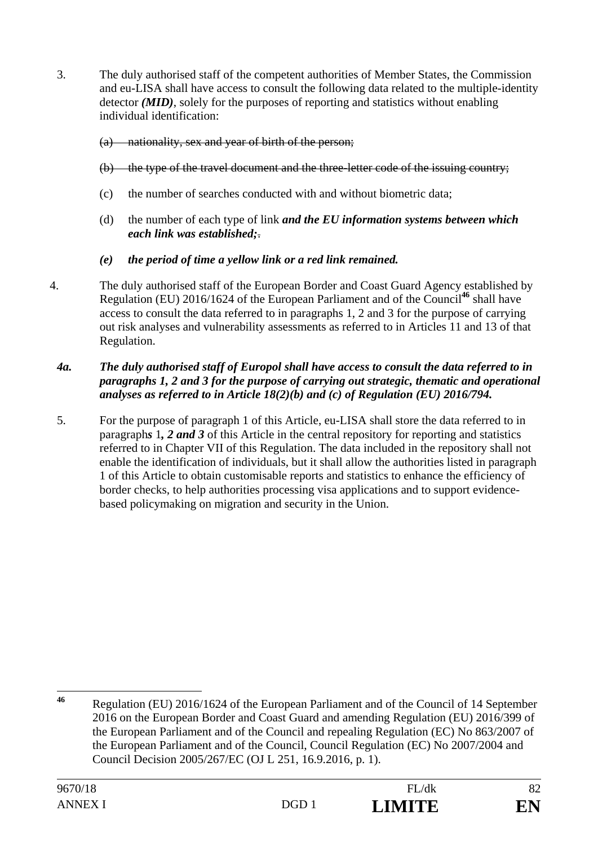3. The duly authorised staff of the competent authorities of Member States, the Commission and eu-LISA shall have access to consult the following data related to the multiple-identity detector *(MID)*, solely for the purposes of reporting and statistics without enabling individual identification:

## (a) nationality, sex and year of birth of the person;

- (b) the type of the travel document and the three-letter code of the issuing country;
- (c) the number of searches conducted with and without biometric data;
- (d) the number of each type of link *and the EU information systems between which each link was established;*.

## *(e) the period of time a yellow link or a red link remained.*

4. The duly authorised staff of the European Border and Coast Guard Agency established by Regulation (EU) 2016/1624 of the European Parliament and of the Council**<sup>46</sup>** shall have access to consult the data referred to in paragraphs 1, 2 and 3 for the purpose of carrying out risk analyses and vulnerability assessments as referred to in Articles 11 and 13 of that Regulation.

## *4a. The duly authorised staff of Europol shall have access to consult the data referred to in paragraphs 1, 2 and 3 for the purpose of carrying out strategic, thematic and operational analyses as referred to in Article 18(2)(b) and (c) of Regulation (EU) 2016/794.*

5. For the purpose of paragraph 1 of this Article, eu-LISA shall store the data referred to in paragraph*s* 1*, 2 and 3* of this Article in the central repository for reporting and statistics referred to in Chapter VII of this Regulation. The data included in the repository shall not enable the identification of individuals, but it shall allow the authorities listed in paragraph 1 of this Article to obtain customisable reports and statistics to enhance the efficiency of border checks, to help authorities processing visa applications and to support evidencebased policymaking on migration and security in the Union.

 $46$ **<sup>46</sup>** Regulation (EU) 2016/1624 of the European Parliament and of the Council of 14 September 2016 on the European Border and Coast Guard and amending Regulation (EU) 2016/399 of the European Parliament and of the Council and repealing Regulation (EC) No 863/2007 of the European Parliament and of the Council, Council Regulation (EC) No 2007/2004 and Council Decision 2005/267/EC (OJ L 251, 16.9.2016, p. 1).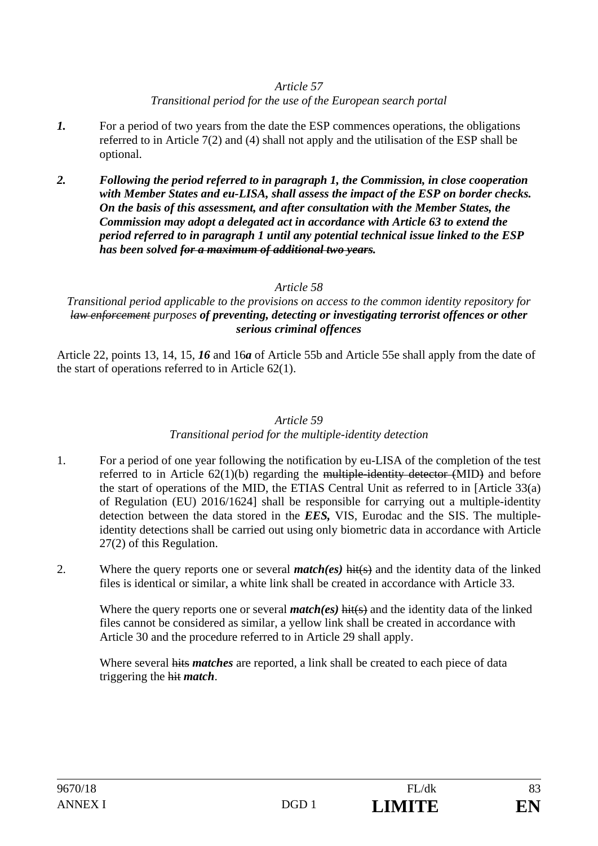## *Article 57*

## *Transitional period for the use of the European search portal*

- *1.* For a period of two years from the date the ESP commences operations, the obligations referred to in Article 7(2) and (4) shall not apply and the utilisation of the ESP shall be optional.
- *2. Following the period referred to in paragraph 1, the Commission, in close cooperation with Member States and eu-LISA, shall assess the impact of the ESP on border checks. On the basis of this assessment, and after consultation with the Member States, the Commission may adopt a delegated act in accordance with Article 63 to extend the period referred to in paragraph 1 until any potential technical issue linked to the ESP has been solved for a maximum of additional two years.*

## *Article 58*

## *Transitional period applicable to the provisions on access to the common identity repository for law enforcement purposes of preventing, detecting or investigating terrorist offences or other serious criminal offences*

Article 22, points 13, 14, 15, *16* and 16*a* of Article 55b and Article 55e shall apply from the date of the start of operations referred to in Article 62(1).

## *Article 59*

# *Transitional period for the multiple-identity detection*

- 1. For a period of one year following the notification by eu-LISA of the completion of the test referred to in Article 62(1)(b) regarding the multiple-identity detector (MID) and before the start of operations of the MID, the ETIAS Central Unit as referred to in [Article 33(a) of Regulation (EU) 2016/1624] shall be responsible for carrying out a multiple-identity detection between the data stored in the *EES,* VIS, Eurodac and the SIS. The multipleidentity detections shall be carried out using only biometric data in accordance with Article 27(2) of this Regulation.
- 2. Where the query reports one or several *match(es)* hit(s) and the identity data of the linked files is identical or similar, a white link shall be created in accordance with Article 33.

Where the query reports one or several *match(es)* hit(s) and the identity data of the linked files cannot be considered as similar, a yellow link shall be created in accordance with Article 30 and the procedure referred to in Article 29 shall apply.

Where several hits *matches* are reported, a link shall be created to each piece of data triggering the hit *match*.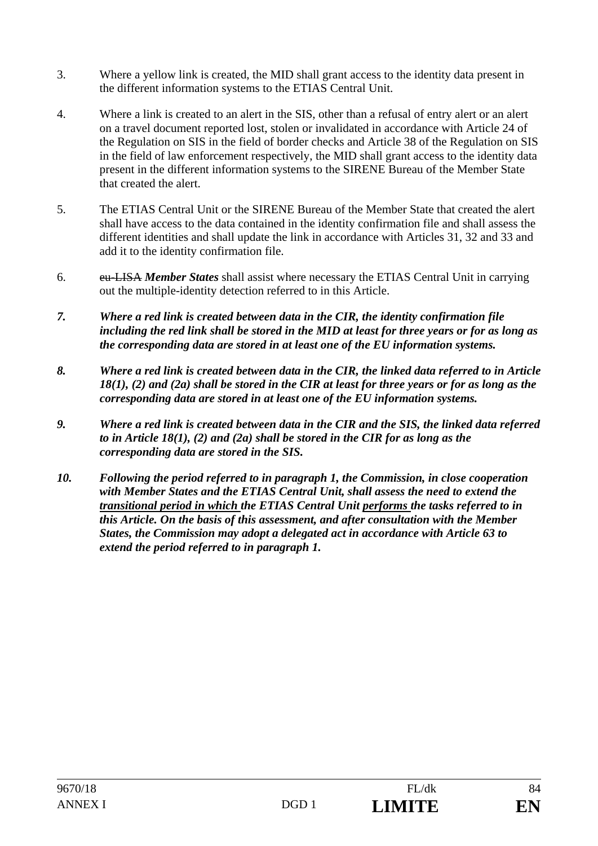- 3. Where a yellow link is created, the MID shall grant access to the identity data present in the different information systems to the ETIAS Central Unit.
- 4. Where a link is created to an alert in the SIS, other than a refusal of entry alert or an alert on a travel document reported lost, stolen or invalidated in accordance with Article 24 of the Regulation on SIS in the field of border checks and Article 38 of the Regulation on SIS in the field of law enforcement respectively, the MID shall grant access to the identity data present in the different information systems to the SIRENE Bureau of the Member State that created the alert.
- 5. The ETIAS Central Unit or the SIRENE Bureau of the Member State that created the alert shall have access to the data contained in the identity confirmation file and shall assess the different identities and shall update the link in accordance with Articles 31, 32 and 33 and add it to the identity confirmation file.
- 6. eu-LISA *Member States* shall assist where necessary the ETIAS Central Unit in carrying out the multiple-identity detection referred to in this Article.
- *7. Where a red link is created between data in the CIR, the identity confirmation file including the red link shall be stored in the MID at least for three years or for as long as the corresponding data are stored in at least one of the EU information systems.*
- *8. Where a red link is created between data in the CIR, the linked data referred to in Article 18(1), (2) and (2a) shall be stored in the CIR at least for three years or for as long as the corresponding data are stored in at least one of the EU information systems.*
- *9. Where a red link is created between data in the CIR and the SIS, the linked data referred to in Article 18(1), (2) and (2a) shall be stored in the CIR for as long as the corresponding data are stored in the SIS.*
- *10. Following the period referred to in paragraph 1, the Commission, in close cooperation with Member States and the ETIAS Central Unit, shall assess the need to extend the transitional period in which the ETIAS Central Unit performs the tasks referred to in this Article. On the basis of this assessment, and after consultation with the Member States, the Commission may adopt a delegated act in accordance with Article 63 to extend the period referred to in paragraph 1.*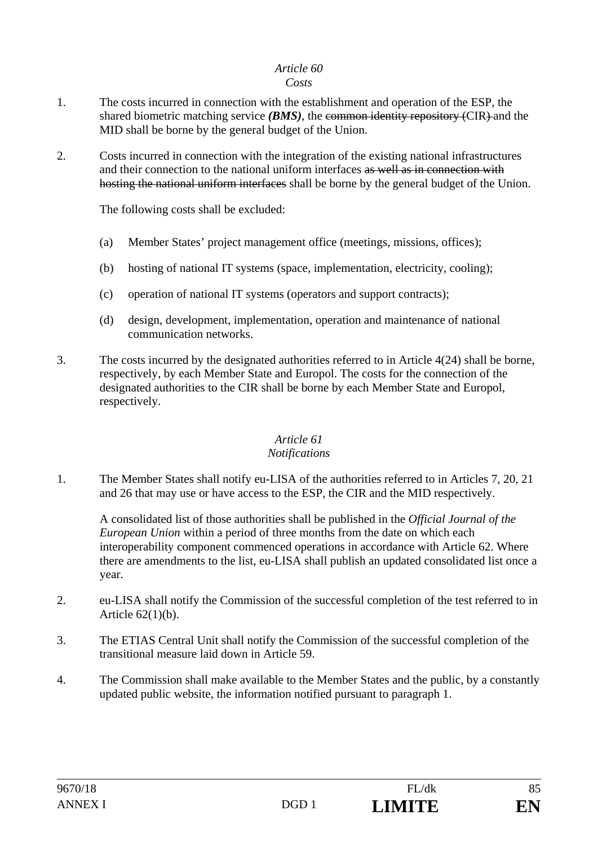# *Article 60*

#### *Costs*

- 1. The costs incurred in connection with the establishment and operation of the ESP, the shared biometric matching service *(BMS)*, the common identity repository *(CIR)* and the MID shall be borne by the general budget of the Union.
- 2. Costs incurred in connection with the integration of the existing national infrastructures and their connection to the national uniform interfaces as well as in connection with hosting the national uniform interfaces shall be borne by the general budget of the Union.

The following costs shall be excluded:

- (a) Member States' project management office (meetings, missions, offices);
- (b) hosting of national IT systems (space, implementation, electricity, cooling);
- (c) operation of national IT systems (operators and support contracts);
- (d) design, development, implementation, operation and maintenance of national communication networks.
- 3. The costs incurred by the designated authorities referred to in Article 4(24) shall be borne, respectively, by each Member State and Europol. The costs for the connection of the designated authorities to the CIR shall be borne by each Member State and Europol, respectively.

# *Article 61*

## *Notifications*

1. The Member States shall notify eu-LISA of the authorities referred to in Articles 7, 20, 21 and 26 that may use or have access to the ESP, the CIR and the MID respectively.

A consolidated list of those authorities shall be published in the *Official Journal of the European Union* within a period of three months from the date on which each interoperability component commenced operations in accordance with Article 62. Where there are amendments to the list, eu-LISA shall publish an updated consolidated list once a year.

- 2. eu-LISA shall notify the Commission of the successful completion of the test referred to in Article 62(1)(b).
- 3. The ETIAS Central Unit shall notify the Commission of the successful completion of the transitional measure laid down in Article 59.
- 4. The Commission shall make available to the Member States and the public, by a constantly updated public website, the information notified pursuant to paragraph 1.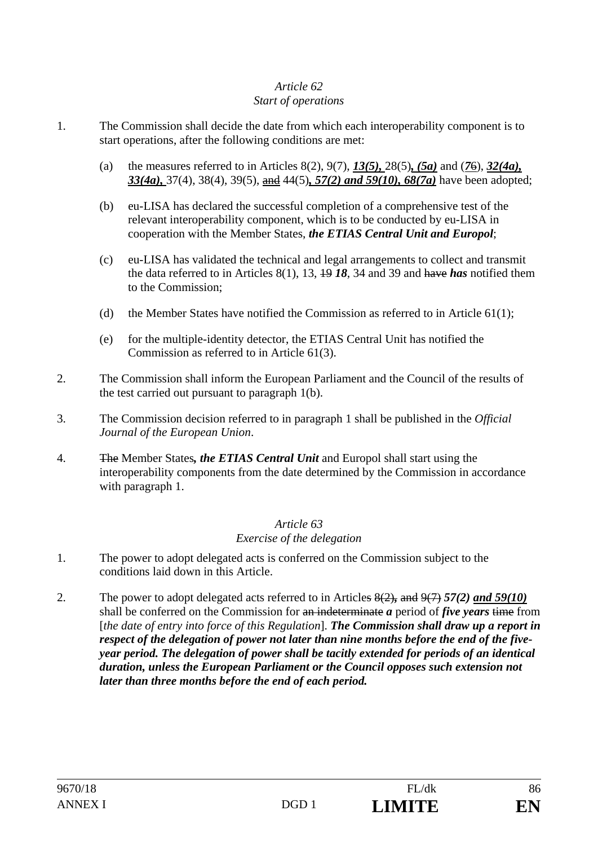#### *Article 62 Start of operations*

- 1. The Commission shall decide the date from which each interoperability component is to start operations, after the following conditions are met:
	- (a) the measures referred to in Articles 8(2), 9(7), *13(5),* 28(5)*, (5a)* and (*7*6), *32(4a), 33(4a),* 37(4), 38(4), 39(5), and 44(5)*, 57(2) and 59(10), 68(7a)* have been adopted;
	- (b) eu-LISA has declared the successful completion of a comprehensive test of the relevant interoperability component, which is to be conducted by eu-LISA in cooperation with the Member States, *the ETIAS Central Unit and Europol*;
	- (c) eu-LISA has validated the technical and legal arrangements to collect and transmit the data referred to in Articles 8(1), 13, 19 *18*, 34 and 39 and have *has* notified them to the Commission;
	- (d) the Member States have notified the Commission as referred to in Article  $61(1)$ ;
	- (e) for the multiple-identity detector, the ETIAS Central Unit has notified the Commission as referred to in Article 61(3).
- 2. The Commission shall inform the European Parliament and the Council of the results of the test carried out pursuant to paragraph 1(b).
- 3. The Commission decision referred to in paragraph 1 shall be published in the *Official Journal of the European Union*.
- 4. The Member States*, the ETIAS Central Unit* and Europol shall start using the interoperability components from the date determined by the Commission in accordance with paragraph 1.

#### *Article 63 Exercise of the delegation*

- 1. The power to adopt delegated acts is conferred on the Commission subject to the conditions laid down in this Article.
- 2. The power to adopt delegated acts referred to in Articles 8(2)*,* and 9(7) *57(2) and 59(10)* shall be conferred on the Commission for an indeterminate *a* period of *five years* time from [*the date of entry into force of this Regulation*]. *The Commission shall draw up a report in respect of the delegation of power not later than nine months before the end of the fiveyear period. The delegation of power shall be tacitly extended for periods of an identical duration, unless the European Parliament or the Council opposes such extension not later than three months before the end of each period.*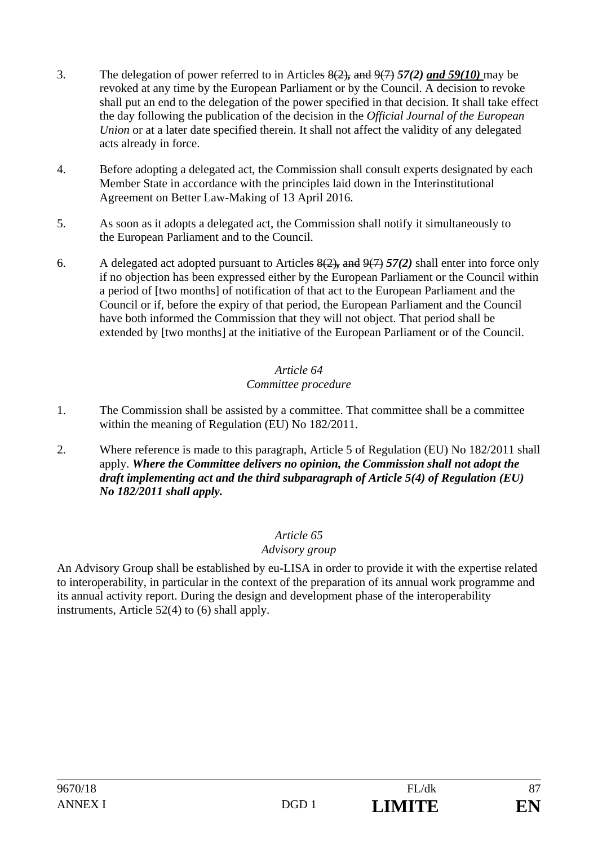- 3. The delegation of power referred to in Articles 8(2)*,* and 9(7) *57(2) and 59(10)* may be revoked at any time by the European Parliament or by the Council. A decision to revoke shall put an end to the delegation of the power specified in that decision. It shall take effect the day following the publication of the decision in the *Official Journal of the European Union* or at a later date specified therein. It shall not affect the validity of any delegated acts already in force.
- 4. Before adopting a delegated act, the Commission shall consult experts designated by each Member State in accordance with the principles laid down in the Interinstitutional Agreement on Better Law-Making of 13 April 2016.
- 5. As soon as it adopts a delegated act, the Commission shall notify it simultaneously to the European Parliament and to the Council.
- 6. A delegated act adopted pursuant to Articles 8(2)*,* and 9(7) *57(2)* shall enter into force only if no objection has been expressed either by the European Parliament or the Council within a period of [two months] of notification of that act to the European Parliament and the Council or if, before the expiry of that period, the European Parliament and the Council have both informed the Commission that they will not object. That period shall be extended by [two months] at the initiative of the European Parliament or of the Council.

## *Article 64 Committee procedure*

- 1. The Commission shall be assisted by a committee. That committee shall be a committee within the meaning of Regulation (EU) No 182/2011.
- 2. Where reference is made to this paragraph, Article 5 of Regulation (EU) No 182/2011 shall apply. *Where the Committee delivers no opinion, the Commission shall not adopt the draft implementing act and the third subparagraph of Article 5(4) of Regulation (EU) No 182/2011 shall apply.*

# *Article 65*

# *Advisory group*

An Advisory Group shall be established by eu-LISA in order to provide it with the expertise related to interoperability, in particular in the context of the preparation of its annual work programme and its annual activity report. During the design and development phase of the interoperability instruments, Article 52(4) to (6) shall apply.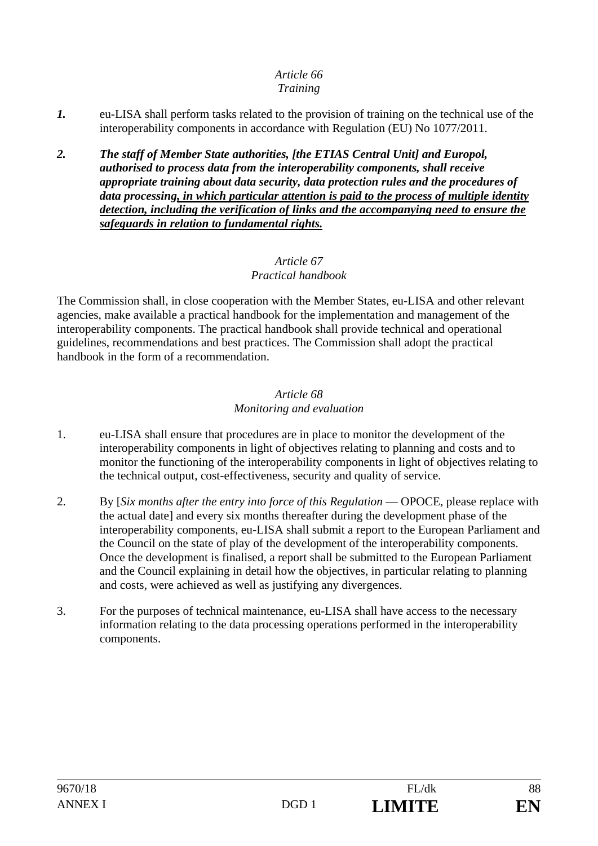#### *Article 66 Training*

- *1.* eu-LISA shall perform tasks related to the provision of training on the technical use of the interoperability components in accordance with Regulation (EU) No 1077/2011.
- *2. The staff of Member State authorities, [the ETIAS Central Unit] and Europol, authorised to process data from the interoperability components, shall receive appropriate training about data security, data protection rules and the procedures of data processing, in which particular attention is paid to the process of multiple identity detection, including the verification of links and the accompanying need to ensure the safeguards in relation to fundamental rights.*

## *Article 67 Practical handbook*

The Commission shall, in close cooperation with the Member States, eu-LISA and other relevant agencies, make available a practical handbook for the implementation and management of the interoperability components. The practical handbook shall provide technical and operational guidelines, recommendations and best practices. The Commission shall adopt the practical handbook in the form of a recommendation.

#### *Article 68 Monitoring and evaluation*

- 1. eu-LISA shall ensure that procedures are in place to monitor the development of the interoperability components in light of objectives relating to planning and costs and to monitor the functioning of the interoperability components in light of objectives relating to the technical output, cost-effectiveness, security and quality of service.
- 2. By [*Six months after the entry into force of this Regulation* OPOCE, please replace with the actual date] and every six months thereafter during the development phase of the interoperability components, eu-LISA shall submit a report to the European Parliament and the Council on the state of play of the development of the interoperability components. Once the development is finalised, a report shall be submitted to the European Parliament and the Council explaining in detail how the objectives, in particular relating to planning and costs, were achieved as well as justifying any divergences.
- 3. For the purposes of technical maintenance, eu-LISA shall have access to the necessary information relating to the data processing operations performed in the interoperability components.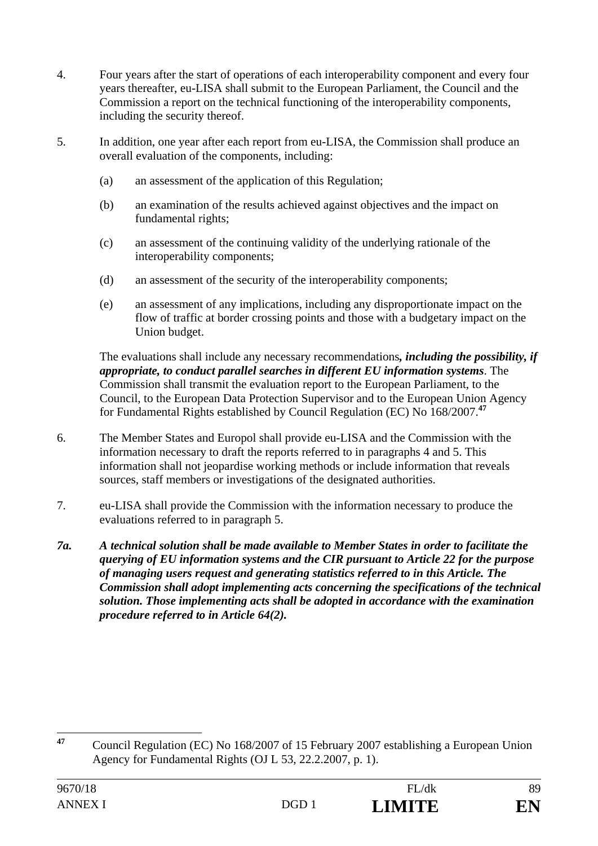- 4. Four years after the start of operations of each interoperability component and every four years thereafter, eu-LISA shall submit to the European Parliament, the Council and the Commission a report on the technical functioning of the interoperability components, including the security thereof.
- 5. In addition, one year after each report from eu-LISA, the Commission shall produce an overall evaluation of the components, including:
	- (a) an assessment of the application of this Regulation;
	- (b) an examination of the results achieved against objectives and the impact on fundamental rights;
	- (c) an assessment of the continuing validity of the underlying rationale of the interoperability components;
	- (d) an assessment of the security of the interoperability components;
	- (e) an assessment of any implications, including any disproportionate impact on the flow of traffic at border crossing points and those with a budgetary impact on the Union budget.

The evaluations shall include any necessary recommendations*, including the possibility, if appropriate, to conduct parallel searches in different EU information systems*. The Commission shall transmit the evaluation report to the European Parliament, to the Council, to the European Data Protection Supervisor and to the European Union Agency for Fundamental Rights established by Council Regulation (EC) No 168/2007.**<sup>47</sup>**

- 6. The Member States and Europol shall provide eu-LISA and the Commission with the information necessary to draft the reports referred to in paragraphs 4 and 5. This information shall not jeopardise working methods or include information that reveals sources, staff members or investigations of the designated authorities.
- 7. eu-LISA shall provide the Commission with the information necessary to produce the evaluations referred to in paragraph 5.
- *7a. A technical solution shall be made available to Member States in order to facilitate the querying of EU information systems and the CIR pursuant to Article 22 for the purpose of managing users request and generating statistics referred to in this Article. The Commission shall adopt implementing acts concerning the specifications of the technical solution. Those implementing acts shall be adopted in accordance with the examination procedure referred to in Article 64(2).*

 $47$ **<sup>47</sup>** Council Regulation (EC) No 168/2007 of 15 February 2007 establishing a European Union Agency for Fundamental Rights (OJ L 53, 22.2.2007, p. 1).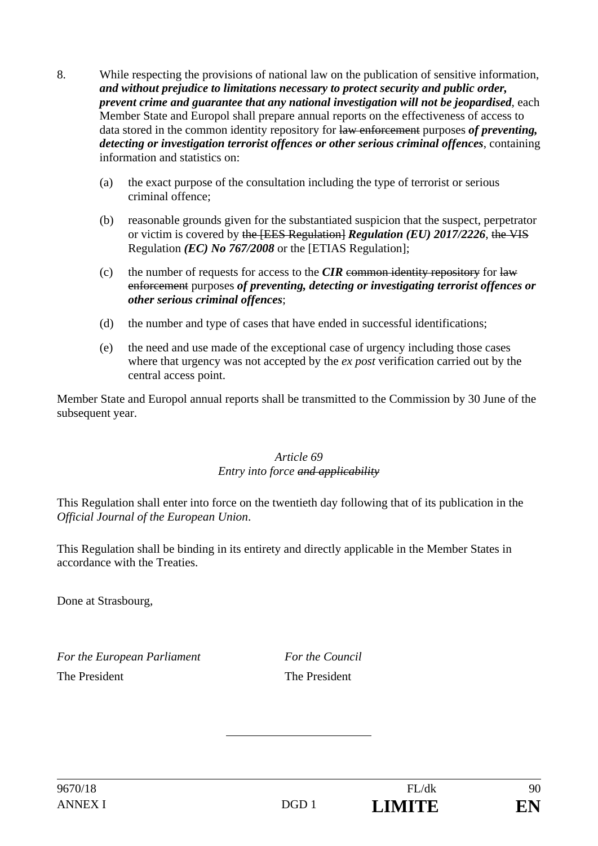- 8. While respecting the provisions of national law on the publication of sensitive information, *and without prejudice to limitations necessary to protect security and public order, prevent crime and guarantee that any national investigation will not be jeopardised*, each Member State and Europol shall prepare annual reports on the effectiveness of access to data stored in the common identity repository for law enforcement purposes *of preventing, detecting or investigation terrorist offences or other serious criminal offences*, containing information and statistics on:
	- (a) the exact purpose of the consultation including the type of terrorist or serious criminal offence;
	- (b) reasonable grounds given for the substantiated suspicion that the suspect, perpetrator or victim is covered by the [EES Regulation] *Regulation (EU) 2017/2226*, the VIS Regulation *(EC) No 767/2008* or the [ETIAS Regulation];
	- (c) the number of requests for access to the  $CIR$  common identity repository for law enforcement purposes *of preventing, detecting or investigating terrorist offences or other serious criminal offences*;
	- (d) the number and type of cases that have ended in successful identifications;
	- (e) the need and use made of the exceptional case of urgency including those cases where that urgency was not accepted by the *ex post* verification carried out by the central access point.

Member State and Europol annual reports shall be transmitted to the Commission by 30 June of the subsequent year.

## *Article 69 Entry into force and applicability*

This Regulation shall enter into force on the twentieth day following that of its publication in the *Official Journal of the European Union*.

This Regulation shall be binding in its entirety and directly applicable in the Member States in accordance with the Treaties.

Done at Strasbourg,

*For the European Parliament For the Council* The President The President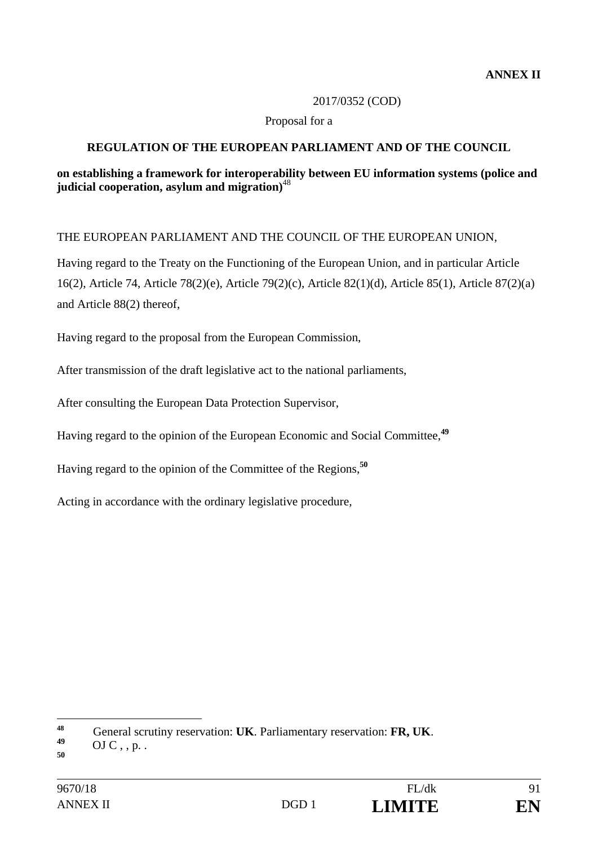#### 2017/0352 (COD)

#### Proposal for a

## **REGULATION OF THE EUROPEAN PARLIAMENT AND OF THE COUNCIL**

## **on establishing a framework for interoperability between EU information systems (police and judicial cooperation, asylum and migration)**<sup>48</sup>

## THE EUROPEAN PARLIAMENT AND THE COUNCIL OF THE EUROPEAN UNION,

Having regard to the Treaty on the Functioning of the European Union, and in particular Article 16(2), Article 74, Article 78(2)(e), Article 79(2)(c), Article 82(1)(d), Article 85(1), Article 87(2)(a) and Article 88(2) thereof,

Having regard to the proposal from the European Commission,

After transmission of the draft legislative act to the national parliaments,

After consulting the European Data Protection Supervisor,

Having regard to the opinion of the European Economic and Social Committee,**<sup>49</sup>**

Having regard to the opinion of the Committee of the Regions,**<sup>50</sup>**

Acting in accordance with the ordinary legislative procedure,

 $\overline{a}$ 

**<sup>48</sup>** General scrutiny reservation: **UK**. Parliamentary reservation: **FR, UK**. **<sup>49</sup>** OJ C , , p. .

**<sup>50</sup>**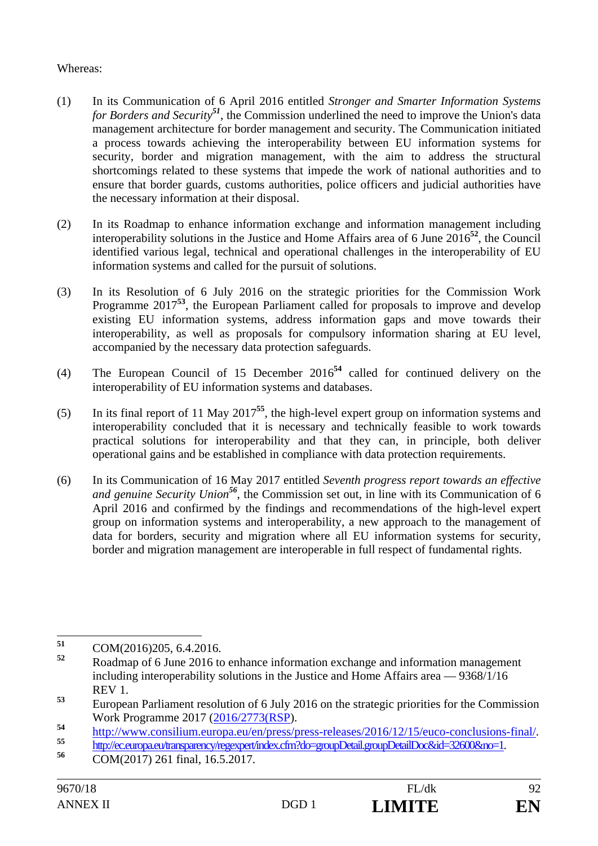## Whereas:

- (1) In its Communication of 6 April 2016 entitled *Stronger and Smarter Information Systems for Borders and Security<sup>51</sup>*, the Commission underlined the need to improve the Union's data management architecture for border management and security. The Communication initiated a process towards achieving the interoperability between EU information systems for security, border and migration management, with the aim to address the structural shortcomings related to these systems that impede the work of national authorities and to ensure that border guards, customs authorities, police officers and judicial authorities have the necessary information at their disposal.
- (2) In its Roadmap to enhance information exchange and information management including interoperability solutions in the Justice and Home Affairs area of 6 June 2016**<sup>52</sup>**, the Council identified various legal, technical and operational challenges in the interoperability of EU information systems and called for the pursuit of solutions.
- (3) In its Resolution of 6 July 2016 on the strategic priorities for the Commission Work Programme 2017<sup>53</sup>, the European Parliament called for proposals to improve and develop existing EU information systems, address information gaps and move towards their interoperability, as well as proposals for compulsory information sharing at EU level, accompanied by the necessary data protection safeguards.
- (4) The European Council of 15 December 2016**<sup>54</sup>** called for continued delivery on the interoperability of EU information systems and databases.
- (5) In its final report of 11 May 2017**<sup>55</sup>**, the high-level expert group on information systems and interoperability concluded that it is necessary and technically feasible to work towards practical solutions for interoperability and that they can, in principle, both deliver operational gains and be established in compliance with data protection requirements.
- (6) In its Communication of 16 May 2017 entitled *Seventh progress report towards an effective and genuine Security Union<sup>56</sup>*, the Commission set out, in line with its Communication of 6 April 2016 and confirmed by the findings and recommendations of the high-level expert group on information systems and interoperability, a new approach to the management of data for borders, security and migration where all EU information systems for security, border and migration management are interoperable in full respect of fundamental rights.

<sup>51</sup> **51** COM(2016)205, 6.4.2016.

**<sup>52</sup>** Roadmap of 6 June 2016 to enhance information exchange and information management including interoperability solutions in the Justice and Home Affairs area — 9368/1/16 REV 1.

**<sup>53</sup>** European Parliament resolution of 6 July 2016 on the strategic priorities for the Commission Work Programme 2017 (2016/2773(RSP).

http://www.consilium.europa.eu/en/press/press-releases/2016/12/15/euco-conclusions-final/<br>
http://ec.europa.eu/transparency/regexpert/index.cfm?do=groupDetail.groupDetailDoc&id=32600&no=1.<br>
COM(2017) 261 final, 16.5.2017.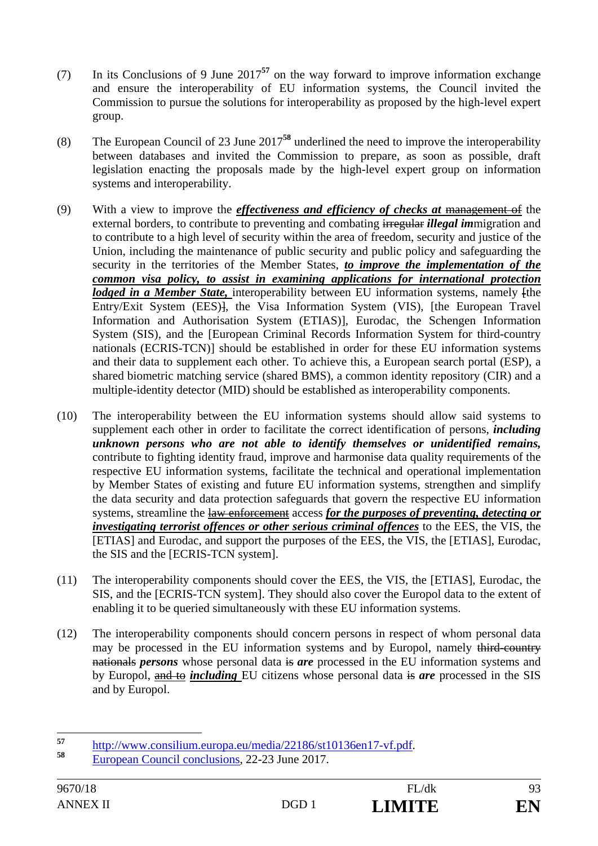- (7) In its Conclusions of 9 June 2017**<sup>57</sup>** on the way forward to improve information exchange and ensure the interoperability of EU information systems, the Council invited the Commission to pursue the solutions for interoperability as proposed by the high-level expert group.
- (8) The European Council of 23 June 2017**<sup>58</sup>** underlined the need to improve the interoperability between databases and invited the Commission to prepare, as soon as possible, draft legislation enacting the proposals made by the high-level expert group on information systems and interoperability.
- (9) With a view to improve the *effectiveness and efficiency of checks at* management of the external borders, to contribute to preventing and combating irregular *illegal im*migration and to contribute to a high level of security within the area of freedom, security and justice of the Union, including the maintenance of public security and public policy and safeguarding the security in the territories of the Member States, *to improve the implementation of the common visa policy, to assist in examining applications for international protection lodged in a Member State,* interoperability between EU information systems, namely [the Entry/Exit System (EES)], the Visa Information System (VIS), [the European Travel Information and Authorisation System (ETIAS)], Eurodac, the Schengen Information System (SIS), and the [European Criminal Records Information System for third-country nationals (ECRIS-TCN)] should be established in order for these EU information systems and their data to supplement each other. To achieve this, a European search portal (ESP), a shared biometric matching service (shared BMS), a common identity repository (CIR) and a multiple-identity detector (MID) should be established as interoperability components.
- (10) The interoperability between the EU information systems should allow said systems to supplement each other in order to facilitate the correct identification of persons, *including unknown persons who are not able to identify themselves or unidentified remains,*  contribute to fighting identity fraud, improve and harmonise data quality requirements of the respective EU information systems, facilitate the technical and operational implementation by Member States of existing and future EU information systems, strengthen and simplify the data security and data protection safeguards that govern the respective EU information systems, streamline the law enforcement access *for the purposes of preventing, detecting or investigating terrorist offences or other serious criminal offences* to the EES, the VIS, the [ETIAS] and Eurodac, and support the purposes of the EES, the VIS, the [ETIAS], Eurodac, the SIS and the [ECRIS-TCN system].
- (11) The interoperability components should cover the EES, the VIS, the [ETIAS], Eurodac, the SIS, and the [ECRIS-TCN system]. They should also cover the Europol data to the extent of enabling it to be queried simultaneously with these EU information systems.
- (12) The interoperability components should concern persons in respect of whom personal data may be processed in the EU information systems and by Europol, namely third-country nationals *persons* whose personal data is *are* processed in the EU information systems and by Europol, and to *including* EU citizens whose personal data is *are* processed in the SIS and by Europol.

<sup>57</sup> **<sup>57</sup>** http://www.consilium.europa.eu/media/22186/st10136en17-vf.pdf. **<sup>58</sup>** European Council conclusions, 22-23 June 2017.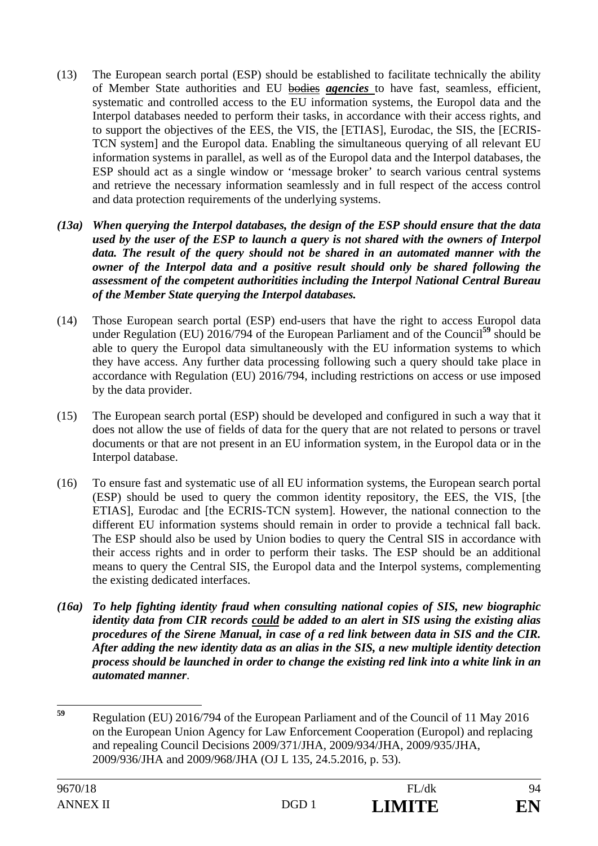- (13) The European search portal (ESP) should be established to facilitate technically the ability of Member State authorities and EU bodies *agencies* to have fast, seamless, efficient, systematic and controlled access to the EU information systems, the Europol data and the Interpol databases needed to perform their tasks, in accordance with their access rights, and to support the objectives of the EES, the VIS, the [ETIAS], Eurodac, the SIS, the [ECRIS-TCN system] and the Europol data. Enabling the simultaneous querying of all relevant EU information systems in parallel, as well as of the Europol data and the Interpol databases, the ESP should act as a single window or 'message broker' to search various central systems and retrieve the necessary information seamlessly and in full respect of the access control and data protection requirements of the underlying systems.
- *(13a) When querying the Interpol databases, the design of the ESP should ensure that the data used by the user of the ESP to launch a query is not shared with the owners of Interpol data. The result of the query should not be shared in an automated manner with the owner of the Interpol data and a positive result should only be shared following the assessment of the competent authoritities including the Interpol National Central Bureau of the Member State querying the Interpol databases.*
- (14) Those European search portal (ESP) end-users that have the right to access Europol data under Regulation (EU) 2016/794 of the European Parliament and of the Council**<sup>59</sup>** should be able to query the Europol data simultaneously with the EU information systems to which they have access. Any further data processing following such a query should take place in accordance with Regulation (EU) 2016/794, including restrictions on access or use imposed by the data provider.
- (15) The European search portal (ESP) should be developed and configured in such a way that it does not allow the use of fields of data for the query that are not related to persons or travel documents or that are not present in an EU information system, in the Europol data or in the Interpol database.
- (16) To ensure fast and systematic use of all EU information systems, the European search portal (ESP) should be used to query the common identity repository, the EES, the VIS, [the ETIAS], Eurodac and [the ECRIS-TCN system]. However, the national connection to the different EU information systems should remain in order to provide a technical fall back. The ESP should also be used by Union bodies to query the Central SIS in accordance with their access rights and in order to perform their tasks. The ESP should be an additional means to query the Central SIS, the Europol data and the Interpol systems, complementing the existing dedicated interfaces.
- *(16a) To help fighting identity fraud when consulting national copies of SIS, new biographic identity data from CIR records could be added to an alert in SIS using the existing alias procedures of the Sirene Manual, in case of a red link between data in SIS and the CIR. After adding the new identity data as an alias in the SIS, a new multiple identity detection process should be launched in order to change the existing red link into a white link in an automated manner*.

<sup>59</sup> **<sup>59</sup>** Regulation (EU) 2016/794 of the European Parliament and of the Council of 11 May 2016 on the European Union Agency for Law Enforcement Cooperation (Europol) and replacing and repealing Council Decisions 2009/371/JHA, 2009/934/JHA, 2009/935/JHA, 2009/936/JHA and 2009/968/JHA (OJ L 135, 24.5.2016, p. 53).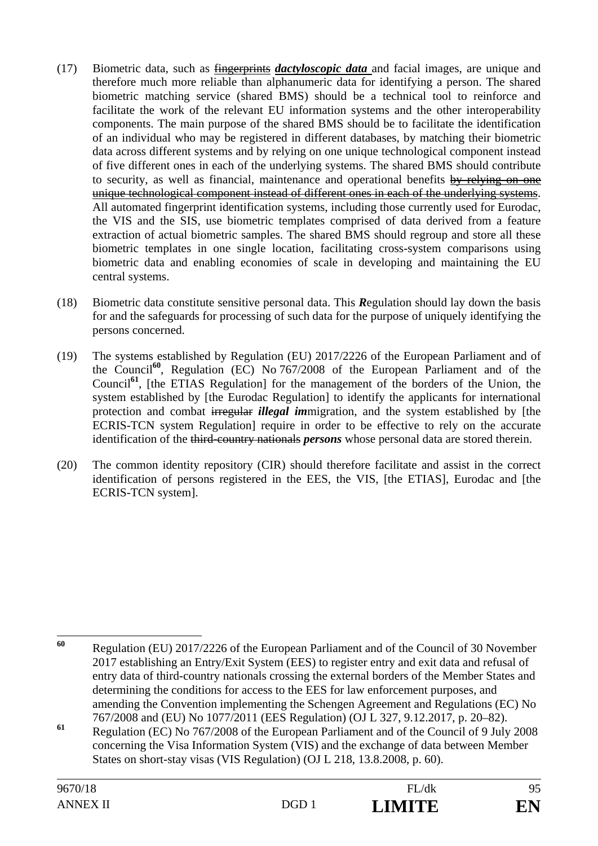- (17) Biometric data, such as fingerprints *dactyloscopic data* and facial images, are unique and therefore much more reliable than alphanumeric data for identifying a person. The shared biometric matching service (shared BMS) should be a technical tool to reinforce and facilitate the work of the relevant EU information systems and the other interoperability components. The main purpose of the shared BMS should be to facilitate the identification of an individual who may be registered in different databases, by matching their biometric data across different systems and by relying on one unique technological component instead of five different ones in each of the underlying systems. The shared BMS should contribute to security, as well as financial, maintenance and operational benefits by relying on one unique technological component instead of different ones in each of the underlying systems. All automated fingerprint identification systems, including those currently used for Eurodac, the VIS and the SIS, use biometric templates comprised of data derived from a feature extraction of actual biometric samples. The shared BMS should regroup and store all these biometric templates in one single location, facilitating cross-system comparisons using biometric data and enabling economies of scale in developing and maintaining the EU central systems.
- (18) Biometric data constitute sensitive personal data. This *R*egulation should lay down the basis for and the safeguards for processing of such data for the purpose of uniquely identifying the persons concerned.
- (19) The systems established by Regulation (EU) 2017/2226 of the European Parliament and of the Council**<sup>60</sup>**, Regulation (EC) No 767/2008 of the European Parliament and of the Council<sup>61</sup>, [the ETIAS Regulation] for the management of the borders of the Union, the system established by [the Eurodac Regulation] to identify the applicants for international protection and combat irregular *illegal im*migration, and the system established by [the ECRIS-TCN system Regulation] require in order to be effective to rely on the accurate identification of the third-country nationals *persons* whose personal data are stored therein.
- (20) The common identity repository (CIR) should therefore facilitate and assist in the correct identification of persons registered in the EES, the VIS, [the ETIAS], Eurodac and [the ECRIS-TCN system].

<sup>60</sup> **<sup>60</sup>** Regulation (EU) 2017/2226 of the European Parliament and of the Council of 30 November 2017 establishing an Entry/Exit System (EES) to register entry and exit data and refusal of entry data of third-country nationals crossing the external borders of the Member States and determining the conditions for access to the EES for law enforcement purposes, and amending the Convention implementing the Schengen Agreement and Regulations (EC) No 767/2008 and (EU) No 1077/2011 (EES Regulation) (OJ L 327, 9.12.2017, p. 20–82).

**<sup>61</sup>** Regulation (EC) No 767/2008 of the European Parliament and of the Council of 9 July 2008 concerning the Visa Information System (VIS) and the exchange of data between Member States on short-stay visas (VIS Regulation) (OJ L 218, 13.8.2008, p. 60).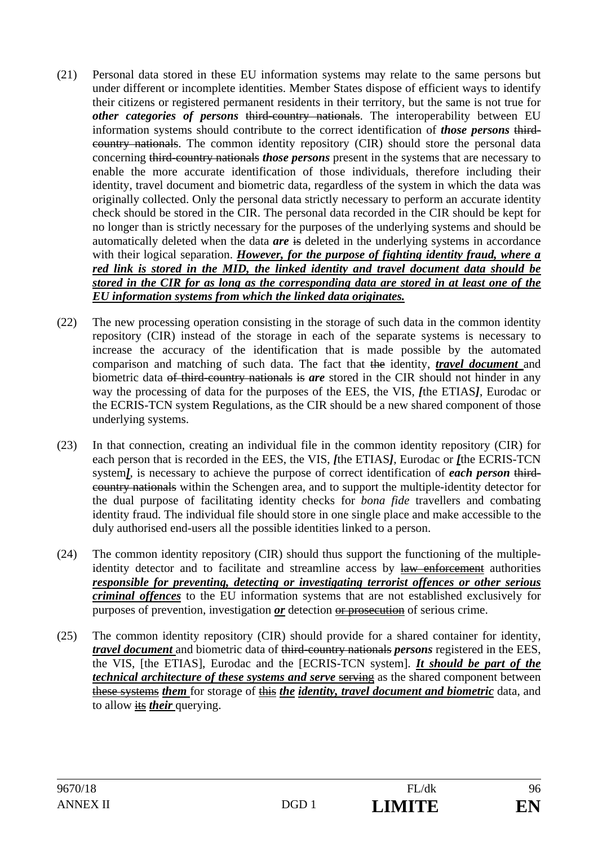- (21) Personal data stored in these EU information systems may relate to the same persons but under different or incomplete identities. Member States dispose of efficient ways to identify their citizens or registered permanent residents in their territory, but the same is not true for *other categories of persons* third-country nationals. The interoperability between EU information systems should contribute to the correct identification of *those persons* thirdcountry nationals. The common identity repository (CIR) should store the personal data concerning third-country nationals *those persons* present in the systems that are necessary to enable the more accurate identification of those individuals, therefore including their identity, travel document and biometric data, regardless of the system in which the data was originally collected. Only the personal data strictly necessary to perform an accurate identity check should be stored in the CIR. The personal data recorded in the CIR should be kept for no longer than is strictly necessary for the purposes of the underlying systems and should be automatically deleted when the data *are* is deleted in the underlying systems in accordance with their logical separation. *However, for the purpose of fighting identity fraud, where a red link is stored in the MID, the linked identity and travel document data should be stored in the CIR for as long as the corresponding data are stored in at least one of the EU information systems from which the linked data originates.*
- (22) The new processing operation consisting in the storage of such data in the common identity repository (CIR) instead of the storage in each of the separate systems is necessary to increase the accuracy of the identification that is made possible by the automated comparison and matching of such data. The fact that the identity, *travel document* and biometric data of third-country nationals is *are* stored in the CIR should not hinder in any way the processing of data for the purposes of the EES, the VIS, *[*the ETIAS*]*, Eurodac or the ECRIS-TCN system Regulations, as the CIR should be a new shared component of those underlying systems.
- (23) In that connection, creating an individual file in the common identity repository (CIR) for each person that is recorded in the EES, the VIS, *[*the ETIAS*]*, Eurodac or *[*the ECRIS-TCN system*]*, is necessary to achieve the purpose of correct identification of *each person* thirdcountry nationals within the Schengen area, and to support the multiple-identity detector for the dual purpose of facilitating identity checks for *bona fide* travellers and combating identity fraud. The individual file should store in one single place and make accessible to the duly authorised end-users all the possible identities linked to a person.
- (24) The common identity repository (CIR) should thus support the functioning of the multipleidentity detector and to facilitate and streamline access by law enforcement authorities *responsible for preventing, detecting or investigating terrorist offences or other serious criminal offences* to the EU information systems that are not established exclusively for purposes of prevention, investigation *or* detection or prosecution of serious crime.
- (25) The common identity repository (CIR) should provide for a shared container for identity, *travel document* and biometric data of third-country nationals *persons* registered in the EES, the VIS, [the ETIAS], Eurodac and the [ECRIS-TCN system]. *It should be part of the technical architecture of these systems and serve serving as the shared component between* these systems *them* for storage of this *the identity, travel document and biometric* data, and to allow its *their* querying.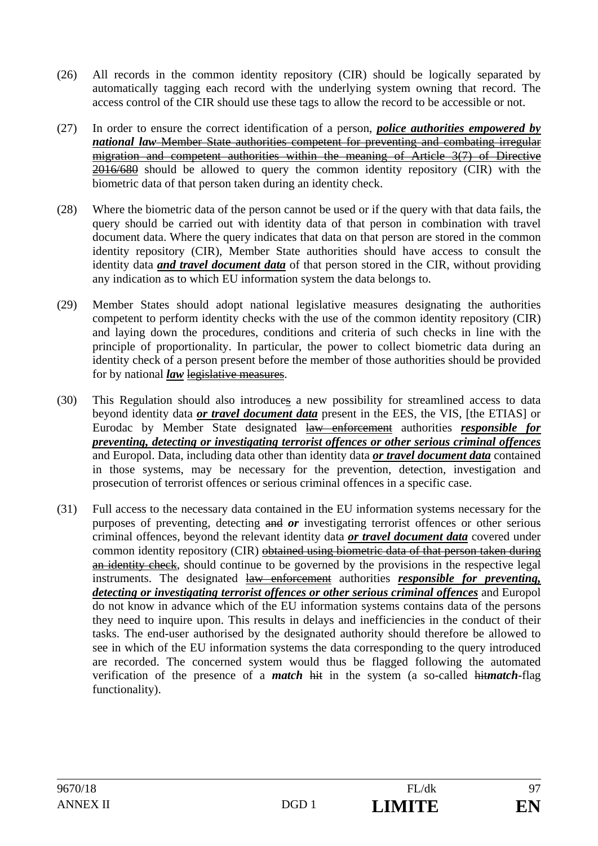- (26) All records in the common identity repository (CIR) should be logically separated by automatically tagging each record with the underlying system owning that record. The access control of the CIR should use these tags to allow the record to be accessible or not.
- (27) In order to ensure the correct identification of a person, *police authorities empowered by national law* Member State authorities competent for preventing and combating irregular migration and competent authorities within the meaning of Article 3(7) of Directive 2016/680 should be allowed to query the common identity repository (CIR) with the biometric data of that person taken during an identity check.
- (28) Where the biometric data of the person cannot be used or if the query with that data fails, the query should be carried out with identity data of that person in combination with travel document data. Where the query indicates that data on that person are stored in the common identity repository (CIR), Member State authorities should have access to consult the identity data *and travel document data* of that person stored in the CIR, without providing any indication as to which EU information system the data belongs to.
- (29) Member States should adopt national legislative measures designating the authorities competent to perform identity checks with the use of the common identity repository (CIR) and laying down the procedures, conditions and criteria of such checks in line with the principle of proportionality. In particular, the power to collect biometric data during an identity check of a person present before the member of those authorities should be provided for by national *law* legislative measures.
- (30) This Regulation should also introduces a new possibility for streamlined access to data beyond identity data *or travel document data* present in the EES, the VIS, [the ETIAS] or Eurodac by Member State designated law enforcement authorities *responsible for preventing, detecting or investigating terrorist offences or other serious criminal offences* and Europol. Data, including data other than identity data *or travel document data* contained in those systems, may be necessary for the prevention, detection, investigation and prosecution of terrorist offences or serious criminal offences in a specific case.
- (31) Full access to the necessary data contained in the EU information systems necessary for the purposes of preventing, detecting and *or* investigating terrorist offences or other serious criminal offences, beyond the relevant identity data *or travel document data* covered under common identity repository (CIR) obtained using biometric data of that person taken during an identity check, should continue to be governed by the provisions in the respective legal instruments. The designated law enforcement authorities *responsible for preventing, detecting or investigating terrorist offences or other serious criminal offences* and Europol do not know in advance which of the EU information systems contains data of the persons they need to inquire upon. This results in delays and inefficiencies in the conduct of their tasks. The end-user authorised by the designated authority should therefore be allowed to see in which of the EU information systems the data corresponding to the query introduced are recorded. The concerned system would thus be flagged following the automated verification of the presence of a *match* hit in the system (a so-called hit*match*-flag functionality).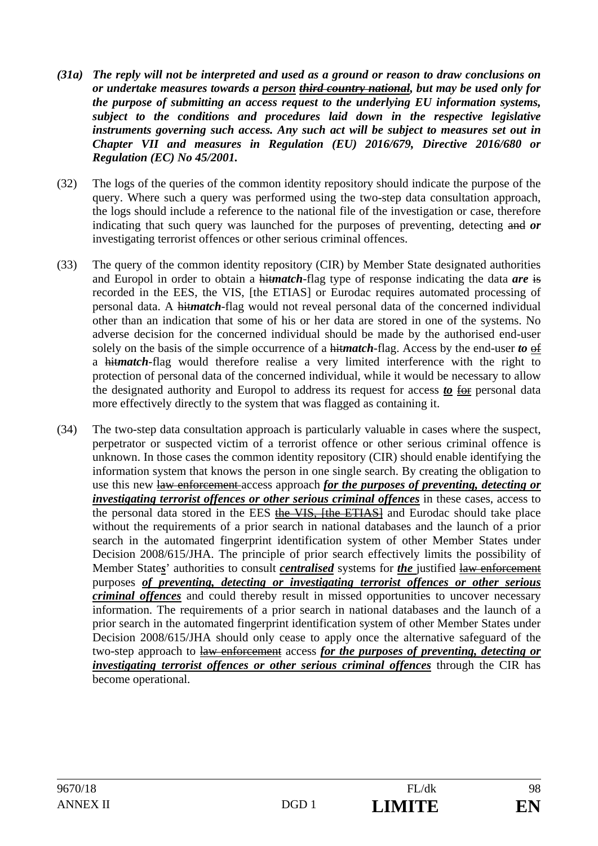- *(31a) The reply will not be interpreted and used as a ground or reason to draw conclusions on or undertake measures towards a person third country national, but may be used only for the purpose of submitting an access request to the underlying EU information systems, subject to the conditions and procedures laid down in the respective legislative instruments governing such access. Any such act will be subject to measures set out in Chapter VII and measures in Regulation (EU) 2016/679, Directive 2016/680 or Regulation (EC) No 45/2001.*
- (32) The logs of the queries of the common identity repository should indicate the purpose of the query. Where such a query was performed using the two-step data consultation approach, the logs should include a reference to the national file of the investigation or case, therefore indicating that such query was launched for the purposes of preventing, detecting and *or* investigating terrorist offences or other serious criminal offences.
- (33) The query of the common identity repository (CIR) by Member State designated authorities and Europol in order to obtain a hit*match*-flag type of response indicating the data *are* is recorded in the EES, the VIS, [the ETIAS] or Eurodac requires automated processing of personal data. A hit*match*-flag would not reveal personal data of the concerned individual other than an indication that some of his or her data are stored in one of the systems. No adverse decision for the concerned individual should be made by the authorised end-user solely on the basis of the simple occurrence of a hit*match*-flag. Access by the end-user *to* of a hit*match*-flag would therefore realise a very limited interference with the right to protection of personal data of the concerned individual, while it would be necessary to allow the designated authority and Europol to address its request for access *to* for personal data more effectively directly to the system that was flagged as containing it.
- (34) The two-step data consultation approach is particularly valuable in cases where the suspect, perpetrator or suspected victim of a terrorist offence or other serious criminal offence is unknown. In those cases the common identity repository (CIR) should enable identifying the information system that knows the person in one single search. By creating the obligation to use this new law enforcement access approach *for the purposes of preventing, detecting or investigating terrorist offences or other serious criminal offences* in these cases, access to the personal data stored in the EES the VIS, [the ETIAS] and Eurodac should take place without the requirements of a prior search in national databases and the launch of a prior search in the automated fingerprint identification system of other Member States under Decision 2008/615/JHA. The principle of prior search effectively limits the possibility of Member State*s*' authorities to consult *centralised* systems for *the* justified law enforcement purposes *of preventing, detecting or investigating terrorist offences or other serious criminal offences* and could thereby result in missed opportunities to uncover necessary information. The requirements of a prior search in national databases and the launch of a prior search in the automated fingerprint identification system of other Member States under Decision 2008/615/JHA should only cease to apply once the alternative safeguard of the two-step approach to law enforcement access *for the purposes of preventing, detecting or investigating terrorist offences or other serious criminal offences* through the CIR has become operational.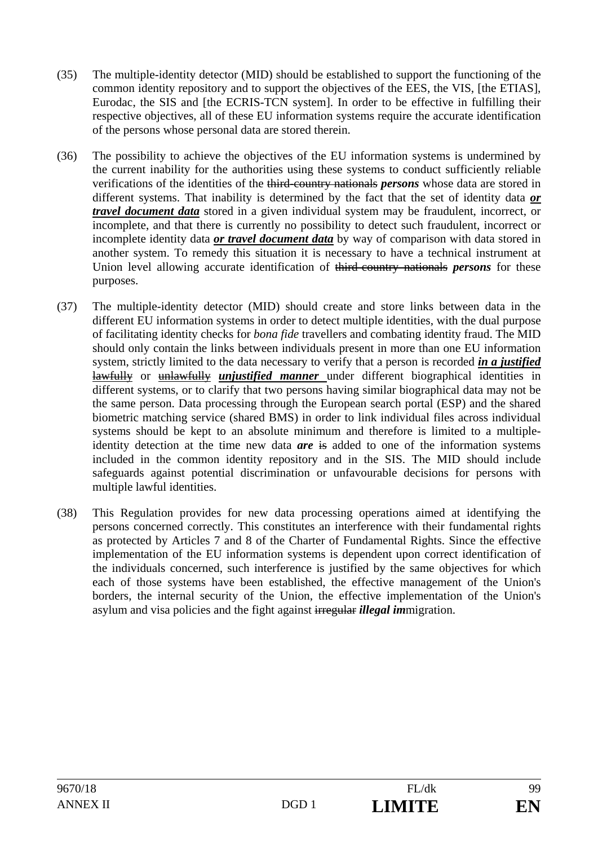- (35) The multiple-identity detector (MID) should be established to support the functioning of the common identity repository and to support the objectives of the EES, the VIS, [the ETIAS], Eurodac, the SIS and [the ECRIS-TCN system]. In order to be effective in fulfilling their respective objectives, all of these EU information systems require the accurate identification of the persons whose personal data are stored therein.
- (36) The possibility to achieve the objectives of the EU information systems is undermined by the current inability for the authorities using these systems to conduct sufficiently reliable verifications of the identities of the third-country nationals *persons* whose data are stored in different systems. That inability is determined by the fact that the set of identity data *or travel document data* stored in a given individual system may be fraudulent, incorrect, or incomplete, and that there is currently no possibility to detect such fraudulent, incorrect or incomplete identity data *or travel document data* by way of comparison with data stored in another system. To remedy this situation it is necessary to have a technical instrument at Union level allowing accurate identification of third-country nationals *persons* for these purposes.
- (37) The multiple-identity detector (MID) should create and store links between data in the different EU information systems in order to detect multiple identities, with the dual purpose of facilitating identity checks for *bona fide* travellers and combating identity fraud. The MID should only contain the links between individuals present in more than one EU information system, strictly limited to the data necessary to verify that a person is recorded *in a justified*  lawfully or unlawfully *unjustified manner* under different biographical identities in different systems, or to clarify that two persons having similar biographical data may not be the same person. Data processing through the European search portal (ESP) and the shared biometric matching service (shared BMS) in order to link individual files across individual systems should be kept to an absolute minimum and therefore is limited to a multipleidentity detection at the time new data *are* is added to one of the information systems included in the common identity repository and in the SIS. The MID should include safeguards against potential discrimination or unfavourable decisions for persons with multiple lawful identities.
- (38) This Regulation provides for new data processing operations aimed at identifying the persons concerned correctly. This constitutes an interference with their fundamental rights as protected by Articles 7 and 8 of the Charter of Fundamental Rights. Since the effective implementation of the EU information systems is dependent upon correct identification of the individuals concerned, such interference is justified by the same objectives for which each of those systems have been established, the effective management of the Union's borders, the internal security of the Union, the effective implementation of the Union's asylum and visa policies and the fight against irregular *illegal im*migration.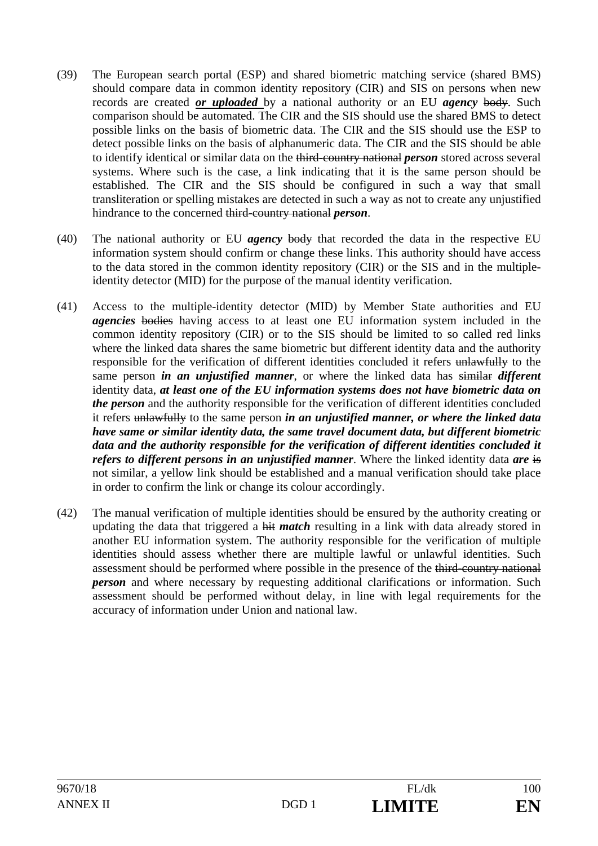- (39) The European search portal (ESP) and shared biometric matching service (shared BMS) should compare data in common identity repository (CIR) and SIS on persons when new records are created *or uploaded* by a national authority or an EU *agency* body. Such comparison should be automated. The CIR and the SIS should use the shared BMS to detect possible links on the basis of biometric data. The CIR and the SIS should use the ESP to detect possible links on the basis of alphanumeric data. The CIR and the SIS should be able to identify identical or similar data on the third-country national *person* stored across several systems. Where such is the case, a link indicating that it is the same person should be established. The CIR and the SIS should be configured in such a way that small transliteration or spelling mistakes are detected in such a way as not to create any unjustified hindrance to the concerned third-country national *person*.
- (40) The national authority or EU *agency* body that recorded the data in the respective EU information system should confirm or change these links. This authority should have access to the data stored in the common identity repository (CIR) or the SIS and in the multipleidentity detector (MID) for the purpose of the manual identity verification.
- (41) Access to the multiple-identity detector (MID) by Member State authorities and EU *agencies* bodies having access to at least one EU information system included in the common identity repository (CIR) or to the SIS should be limited to so called red links where the linked data shares the same biometric but different identity data and the authority responsible for the verification of different identities concluded it refers unlawfully to the same person *in an unjustified manner*, or where the linked data has similar *different*  identity data, *at least one of the EU information systems does not have biometric data on the person* and the authority responsible for the verification of different identities concluded it refers unlawfully to the same person *in an unjustified manner, or where the linked data have same or similar identity data, the same travel document data, but different biometric data and the authority responsible for the verification of different identities concluded it refers to different persons in an unjustified manner*. Where the linked identity data *are* is not similar, a yellow link should be established and a manual verification should take place in order to confirm the link or change its colour accordingly.
- (42) The manual verification of multiple identities should be ensured by the authority creating or updating the data that triggered a hit *match* resulting in a link with data already stored in another EU information system. The authority responsible for the verification of multiple identities should assess whether there are multiple lawful or unlawful identities. Such assessment should be performed where possible in the presence of the third-country national *person* and where necessary by requesting additional clarifications or information. Such assessment should be performed without delay, in line with legal requirements for the accuracy of information under Union and national law.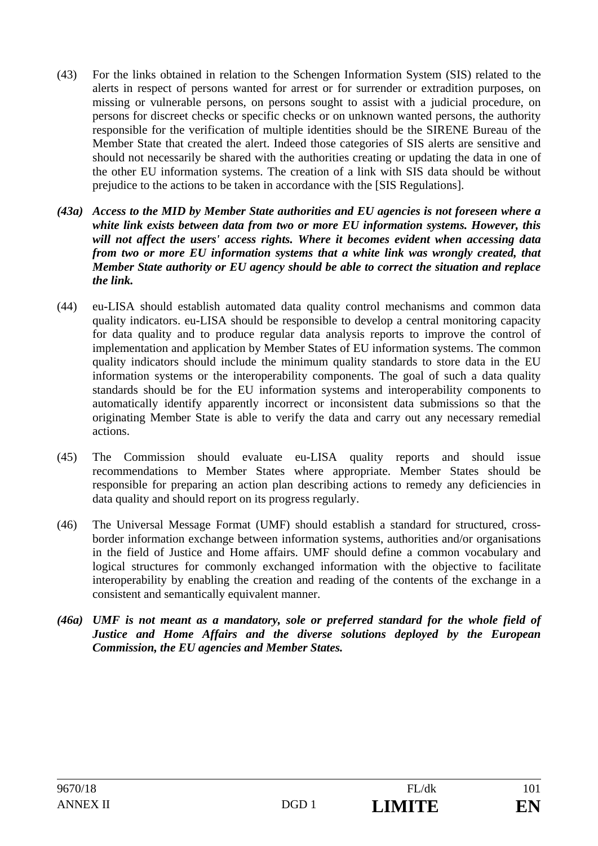- (43) For the links obtained in relation to the Schengen Information System (SIS) related to the alerts in respect of persons wanted for arrest or for surrender or extradition purposes, on missing or vulnerable persons, on persons sought to assist with a judicial procedure, on persons for discreet checks or specific checks or on unknown wanted persons, the authority responsible for the verification of multiple identities should be the SIRENE Bureau of the Member State that created the alert. Indeed those categories of SIS alerts are sensitive and should not necessarily be shared with the authorities creating or updating the data in one of the other EU information systems. The creation of a link with SIS data should be without prejudice to the actions to be taken in accordance with the [SIS Regulations].
- *(43a) Access to the MID by Member State authorities and EU agencies is not foreseen where a white link exists between data from two or more EU information systems. However, this will not affect the users' access rights. Where it becomes evident when accessing data from two or more EU information systems that a white link was wrongly created, that Member State authority or EU agency should be able to correct the situation and replace the link.*
- (44) eu-LISA should establish automated data quality control mechanisms and common data quality indicators. eu-LISA should be responsible to develop a central monitoring capacity for data quality and to produce regular data analysis reports to improve the control of implementation and application by Member States of EU information systems. The common quality indicators should include the minimum quality standards to store data in the EU information systems or the interoperability components. The goal of such a data quality standards should be for the EU information systems and interoperability components to automatically identify apparently incorrect or inconsistent data submissions so that the originating Member State is able to verify the data and carry out any necessary remedial actions.
- (45) The Commission should evaluate eu-LISA quality reports and should issue recommendations to Member States where appropriate. Member States should be responsible for preparing an action plan describing actions to remedy any deficiencies in data quality and should report on its progress regularly.
- (46) The Universal Message Format (UMF) should establish a standard for structured, crossborder information exchange between information systems, authorities and/or organisations in the field of Justice and Home affairs. UMF should define a common vocabulary and logical structures for commonly exchanged information with the objective to facilitate interoperability by enabling the creation and reading of the contents of the exchange in a consistent and semantically equivalent manner.
- *(46a) UMF is not meant as a mandatory, sole or preferred standard for the whole field of Justice and Home Affairs and the diverse solutions deployed by the European Commission, the EU agencies and Member States.*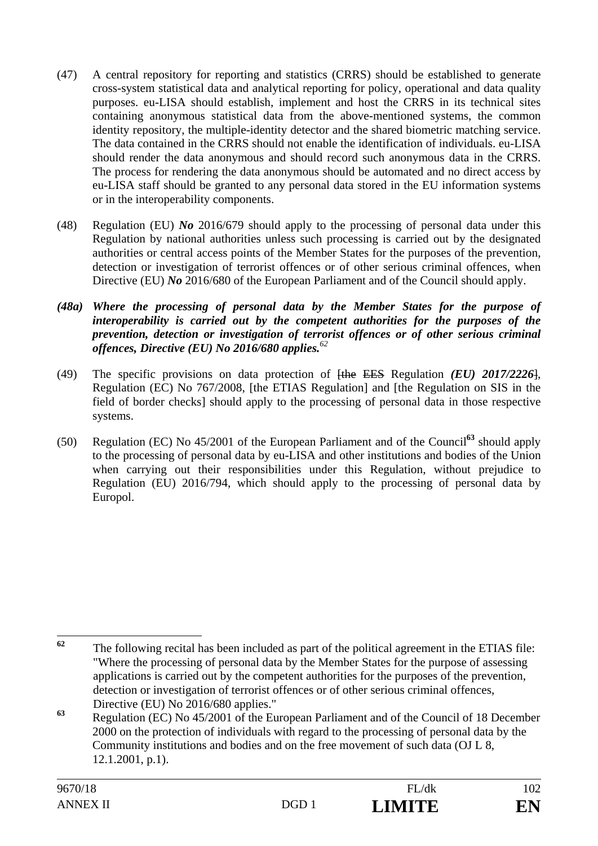- (47) A central repository for reporting and statistics (CRRS) should be established to generate cross-system statistical data and analytical reporting for policy, operational and data quality purposes. eu-LISA should establish, implement and host the CRRS in its technical sites containing anonymous statistical data from the above-mentioned systems, the common identity repository, the multiple-identity detector and the shared biometric matching service. The data contained in the CRRS should not enable the identification of individuals. eu-LISA should render the data anonymous and should record such anonymous data in the CRRS. The process for rendering the data anonymous should be automated and no direct access by eu-LISA staff should be granted to any personal data stored in the EU information systems or in the interoperability components.
- (48) Regulation (EU) *No* 2016/679 should apply to the processing of personal data under this Regulation by national authorities unless such processing is carried out by the designated authorities or central access points of the Member States for the purposes of the prevention, detection or investigation of terrorist offences or of other serious criminal offences, when Directive (EU) *No* 2016/680 of the European Parliament and of the Council should apply.
- *(48a) Where the processing of personal data by the Member States for the purpose of interoperability is carried out by the competent authorities for the purposes of the prevention, detection or investigation of terrorist offences or of other serious criminal offences, Directive (EU) No 2016/680 applies.<sup>62</sup>*
- (49) The specific provisions on data protection of [the EES Regulation *(EU) 2017/2226*], Regulation (EC) No 767/2008, [the ETIAS Regulation] and [the Regulation on SIS in the field of border checks] should apply to the processing of personal data in those respective systems.
- (50) Regulation (EC) No 45/2001 of the European Parliament and of the Council**<sup>63</sup>** should apply to the processing of personal data by eu-LISA and other institutions and bodies of the Union when carrying out their responsibilities under this Regulation, without prejudice to Regulation (EU) 2016/794, which should apply to the processing of personal data by Europol.

 $62$ **<sup>62</sup>** The following recital has been included as part of the political agreement in the ETIAS file: "Where the processing of personal data by the Member States for the purpose of assessing applications is carried out by the competent authorities for the purposes of the prevention, detection or investigation of terrorist offences or of other serious criminal offences, Directive (EU) No 2016/680 applies."

**<sup>63</sup>** Regulation (EC) No 45/2001 of the European Parliament and of the Council of 18 December 2000 on the protection of individuals with regard to the processing of personal data by the Community institutions and bodies and on the free movement of such data (OJ L 8, 12.1.2001, p.1).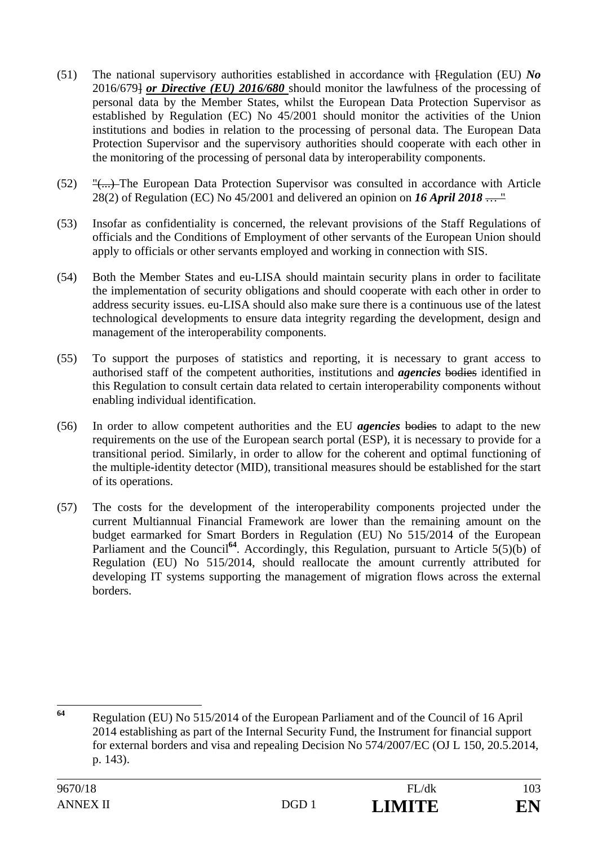- (51) The national supervisory authorities established in accordance with [Regulation (EU) *No*  2016/679] *or Directive (EU) 2016/680* should monitor the lawfulness of the processing of personal data by the Member States, whilst the European Data Protection Supervisor as established by Regulation (EC) No 45/2001 should monitor the activities of the Union institutions and bodies in relation to the processing of personal data. The European Data Protection Supervisor and the supervisory authorities should cooperate with each other in the monitoring of the processing of personal data by interoperability components.
- $(52)$  " $\left( \ldots \right)$ ) The European Data Protection Supervisor was consulted in accordance with Article 28(2) of Regulation (EC) No 45/2001 and delivered an opinion on *16 April 2018* … "
- (53) Insofar as confidentiality is concerned, the relevant provisions of the Staff Regulations of officials and the Conditions of Employment of other servants of the European Union should apply to officials or other servants employed and working in connection with SIS.
- (54) Both the Member States and eu-LISA should maintain security plans in order to facilitate the implementation of security obligations and should cooperate with each other in order to address security issues. eu-LISA should also make sure there is a continuous use of the latest technological developments to ensure data integrity regarding the development, design and management of the interoperability components.
- (55) To support the purposes of statistics and reporting, it is necessary to grant access to authorised staff of the competent authorities, institutions and *agencies* bodies identified in this Regulation to consult certain data related to certain interoperability components without enabling individual identification.
- (56) In order to allow competent authorities and the EU *agencies* bodies to adapt to the new requirements on the use of the European search portal (ESP), it is necessary to provide for a transitional period. Similarly, in order to allow for the coherent and optimal functioning of the multiple-identity detector (MID), transitional measures should be established for the start of its operations.
- (57) The costs for the development of the interoperability components projected under the current Multiannual Financial Framework are lower than the remaining amount on the budget earmarked for Smart Borders in Regulation (EU) No 515/2014 of the European Parliament and the Council<sup>64</sup>. Accordingly, this Regulation, pursuant to Article 5(5)(b) of Regulation (EU) No 515/2014, should reallocate the amount currently attributed for developing IT systems supporting the management of migration flows across the external borders.

<sup>64</sup> **<sup>64</sup>** Regulation (EU) No 515/2014 of the European Parliament and of the Council of 16 April 2014 establishing as part of the Internal Security Fund, the Instrument for financial support for external borders and visa and repealing Decision No 574/2007/EC (OJ L 150, 20.5.2014, p. 143).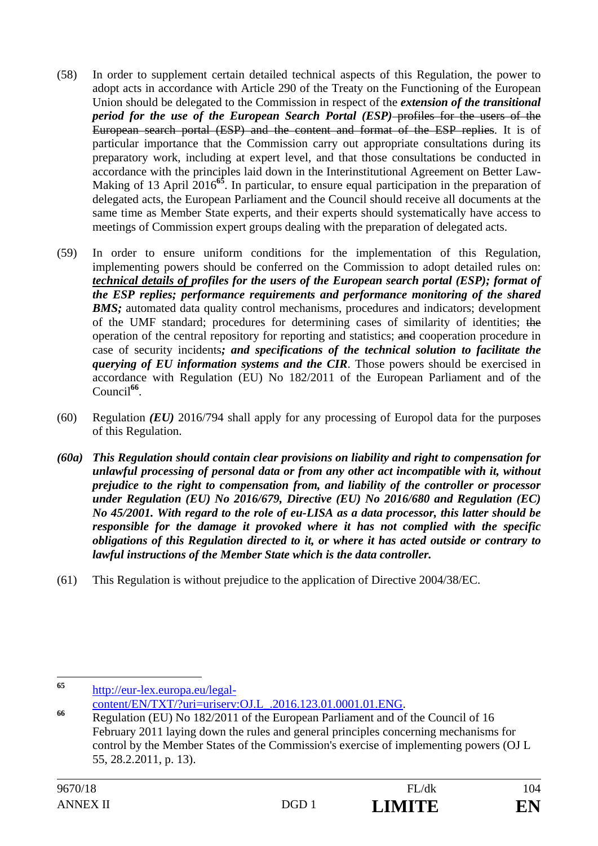- (58) In order to supplement certain detailed technical aspects of this Regulation, the power to adopt acts in accordance with Article 290 of the Treaty on the Functioning of the European Union should be delegated to the Commission in respect of the *extension of the transitional period for the use of the European Search Portal (ESP)*-profiles for the users of the European search portal (ESP) and the content and format of the ESP replies. It is of particular importance that the Commission carry out appropriate consultations during its preparatory work, including at expert level, and that those consultations be conducted in accordance with the principles laid down in the Interinstitutional Agreement on Better Law-Making of 13 April 2016<sup>65</sup>. In particular, to ensure equal participation in the preparation of delegated acts, the European Parliament and the Council should receive all documents at the same time as Member State experts, and their experts should systematically have access to meetings of Commission expert groups dealing with the preparation of delegated acts.
- (59) In order to ensure uniform conditions for the implementation of this Regulation, implementing powers should be conferred on the Commission to adopt detailed rules on: *technical details of profiles for the users of the European search portal (ESP); format of the ESP replies; performance requirements and performance monitoring of the shared*  **BMS**; automated data quality control mechanisms, procedures and indicators; development of the UMF standard; procedures for determining cases of similarity of identities; the operation of the central repository for reporting and statistics; and cooperation procedure in case of security incidents*; and specifications of the technical solution to facilitate the querying of EU information systems and the CIR*. Those powers should be exercised in accordance with Regulation (EU) No 182/2011 of the European Parliament and of the Council<sup>66</sup>.
- (60) Regulation *(EU)* 2016/794 shall apply for any processing of Europol data for the purposes of this Regulation.
- *(60a) This Regulation should contain clear provisions on liability and right to compensation for unlawful processing of personal data or from any other act incompatible with it, without prejudice to the right to compensation from, and liability of the controller or processor under Regulation (EU) No 2016/679, Directive (EU) No 2016/680 and Regulation (EC) No 45/2001. With regard to the role of eu-LISA as a data processor, this latter should be responsible for the damage it provoked where it has not complied with the specific obligations of this Regulation directed to it, or where it has acted outside or contrary to lawful instructions of the Member State which is the data controller.*
- (61) This Regulation is without prejudice to the application of Directive 2004/38/EC.

<sup>65</sup> **<sup>65</sup>** http://eur-lex.europa.eu/legal-

content/EN/TXT/?uri=uriserv:OJ.L\_.2016.123.01.0001.01.ENG. **<sup>66</sup>** Regulation (EU) No 182/2011 of the European Parliament and of the Council of 16 February 2011 laying down the rules and general principles concerning mechanisms for control by the Member States of the Commission's exercise of implementing powers (OJ L 55, 28.2.2011, p. 13).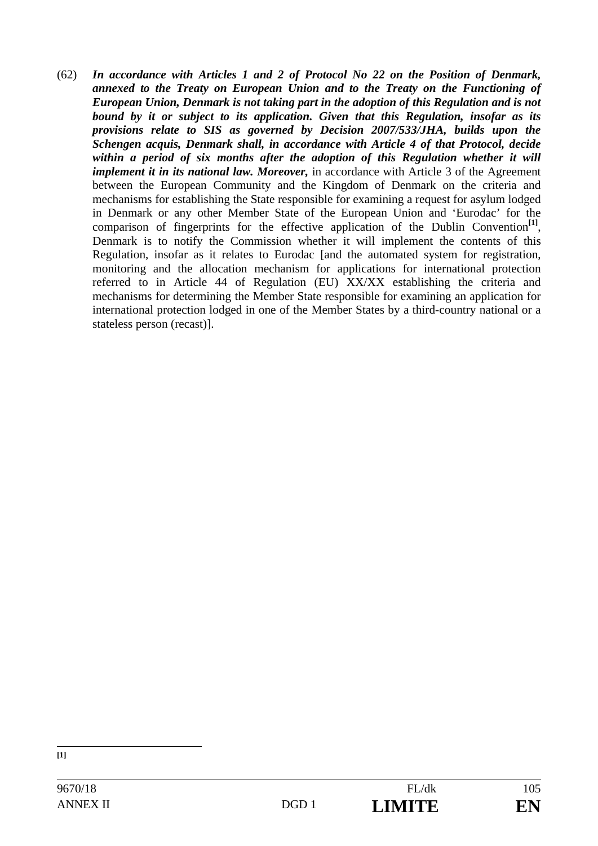(62) *In accordance with Articles 1 and 2 of Protocol No 22 on the Position of Denmark, annexed to the Treaty on European Union and to the Treaty on the Functioning of European Union, Denmark is not taking part in the adoption of this Regulation and is not bound by it or subject to its application. Given that this Regulation, insofar as its provisions relate to SIS as governed by Decision 2007/533/JHA, builds upon the Schengen acquis, Denmark shall, in accordance with Article 4 of that Protocol, decide*  within a period of six months after the adoption of this Regulation whether it will *implement it in its national law. Moreover,* in accordance with Article 3 of the Agreement between the European Community and the Kingdom of Denmark on the criteria and mechanisms for establishing the State responsible for examining a request for asylum lodged in Denmark or any other Member State of the European Union and 'Eurodac' for the comparison of fingerprints for the effective application of the Dublin Convention<sup>[1]</sup>, Denmark is to notify the Commission whether it will implement the contents of this Regulation, insofar as it relates to Eurodac [and the automated system for registration, monitoring and the allocation mechanism for applications for international protection referred to in Article 44 of Regulation (EU) XX/XX establishing the criteria and mechanisms for determining the Member State responsible for examining an application for international protection lodged in one of the Member States by a third-country national or a stateless person (recast)].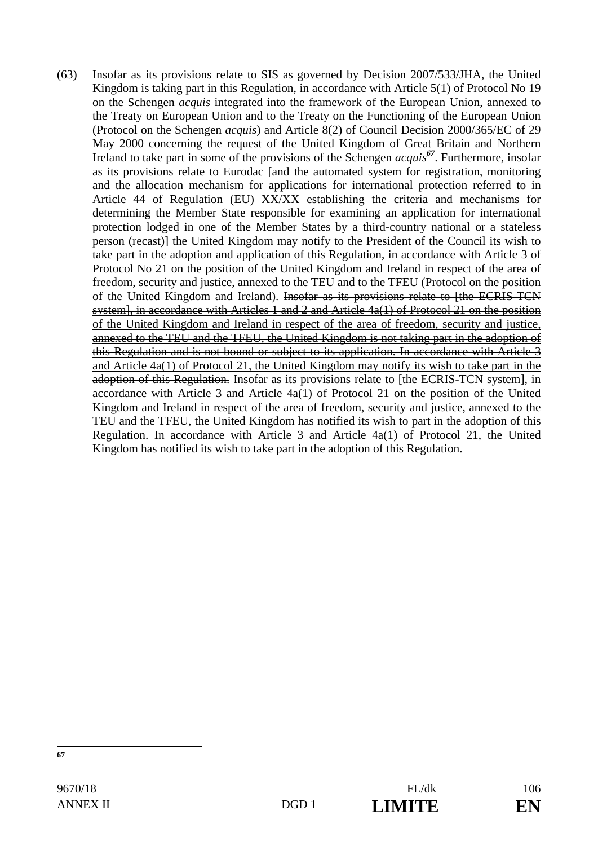(63) Insofar as its provisions relate to SIS as governed by Decision 2007/533/JHA, the United Kingdom is taking part in this Regulation, in accordance with Article 5(1) of Protocol No 19 on the Schengen *acquis* integrated into the framework of the European Union, annexed to the Treaty on European Union and to the Treaty on the Functioning of the European Union (Protocol on the Schengen *acquis*) and Article 8(2) of Council Decision 2000/365/EC of 29 May 2000 concerning the request of the United Kingdom of Great Britain and Northern Ireland to take part in some of the provisions of the Schengen *acquis<sup>67</sup>*. Furthermore, insofar as its provisions relate to Eurodac [and the automated system for registration, monitoring and the allocation mechanism for applications for international protection referred to in Article 44 of Regulation (EU) XX/XX establishing the criteria and mechanisms for determining the Member State responsible for examining an application for international protection lodged in one of the Member States by a third-country national or a stateless person (recast)] the United Kingdom may notify to the President of the Council its wish to take part in the adoption and application of this Regulation, in accordance with Article 3 of Protocol No 21 on the position of the United Kingdom and Ireland in respect of the area of freedom, security and justice, annexed to the TEU and to the TFEU (Protocol on the position of the United Kingdom and Ireland). Insofar as its provisions relate to [the ECRIS-TCN system], in accordance with Articles 1 and 2 and Article 4a(1) of Protocol 21 on the position of the United Kingdom and Ireland in respect of the area of freedom, security and justice, annexed to the TEU and the TFEU, the United Kingdom is not taking part in the adoption of this Regulation and is not bound or subject to its application. In accordance with Article 3 and Article 4a(1) of Protocol 21, the United Kingdom may notify its wish to take part in the adoption of this Regulation. Insofar as its provisions relate to [the ECRIS-TCN system], in accordance with Article 3 and Article 4a(1) of Protocol 21 on the position of the United Kingdom and Ireland in respect of the area of freedom, security and justice, annexed to the TEU and the TFEU, the United Kingdom has notified its wish to part in the adoption of this Regulation. In accordance with Article 3 and Article 4a(1) of Protocol 21, the United Kingdom has notified its wish to take part in the adoption of this Regulation.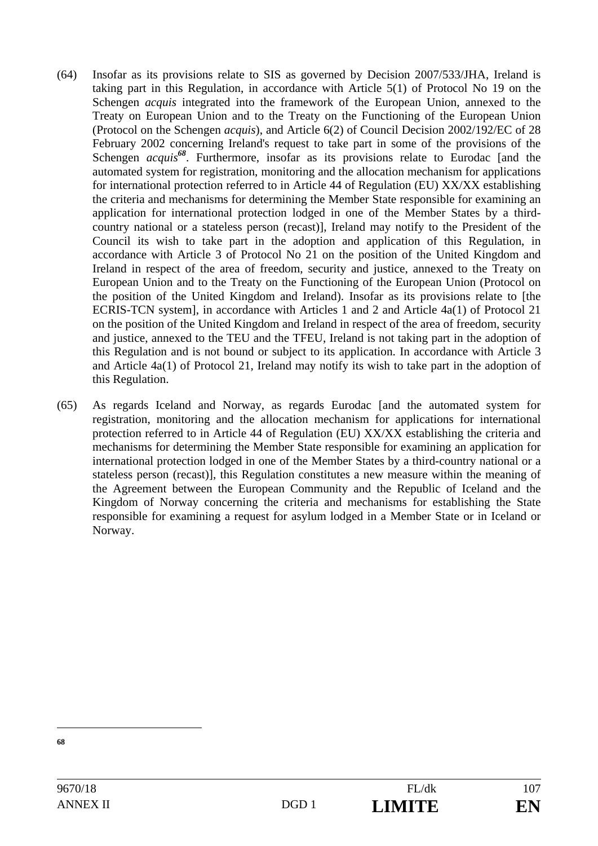- (64) Insofar as its provisions relate to SIS as governed by Decision 2007/533/JHA, Ireland is taking part in this Regulation, in accordance with Article 5(1) of Protocol No 19 on the Schengen *acquis* integrated into the framework of the European Union, annexed to the Treaty on European Union and to the Treaty on the Functioning of the European Union (Protocol on the Schengen *acquis*), and Article 6(2) of Council Decision 2002/192/EC of 28 February 2002 concerning Ireland's request to take part in some of the provisions of the Schengen *acquis*<sup>68</sup>. Furthermore, insofar as its provisions relate to Eurodac [and the automated system for registration, monitoring and the allocation mechanism for applications for international protection referred to in Article 44 of Regulation (EU) XX/XX establishing the criteria and mechanisms for determining the Member State responsible for examining an application for international protection lodged in one of the Member States by a thirdcountry national or a stateless person (recast)], Ireland may notify to the President of the Council its wish to take part in the adoption and application of this Regulation, in accordance with Article 3 of Protocol No 21 on the position of the United Kingdom and Ireland in respect of the area of freedom, security and justice, annexed to the Treaty on European Union and to the Treaty on the Functioning of the European Union (Protocol on the position of the United Kingdom and Ireland). Insofar as its provisions relate to [the ECRIS-TCN system], in accordance with Articles 1 and 2 and Article 4a(1) of Protocol 21 on the position of the United Kingdom and Ireland in respect of the area of freedom, security and justice, annexed to the TEU and the TFEU, Ireland is not taking part in the adoption of this Regulation and is not bound or subject to its application. In accordance with Article 3 and Article 4a(1) of Protocol 21, Ireland may notify its wish to take part in the adoption of this Regulation.
- (65) As regards Iceland and Norway, as regards Eurodac [and the automated system for registration, monitoring and the allocation mechanism for applications for international protection referred to in Article 44 of Regulation (EU) XX/XX establishing the criteria and mechanisms for determining the Member State responsible for examining an application for international protection lodged in one of the Member States by a third-country national or a stateless person (recast)], this Regulation constitutes a new measure within the meaning of the Agreement between the European Community and the Republic of Iceland and the Kingdom of Norway concerning the criteria and mechanisms for establishing the State responsible for examining a request for asylum lodged in a Member State or in Iceland or Norway.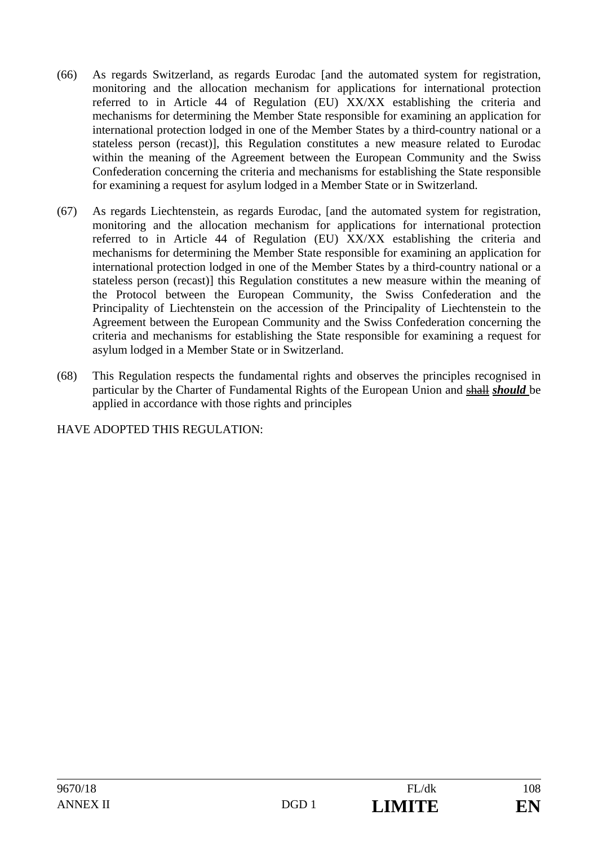- (66) As regards Switzerland, as regards Eurodac [and the automated system for registration, monitoring and the allocation mechanism for applications for international protection referred to in Article 44 of Regulation (EU) XX/XX establishing the criteria and mechanisms for determining the Member State responsible for examining an application for international protection lodged in one of the Member States by a third-country national or a stateless person (recast)], this Regulation constitutes a new measure related to Eurodac within the meaning of the Agreement between the European Community and the Swiss Confederation concerning the criteria and mechanisms for establishing the State responsible for examining a request for asylum lodged in a Member State or in Switzerland.
- (67) As regards Liechtenstein, as regards Eurodac, [and the automated system for registration, monitoring and the allocation mechanism for applications for international protection referred to in Article 44 of Regulation (EU) XX/XX establishing the criteria and mechanisms for determining the Member State responsible for examining an application for international protection lodged in one of the Member States by a third-country national or a stateless person (recast)] this Regulation constitutes a new measure within the meaning of the Protocol between the European Community, the Swiss Confederation and the Principality of Liechtenstein on the accession of the Principality of Liechtenstein to the Agreement between the European Community and the Swiss Confederation concerning the criteria and mechanisms for establishing the State responsible for examining a request for asylum lodged in a Member State or in Switzerland.
- (68) This Regulation respects the fundamental rights and observes the principles recognised in particular by the Charter of Fundamental Rights of the European Union and shall *should* be applied in accordance with those rights and principles

HAVE ADOPTED THIS REGULATION: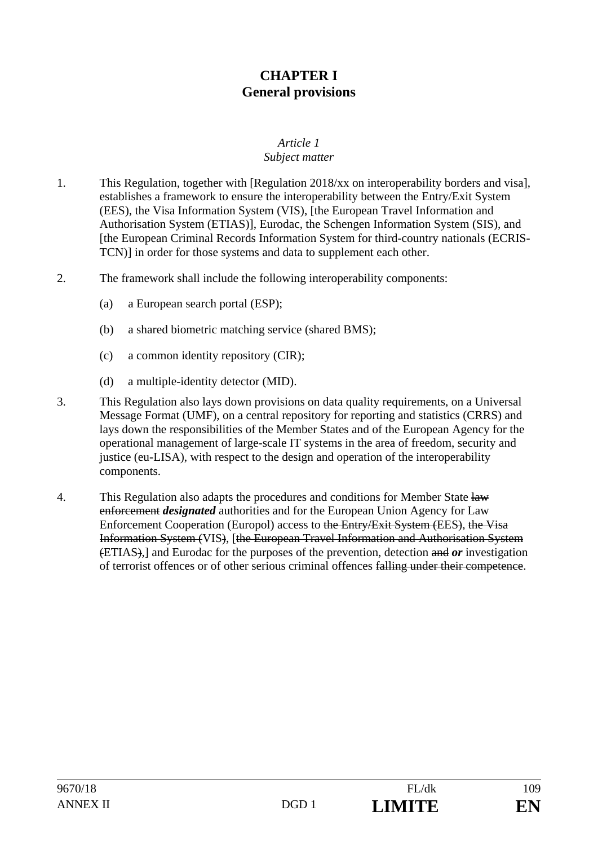## **CHAPTER I General provisions**

#### *Article 1 Subject matter*

- 1. This Regulation, together with [Regulation 2018/xx on interoperability borders and visa], establishes a framework to ensure the interoperability between the Entry/Exit System (EES), the Visa Information System (VIS), [the European Travel Information and Authorisation System (ETIAS)], Eurodac, the Schengen Information System (SIS), and [the European Criminal Records Information System for third-country nationals (ECRIS-TCN)] in order for those systems and data to supplement each other.
- 2. The framework shall include the following interoperability components:
	- (a) a European search portal (ESP);
	- (b) a shared biometric matching service (shared BMS);
	- (c) a common identity repository (CIR);
	- (d) a multiple-identity detector (MID).
- 3. This Regulation also lays down provisions on data quality requirements, on a Universal Message Format (UMF), on a central repository for reporting and statistics (CRRS) and lays down the responsibilities of the Member States and of the European Agency for the operational management of large-scale IT systems in the area of freedom, security and justice (eu-LISA), with respect to the design and operation of the interoperability components.
- 4. This Regulation also adapts the procedures and conditions for Member State  $\frac{1}{2}$ enforcement *designated* authorities and for the European Union Agency for Law Enforcement Cooperation (Europol) access to the Entry/Exit System (EES), the Visa Information System (VIS), [the European Travel Information and Authorisation System (ETIAS),] and Eurodac for the purposes of the prevention, detection and *or* investigation of terrorist offences or of other serious criminal offences falling under their competence.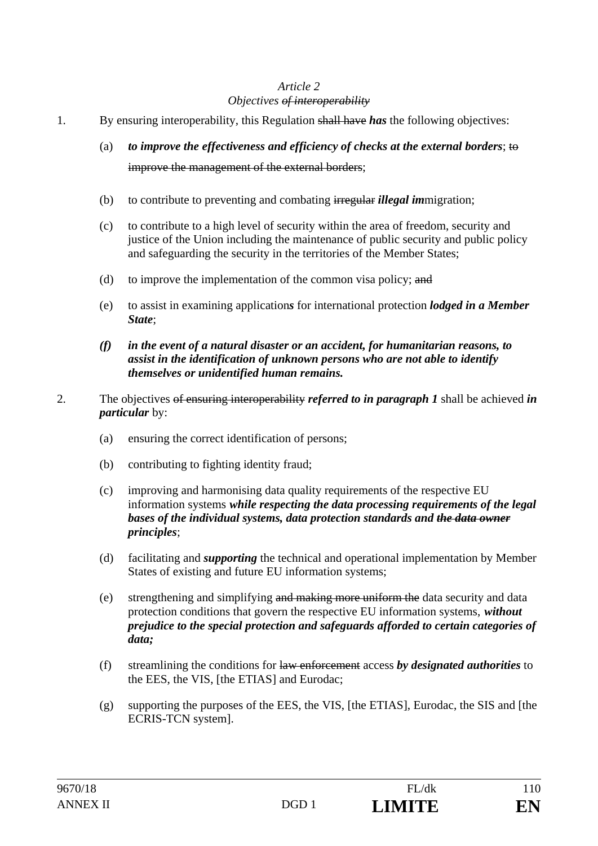#### *Objectives of interoperability*

- 1. By ensuring interoperability, this Regulation shall have *has* the following objectives:
	- (a) *to improve the effectiveness and efficiency of checks at the external borders*; to improve the management of the external borders;
	- (b) to contribute to preventing and combating irregular *illegal im*migration;
	- (c) to contribute to a high level of security within the area of freedom, security and justice of the Union including the maintenance of public security and public policy and safeguarding the security in the territories of the Member States;
	- (d) to improve the implementation of the common visa policy; and
	- (e) to assist in examining application*s* for international protection *lodged in a Member State*;
	- *(f) in the event of a natural disaster or an accident, for humanitarian reasons, to assist in the identification of unknown persons who are not able to identify themselves or unidentified human remains.*
- 2. The objectives of ensuring interoperability *referred to in paragraph 1* shall be achieved *in particular* by:
	- (a) ensuring the correct identification of persons;
	- (b) contributing to fighting identity fraud;
	- (c) improving and harmonising data quality requirements of the respective EU information systems *while respecting the data processing requirements of the legal bases of the individual systems, data protection standards and the data owner principles*;
	- (d) facilitating and *supporting* the technical and operational implementation by Member States of existing and future EU information systems;
	- (e) strengthening and simplifying and making more uniform the data security and data protection conditions that govern the respective EU information systems, *without prejudice to the special protection and safeguards afforded to certain categories of data;*
	- (f) streamlining the conditions for law enforcement access *by designated authorities* to the EES, the VIS, [the ETIAS] and Eurodac;
	- (g) supporting the purposes of the EES, the VIS, [the ETIAS], Eurodac, the SIS and [the ECRIS-TCN system].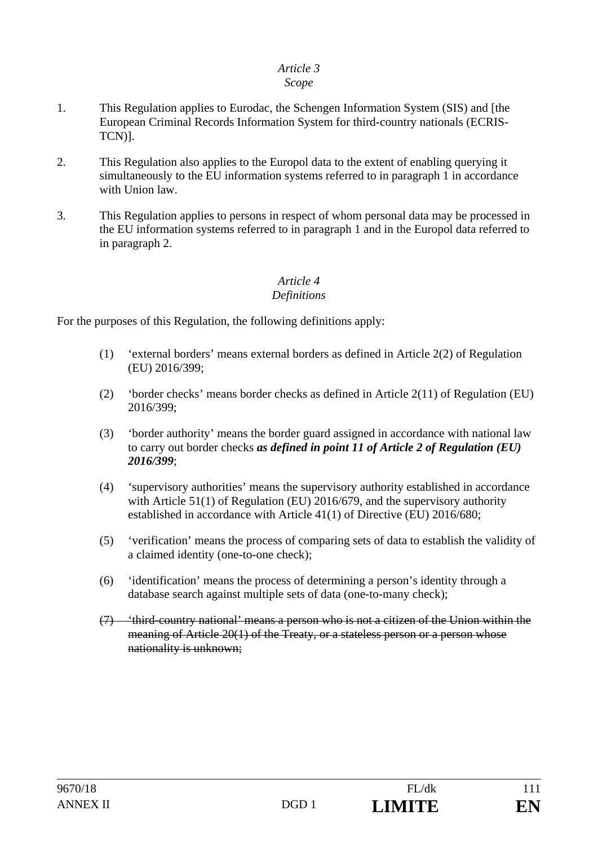#### *Scope*

- 1. This Regulation applies to Eurodac, the Schengen Information System (SIS) and [the European Criminal Records Information System for third-country nationals (ECRIS-TCN)].
- 2. This Regulation also applies to the Europol data to the extent of enabling querying it simultaneously to the EU information systems referred to in paragraph 1 in accordance with Union law.
- 3. This Regulation applies to persons in respect of whom personal data may be processed in the EU information systems referred to in paragraph 1 and in the Europol data referred to in paragraph 2.

#### *Article 4 Definitions*

For the purposes of this Regulation, the following definitions apply:

- (1) 'external borders' means external borders as defined in Article 2(2) of Regulation (EU) 2016/399;
- (2) 'border checks' means border checks as defined in Article 2(11) of Regulation (EU) 2016/399;
- (3) 'border authority' means the border guard assigned in accordance with national law to carry out border checks *as defined in point 11 of Article 2 of Regulation (EU) 2016/399*;
- (4) 'supervisory authorities' means the supervisory authority established in accordance with Article 51(1) of Regulation (EU) 2016/679, and the supervisory authority established in accordance with Article 41(1) of Directive (EU) 2016/680;
- (5) 'verification' means the process of comparing sets of data to establish the validity of a claimed identity (one-to-one check);
- (6) 'identification' means the process of determining a person's identity through a database search against multiple sets of data (one-to-many check);
- (7) 'third-country national' means a person who is not a citizen of the Union within the meaning of Article 20(1) of the Treaty, or a stateless person or a person whose nationality is unknown;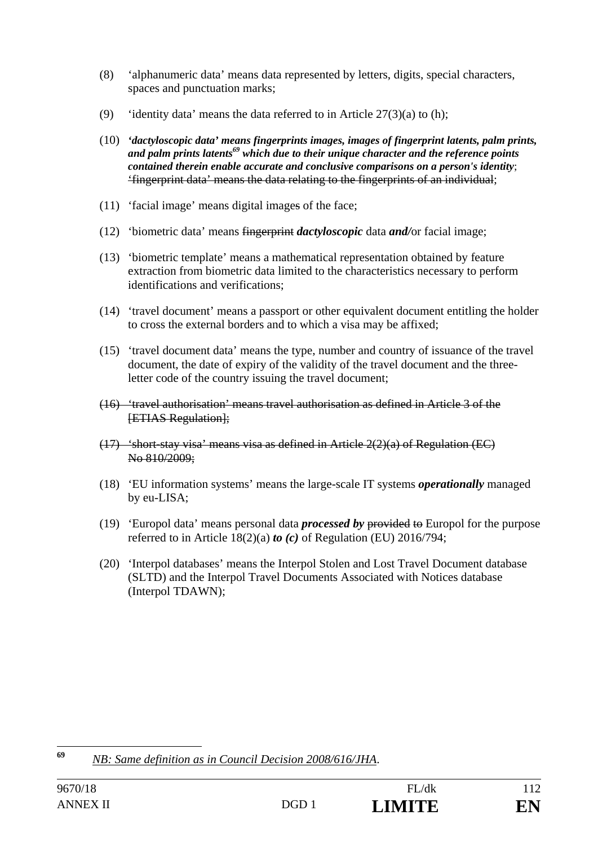- (8) 'alphanumeric data' means data represented by letters, digits, special characters, spaces and punctuation marks;
- (9) 'identity data' means the data referred to in Article  $27(3)(a)$  to (h);
- (10) *'dactyloscopic data' means fingerprints images, images of fingerprint latents, palm prints, and palm prints latents69 which due to their unique character and the reference points contained therein enable accurate and conclusive comparisons on a person's identity*; 'fingerprint data' means the data relating to the fingerprints of an individual;
- (11) 'facial image' means digital images of the face;
- (12) 'biometric data' means fingerprint *dactyloscopic* data *and/*or facial image;
- (13) 'biometric template' means a mathematical representation obtained by feature extraction from biometric data limited to the characteristics necessary to perform identifications and verifications;
- (14) 'travel document' means a passport or other equivalent document entitling the holder to cross the external borders and to which a visa may be affixed;
- (15) 'travel document data' means the type, number and country of issuance of the travel document, the date of expiry of the validity of the travel document and the threeletter code of the country issuing the travel document;
- (16) 'travel authorisation' means travel authorisation as defined in Article 3 of the **[ETIAS Regulation]:**
- $(17)$  'short-stay visa' means visa as defined in Article  $2(2)(a)$  of Regulation (EC) No 810/2009;
- (18) 'EU information systems' means the large-scale IT systems *operationally* managed by eu-LISA;
- (19) 'Europol data' means personal data *processed by* provided to Europol for the purpose referred to in Article 18(2)(a) *to (c)* of Regulation (EU) 2016/794;
- (20) 'Interpol databases' means the Interpol Stolen and Lost Travel Document database (SLTD) and the Interpol Travel Documents Associated with Notices database (Interpol TDAWN);

<sup>69</sup> **<sup>69</sup>** *NB: Same definition as in Council Decision 2008/616/JHA*.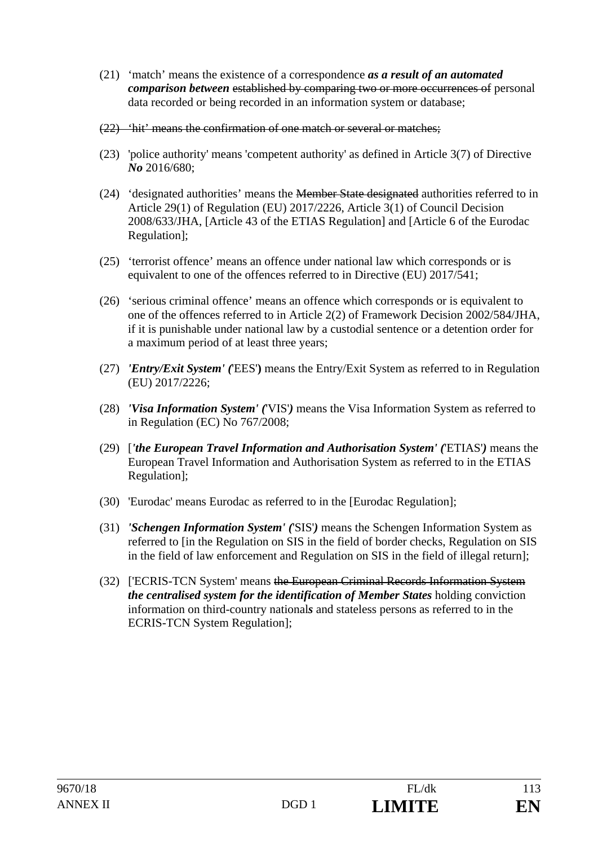- (21) 'match' means the existence of a correspondence *as a result of an automated comparison between* established by comparing two or more occurrences of personal data recorded or being recorded in an information system or database;
- (22) 'hit' means the confirmation of one match or several or matches;
- (23) 'police authority' means 'competent authority' as defined in Article 3(7) of Directive *No* 2016/680;
- (24) 'designated authorities' means the Member State designated authorities referred to in Article 29(1) of Regulation (EU) 2017/2226, Article 3(1) of Council Decision 2008/633/JHA, [Article 43 of the ETIAS Regulation] and [Article 6 of the Eurodac Regulation];
- (25) 'terrorist offence' means an offence under national law which corresponds or is equivalent to one of the offences referred to in Directive (EU) 2017/541;
- (26) 'serious criminal offence' means an offence which corresponds or is equivalent to one of the offences referred to in Article 2(2) of Framework Decision 2002/584/JHA, if it is punishable under national law by a custodial sentence or a detention order for a maximum period of at least three years;
- (27) *'Entry/Exit System' (*'EES'**)** means the Entry/Exit System as referred to in Regulation (EU) 2017/2226;
- (28) *'Visa Information System' (*'VIS'*)* means the Visa Information System as referred to in Regulation (EC) No 767/2008;
- (29) [*'the European Travel Information and Authorisation System' (*'ETIAS'*)* means the European Travel Information and Authorisation System as referred to in the ETIAS Regulation];
- (30) 'Eurodac' means Eurodac as referred to in the [Eurodac Regulation];
- (31) *'Schengen Information System' (*'SIS'*)* means the Schengen Information System as referred to [in the Regulation on SIS in the field of border checks, Regulation on SIS in the field of law enforcement and Regulation on SIS in the field of illegal return];
- (32) ['ECRIS-TCN System' means the European Criminal Records Information System *the centralised system for the identification of Member States* holding conviction information on third-country national*s* and stateless persons as referred to in the ECRIS-TCN System Regulation];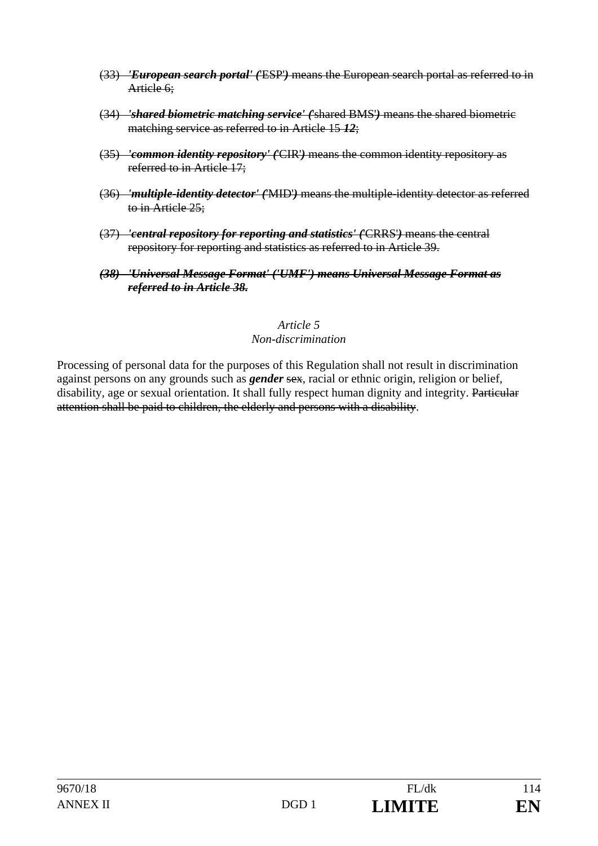- (33) *'European search portal' (*'ESP'*)* means the European search portal as referred to in Article 6:
- (34) *'shared biometric matching service' (*'shared BMS'*)* means the shared biometric matching service as referred to in Article 15 *12*;
- (35) *'common identity repository' (*'CIR'*)* means the common identity repository as referred to in Article 17;
- (36) *'multiple-identity detector' (*'MID'*)* means the multiple-identity detector as referred to in Article 25;
- (37) *'central repository for reporting and statistics' (*'CRRS'*)* means the central repository for reporting and statistics as referred to in Article 39.
- *(38) 'Universal Message Format' ('UMF') means Universal Message Format as referred to in Article 38.*

#### *Article 5 Non-discrimination*

Processing of personal data for the purposes of this Regulation shall not result in discrimination against persons on any grounds such as *gender* sex, racial or ethnic origin, religion or belief, disability, age or sexual orientation. It shall fully respect human dignity and integrity. Particular attention shall be paid to children, the elderly and persons with a disability.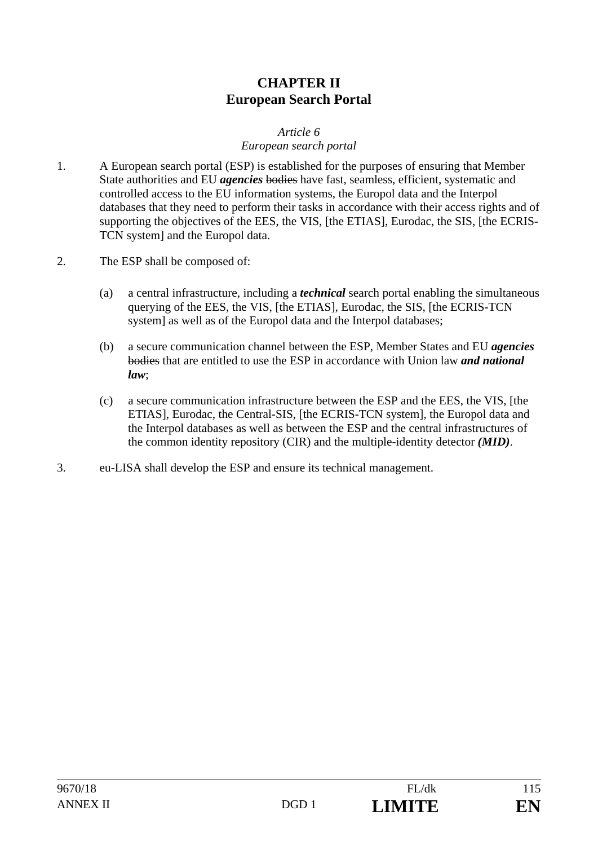# **CHAPTER II European Search Portal**

#### *Article 6*

#### *European search portal*

- 1. A European search portal (ESP) is established for the purposes of ensuring that Member State authorities and EU *agencies* bodies have fast, seamless, efficient, systematic and controlled access to the EU information systems, the Europol data and the Interpol databases that they need to perform their tasks in accordance with their access rights and of supporting the objectives of the EES, the VIS, [the ETIAS], Eurodac, the SIS, [the ECRIS-TCN system] and the Europol data.
- 2. The ESP shall be composed of:
	- (a) a central infrastructure, including a *technical* search portal enabling the simultaneous querying of the EES, the VIS, [the ETIAS], Eurodac, the SIS, [the ECRIS-TCN system] as well as of the Europol data and the Interpol databases;
	- (b) a secure communication channel between the ESP, Member States and EU *agencies* bodies that are entitled to use the ESP in accordance with Union law *and national law*;
	- (c) a secure communication infrastructure between the ESP and the EES, the VIS, [the ETIAS], Eurodac, the Central-SIS, [the ECRIS-TCN system], the Europol data and the Interpol databases as well as between the ESP and the central infrastructures of the common identity repository (CIR) and the multiple-identity detector *(MID)*.
- 3. eu-LISA shall develop the ESP and ensure its technical management.

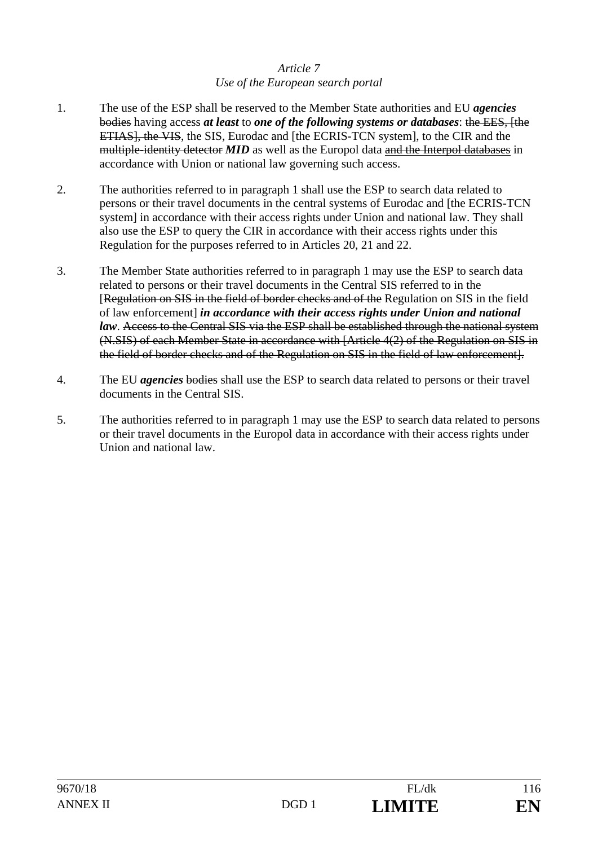## *Article 7 Use of the European search portal*

- 1. The use of the ESP shall be reserved to the Member State authorities and EU *agencies* bodies having access *at least* to *one of the following systems or databases*: the EES*,* [the ETIAS], the VIS, the SIS, Eurodac and [the ECRIS-TCN system], to the CIR and the multiple-identity detector *MID* as well as the Europol data and the Interpol databases in accordance with Union or national law governing such access.
- 2. The authorities referred to in paragraph 1 shall use the ESP to search data related to persons or their travel documents in the central systems of Eurodac and [the ECRIS-TCN system] in accordance with their access rights under Union and national law. They shall also use the ESP to query the CIR in accordance with their access rights under this Regulation for the purposes referred to in Articles 20, 21 and 22.
- 3. The Member State authorities referred to in paragraph 1 may use the ESP to search data related to persons or their travel documents in the Central SIS referred to in the [Regulation on SIS in the field of border checks and of the Regulation on SIS in the field of law enforcement] *in accordance with their access rights under Union and national law*. Access to the Central SIS via the ESP shall be established through the national system (N.SIS) of each Member State in accordance with [Article 4(2) of the Regulation on SIS in the field of border checks and of the Regulation on SIS in the field of law enforcement].
- 4. The EU *agencies* bodies shall use the ESP to search data related to persons or their travel documents in the Central SIS.
- 5. The authorities referred to in paragraph 1 may use the ESP to search data related to persons or their travel documents in the Europol data in accordance with their access rights under Union and national law.

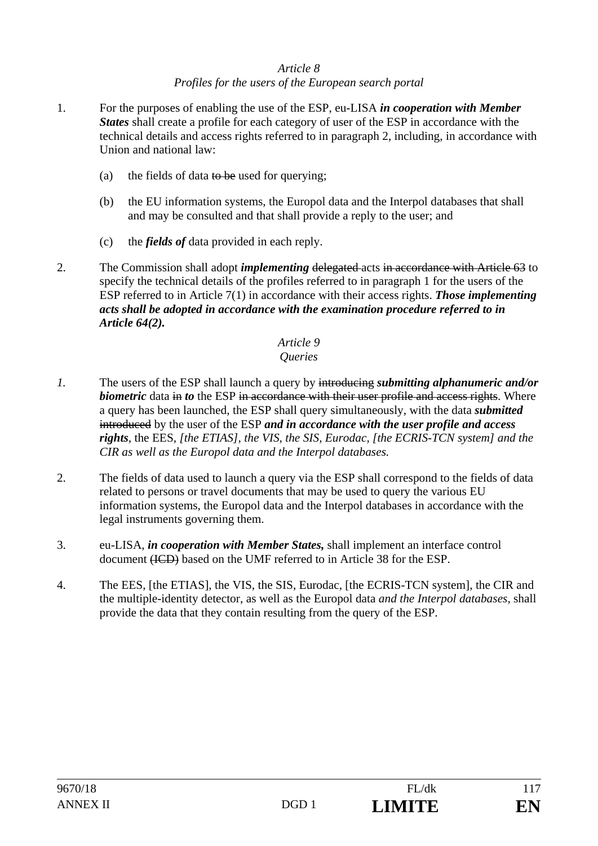## *Article 8 Profiles for the users of the European search portal*

- 1. For the purposes of enabling the use of the ESP, eu-LISA *in cooperation with Member States* shall create a profile for each category of user of the ESP in accordance with the technical details and access rights referred to in paragraph 2, including, in accordance with Union and national law:
	- (a) the fields of data to be used for querying;
	- (b) the EU information systems, the Europol data and the Interpol databases that shall and may be consulted and that shall provide a reply to the user; and
	- (c) the *fields of* data provided in each reply.
- 2. The Commission shall adopt *implementing* delegated acts in accordance with Article 63 to specify the technical details of the profiles referred to in paragraph 1 for the users of the ESP referred to in Article 7(1) in accordance with their access rights. *Those implementing acts shall be adopted in accordance with the examination procedure referred to in Article 64(2).*

# *Article 9*

### *Queries*

- *1.* The users of the ESP shall launch a query by introducing *submitting alphanumeric and/or biometric* data in *to* the ESP in accordance with their user profile and access rights. Where a query has been launched, the ESP shall query simultaneously, with the data *submitted* introduced by the user of the ESP *and in accordance with the user profile and access rights*, the EES*, [the ETIAS], the VIS, the SIS, Eurodac, [the ECRIS-TCN system] and the CIR as well as the Europol data and the Interpol databases.*
- 2. The fields of data used to launch a query via the ESP shall correspond to the fields of data related to persons or travel documents that may be used to query the various EU information systems, the Europol data and the Interpol databases in accordance with the legal instruments governing them.
- 3. eu-LISA, *in cooperation with Member States,* shall implement an interface control document (ICD) based on the UMF referred to in Article 38 for the ESP.
- 4. The EES, [the ETIAS], the VIS, the SIS, Eurodac, [the ECRIS-TCN system], the CIR and the multiple-identity detector, as well as the Europol data *and the Interpol databases,* shall provide the data that they contain resulting from the query of the ESP.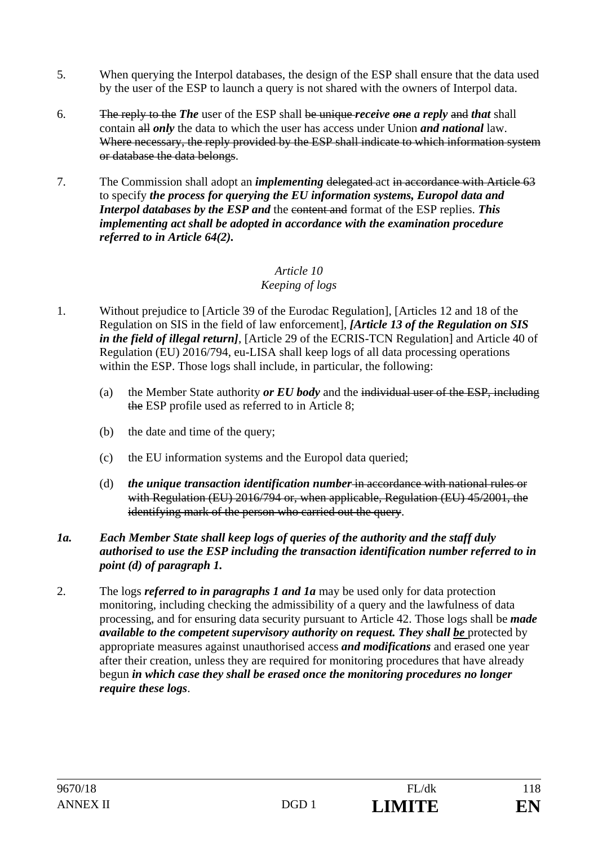- 5. When querying the Interpol databases, the design of the ESP shall ensure that the data used by the user of the ESP to launch a query is not shared with the owners of Interpol data.
- 6. The reply to the *The* user of the ESP shall be unique *receive one a reply* and *that* shall contain all *only* the data to which the user has access under Union *and national* law. Where necessary, the reply provided by the ESP shall indicate to which information system or database the data belongs.
- 7. The Commission shall adopt an *implementing* delegated act in accordance with Article 63 to specify *the process for querying the EU information systems, Europol data and Interpol databases by the ESP and the content and format of the ESP replies. This implementing act shall be adopted in accordance with the examination procedure referred to in Article 64(2).*

## *Keeping of logs*

- 1. Without prejudice to [Article 39 of the Eurodac Regulation], [Articles 12 and 18 of the Regulation on SIS in the field of law enforcement], *[Article 13 of the Regulation on SIS in the field of illegal return]*, [Article 29 of the ECRIS-TCN Regulation] and Article 40 of Regulation (EU) 2016/794, eu-LISA shall keep logs of all data processing operations within the ESP. Those logs shall include, in particular, the following:
	- (a) the Member State authority *or EU body* and the individual user of the ESP, including the ESP profile used as referred to in Article 8;
	- (b) the date and time of the query;
	- (c) the EU information systems and the Europol data queried;
	- (d) *the unique transaction identification number* in accordance with national rules or with Regulation (EU) 2016/794 or, when applicable, Regulation (EU) 45/2001, the identifying mark of the person who carried out the query.

#### *1a. Each Member State shall keep logs of queries of the authority and the staff duly authorised to use the ESP including the transaction identification number referred to in point (d) of paragraph 1.*

2. The logs *referred to in paragraphs 1 and 1a* may be used only for data protection monitoring, including checking the admissibility of a query and the lawfulness of data processing, and for ensuring data security pursuant to Article 42. Those logs shall be *made available to the competent supervisory authority on request. They shall be* protected by appropriate measures against unauthorised access *and modifications* and erased one year after their creation, unless they are required for monitoring procedures that have already begun *in which case they shall be erased once the monitoring procedures no longer require these logs*.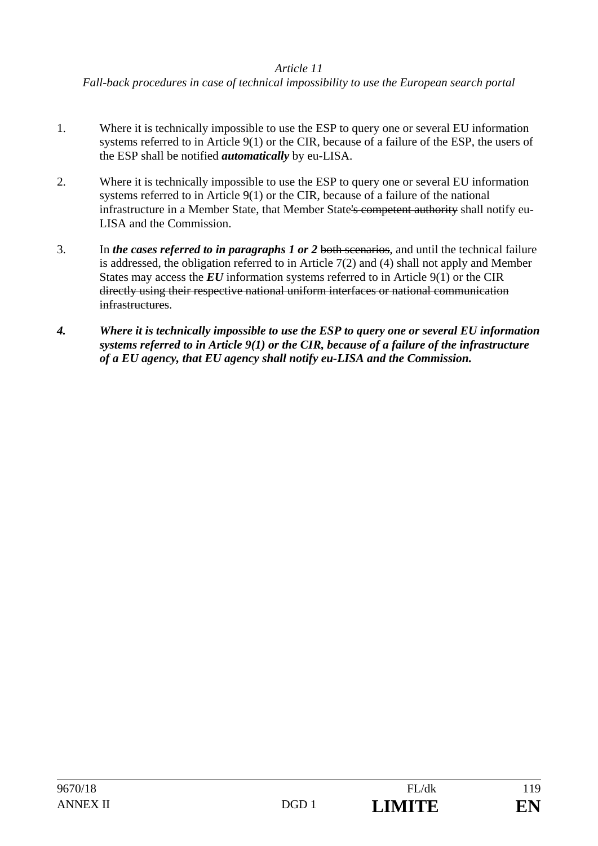*Fall-back procedures in case of technical impossibility to use the European search portal* 

- 1. Where it is technically impossible to use the ESP to query one or several EU information systems referred to in Article 9(1) or the CIR, because of a failure of the ESP, the users of the ESP shall be notified *automatically* by eu-LISA.
- 2. Where it is technically impossible to use the ESP to query one or several EU information systems referred to in Article 9(1) or the CIR, because of a failure of the national infrastructure in a Member State, that Member State's competent authority shall notify eu-LISA and the Commission.
- 3. In *the cases referred to in paragraphs 1 or 2* both scenarios, and until the technical failure is addressed, the obligation referred to in Article 7(2) and (4) shall not apply and Member States may access the *EU* information systems referred to in Article 9(1) or the CIR directly using their respective national uniform interfaces or national communication infrastructures.
- *4. Where it is technically impossible to use the ESP to query one or several EU information systems referred to in Article 9(1) or the CIR, because of a failure of the infrastructure of a EU agency, that EU agency shall notify eu-LISA and the Commission.*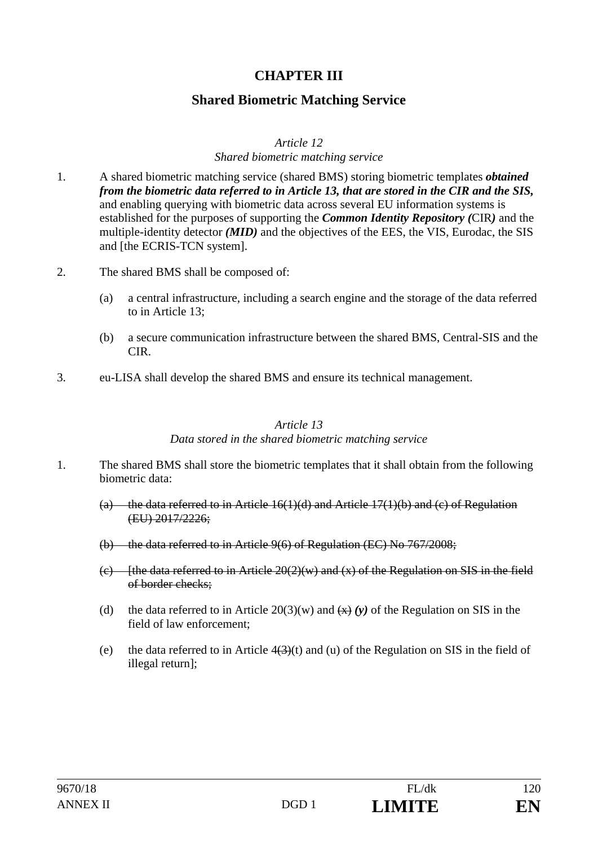## **CHAPTER III**

## **Shared Biometric Matching Service**

#### *Article 12*

#### *Shared biometric matching service*

- 1. A shared biometric matching service (shared BMS) storing biometric templates *obtained from the biometric data referred to in Article 13, that are stored in the CIR and the SIS,* and enabling querying with biometric data across several EU information systems is established for the purposes of supporting the *Common Identity Repository (*CIR*)* and the multiple-identity detector *(MID)* and the objectives of the EES, the VIS, Eurodac, the SIS and [the ECRIS-TCN system].
- 2. The shared BMS shall be composed of:
	- (a) a central infrastructure, including a search engine and the storage of the data referred to in Article 13;
	- (b) a secure communication infrastructure between the shared BMS, Central-SIS and the CIR.
- 3. eu-LISA shall develop the shared BMS and ensure its technical management.

#### *Article 13*

#### *Data stored in the shared biometric matching service*

- 1. The shared BMS shall store the biometric templates that it shall obtain from the following biometric data:
	- (a) the data referred to in Article  $16(1)(d)$  and Article 17(1)(b) and (c) of Regulation (EU) 2017/2226;
	- (b) the data referred to in Article 9(6) of Regulation (EC) No 767/2008;
	- (e) [the data referred to in Article  $20(2)(w)$  and (x) of the Regulation on SIS in the field of border checks;
	- (d) the data referred to in Article  $20(3)(w)$  and  $\left(\frac{x}{x}\right)(v)$  of the Regulation on SIS in the field of law enforcement;
	- (e) the data referred to in Article  $4(3)(t)$  and (u) of the Regulation on SIS in the field of illegal return];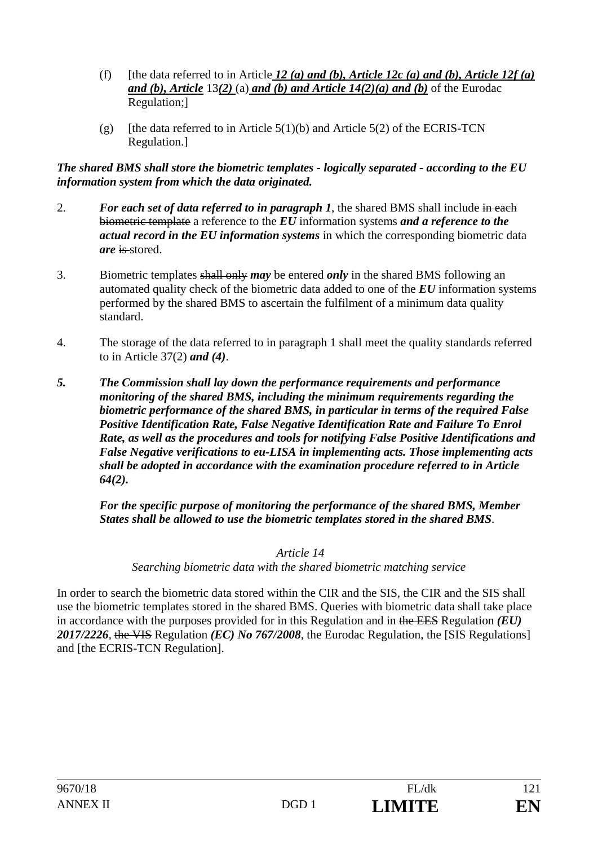- (f) [the data referred to in Article  $12$  (a) and (b), Article 12c (a) and (b), Article 12f (a) *and (b), Article* 13*(2)* (a) *and (b) and Article 14(2)(a) and (b)* of the Eurodac Regulation;]
- (g) [the data referred to in Article  $5(1)(b)$  and Article  $5(2)$  of the ECRIS-TCN Regulation.]

*The shared BMS shall store the biometric templates - logically separated - according to the EU information system from which the data originated.*

- 2. *For each set of data referred to in paragraph 1*, the shared BMS shall include in each biometric template a reference to the *EU* information systems *and a reference to the actual record in the EU information systems* in which the corresponding biometric data *are* is stored.
- 3. Biometric templates shall only *may* be entered *only* in the shared BMS following an automated quality check of the biometric data added to one of the *EU* information systems performed by the shared BMS to ascertain the fulfilment of a minimum data quality standard.
- 4. The storage of the data referred to in paragraph 1 shall meet the quality standards referred to in Article 37(2) *and (4)*.
- *5. The Commission shall lay down the performance requirements and performance monitoring of the shared BMS, including the minimum requirements regarding the biometric performance of the shared BMS, in particular in terms of the required False Positive Identification Rate, False Negative Identification Rate and Failure To Enrol Rate, as well as the procedures and tools for notifying False Positive Identifications and False Negative verifications to eu-LISA in implementing acts. Those implementing acts shall be adopted in accordance with the examination procedure referred to in Article 64(2).*

 *For the specific purpose of monitoring the performance of the shared BMS, Member States shall be allowed to use the biometric templates stored in the shared BMS*.

 *Article 14* 

*Searching biometric data with the shared biometric matching service* 

In order to search the biometric data stored within the CIR and the SIS, the CIR and the SIS shall use the biometric templates stored in the shared BMS. Queries with biometric data shall take place in accordance with the purposes provided for in this Regulation and in the EES Regulation *(EU) 2017/2226*, the VIS Regulation *(EC) No 767/2008*, the Eurodac Regulation, the [SIS Regulations] and [the ECRIS-TCN Regulation].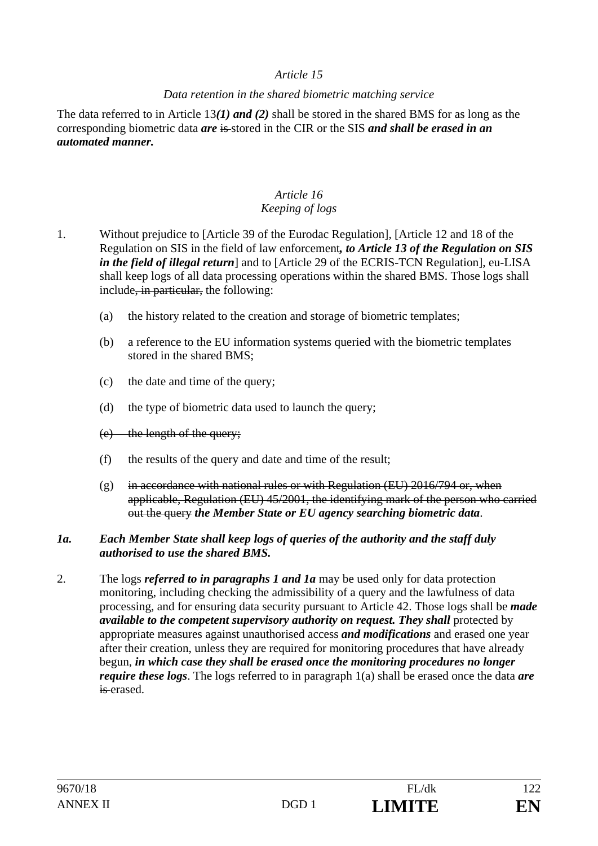#### *Data retention in the shared biometric matching service*

The data referred to in Article 13*(1) and (2)* shall be stored in the shared BMS for as long as the corresponding biometric data *are* is stored in the CIR or the SIS *and shall be erased in an automated manner.* 

### *Article 16 Keeping of logs*

- 1. Without prejudice to [Article 39 of the Eurodac Regulation], [Article 12 and 18 of the Regulation on SIS in the field of law enforcement*, to Article 13 of the Regulation on SIS in the field of illegal return*] and to [Article 29 of the ECRIS-TCN Regulation], eu-LISA shall keep logs of all data processing operations within the shared BMS. Those logs shall include, in particular, the following:
	- (a) the history related to the creation and storage of biometric templates;
	- (b) a reference to the EU information systems queried with the biometric templates stored in the shared BMS;
	- (c) the date and time of the query;
	- (d) the type of biometric data used to launch the query;
	- (e) the length of the query;
	- (f) the results of the query and date and time of the result;
	- (g) in accordance with national rules or with Regulation (EU)  $2016/794$  or, when applicable, Regulation (EU) 45/2001, the identifying mark of the person who carried out the query *the Member State or EU agency searching biometric data*.

#### *1a. Each Member State shall keep logs of queries of the authority and the staff duly authorised to use the shared BMS.*

2. The logs *referred to in paragraphs 1 and 1a* may be used only for data protection monitoring, including checking the admissibility of a query and the lawfulness of data processing, and for ensuring data security pursuant to Article 42. Those logs shall be *made available to the competent supervisory authority on request. They shall* protected by appropriate measures against unauthorised access *and modifications* and erased one year after their creation, unless they are required for monitoring procedures that have already begun, *in which case they shall be erased once the monitoring procedures no longer require these logs*. The logs referred to in paragraph 1(a) shall be erased once the data *are* is erased.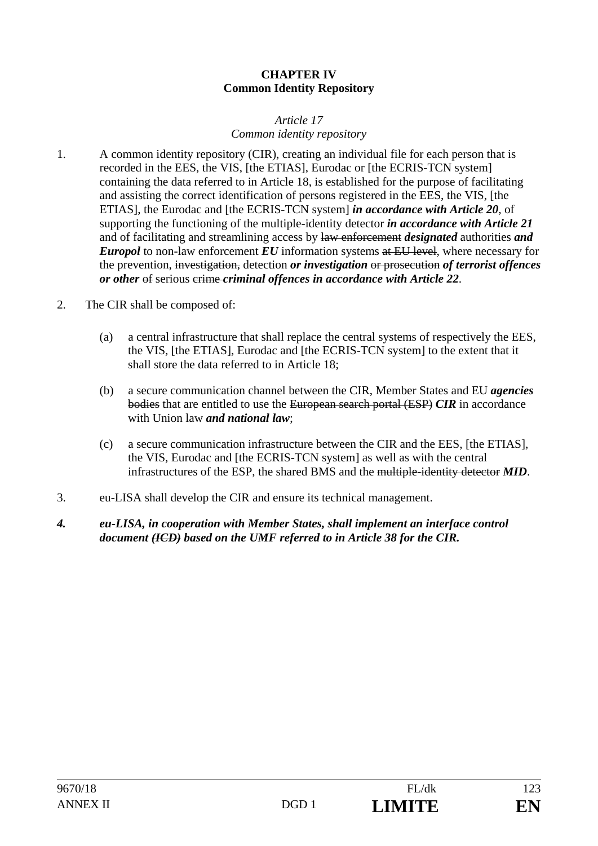#### **CHAPTER IV Common Identity Repository**

#### *Article 17 Common identity repository*

- 1. A common identity repository (CIR), creating an individual file for each person that is recorded in the EES, the VIS, [the ETIAS], Eurodac or [the ECRIS-TCN system] containing the data referred to in Article 18, is established for the purpose of facilitating and assisting the correct identification of persons registered in the EES, the VIS, [the ETIAS], the Eurodac and [the ECRIS-TCN system] *in accordance with Article 20*, of supporting the functioning of the multiple-identity detector *in accordance with Article 21* and of facilitating and streamlining access by law enforcement *designated* authorities *and Europol* to non-law enforcement *EU* information systems at EU level, where necessary for the prevention, investigation, detection *or investigation* or prosecution *of terrorist offences or other* of serious erime *criminal offences in accordance with Article 22.*
- 2. The CIR shall be composed of:
	- (a) a central infrastructure that shall replace the central systems of respectively the EES, the VIS, [the ETIAS], Eurodac and [the ECRIS-TCN system] to the extent that it shall store the data referred to in Article 18;
	- (b) a secure communication channel between the CIR, Member States and EU *agencies* bodies that are entitled to use the European search portal (ESP) *CIR* in accordance with Union law *and national law*;
	- (c) a secure communication infrastructure between the CIR and the EES, [the ETIAS], the VIS, Eurodac and [the ECRIS-TCN system] as well as with the central infrastructures of the ESP, the shared BMS and the multiple-identity detector *MID*.
- 3. eu-LISA shall develop the CIR and ensure its technical management.
- *4. eu-LISA, in cooperation with Member States, shall implement an interface control document (ICD) based on the UMF referred to in Article 38 for the CIR.*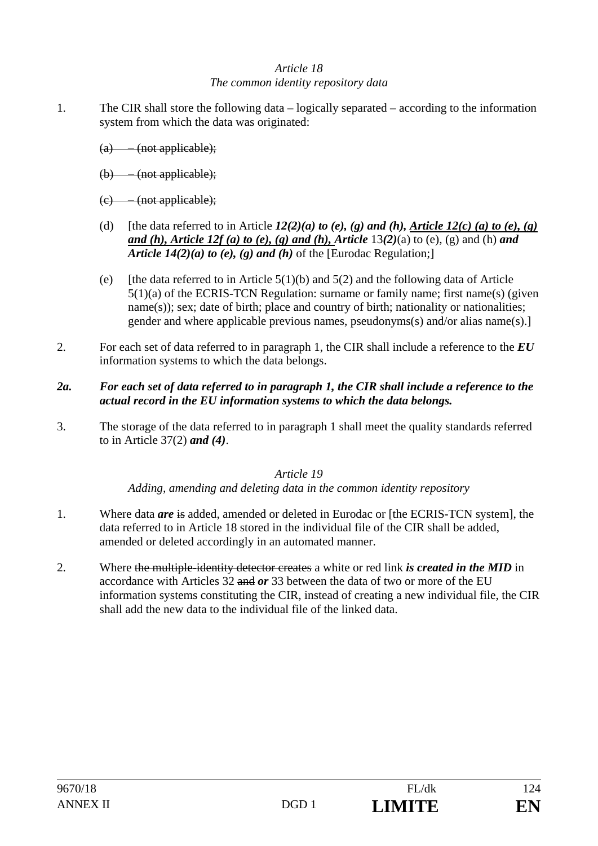## *Article 18 The common identity repository data*

- 1. The CIR shall store the following data logically separated according to the information system from which the data was originated:
	- (a) (not applicable);
	- (b) (not applicable);
	- (c) (not applicable);
	- (d) [the data referred to in Article  $12(2)(a)$  to (e), (g) and (h), Article  $12(c)$  (a) to (e), (g) *and (h), Article 12f (a) to (e), (g) and (h), Article* 13*(2)*(a) to (e), (g) and (h) *and Article 14(2)(a) to (e), (g) and (h)* of the [Eurodac Regulation;]
	- (e) [the data referred to in Article  $5(1)(b)$  and  $5(2)$  and the following data of Article 5(1)(a) of the ECRIS-TCN Regulation: surname or family name; first name(s) (given name(s)); sex; date of birth; place and country of birth; nationality or nationalities; gender and where applicable previous names, pseudonyms(s) and/or alias name(s).]
- 2. For each set of data referred to in paragraph 1, the CIR shall include a reference to the *EU*  information systems to which the data belongs.
- *2a. For each set of data referred to in paragraph 1, the CIR shall include a reference to the actual record in the EU information systems to which the data belongs.*
- 3. The storage of the data referred to in paragraph 1 shall meet the quality standards referred to in Article 37(2) *and (4)*.

### *Article 19*

*Adding, amending and deleting data in the common identity repository* 

- 1. Where data *are* is added, amended or deleted in Eurodac or [the ECRIS-TCN system], the data referred to in Article 18 stored in the individual file of the CIR shall be added, amended or deleted accordingly in an automated manner.
- 2. Where the multiple-identity detector creates a white or red link *is created in the MID* in accordance with Articles 32 and *or* 33 between the data of two or more of the EU information systems constituting the CIR, instead of creating a new individual file, the CIR shall add the new data to the individual file of the linked data.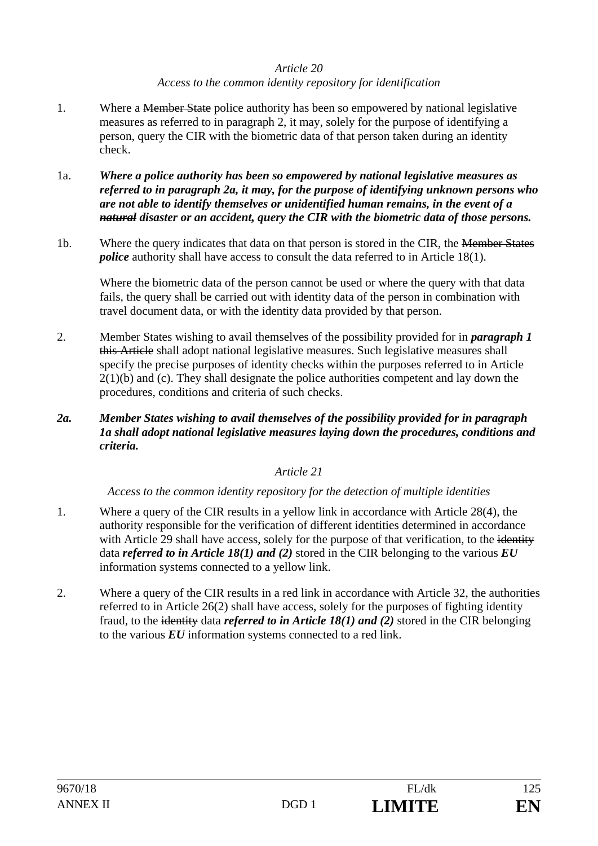### *Article 20 Access to the common identity repository for identification*

- 1. Where a <del>Member State</del> police authority has been so empowered by national legislative measures as referred to in paragraph 2, it may, solely for the purpose of identifying a person, query the CIR with the biometric data of that person taken during an identity check.
- 1a. *Where a police authority has been so empowered by national legislative measures as referred to in paragraph 2a, it may, for the purpose of identifying unknown persons who are not able to identify themselves or unidentified human remains, in the event of a natural disaster or an accident, query the CIR with the biometric data of those persons.*
- 1b. Where the query indicates that data on that person is stored in the CIR, the Member States *police* authority shall have access to consult the data referred to in Article 18(1).

Where the biometric data of the person cannot be used or where the query with that data fails, the query shall be carried out with identity data of the person in combination with travel document data, or with the identity data provided by that person.

- 2. Member States wishing to avail themselves of the possibility provided for in *paragraph 1*  this Article shall adopt national legislative measures. Such legislative measures shall specify the precise purposes of identity checks within the purposes referred to in Article  $2(1)(b)$  and (c). They shall designate the police authorities competent and lay down the procedures, conditions and criteria of such checks.
- *2a. Member States wishing to avail themselves of the possibility provided for in paragraph 1a shall adopt national legislative measures laying down the procedures, conditions and criteria.*

### *Article 21*

*Access to the common identity repository for the detection of multiple identities* 

- 1. Where a query of the CIR results in a yellow link in accordance with Article 28(4), the authority responsible for the verification of different identities determined in accordance with Article 29 shall have access, solely for the purpose of that verification, to the identity data *referred to in Article 18(1) and (2)* stored in the CIR belonging to the various *EU*  information systems connected to a yellow link.
- 2. Where a query of the CIR results in a red link in accordance with Article 32, the authorities referred to in Article 26(2) shall have access, solely for the purposes of fighting identity fraud, to the identity data *referred to in Article 18(1) and (2)* stored in the CIR belonging to the various *EU* information systems connected to a red link.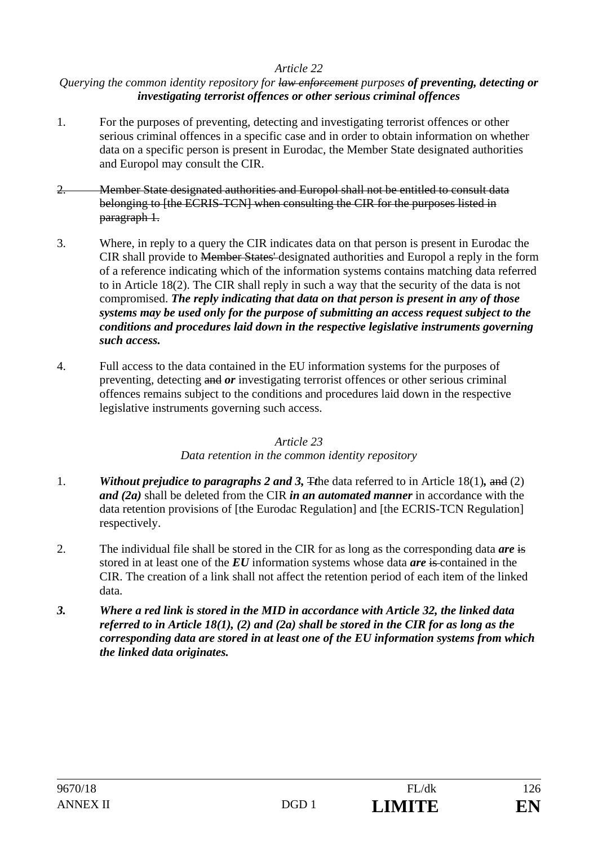#### *Querying the common identity repository for law enforcement purposes of preventing, detecting or investigating terrorist offences or other serious criminal offences*

- 1. For the purposes of preventing, detecting and investigating terrorist offences or other serious criminal offences in a specific case and in order to obtain information on whether data on a specific person is present in Eurodac, the Member State designated authorities and Europol may consult the CIR.
- 2. Member State designated authorities and Europol shall not be entitled to consult data belonging to [the ECRIS-TCN] when consulting the CIR for the purposes listed in paragraph 1.
- 3. Where, in reply to a query the CIR indicates data on that person is present in Eurodac the CIR shall provide to Member States' designated authorities and Europol a reply in the form of a reference indicating which of the information systems contains matching data referred to in Article 18(2). The CIR shall reply in such a way that the security of the data is not compromised. *The reply indicating that data on that person is present in any of those systems may be used only for the purpose of submitting an access request subject to the conditions and procedures laid down in the respective legislative instruments governing such access.*
- 4. Full access to the data contained in the EU information systems for the purposes of preventing, detecting and *or* investigating terrorist offences or other serious criminal offences remains subject to the conditions and procedures laid down in the respective legislative instruments governing such access.

### *Article 23*

### *Data retention in the common identity repository*

- 1. *Without prejudice to paragraphs 2 and 3,* T*t*he data referred to in Article 18(1)*,* and (2) *and (2a)* shall be deleted from the CIR *in an automated manner* in accordance with the data retention provisions of [the Eurodac Regulation] and [the ECRIS-TCN Regulation] respectively.
- 2. The individual file shall be stored in the CIR for as long as the corresponding data *are* is stored in at least one of the *EU* information systems whose data *are* is contained in the CIR. The creation of a link shall not affect the retention period of each item of the linked data.
- *3. Where a red link is stored in the MID in accordance with Article 32, the linked data referred to in Article 18(1), (2) and (2a) shall be stored in the CIR for as long as the corresponding data are stored in at least one of the EU information systems from which the linked data originates.*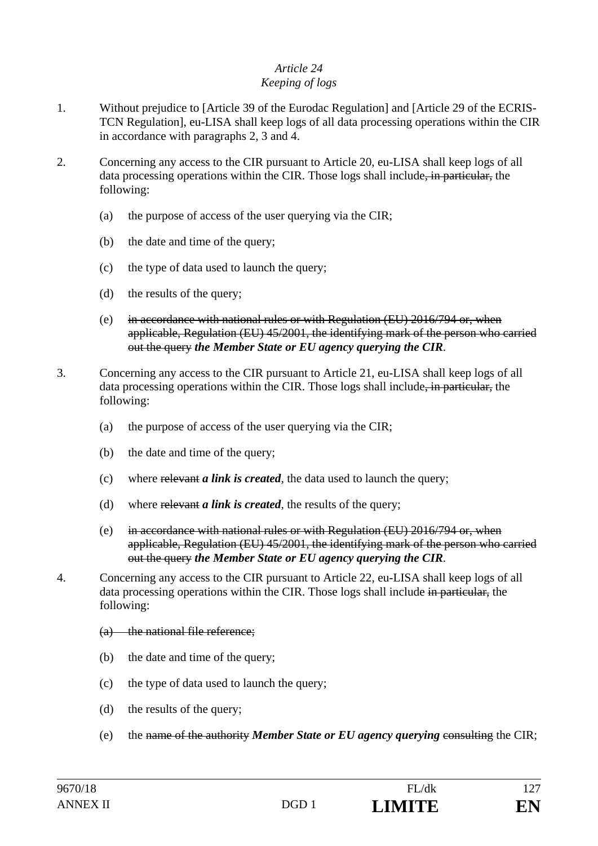#### *Article 24 Keeping of logs*

- 1. Without prejudice to [Article 39 of the Eurodac Regulation] and [Article 29 of the ECRIS-TCN Regulation], eu-LISA shall keep logs of all data processing operations within the CIR in accordance with paragraphs 2, 3 and 4.
- 2. Concerning any access to the CIR pursuant to Article 20, eu-LISA shall keep logs of all data processing operations within the CIR. Those logs shall include, in particular, the following:
	- (a) the purpose of access of the user querying via the CIR;
	- (b) the date and time of the query;
	- (c) the type of data used to launch the query;
	- (d) the results of the query;
	- (e) in accordance with national rules or with Regulation  $(EU)$  2016/794 or, when applicable, Regulation (EU) 45/2001, the identifying mark of the person who carried out the query *the Member State or EU agency querying the CIR*.
- 3. Concerning any access to the CIR pursuant to Article 21, eu-LISA shall keep logs of all data processing operations within the CIR. Those logs shall include, in particular, the following:
	- (a) the purpose of access of the user querying via the CIR;
	- (b) the date and time of the query;
	- (c) where relevant *a link is created*, the data used to launch the query;
	- (d) where relevant *a link is created*, the results of the query;
	- (e) in accordance with national rules or with Regulation  $(EU)$  2016/794 or, when applicable, Regulation (EU) 45/2001, the identifying mark of the person who carried out the query *the Member State or EU agency querying the CIR*.
- 4. Concerning any access to the CIR pursuant to Article 22, eu-LISA shall keep logs of all data processing operations within the CIR. Those logs shall include in particular, the following:
	- (a) the national file reference;
	- (b) the date and time of the query;
	- (c) the type of data used to launch the query;
	- (d) the results of the query;
	- (e) the name of the authority *Member State or EU agency querying* consulting the CIR;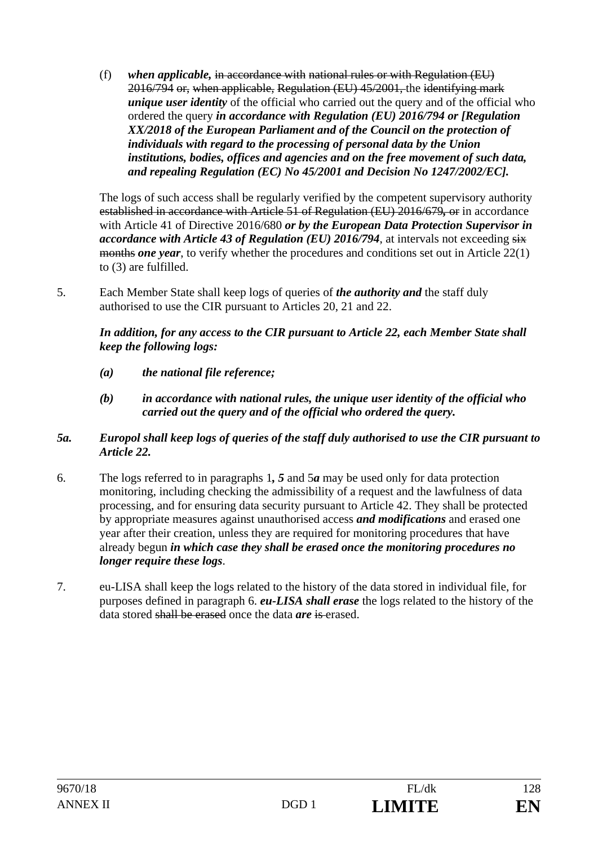(f) *when applicable,* in accordance with national rules or with Regulation (EU) 2016/794 or, when applicable, Regulation (EU) 45/2001, the identifying mark *unique user identity* of the official who carried out the query and of the official who ordered the query *in accordance with Regulation (EU) 2016/794 or [Regulation XX/2018 of the European Parliament and of the Council on the protection of individuals with regard to the processing of personal data by the Union institutions, bodies, offices and agencies and on the free movement of such data, and repealing Regulation (EC) No 45/2001 and Decision No 1247/2002/EC].*

The logs of such access shall be regularly verified by the competent supervisory authority established in accordance with Article 51 of Regulation (EU) 2016/679*,* or in accordance with Article 41 of Directive 2016/680 *or by the European Data Protection Supervisor in accordance with Article 43 of Regulation (EU) 2016/794, at intervals not exceeding six* months *one year*, to verify whether the procedures and conditions set out in Article 22(1) to (3) are fulfilled.

5. Each Member State shall keep logs of queries of *the authority and* the staff duly authorised to use the CIR pursuant to Articles 20, 21 and 22.

*In addition, for any access to the CIR pursuant to Article 22, each Member State shall keep the following logs:* 

- *(a) the national file reference;*
- *(b) in accordance with national rules, the unique user identity of the official who carried out the query and of the official who ordered the query.*

#### *5a. Europol shall keep logs of queries of the staff duly authorised to use the CIR pursuant to Article 22.*

- 6. The logs referred to in paragraphs 1*, 5* and 5*a* may be used only for data protection monitoring, including checking the admissibility of a request and the lawfulness of data processing, and for ensuring data security pursuant to Article 42. They shall be protected by appropriate measures against unauthorised access *and modifications* and erased one year after their creation, unless they are required for monitoring procedures that have already begun *in which case they shall be erased once the monitoring procedures no longer require these logs*.
- 7. eu-LISA shall keep the logs related to the history of the data stored in individual file, for purposes defined in paragraph 6. *eu-LISA shall erase* the logs related to the history of the data stored shall be erased once the data *are* is erased.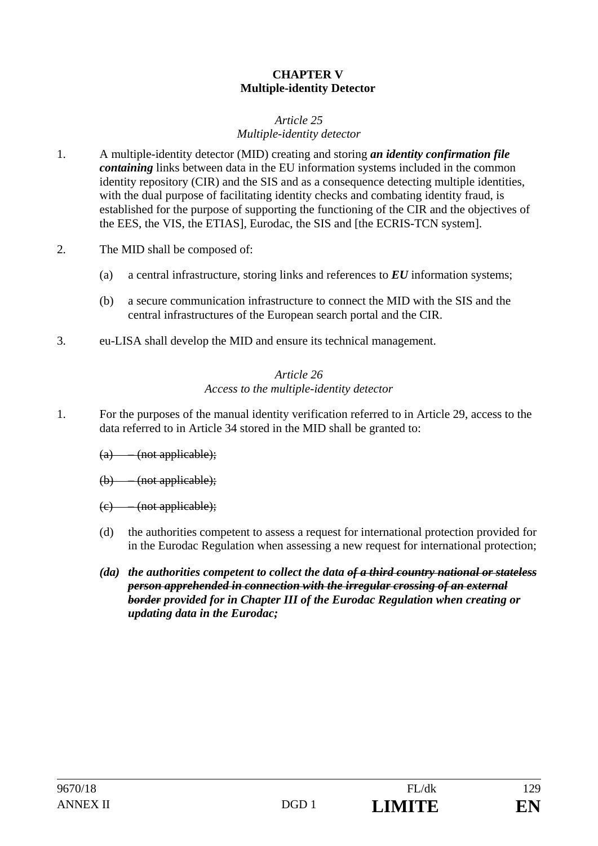### **CHAPTER V Multiple-identity Detector**

#### *Article 25 Multiple-identity detector*

- 1. A multiple-identity detector (MID) creating and storing *an identity confirmation file containing* links between data in the EU information systems included in the common identity repository (CIR) and the SIS and as a consequence detecting multiple identities, with the dual purpose of facilitating identity checks and combating identity fraud, is established for the purpose of supporting the functioning of the CIR and the objectives of the EES, the VIS, the ETIAS], Eurodac, the SIS and [the ECRIS-TCN system].
- 2. The MID shall be composed of:
	- (a) a central infrastructure, storing links and references to *EU* information systems;
	- (b) a secure communication infrastructure to connect the MID with the SIS and the central infrastructures of the European search portal and the CIR.
- 3. eu-LISA shall develop the MID and ensure its technical management.

## *Article 26 Access to the multiple-identity detector*

- 1. For the purposes of the manual identity verification referred to in Article 29, access to the data referred to in Article 34 stored in the MID shall be granted to:
	- $(a)$  (not applicable);
	- (b) (not applicable);
	- (c) (not applicable);
	- (d) the authorities competent to assess a request for international protection provided for in the Eurodac Regulation when assessing a new request for international protection;
	- *(da) the authorities competent to collect the data of a third country national or stateless person apprehended in connection with the irregular crossing of an external border provided for in Chapter III of the Eurodac Regulation when creating or updating data in the Eurodac;*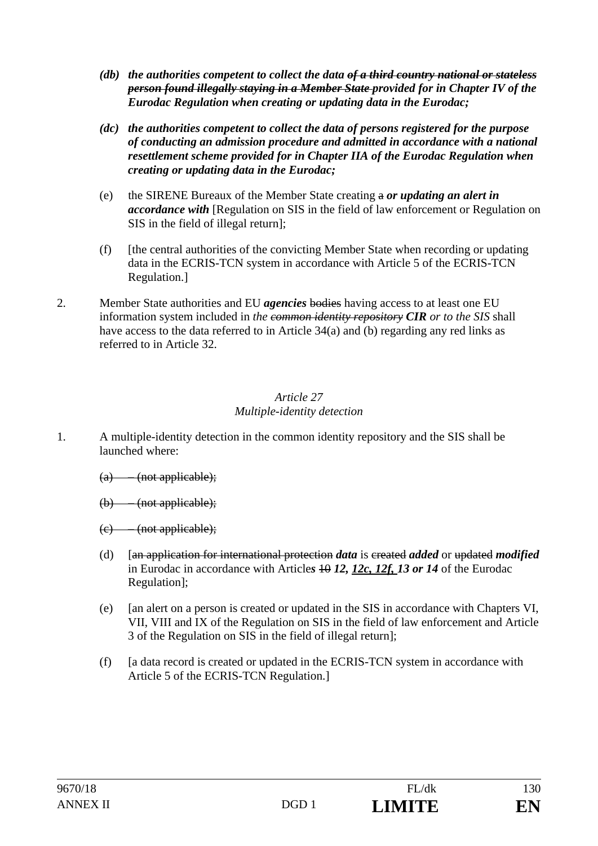- *(db) the authorities competent to collect the data of a third country national or stateless person found illegally staying in a Member State provided for in Chapter IV of the Eurodac Regulation when creating or updating data in the Eurodac;*
- *(dc) the authorities competent to collect the data of persons registered for the purpose of conducting an admission procedure and admitted in accordance with a national resettlement scheme provided for in Chapter IIA of the Eurodac Regulation when creating or updating data in the Eurodac;*
- (e) the SIRENE Bureaux of the Member State creating a *or updating an alert in accordance with* [Regulation on SIS in the field of law enforcement or Regulation on SIS in the field of illegal return];
- (f) [the central authorities of the convicting Member State when recording or updating data in the ECRIS-TCN system in accordance with Article 5 of the ECRIS-TCN Regulation.]
- 2. Member State authorities and EU *agencies* bodies having access to at least one EU information system included in *the common identity repository CIR or to the SIS* shall have access to the data referred to in Article 34(a) and (b) regarding any red links as referred to in Article 32.

### *Article 27 Multiple-identity detection*

- 1. A multiple-identity detection in the common identity repository and the SIS shall be launched where:
	- $(a)$  (not applicable);
	- (b) (not applicable);
	- (c) (not applicable);
	- (d) [an application for international protection *data* is created *added* or updated *modified* in Eurodac in accordance with Articles 40 12, 12c, 12f, 13 or 14 of the Eurodac Regulation];
	- (e) [an alert on a person is created or updated in the SIS in accordance with Chapters VI, VII, VIII and IX of the Regulation on SIS in the field of law enforcement and Article 3 of the Regulation on SIS in the field of illegal return];
	- (f) [a data record is created or updated in the ECRIS-TCN system in accordance with Article 5 of the ECRIS-TCN Regulation.]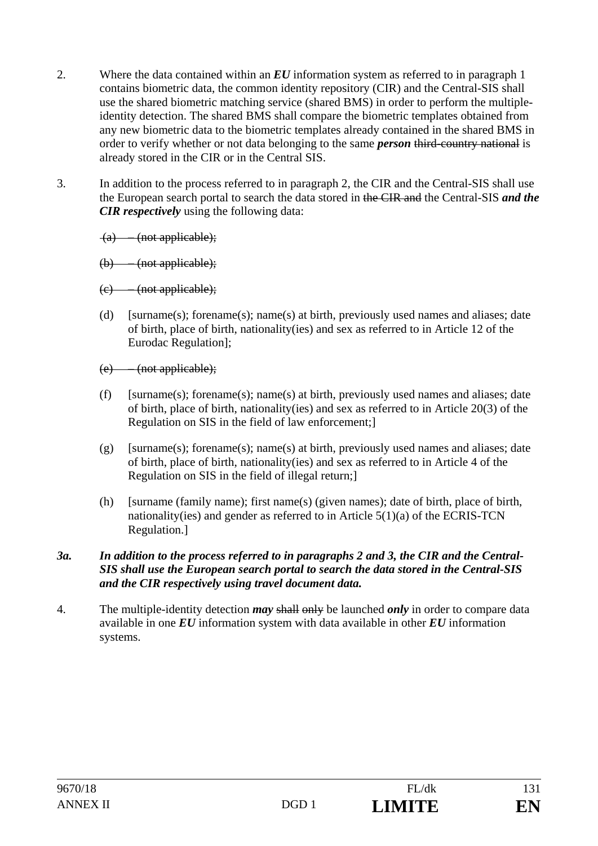- 2. Where the data contained within an *EU* information system as referred to in paragraph 1 contains biometric data, the common identity repository (CIR) and the Central-SIS shall use the shared biometric matching service (shared BMS) in order to perform the multipleidentity detection. The shared BMS shall compare the biometric templates obtained from any new biometric data to the biometric templates already contained in the shared BMS in order to verify whether or not data belonging to the same *person* third-country national is already stored in the CIR or in the Central SIS.
- 3. In addition to the process referred to in paragraph 2, the CIR and the Central-SIS shall use the European search portal to search the data stored in the CIR and the Central-SIS *and the CIR respectively* using the following data:

(a) – (not applicable);

- (b) (not applicable);
- $(e)$  (not applicable);
- (d) [surname(s); forename(s); name(s) at birth, previously used names and aliases; date of birth, place of birth, nationality(ies) and sex as referred to in Article 12 of the Eurodac Regulation];
- (e) (not applicable);
- (f) [surname(s); forename(s); name(s) at birth, previously used names and aliases; date of birth, place of birth, nationality(ies) and sex as referred to in Article 20(3) of the Regulation on SIS in the field of law enforcement;]
- (g) [surname(s); forename(s); name(s) at birth, previously used names and aliases; date of birth, place of birth, nationality(ies) and sex as referred to in Article 4 of the Regulation on SIS in the field of illegal return;]
- (h) [surname (family name); first name(s) (given names); date of birth, place of birth, nationality(ies) and gender as referred to in Article 5(1)(a) of the ECRIS-TCN Regulation.]

#### *3a. In addition to the process referred to in paragraphs 2 and 3, the CIR and the Central-SIS shall use the European search portal to search the data stored in the Central-SIS and the CIR respectively using travel document data.*

4. The multiple-identity detection *may* shall only be launched *only* in order to compare data available in one *EU* information system with data available in other *EU* information systems.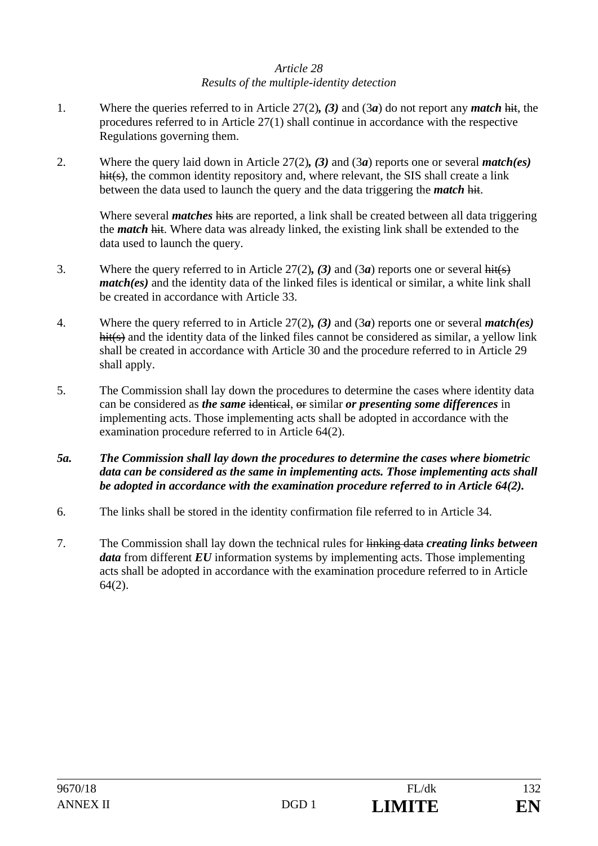### *Article 28 Results of the multiple-identity detection*

- 1. Where the queries referred to in Article 27(2)*, (3)* and (3*a*) do not report any *match* hit, the procedures referred to in Article 27(1) shall continue in accordance with the respective Regulations governing them.
- 2. Where the query laid down in Article 27(2)*, (3)* and (3*a*) reports one or several *match(es)*  hit(s), the common identity repository and, where relevant, the SIS shall create a link between the data used to launch the query and the data triggering the *match* hit.

Where several *matches* hits are reported, a link shall be created between all data triggering the *match* hit. Where data was already linked, the existing link shall be extended to the data used to launch the query.

- 3. Where the query referred to in Article 27(2)*, (3)* and (3*a*) reports one or several hit(s) *match(es)* and the identity data of the linked files is identical or similar, a white link shall be created in accordance with Article 33.
- 4. Where the query referred to in Article 27(2)*, (3)* and (3*a*) reports one or several *match(es)* hit(s) and the identity data of the linked files cannot be considered as similar, a yellow link shall be created in accordance with Article 30 and the procedure referred to in Article 29 shall apply.
- 5. The Commission shall lay down the procedures to determine the cases where identity data can be considered as *the same* identical, or similar *or presenting some differences* in implementing acts. Those implementing acts shall be adopted in accordance with the examination procedure referred to in Article 64(2).
- *5a.**The Commission shall lay down the procedures to determine the cases where biometric data can be considered as the same in implementing acts. Those implementing acts shall be adopted in accordance with the examination procedure referred to in Article 64(2).*
- 6. The links shall be stored in the identity confirmation file referred to in Article 34.
- 7. The Commission shall lay down the technical rules for linking data *creating links between data* from different *EU* information systems by implementing acts. Those implementing acts shall be adopted in accordance with the examination procedure referred to in Article 64(2).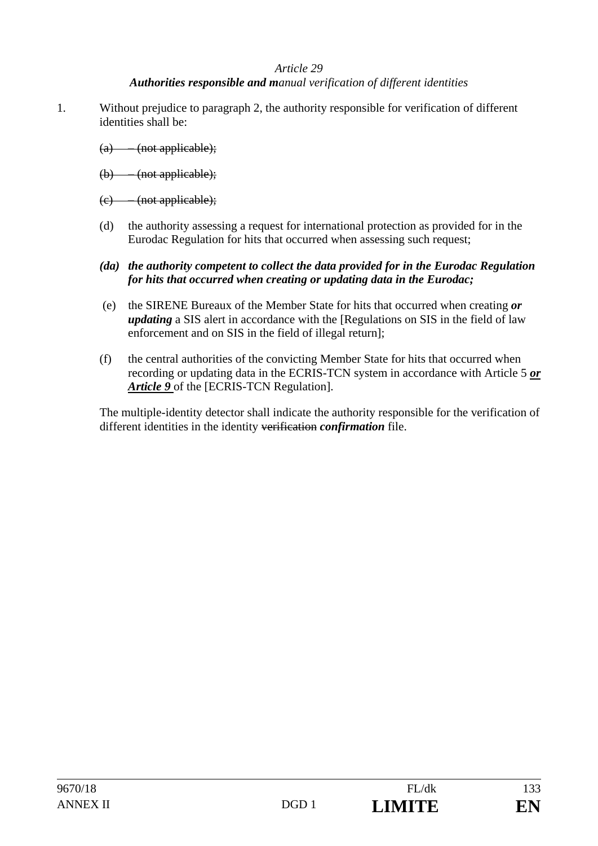#### *Authorities responsible and manual verification of different identities*

- 1. Without prejudice to paragraph 2, the authority responsible for verification of different identities shall be:
	- (a) (not applicable);
	- (b) (not applicable);
	- (c) (not applicable);
	- (d) the authority assessing a request for international protection as provided for in the Eurodac Regulation for hits that occurred when assessing such request;
	- *(da) the authority competent to collect the data provided for in the Eurodac Regulation for hits that occurred when creating or updating data in the Eurodac;*
	- (e) the SIRENE Bureaux of the Member State for hits that occurred when creating *or updating* a SIS alert in accordance with the [Regulations on SIS in the field of law enforcement and on SIS in the field of illegal return];
	- (f) the central authorities of the convicting Member State for hits that occurred when recording or updating data in the ECRIS-TCN system in accordance with Article 5 *or Article 9* of the [ECRIS-TCN Regulation].

The multiple-identity detector shall indicate the authority responsible for the verification of different identities in the identity verification *confirmation* file.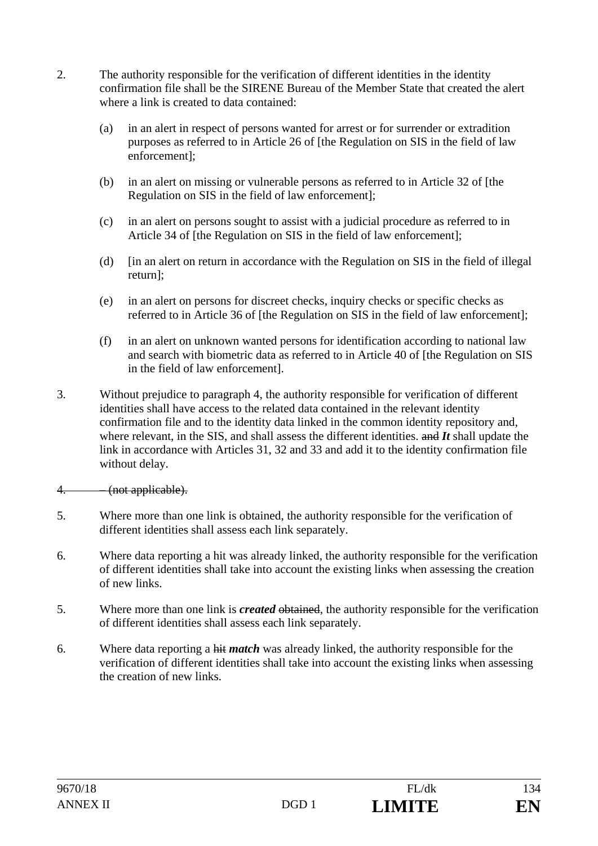- 2. The authority responsible for the verification of different identities in the identity confirmation file shall be the SIRENE Bureau of the Member State that created the alert where a link is created to data contained:
	- (a) in an alert in respect of persons wanted for arrest or for surrender or extradition purposes as referred to in Article 26 of [the Regulation on SIS in the field of law enforcement];
	- (b) in an alert on missing or vulnerable persons as referred to in Article 32 of [the Regulation on SIS in the field of law enforcement];
	- (c) in an alert on persons sought to assist with a judicial procedure as referred to in Article 34 of [the Regulation on SIS in the field of law enforcement];
	- (d) [in an alert on return in accordance with the Regulation on SIS in the field of illegal return];
	- (e) in an alert on persons for discreet checks, inquiry checks or specific checks as referred to in Article 36 of [the Regulation on SIS in the field of law enforcement];
	- (f) in an alert on unknown wanted persons for identification according to national law and search with biometric data as referred to in Article 40 of [the Regulation on SIS in the field of law enforcement].
- 3. Without prejudice to paragraph 4, the authority responsible for verification of different identities shall have access to the related data contained in the relevant identity confirmation file and to the identity data linked in the common identity repository and, where relevant, in the SIS, and shall assess the different identities. and *It* shall update the link in accordance with Articles 31, 32 and 33 and add it to the identity confirmation file without delay.

### 4. – (not applicable).

- 5. Where more than one link is obtained, the authority responsible for the verification of different identities shall assess each link separately.
- 6. Where data reporting a hit was already linked, the authority responsible for the verification of different identities shall take into account the existing links when assessing the creation of new links.
- 5. Where more than one link is *created* obtained, the authority responsible for the verification of different identities shall assess each link separately.
- 6. Where data reporting a hit *match* was already linked, the authority responsible for the verification of different identities shall take into account the existing links when assessing the creation of new links.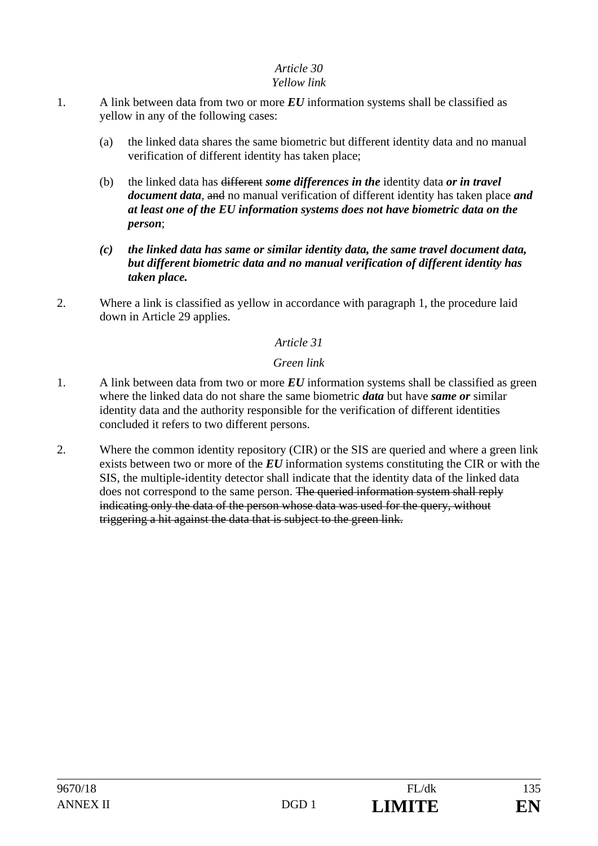### *Yellow link*

- 1. A link between data from two or more *EU* information systems shall be classified as yellow in any of the following cases:
	- (a) the linked data shares the same biometric but different identity data and no manual verification of different identity has taken place;
	- (b) the linked data has different *some differences in the* identity data *or in travel document data,* and no manual verification of different identity has taken place *and at least one of the EU information systems does not have biometric data on the person*;
	- *(c) the linked data has same or similar identity data, the same travel document data, but different biometric data and no manual verification of different identity has taken place.*
- 2. Where a link is classified as yellow in accordance with paragraph 1, the procedure laid down in Article 29 applies.

## *Article 31*

## *Green link*

- 1. A link between data from two or more *EU* information systems shall be classified as green where the linked data do not share the same biometric *data* but have *same or* similar identity data and the authority responsible for the verification of different identities concluded it refers to two different persons.
- 2. Where the common identity repository (CIR) or the SIS are queried and where a green link exists between two or more of the *EU* information systems constituting the CIR or with the SIS, the multiple-identity detector shall indicate that the identity data of the linked data does not correspond to the same person. The queried information system shall reply indicating only the data of the person whose data was used for the query, without triggering a hit against the data that is subject to the green link.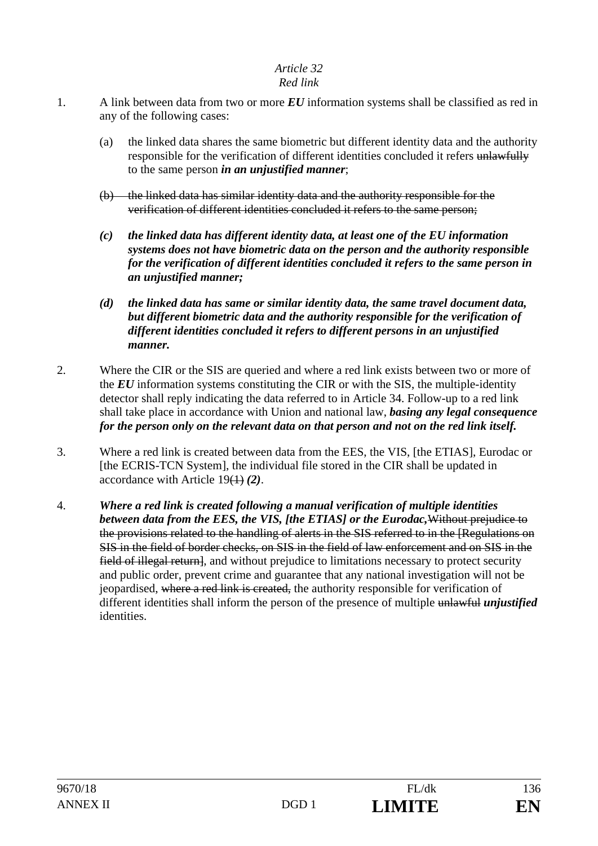## *Red link*

- 1. A link between data from two or more *EU* information systems shall be classified as red in any of the following cases:
	- (a) the linked data shares the same biometric but different identity data and the authority responsible for the verification of different identities concluded it refers unlawfully to the same person *in an unjustified manner*;
	- (b) the linked data has similar identity data and the authority responsible for the verification of different identities concluded it refers to the same person;
	- *(c) the linked data has different identity data, at least one of the EU information systems does not have biometric data on the person and the authority responsible for the verification of different identities concluded it refers to the same person in an unjustified manner;*
	- *(d) the linked data has same or similar identity data, the same travel document data, but different biometric data and the authority responsible for the verification of different identities concluded it refers to different persons in an unjustified manner.*
- 2. Where the CIR or the SIS are queried and where a red link exists between two or more of the *EU* information systems constituting the CIR or with the SIS, the multiple-identity detector shall reply indicating the data referred to in Article 34. Follow-up to a red link shall take place in accordance with Union and national law, *basing any legal consequence for the person only on the relevant data on that person and not on the red link itself.*
- 3. Where a red link is created between data from the EES, the VIS, [the ETIAS], Eurodac or [the ECRIS-TCN System], the individual file stored in the CIR shall be updated in accordance with Article 19(1) *(2)*.
- 4. *Where a red link is created following a manual verification of multiple identities between data from the EES, the VIS, [the ETIAS] or the Eurodac,*Without prejudice to the provisions related to the handling of alerts in the SIS referred to in the [Regulations on SIS in the field of border checks, on SIS in the field of law enforcement and on SIS in the field of illegal return, and without prejudice to limitations necessary to protect security and public order, prevent crime and guarantee that any national investigation will not be jeopardised, where a red link is created, the authority responsible for verification of different identities shall inform the person of the presence of multiple unlawful *unjustified*  identities.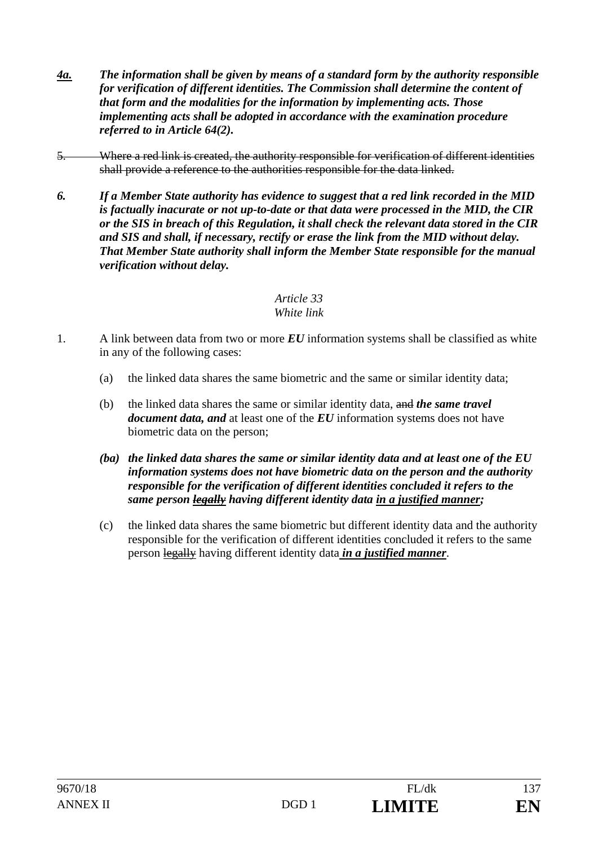- *4a. The information shall be given by means of a standard form by the authority responsible for verification of different identities. The Commission shall determine the content of that form and the modalities for the information by implementing acts. Those implementing acts shall be adopted in accordance with the examination procedure referred to in Article 64(2).*
- 5. Where a red link is created, the authority responsible for verification of different identities shall provide a reference to the authorities responsible for the data linked.
- *6. If a Member State authority has evidence to suggest that a red link recorded in the MID is factually inacurate or not up-to-date or that data were processed in the MID, the CIR or the SIS in breach of this Regulation, it shall check the relevant data stored in the CIR and SIS and shall, if necessary, rectify or erase the link from the MID without delay. That Member State authority shall inform the Member State responsible for the manual verification without delay.*

#### *Article 33 White link*

- 1. A link between data from two or more *EU* information systems shall be classified as white in any of the following cases:
	- (a) the linked data shares the same biometric and the same or similar identity data;
	- (b) the linked data shares the same or similar identity data, and *the same travel document data, and* at least one of the *EU* information systems does not have biometric data on the person;
	- *(ba) the linked data shares the same or similar identity data and at least one of the EU information systems does not have biometric data on the person and the authority responsible for the verification of different identities concluded it refers to the same person legally having different identity data in a justified manner;*
	- (c) the linked data shares the same biometric but different identity data and the authority responsible for the verification of different identities concluded it refers to the same person legally having different identity data *in a justified manner*.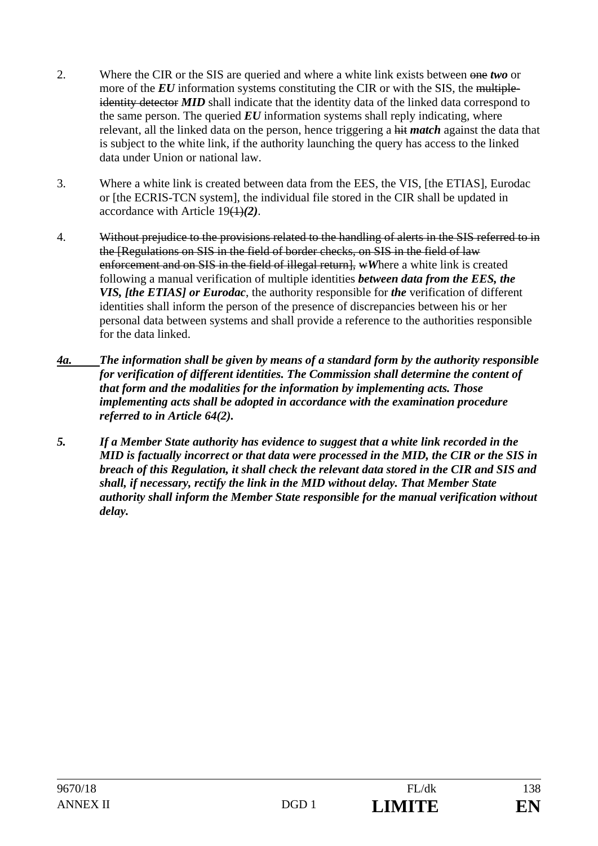- 2. Where the CIR or the SIS are queried and where a white link exists between one *two* or more of the *EU* information systems constituting the CIR or with the SIS, the multipleidentity detector **MID** shall indicate that the identity data of the linked data correspond to the same person. The queried  $EU$  information systems shall reply indicating, where relevant, all the linked data on the person, hence triggering a hit *match* against the data that is subject to the white link, if the authority launching the query has access to the linked data under Union or national law.
- 3. Where a white link is created between data from the EES, the VIS, [the ETIAS], Eurodac or [the ECRIS-TCN system], the individual file stored in the CIR shall be updated in accordance with Article 19(1)*(2)*.
- 4. Without prejudice to the provisions related to the handling of alerts in the SIS referred to in the [Regulations on SIS in the field of border checks, on SIS in the field of law enforcement and on SIS in the field of illegal return], wWhere a white link is created following a manual verification of multiple identities *between data from the EES, the VIS, [the ETIAS] or Eurodac*, the authority responsible for *the* verification of different identities shall inform the person of the presence of discrepancies between his or her personal data between systems and shall provide a reference to the authorities responsible for the data linked.
- *4a. The information shall be given by means of a standard form by the authority responsible for verification of different identities. The Commission shall determine the content of that form and the modalities for the information by implementing acts. Those implementing acts shall be adopted in accordance with the examination procedure referred to in Article 64(2).*
- *5. If a Member State authority has evidence to suggest that a white link recorded in the MID is factually incorrect or that data were processed in the MID, the CIR or the SIS in breach of this Regulation, it shall check the relevant data stored in the CIR and SIS and shall, if necessary, rectify the link in the MID without delay. That Member State authority shall inform the Member State responsible for the manual verification without delay.*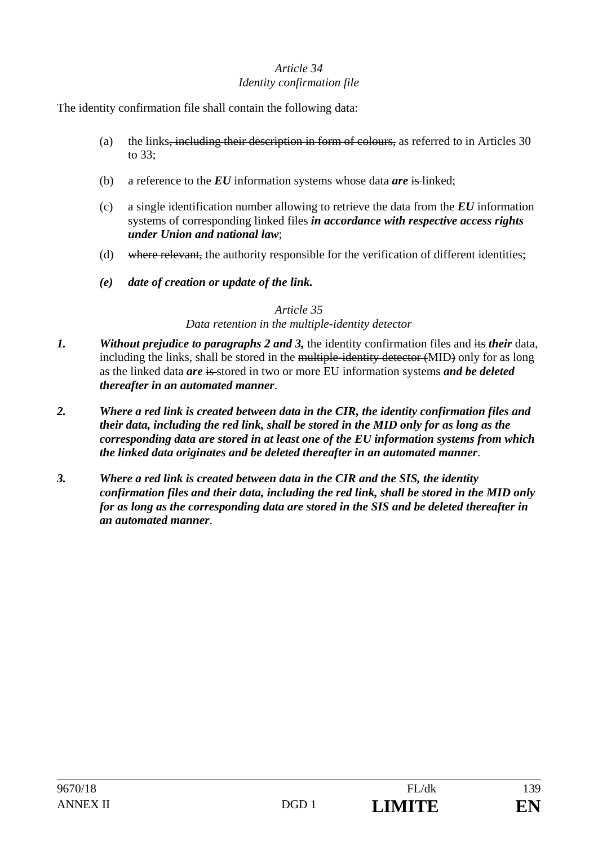### *Article 34 Identity confirmation file*

The identity confirmation file shall contain the following data:

- (a) the links, including their description in form of colours, as referred to in Articles 30 to 33;
- (b) a reference to the *EU* information systems whose data *are* is linked;
- (c) a single identification number allowing to retrieve the data from the *EU* information systems of corresponding linked files *in accordance with respective access rights under Union and national law*;
- (d) where relevant, the authority responsible for the verification of different identities;
- *(e) date of creation or update of the link.*

#### *Article 35*

#### *Data retention in the multiple-identity detector*

- *1. Without prejudice to paragraphs 2 and 3,* the identity confirmation files and its *their* data, including the links, shall be stored in the multiple-identity detector (MID) only for as long as the linked data *are* is stored in two or more EU information systems *and be deleted thereafter in an automated manner*.
- *2. Where a red link is created between data in the CIR, the identity confirmation files and their data, including the red link, shall be stored in the MID only for as long as the corresponding data are stored in at least one of the EU information systems from which the linked data originates and be deleted thereafter in an automated manner*.
- *3. Where a red link is created between data in the CIR and the SIS, the identity confirmation files and their data, including the red link, shall be stored in the MID only for as long as the corresponding data are stored in the SIS and be deleted thereafter in an automated manner*.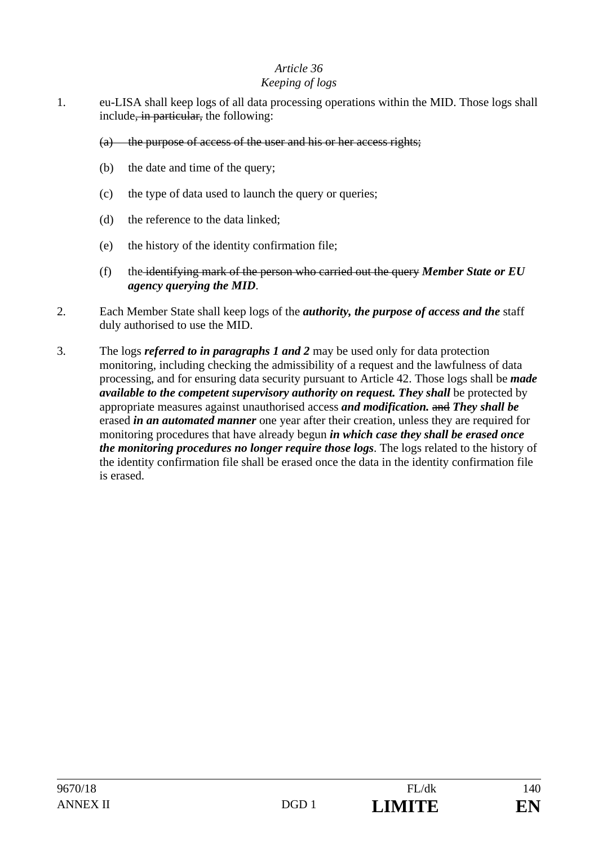#### *Keeping of logs*

- 1. eu-LISA shall keep logs of all data processing operations within the MID. Those logs shall include<del>, in particular,</del> the following:
	- (a) the purpose of access of the user and his or her access rights;
	- (b) the date and time of the query;
	- (c) the type of data used to launch the query or queries;
	- (d) the reference to the data linked;
	- (e) the history of the identity confirmation file;
	- (f) the identifying mark of the person who carried out the query *Member State or EU agency querying the MID*.
- 2. Each Member State shall keep logs of the *authority, the purpose of access and the* staff duly authorised to use the MID.
- 3. The logs *referred to in paragraphs 1 and 2* may be used only for data protection monitoring, including checking the admissibility of a request and the lawfulness of data processing, and for ensuring data security pursuant to Article 42. Those logs shall be *made available to the competent supervisory authority on request. They shall be protected by* appropriate measures against unauthorised access *and modification.* and *They shall be* erased *in an automated manner* one year after their creation, unless they are required for monitoring procedures that have already begun *in which case they shall be erased once the monitoring procedures no longer require those logs*. The logs related to the history of the identity confirmation file shall be erased once the data in the identity confirmation file is erased.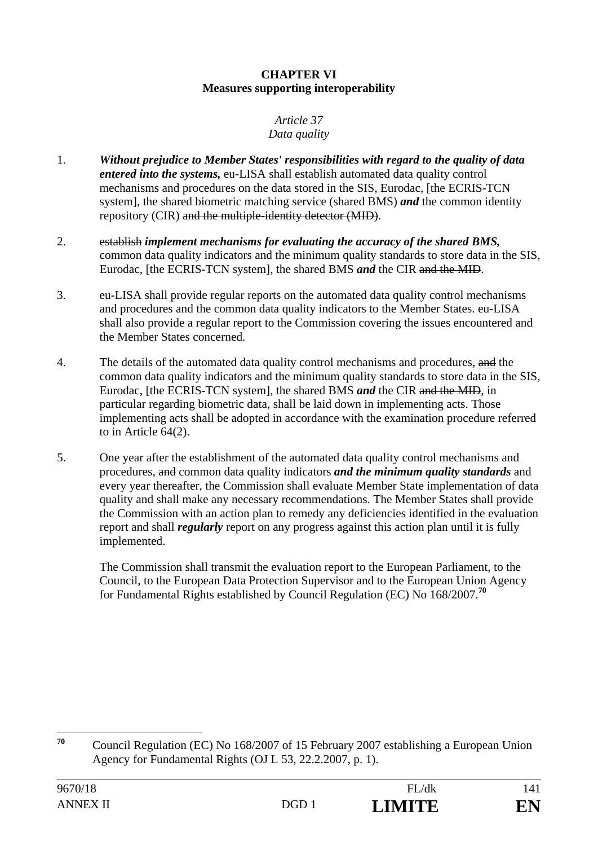#### **CHAPTER VI Measures supporting interoperability**

#### *Article 37 Data quality*

- 1. *Without prejudice to Member States' responsibilities with regard to the quality of data entered into the systems,* eu-LISA shall establish automated data quality control mechanisms and procedures on the data stored in the SIS, Eurodac, [the ECRIS-TCN system], the shared biometric matching service (shared BMS) *and* the common identity repository (CIR) and the multiple-identity detector (MID).
- 2. establish *implement mechanisms for evaluating the accuracy of the shared BMS,*  common data quality indicators and the minimum quality standards to store data in the SIS, Eurodac, [the ECRIS-TCN system], the shared BMS *and* the CIR and the MID.
- 3. eu-LISA shall provide regular reports on the automated data quality control mechanisms and procedures and the common data quality indicators to the Member States. eu-LISA shall also provide a regular report to the Commission covering the issues encountered and the Member States concerned.
- 4. The details of the automated data quality control mechanisms and procedures, and the common data quality indicators and the minimum quality standards to store data in the SIS, Eurodac, [the ECRIS-TCN system], the shared BMS *and* the CIR and the MID, in particular regarding biometric data, shall be laid down in implementing acts. Those implementing acts shall be adopted in accordance with the examination procedure referred to in Article 64(2).
- 5. One year after the establishment of the automated data quality control mechanisms and procedures, and common data quality indicators *and the minimum quality standards* and every year thereafter, the Commission shall evaluate Member State implementation of data quality and shall make any necessary recommendations. The Member States shall provide the Commission with an action plan to remedy any deficiencies identified in the evaluation report and shall *regularly* report on any progress against this action plan until it is fully implemented.

 The Commission shall transmit the evaluation report to the European Parliament, to the Council, to the European Data Protection Supervisor and to the European Union Agency for Fundamental Rights established by Council Regulation (EC) No 168/2007.**<sup>70</sup>**

<sup>70</sup> **<sup>70</sup>** Council Regulation (EC) No 168/2007 of 15 February 2007 establishing a European Union Agency for Fundamental Rights (OJ L 53, 22.2.2007, p. 1).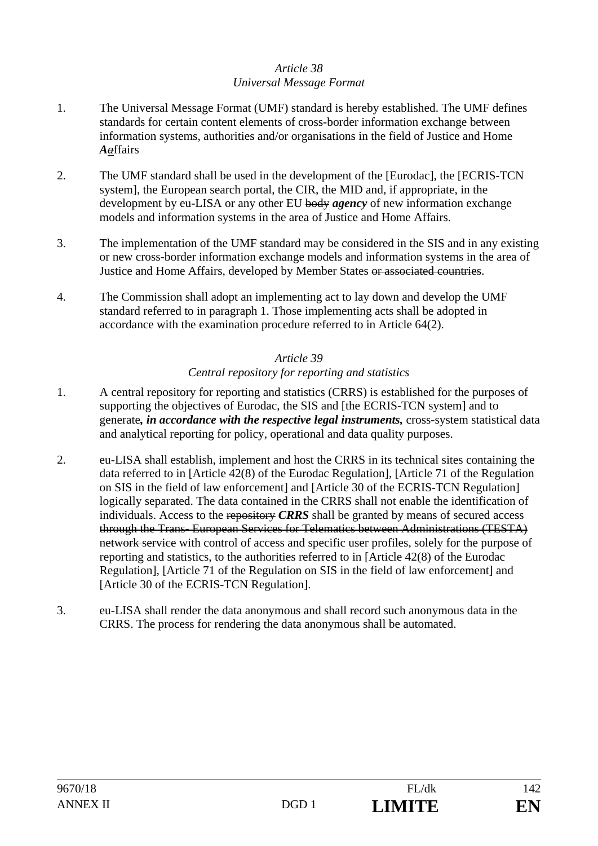## *Article 38 Universal Message Format*

- 1. The Universal Message Format (UMF) standard is hereby established. The UMF defines standards for certain content elements of cross-border information exchange between information systems, authorities and/or organisations in the field of Justice and Home *Aa*ffairs
- 2. The UMF standard shall be used in the development of the [Eurodac], the [ECRIS-TCN system], the European search portal, the CIR, the MID and, if appropriate, in the development by eu-LISA or any other EU body *agency* of new information exchange models and information systems in the area of Justice and Home Affairs.
- 3. The implementation of the UMF standard may be considered in the SIS and in any existing or new cross-border information exchange models and information systems in the area of Justice and Home Affairs, developed by Member States or associated countries.
- 4. The Commission shall adopt an implementing act to lay down and develop the UMF standard referred to in paragraph 1. Those implementing acts shall be adopted in accordance with the examination procedure referred to in Article 64(2).

### *Article 39*

### *Central repository for reporting and statistics*

- 1. A central repository for reporting and statistics (CRRS) is established for the purposes of supporting the objectives of Eurodac, the SIS and [the ECRIS-TCN system] and to generate*, in accordance with the respective legal instruments,* cross-system statistical data and analytical reporting for policy, operational and data quality purposes.
- 2. eu-LISA shall establish, implement and host the CRRS in its technical sites containing the data referred to in [Article 42(8) of the Eurodac Regulation], [Article 71 of the Regulation on SIS in the field of law enforcement] and [Article 30 of the ECRIS-TCN Regulation] logically separated. The data contained in the CRRS shall not enable the identification of individuals. Access to the repository *CRRS* shall be granted by means of secured access through the Trans- European Services for Telematics between Administrations (TESTA) network service with control of access and specific user profiles, solely for the purpose of reporting and statistics, to the authorities referred to in [Article 42(8) of the Eurodac Regulation], [Article 71 of the Regulation on SIS in the field of law enforcement] and [Article 30 of the ECRIS-TCN Regulation].
- 3. eu-LISA shall render the data anonymous and shall record such anonymous data in the CRRS. The process for rendering the data anonymous shall be automated.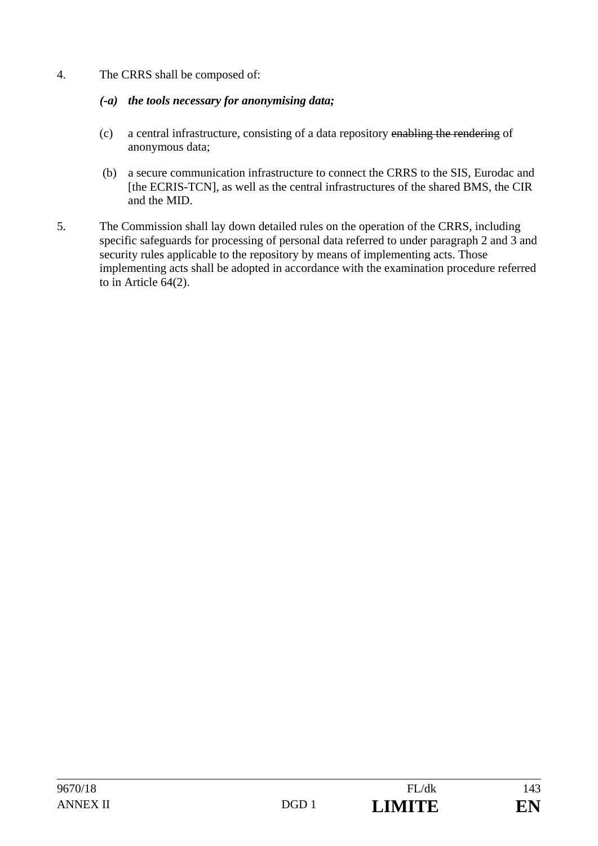4. The CRRS shall be composed of:

## *(-a) the tools necessary for anonymising data;*

- (c) a central infrastructure, consisting of a data repository enabling the rendering of anonymous data;
- (b) a secure communication infrastructure to connect the CRRS to the SIS, Eurodac and [the ECRIS-TCN], as well as the central infrastructures of the shared BMS, the CIR and the MID.
- 5. The Commission shall lay down detailed rules on the operation of the CRRS, including specific safeguards for processing of personal data referred to under paragraph 2 and 3 and security rules applicable to the repository by means of implementing acts. Those implementing acts shall be adopted in accordance with the examination procedure referred to in Article 64(2).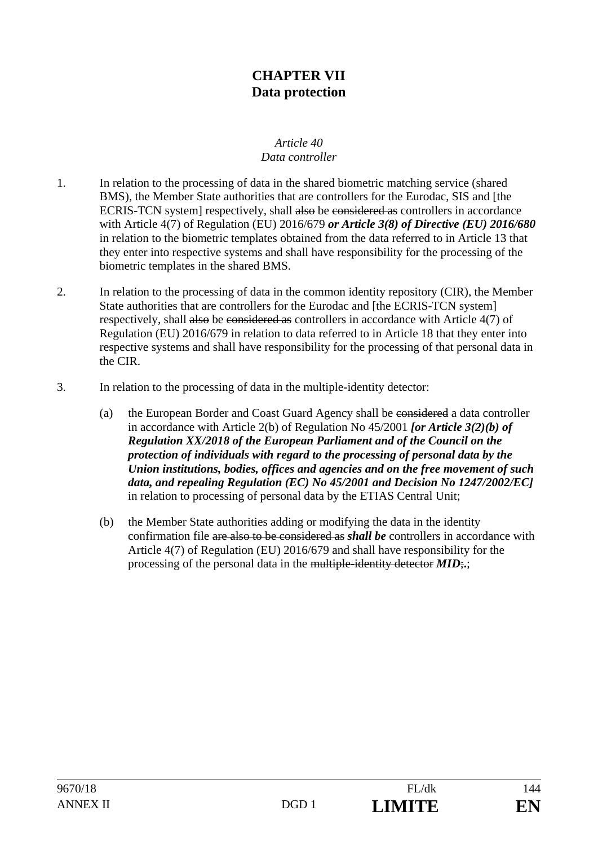## **CHAPTER VII Data protection**

#### *Article 40 Data controller*

- 1. In relation to the processing of data in the shared biometric matching service (shared BMS), the Member State authorities that are controllers for the Eurodac, SIS and [the ECRIS-TCN system] respectively, shall also be considered as controllers in accordance with Article 4(7) of Regulation (EU) 2016/679 *or Article 3(8) of Directive (EU) 2016/680*  in relation to the biometric templates obtained from the data referred to in Article 13 that they enter into respective systems and shall have responsibility for the processing of the biometric templates in the shared BMS.
- 2. In relation to the processing of data in the common identity repository (CIR), the Member State authorities that are controllers for the Eurodac and [the ECRIS-TCN system] respectively, shall also be considered as controllers in accordance with Article 4(7) of Regulation (EU) 2016/679 in relation to data referred to in Article 18 that they enter into respective systems and shall have responsibility for the processing of that personal data in the CIR.
- 3. In relation to the processing of data in the multiple-identity detector:
	- (a) the European Border and Coast Guard Agency shall be considered a data controller in accordance with Article 2(b) of Regulation No 45/2001 *[or Article 3(2)(b) of Regulation XX/2018 of the European Parliament and of the Council on the protection of individuals with regard to the processing of personal data by the Union institutions, bodies, offices and agencies and on the free movement of such data, and repealing Regulation (EC) No 45/2001 and Decision No 1247/2002/EC]* in relation to processing of personal data by the ETIAS Central Unit;
	- (b) the Member State authorities adding or modifying the data in the identity confirmation file are also to be considered as *shall be* controllers in accordance with Article 4(7) of Regulation (EU) 2016/679 and shall have responsibility for the processing of the personal data in the multiple-identity detector *MID*;**.**;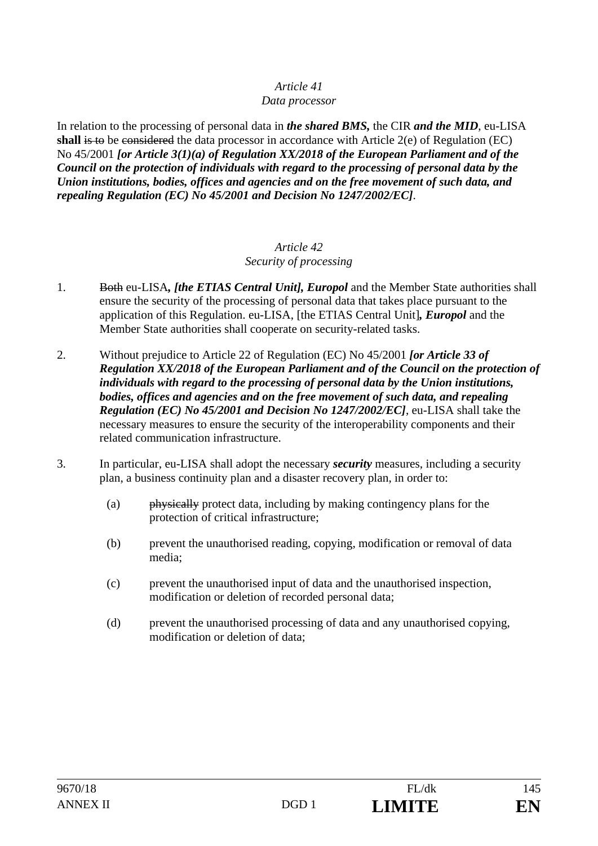#### *Data processor*

In relation to the processing of personal data in *the shared BMS,* the CIR *and the MID*, eu-LISA **shall** is to be considered the data processor in accordance with Article 2(e) of Regulation (EC) No 45/2001 *[or Article 3(1)(a) of Regulation XX/2018 of the European Parliament and of the Council on the protection of individuals with regard to the processing of personal data by the Union institutions, bodies, offices and agencies and on the free movement of such data, and repealing Regulation (EC) No 45/2001 and Decision No 1247/2002/EC]*.

#### *Article 42 Security of processing*

- 1. Both eu-LISA*, [the ETIAS Central Unit], Europol* and the Member State authorities shall ensure the security of the processing of personal data that takes place pursuant to the application of this Regulation. eu-LISA, [the ETIAS Central Unit]*, Europol* and the Member State authorities shall cooperate on security-related tasks.
- 2. Without prejudice to Article 22 of Regulation (EC) No 45/2001 *[or Article 33 of Regulation XX/2018 of the European Parliament and of the Council on the protection of individuals with regard to the processing of personal data by the Union institutions, bodies, offices and agencies and on the free movement of such data, and repealing Regulation (EC) No 45/2001 and Decision No 1247/2002/EC]*, eu-LISA shall take the necessary measures to ensure the security of the interoperability components and their related communication infrastructure.
- 3. In particular, eu-LISA shall adopt the necessary *security* measures, including a security plan, a business continuity plan and a disaster recovery plan, in order to:
	- (a) physically protect data, including by making contingency plans for the protection of critical infrastructure;
	- (b) prevent the unauthorised reading, copying, modification or removal of data media;
	- (c) prevent the unauthorised input of data and the unauthorised inspection, modification or deletion of recorded personal data;
	- (d) prevent the unauthorised processing of data and any unauthorised copying, modification or deletion of data;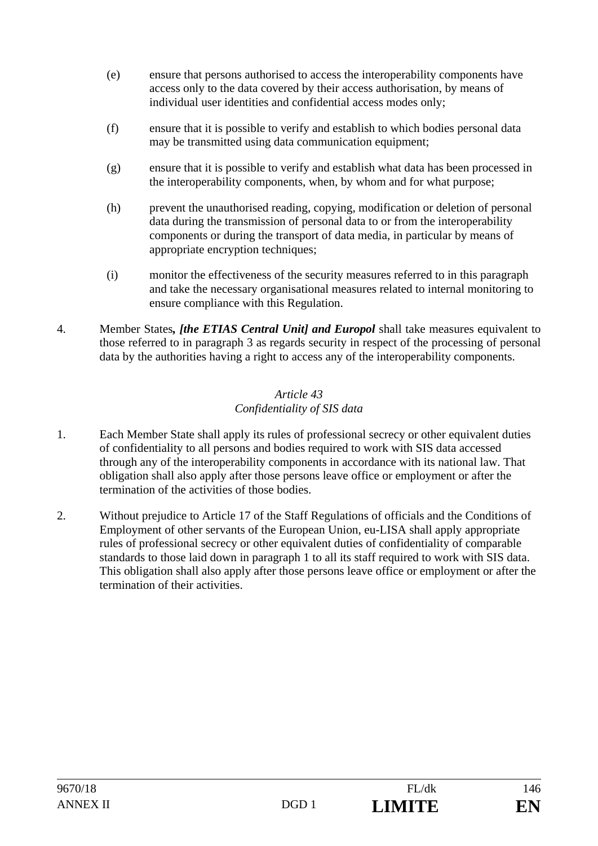- (e) ensure that persons authorised to access the interoperability components have access only to the data covered by their access authorisation, by means of individual user identities and confidential access modes only;
- (f) ensure that it is possible to verify and establish to which bodies personal data may be transmitted using data communication equipment;
- (g) ensure that it is possible to verify and establish what data has been processed in the interoperability components, when, by whom and for what purpose;
- (h) prevent the unauthorised reading, copying, modification or deletion of personal data during the transmission of personal data to or from the interoperability components or during the transport of data media, in particular by means of appropriate encryption techniques;
- (i) monitor the effectiveness of the security measures referred to in this paragraph and take the necessary organisational measures related to internal monitoring to ensure compliance with this Regulation.
- 4. Member States*, [the ETIAS Central Unit] and Europol* shall take measures equivalent to those referred to in paragraph 3 as regards security in respect of the processing of personal data by the authorities having a right to access any of the interoperability components.

### *Article 43 Confidentiality of SIS data*

- 1. Each Member State shall apply its rules of professional secrecy or other equivalent duties of confidentiality to all persons and bodies required to work with SIS data accessed through any of the interoperability components in accordance with its national law. That obligation shall also apply after those persons leave office or employment or after the termination of the activities of those bodies.
- 2. Without prejudice to Article 17 of the Staff Regulations of officials and the Conditions of Employment of other servants of the European Union, eu-LISA shall apply appropriate rules of professional secrecy or other equivalent duties of confidentiality of comparable standards to those laid down in paragraph 1 to all its staff required to work with SIS data. This obligation shall also apply after those persons leave office or employment or after the termination of their activities.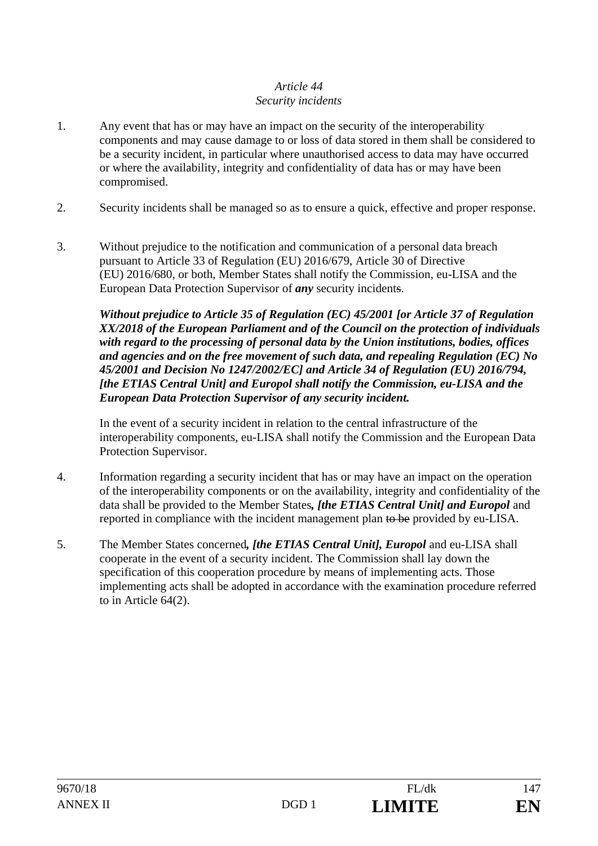## *Article 44 Security incidents*

- 1. Any event that has or may have an impact on the security of the interoperability components and may cause damage to or loss of data stored in them shall be considered to be a security incident, in particular where unauthorised access to data may have occurred or where the availability, integrity and confidentiality of data has or may have been compromised.
- 2. Security incidents shall be managed so as to ensure a quick, effective and proper response.
- 3. Without prejudice to the notification and communication of a personal data breach pursuant to Article 33 of Regulation (EU) 2016/679, Article 30 of Directive (EU) 2016/680, or both, Member States shall notify the Commission, eu-LISA and the European Data Protection Supervisor of *any* security incidents.

*Without prejudice to Article 35 of Regulation (EC) 45/2001 [or Article 37 of Regulation XX/2018 of the European Parliament and of the Council on the protection of individuals with regard to the processing of personal data by the Union institutions, bodies, offices and agencies and on the free movement of such data, and repealing Regulation (EC) No 45/2001 and Decision No 1247/2002/EC] and Article 34 of Regulation (EU) 2016/794, [the ETIAS Central Unit] and Europol shall notify the Commission, eu-LISA and the European Data Protection Supervisor of any security incident.*

 In the event of a security incident in relation to the central infrastructure of the interoperability components, eu-LISA shall notify the Commission and the European Data Protection Supervisor.

- 4. Information regarding a security incident that has or may have an impact on the operation of the interoperability components or on the availability, integrity and confidentiality of the data shall be provided to the Member States*, [the ETIAS Central Unit] and Europol* and reported in compliance with the incident management plan to be provided by eu-LISA.
- 5. The Member States concerned*, [the ETIAS Central Unit], Europol* and eu-LISA shall cooperate in the event of a security incident. The Commission shall lay down the specification of this cooperation procedure by means of implementing acts. Those implementing acts shall be adopted in accordance with the examination procedure referred to in Article 64(2).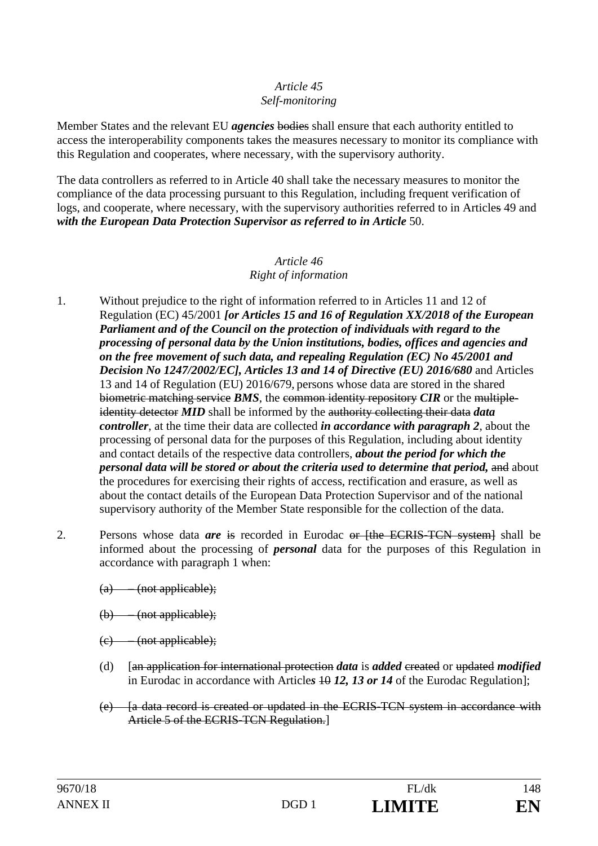#### *Article 45 Self-monitoring*

Member States and the relevant EU *agencies* bodies shall ensure that each authority entitled to access the interoperability components takes the measures necessary to monitor its compliance with this Regulation and cooperates, where necessary, with the supervisory authority.

The data controllers as referred to in Article 40 shall take the necessary measures to monitor the compliance of the data processing pursuant to this Regulation, including frequent verification of logs, and cooperate, where necessary, with the supervisory authorities referred to in Articles 49 and with the European Data Protection Supervisor as referred to in Article 50.

#### *Article 46 Right of information*

- 1. Without prejudice to the right of information referred to in Articles 11 and 12 of Regulation (EC) 45/2001 *[or Articles 15 and 16 of Regulation XX/2018 of the European Parliament and of the Council on the protection of individuals with regard to the processing of personal data by the Union institutions, bodies, offices and agencies and on the free movement of such data, and repealing Regulation (EC) No 45/2001 and Decision No 1247/2002/EC], Articles 13 and 14 of Directive (EU) 2016/680* and Articles 13 and 14 of Regulation (EU) 2016/679, persons whose data are stored in the shared biometric matching service *BMS*, the common identity repository *CIR* or the multipleidentity detector *MID* shall be informed by the authority collecting their data *data controller*, at the time their data are collected *in accordance with paragraph 2*, about the processing of personal data for the purposes of this Regulation, including about identity and contact details of the respective data controllers, *about the period for which the personal data will be stored or about the criteria used to determine that period, and about* the procedures for exercising their rights of access, rectification and erasure, as well as about the contact details of the European Data Protection Supervisor and of the national supervisory authority of the Member State responsible for the collection of the data.
- 2. Persons whose data *are* is recorded in Eurodac or [the ECRIS-TCN system] shall be informed about the processing of *personal* data for the purposes of this Regulation in accordance with paragraph 1 when:
	- (a) (not applicable);
	- (b) (not applicable);
	- $(e)$  (not applicable);
	- (d) [an application for international protection *data* is *added* created or updated *modified* in Eurodac in accordance with Articles 40 12, 13 or 14 of the Eurodac Regulation];
	- (e) [a data record is created or updated in the ECRIS-TCN system in accordance with Article 5 of the ECRIS-TCN Regulation.]

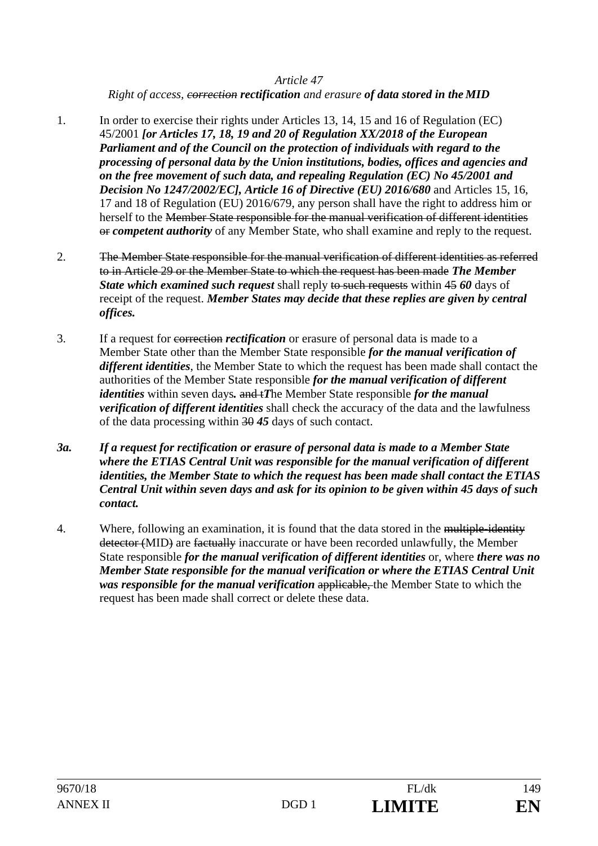*Right of access, correction rectification and erasure of data stored in the MID*

- 1. In order to exercise their rights under Articles 13, 14, 15 and 16 of Regulation (EC) 45/2001 *[or Articles 17, 18, 19 and 20 of Regulation XX/2018 of the European Parliament and of the Council on the protection of individuals with regard to the processing of personal data by the Union institutions, bodies, offices and agencies and on the free movement of such data, and repealing Regulation (EC) No 45/2001 and Decision No 1247/2002/EC], Article 16 of Directive (EU) 2016/680 and Articles 15, 16,* 17 and 18 of Regulation (EU) 2016/679, any person shall have the right to address him or herself to the Member State responsible for the manual verification of different identities or *competent authority* of any Member State, who shall examine and reply to the request.
- 2. The Member State responsible for the manual verification of different identities as referred to in Article 29 or the Member State to which the request has been made *The Member State which examined such request* shall reply to such requests within 45 60 days of receipt of the request. *Member States may decide that these replies are given by central offices.*
- 3. If a request for correction *rectification* or erasure of personal data is made to a Member State other than the Member State responsible *for the manual verification of different identities*, the Member State to which the request has been made shall contact the authorities of the Member State responsible *for the manual verification of different identities* within seven days. and *iThe Member State responsible for the manual verification of different identities* shall check the accuracy of the data and the lawfulness of the data processing within 30 *45* days of such contact.
- *3a. If a request for rectification or erasure of personal data is made to a Member State where the ETIAS Central Unit was responsible for the manual verification of different identities, the Member State to which the request has been made shall contact the ETIAS Central Unit within seven days and ask for its opinion to be given within 45 days of such contact.*
- 4. Where, following an examination, it is found that the data stored in the multiple-identity detector (MID) are factually inaccurate or have been recorded unlawfully, the Member State responsible *for the manual verification of different identities* or, where *there was no Member State responsible for the manual verification or where the ETIAS Central Unit was responsible for the manual verification* applicable, the Member State to which the request has been made shall correct or delete these data.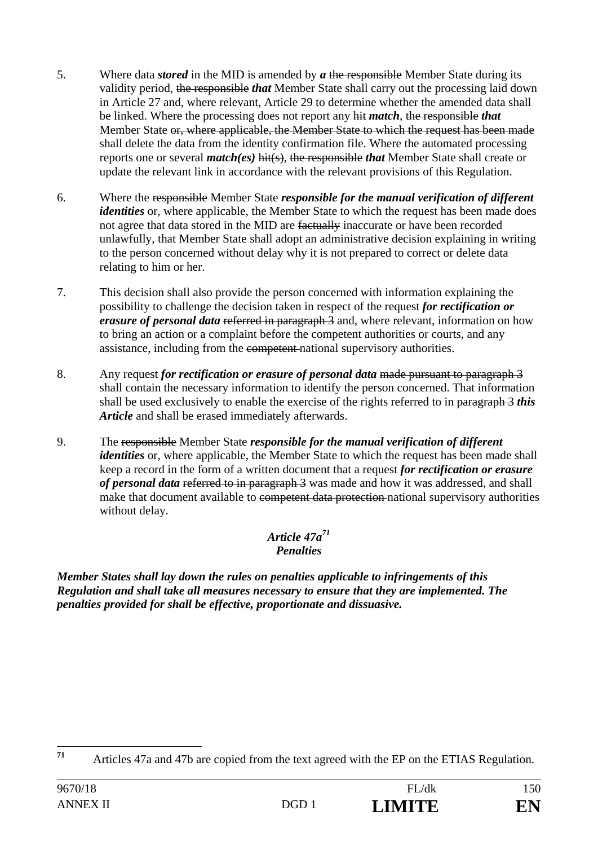- 5. Where data *stored* in the MID is amended by *a* the responsible Member State during its validity period, the responsible *that* Member State shall carry out the processing laid down in Article 27 and, where relevant, Article 29 to determine whether the amended data shall be linked. Where the processing does not report any hit *match*, the responsible *that* Member State or, where applicable, the Member State to which the request has been made shall delete the data from the identity confirmation file. Where the automated processing reports one or several *match(es)* hit(s), the responsible *that* Member State shall create or update the relevant link in accordance with the relevant provisions of this Regulation.
- 6. Where the responsible Member State *responsible for the manual verification of different identities* or, where applicable, the Member State to which the request has been made does not agree that data stored in the MID are factually inaccurate or have been recorded unlawfully, that Member State shall adopt an administrative decision explaining in writing to the person concerned without delay why it is not prepared to correct or delete data relating to him or her.
- 7. This decision shall also provide the person concerned with information explaining the possibility to challenge the decision taken in respect of the request *for rectification or erasure of personal data* referred in paragraph 3 and, where relevant, information on how to bring an action or a complaint before the competent authorities or courts, and any assistance, including from the competent national supervisory authorities.
- 8. Any request *for rectification or erasure of personal data* made pursuant to paragraph 3 shall contain the necessary information to identify the person concerned. That information shall be used exclusively to enable the exercise of the rights referred to in paragraph 3 *this Article* and shall be erased immediately afterwards.
- 9. The responsible Member State *responsible for the manual verification of different identities* or, where applicable, the Member State to which the request has been made shall keep a record in the form of a written document that a request *for rectification or erasure of personal data* referred to in paragraph 3 was made and how it was addressed, and shall make that document available to competent data protection national supervisory authorities without delay.

## *Article 47a71 Penalties*

*Member States shall lay down the rules on penalties applicable to infringements of this Regulation and shall take all measures necessary to ensure that they are implemented. The penalties provided for shall be effective, proportionate and dissuasive.* 



 $71$ **<sup>71</sup>** Articles 47a and 47b are copied from the text agreed with the EP on the ETIAS Regulation.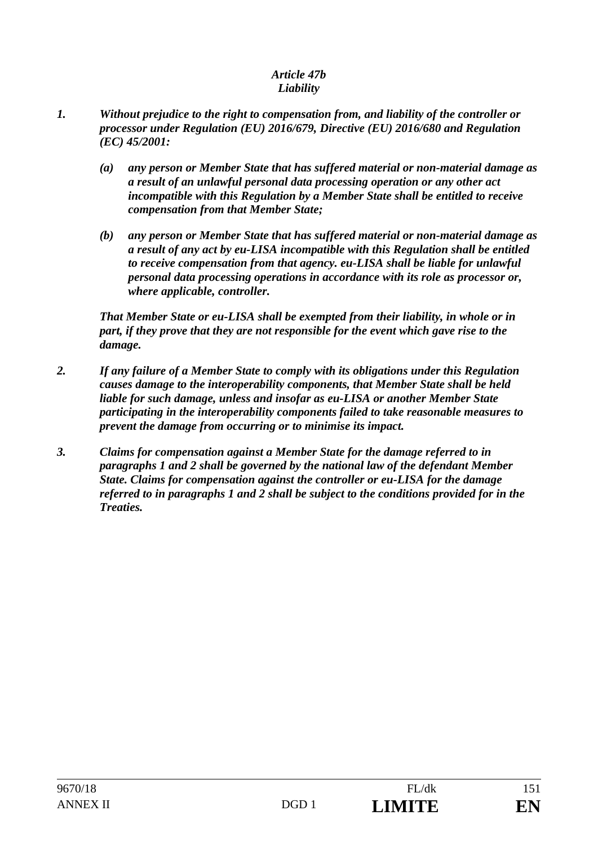#### *Article 47b Liability*

- *1. Without prejudice to the right to compensation from, and liability of the controller or processor under Regulation (EU) 2016/679, Directive (EU) 2016/680 and Regulation (EC) 45/2001:* 
	- *(a) any person or Member State that has suffered material or non-material damage as a result of an unlawful personal data processing operation or any other act incompatible with this Regulation by a Member State shall be entitled to receive compensation from that Member State;*
	- *(b) any person or Member State that has suffered material or non-material damage as a result of any act by eu-LISA incompatible with this Regulation shall be entitled to receive compensation from that agency. eu-LISA shall be liable for unlawful personal data processing operations in accordance with its role as processor or, where applicable, controller.*

*That Member State or eu-LISA shall be exempted from their liability, in whole or in part, if they prove that they are not responsible for the event which gave rise to the damage.* 

- *2. If any failure of a Member State to comply with its obligations under this Regulation causes damage to the interoperability components, that Member State shall be held liable for such damage, unless and insofar as eu-LISA or another Member State participating in the interoperability components failed to take reasonable measures to prevent the damage from occurring or to minimise its impact.*
- *3. Claims for compensation against a Member State for the damage referred to in paragraphs 1 and 2 shall be governed by the national law of the defendant Member State. Claims for compensation against the controller or eu-LISA for the damage referred to in paragraphs 1 and 2 shall be subject to the conditions provided for in the Treaties.*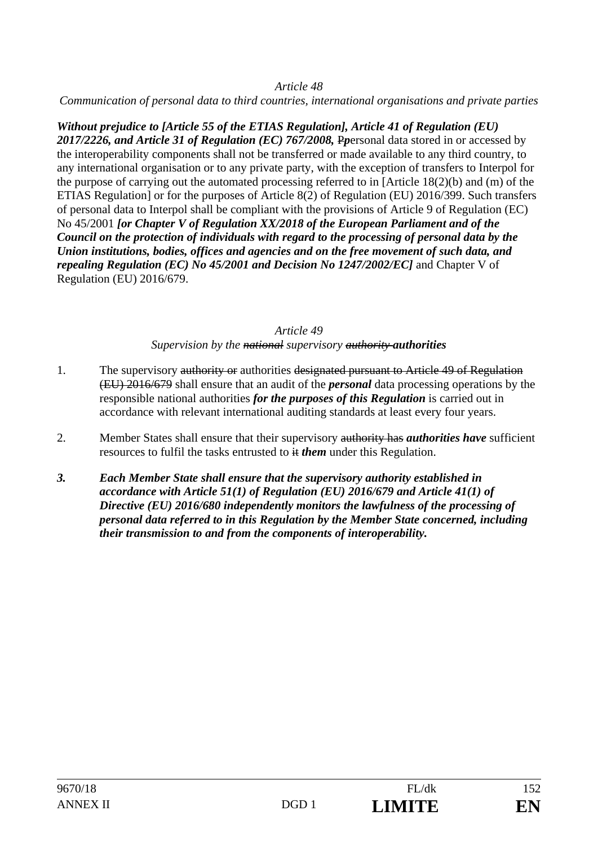*Communication of personal data to third countries, international organisations and private parties* 

*Without prejudice to [Article 55 of the ETIAS Regulation], Article 41 of Regulation (EU) 2017/2226, and Article 31 of Regulation (EC) 767/2008,* P*p*ersonal data stored in or accessed by the interoperability components shall not be transferred or made available to any third country, to any international organisation or to any private party, with the exception of transfers to Interpol for the purpose of carrying out the automated processing referred to in [Article 18(2)(b) and (m) of the ETIAS Regulation] or for the purposes of Article 8(2) of Regulation (EU) 2016/399. Such transfers of personal data to Interpol shall be compliant with the provisions of Article 9 of Regulation (EC) No 45/2001 *[or Chapter V of Regulation XX/2018 of the European Parliament and of the Council on the protection of individuals with regard to the processing of personal data by the Union institutions, bodies, offices and agencies and on the free movement of such data, and repealing Regulation (EC) No 45/2001 and Decision No 1247/2002/EC]* and Chapter V of Regulation (EU) 2016/679.

## *Article 49*

*Supervision by the national supervisory authority authorities*

- 1. The supervisory authority or authorities designated pursuant to Article 49 of Regulation (EU) 2016/679 shall ensure that an audit of the *personal* data processing operations by the responsible national authorities *for the purposes of this Regulation* is carried out in accordance with relevant international auditing standards at least every four years.
- 2. Member States shall ensure that their supervisory authority has *authorities have* sufficient resources to fulfil the tasks entrusted to  $\#$  *them* under this Regulation.
- *3. Each Member State shall ensure that the supervisory authority established in accordance with Article 51(1) of Regulation (EU) 2016/679 and Article 41(1) of Directive (EU) 2016/680 independently monitors the lawfulness of the processing of personal data referred to in this Regulation by the Member State concerned, including their transmission to and from the components of interoperability.*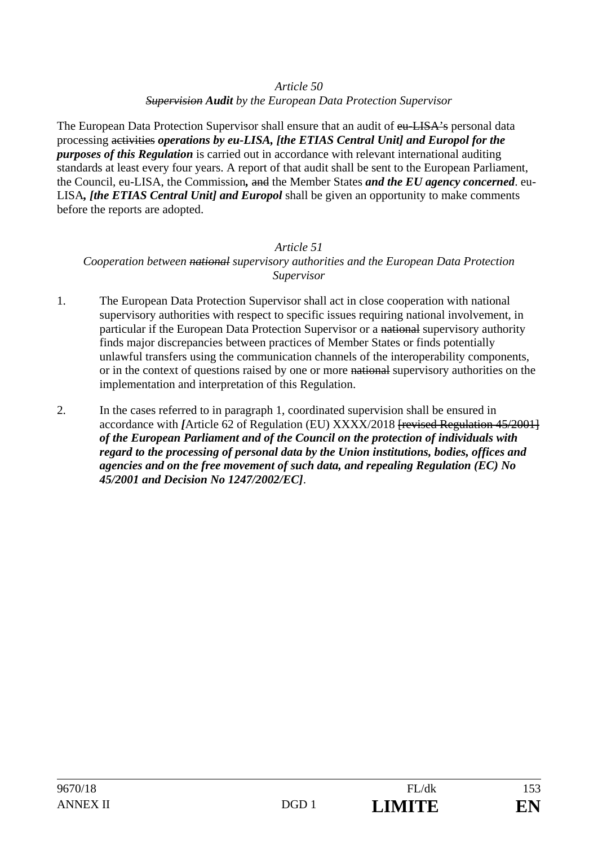*Supervision Audit by the European Data Protection Supervisor* 

The European Data Protection Supervisor shall ensure that an audit of eu-LISA's personal data processing activities *operations by eu-LISA, [the ETIAS Central Unit] and Europol for the purposes of this Regulation* is carried out in accordance with relevant international auditing standards at least every four years. A report of that audit shall be sent to the European Parliament, the Council, eu-LISA, the Commission*,* and the Member States *and the EU agency concerned*. eu-LISA*, [the ETIAS Central Unit] and Europol* shall be given an opportunity to make comments before the reports are adopted.

## *Article 51 Cooperation between national supervisory authorities and the European Data Protection Supervisor*

- 1. The European Data Protection Supervisor shall act in close cooperation with national supervisory authorities with respect to specific issues requiring national involvement, in particular if the European Data Protection Supervisor or a national supervisory authority finds major discrepancies between practices of Member States or finds potentially unlawful transfers using the communication channels of the interoperability components, or in the context of questions raised by one or more national supervisory authorities on the implementation and interpretation of this Regulation.
- 2. In the cases referred to in paragraph 1, coordinated supervision shall be ensured in accordance with *[*Article 62 of Regulation (EU) XXXX/2018 [revised Regulation 45/2001] *of the European Parliament and of the Council on the protection of individuals with regard to the processing of personal data by the Union institutions, bodies, offices and agencies and on the free movement of such data, and repealing Regulation (EC) No 45/2001 and Decision No 1247/2002/EC]*.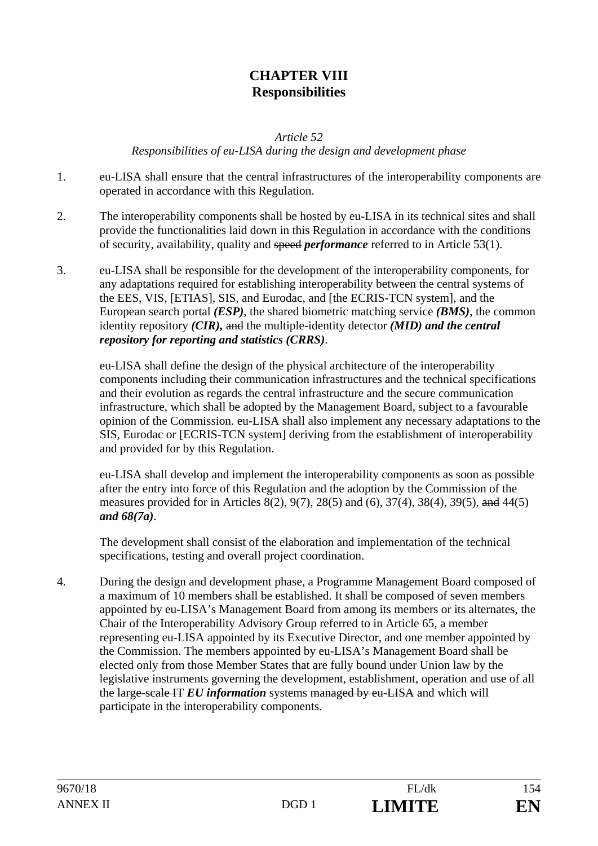# **CHAPTER VIII Responsibilities**

*Article 52* 

*Responsibilities of eu-LISA during the design and development phase* 

- 1. eu-LISA shall ensure that the central infrastructures of the interoperability components are operated in accordance with this Regulation.
- 2. The interoperability components shall be hosted by eu-LISA in its technical sites and shall provide the functionalities laid down in this Regulation in accordance with the conditions of security, availability, quality and speed *performance* referred to in Article 53(1).
- 3. eu-LISA shall be responsible for the development of the interoperability components, for any adaptations required for establishing interoperability between the central systems of the EES, VIS, [ETIAS], SIS, and Eurodac, and [the ECRIS-TCN system], and the European search portal *(ESP)*, the shared biometric matching service *(BMS)*, the common identity repository *(CIR),* and the multiple-identity detector *(MID) and the central repository for reporting and statistics (CRRS)*.

eu-LISA shall define the design of the physical architecture of the interoperability components including their communication infrastructures and the technical specifications and their evolution as regards the central infrastructure and the secure communication infrastructure, which shall be adopted by the Management Board, subject to a favourable opinion of the Commission. eu-LISA shall also implement any necessary adaptations to the SIS, Eurodac or [ECRIS-TCN system] deriving from the establishment of interoperability and provided for by this Regulation.

eu-LISA shall develop and implement the interoperability components as soon as possible after the entry into force of this Regulation and the adoption by the Commission of the measures provided for in Articles 8(2), 9(7), 28(5) and (6), 37(4), 38(4), 39(5), and 44(5) *and 68(7a)*.

The development shall consist of the elaboration and implementation of the technical specifications, testing and overall project coordination.

4. During the design and development phase, a Programme Management Board composed of a maximum of 10 members shall be established. It shall be composed of seven members appointed by eu-LISA's Management Board from among its members or its alternates, the Chair of the Interoperability Advisory Group referred to in Article 65, a member representing eu-LISA appointed by its Executive Director, and one member appointed by the Commission. The members appointed by eu-LISA's Management Board shall be elected only from those Member States that are fully bound under Union law by the legislative instruments governing the development, establishment, operation and use of all the large-scale IT *EU information* systems managed by eu-LISA and which will participate in the interoperability components.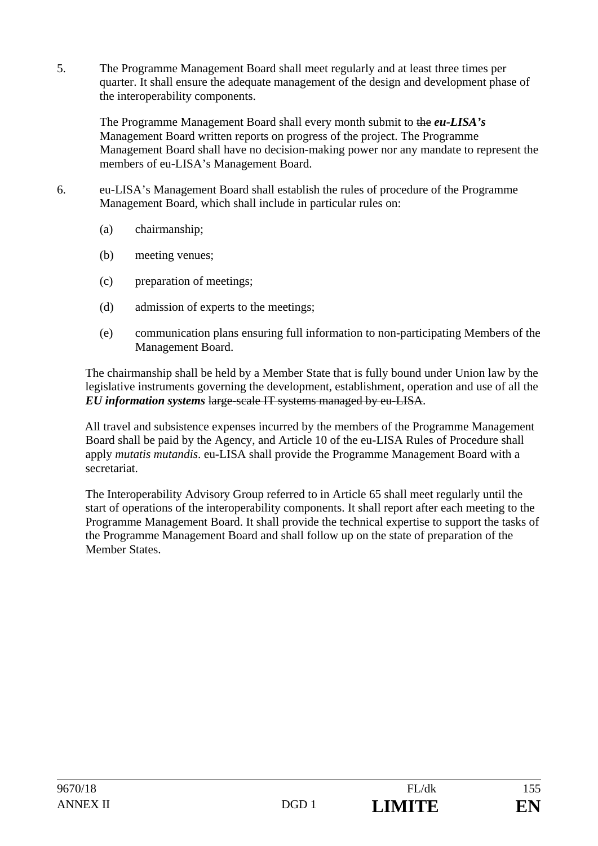5. The Programme Management Board shall meet regularly and at least three times per quarter. It shall ensure the adequate management of the design and development phase of the interoperability components.

The Programme Management Board shall every month submit to the *eu-LISA's* Management Board written reports on progress of the project. The Programme Management Board shall have no decision-making power nor any mandate to represent the members of eu-LISA's Management Board.

- 6. eu-LISA's Management Board shall establish the rules of procedure of the Programme Management Board, which shall include in particular rules on:
	- (a) chairmanship;
	- (b) meeting venues;
	- (c) preparation of meetings;
	- (d) admission of experts to the meetings;
	- (e) communication plans ensuring full information to non-participating Members of the Management Board.

The chairmanship shall be held by a Member State that is fully bound under Union law by the legislative instruments governing the development, establishment, operation and use of all the *EU information systems* large-scale IT systems managed by eu-LISA.

All travel and subsistence expenses incurred by the members of the Programme Management Board shall be paid by the Agency, and Article 10 of the eu-LISA Rules of Procedure shall apply *mutatis mutandis*. eu-LISA shall provide the Programme Management Board with a secretariat.

The Interoperability Advisory Group referred to in Article 65 shall meet regularly until the start of operations of the interoperability components. It shall report after each meeting to the Programme Management Board. It shall provide the technical expertise to support the tasks of the Programme Management Board and shall follow up on the state of preparation of the Member States.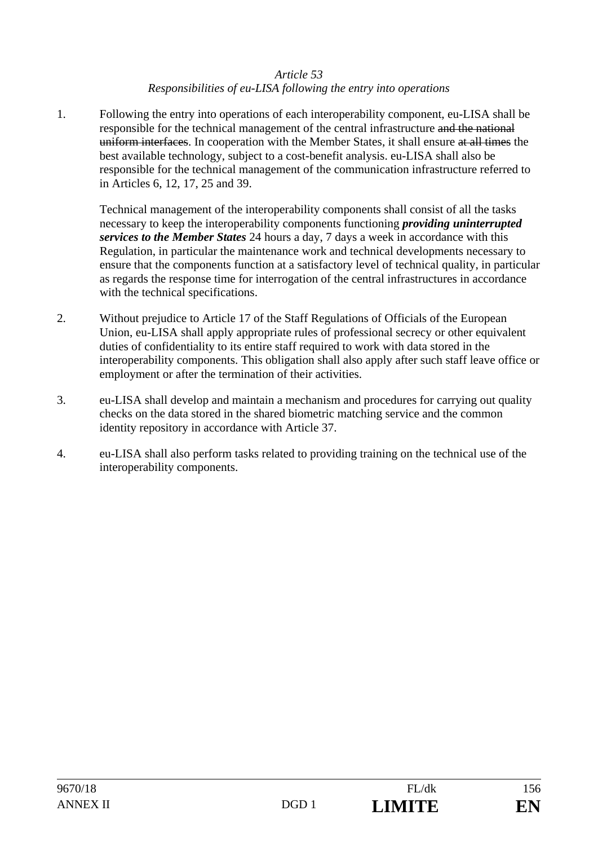### *Responsibilities of eu-LISA following the entry into operations*

1. Following the entry into operations of each interoperability component, eu-LISA shall be responsible for the technical management of the central infrastructure and the national uniform interfaces. In cooperation with the Member States, it shall ensure at all times the best available technology, subject to a cost-benefit analysis. eu-LISA shall also be responsible for the technical management of the communication infrastructure referred to in Articles 6, 12, 17, 25 and 39.

Technical management of the interoperability components shall consist of all the tasks necessary to keep the interoperability components functioning *providing uninterrupted services to the Member States* 24 hours a day, 7 days a week in accordance with this Regulation, in particular the maintenance work and technical developments necessary to ensure that the components function at a satisfactory level of technical quality, in particular as regards the response time for interrogation of the central infrastructures in accordance with the technical specifications.

- 2. Without prejudice to Article 17 of the Staff Regulations of Officials of the European Union, eu-LISA shall apply appropriate rules of professional secrecy or other equivalent duties of confidentiality to its entire staff required to work with data stored in the interoperability components. This obligation shall also apply after such staff leave office or employment or after the termination of their activities.
- 3. eu-LISA shall develop and maintain a mechanism and procedures for carrying out quality checks on the data stored in the shared biometric matching service and the common identity repository in accordance with Article 37.
- 4. eu-LISA shall also perform tasks related to providing training on the technical use of the interoperability components.

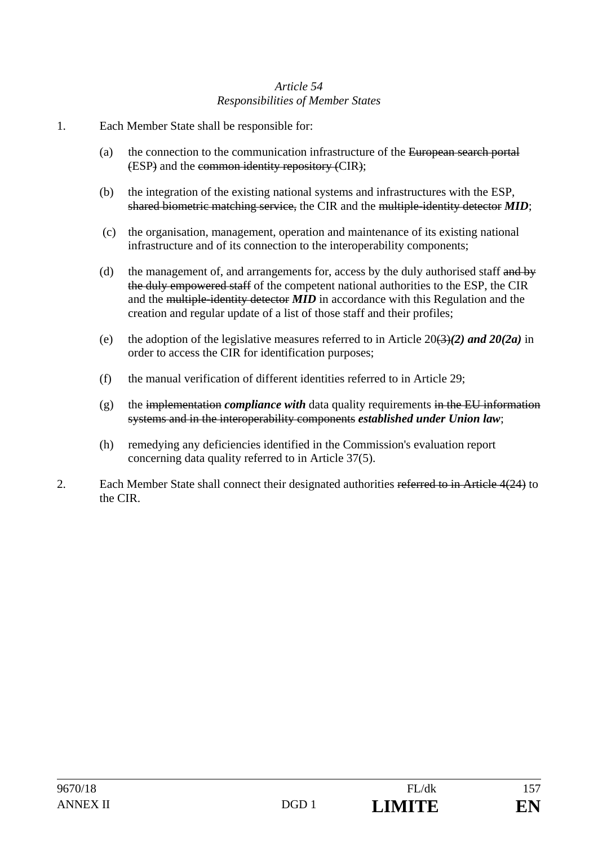## *Article 54 Responsibilities of Member States*

- 1. Each Member State shall be responsible for:
	- (a) the connection to the communication infrastructure of the European search portal (ESP) and the common identity repository (CIR);
	- (b) the integration of the existing national systems and infrastructures with the ESP, shared biometric matching service, the CIR and the multiple-identity detector *MID*;
	- (c) the organisation, management, operation and maintenance of its existing national infrastructure and of its connection to the interoperability components;
	- (d) the management of, and arrangements for, access by the duly authorised staff and by the duly empowered staff of the competent national authorities to the ESP, the CIR and the multiple-identity detector *MID* in accordance with this Regulation and the creation and regular update of a list of those staff and their profiles;
	- (e) the adoption of the legislative measures referred to in Article  $20(3)(2)$  and  $20(2a)$  in order to access the CIR for identification purposes;
	- (f) the manual verification of different identities referred to in Article 29;
	- $(g)$  the implementation *compliance with* data quality requirements in the EU information systems and in the interoperability components *established under Union law*;
	- (h) remedying any deficiencies identified in the Commission's evaluation report concerning data quality referred to in Article 37(5).
- 2. Each Member State shall connect their designated authorities referred to in Article 4(24) to the CIR.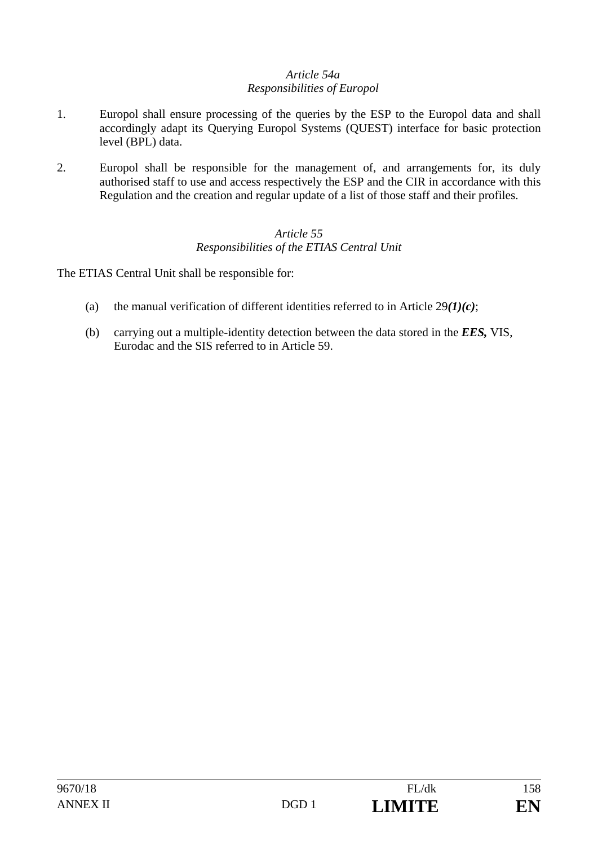## *Article 54a Responsibilities of Europol*

- 1. Europol shall ensure processing of the queries by the ESP to the Europol data and shall accordingly adapt its Querying Europol Systems (QUEST) interface for basic protection level (BPL) data.
- 2. Europol shall be responsible for the management of, and arrangements for, its duly authorised staff to use and access respectively the ESP and the CIR in accordance with this Regulation and the creation and regular update of a list of those staff and their profiles.

## *Article 55 Responsibilities of the ETIAS Central Unit*

The ETIAS Central Unit shall be responsible for:

- (a) the manual verification of different identities referred to in Article 29*(1)(c)*;
- (b) carrying out a multiple-identity detection between the data stored in the *EES,* VIS, Eurodac and the SIS referred to in Article 59.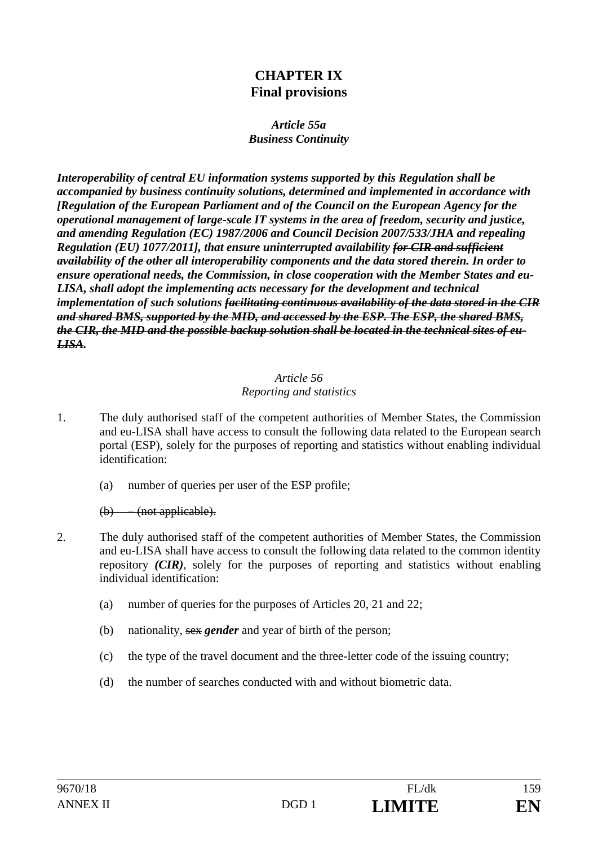# **CHAPTER IX Final provisions**

### *Article 55a Business Continuity*

*Interoperability of central EU information systems supported by this Regulation shall be accompanied by business continuity solutions, determined and implemented in accordance with [Regulation of the European Parliament and of the Council on the European Agency for the operational management of large-scale IT systems in the area of freedom, security and justice, and amending Regulation (EC) 1987/2006 and Council Decision 2007/533/JHA and repealing Regulation (EU) 1077/2011], that ensure uninterrupted availability for CIR and sufficient availability of the other all interoperability components and the data stored therein. In order to ensure operational needs, the Commission, in close cooperation with the Member States and eu-LISA, shall adopt the implementing acts necessary for the development and technical implementation of such solutions facilitating continuous availability of the data stored in the CIR and shared BMS, supported by the MID, and accessed by the ESP. The ESP, the shared BMS, the CIR, the MID and the possible backup solution shall be located in the technical sites of eu-LISA.* 

### *Article 56 Reporting and statistics*

- 1. The duly authorised staff of the competent authorities of Member States, the Commission and eu-LISA shall have access to consult the following data related to the European search portal (ESP), solely for the purposes of reporting and statistics without enabling individual identification:
	- (a) number of queries per user of the ESP profile;

(b) – (not applicable).

- 2. The duly authorised staff of the competent authorities of Member States, the Commission and eu-LISA shall have access to consult the following data related to the common identity repository *(CIR)*, solely for the purposes of reporting and statistics without enabling individual identification:
	- (a) number of queries for the purposes of Articles 20, 21 and 22;
	- (b) nationality, sex *gender* and year of birth of the person;
	- (c) the type of the travel document and the three-letter code of the issuing country;
	- (d) the number of searches conducted with and without biometric data.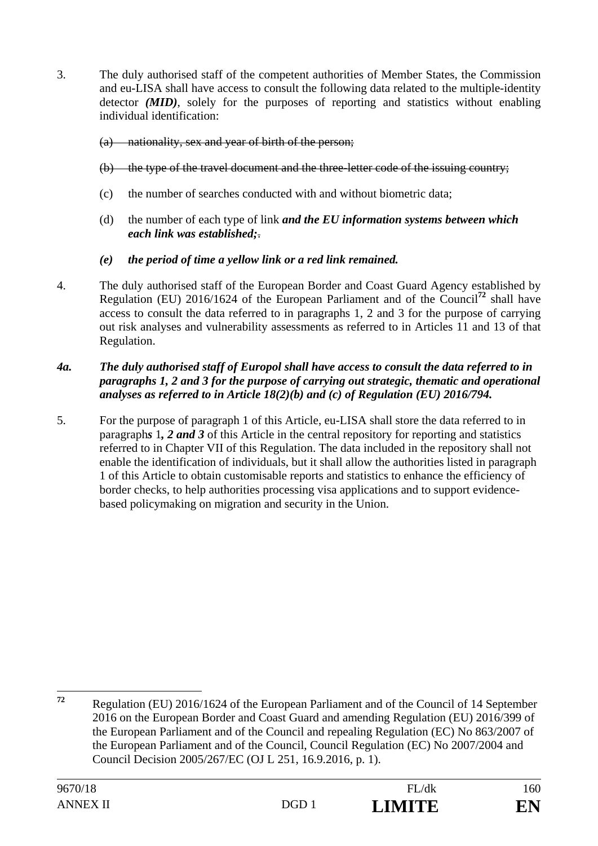3. The duly authorised staff of the competent authorities of Member States, the Commission and eu-LISA shall have access to consult the following data related to the multiple-identity detector *(MID)*, solely for the purposes of reporting and statistics without enabling individual identification:

### (a) nationality, sex and year of birth of the person;

### (b) the type of the travel document and the three-letter code of the issuing country;

- (c) the number of searches conducted with and without biometric data;
- (d) the number of each type of link *and the EU information systems between which each link was established;*.

## *(e) the period of time a yellow link or a red link remained.*

4. The duly authorised staff of the European Border and Coast Guard Agency established by Regulation (EU) 2016/1624 of the European Parliament and of the Council**<sup>72</sup>** shall have access to consult the data referred to in paragraphs 1, 2 and 3 for the purpose of carrying out risk analyses and vulnerability assessments as referred to in Articles 11 and 13 of that Regulation.

### *4a. The duly authorised staff of Europol shall have access to consult the data referred to in paragraphs 1, 2 and 3 for the purpose of carrying out strategic, thematic and operational analyses as referred to in Article 18(2)(b) and (c) of Regulation (EU) 2016/794.*

5. For the purpose of paragraph 1 of this Article, eu-LISA shall store the data referred to in paragraph*s* 1*, 2 and 3* of this Article in the central repository for reporting and statistics referred to in Chapter VII of this Regulation. The data included in the repository shall not enable the identification of individuals, but it shall allow the authorities listed in paragraph 1 of this Article to obtain customisable reports and statistics to enhance the efficiency of border checks, to help authorities processing visa applications and to support evidencebased policymaking on migration and security in the Union.

 $72$ **<sup>72</sup>** Regulation (EU) 2016/1624 of the European Parliament and of the Council of 14 September 2016 on the European Border and Coast Guard and amending Regulation (EU) 2016/399 of the European Parliament and of the Council and repealing Regulation (EC) No 863/2007 of the European Parliament and of the Council, Council Regulation (EC) No 2007/2004 and Council Decision 2005/267/EC (OJ L 251, 16.9.2016, p. 1).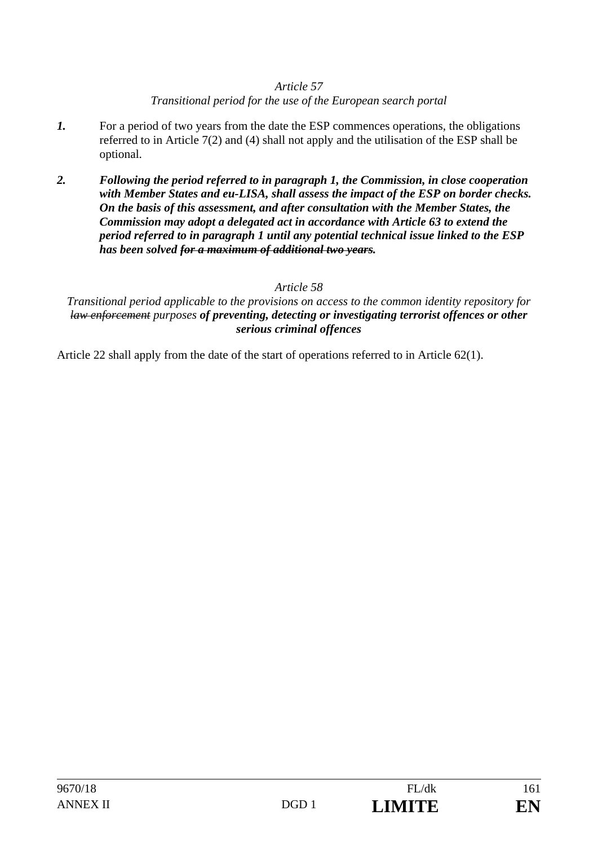### *Transitional period for the use of the European search portal*

- *1.* For a period of two years from the date the ESP commences operations, the obligations referred to in Article 7(2) and (4) shall not apply and the utilisation of the ESP shall be optional.
- *2. Following the period referred to in paragraph 1, the Commission, in close cooperation with Member States and eu-LISA, shall assess the impact of the ESP on border checks. On the basis of this assessment, and after consultation with the Member States, the Commission may adopt a delegated act in accordance with Article 63 to extend the period referred to in paragraph 1 until any potential technical issue linked to the ESP has been solved for a maximum of additional two years.*

### *Article 58*

### *Transitional period applicable to the provisions on access to the common identity repository for law enforcement purposes of preventing, detecting or investigating terrorist offences or other serious criminal offences*

Article 22 shall apply from the date of the start of operations referred to in Article 62(1).

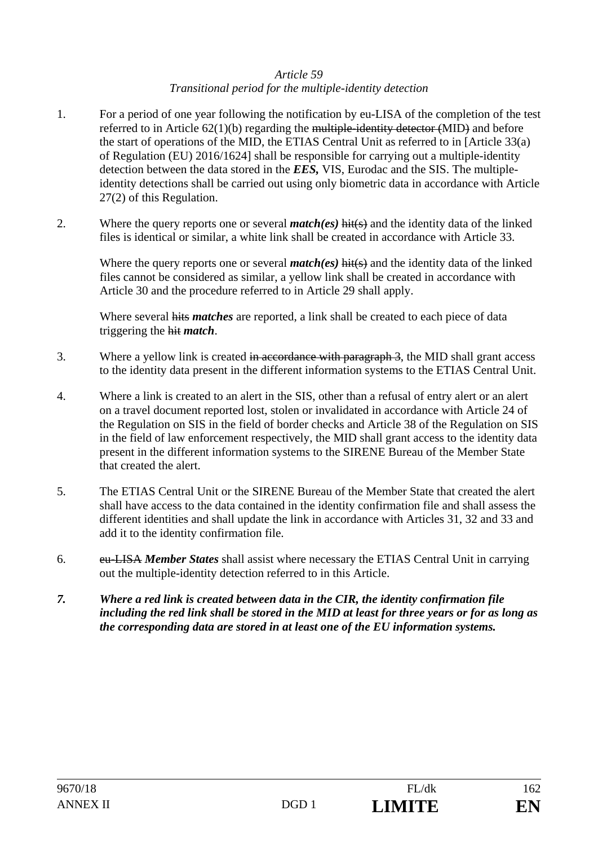#### *Article 59 Transitional period for the multiple-identity detection*

- 1. For a period of one year following the notification by eu-LISA of the completion of the test referred to in Article 62(1)(b) regarding the multiple-identity detector (MID) and before the start of operations of the MID, the ETIAS Central Unit as referred to in [Article 33(a) of Regulation (EU) 2016/1624] shall be responsible for carrying out a multiple-identity detection between the data stored in the *EES,* VIS, Eurodac and the SIS. The multipleidentity detections shall be carried out using only biometric data in accordance with Article 27(2) of this Regulation.
- 2. Where the query reports one or several *match(es)* hit(s) and the identity data of the linked files is identical or similar, a white link shall be created in accordance with Article 33.

Where the query reports one or several *match(es)* hit(s) and the identity data of the linked files cannot be considered as similar, a yellow link shall be created in accordance with Article 30 and the procedure referred to in Article 29 shall apply.

Where several hits *matches* are reported, a link shall be created to each piece of data triggering the hit *match*.

- 3. Where a yellow link is created in accordance with paragraph 3, the MID shall grant access to the identity data present in the different information systems to the ETIAS Central Unit.
- 4. Where a link is created to an alert in the SIS, other than a refusal of entry alert or an alert on a travel document reported lost, stolen or invalidated in accordance with Article 24 of the Regulation on SIS in the field of border checks and Article 38 of the Regulation on SIS in the field of law enforcement respectively, the MID shall grant access to the identity data present in the different information systems to the SIRENE Bureau of the Member State that created the alert.
- 5. The ETIAS Central Unit or the SIRENE Bureau of the Member State that created the alert shall have access to the data contained in the identity confirmation file and shall assess the different identities and shall update the link in accordance with Articles 31, 32 and 33 and add it to the identity confirmation file.
- 6. eu-LISA *Member States* shall assist where necessary the ETIAS Central Unit in carrying out the multiple-identity detection referred to in this Article.
- *7. Where a red link is created between data in the CIR, the identity confirmation file including the red link shall be stored in the MID at least for three years or for as long as the corresponding data are stored in at least one of the EU information systems.*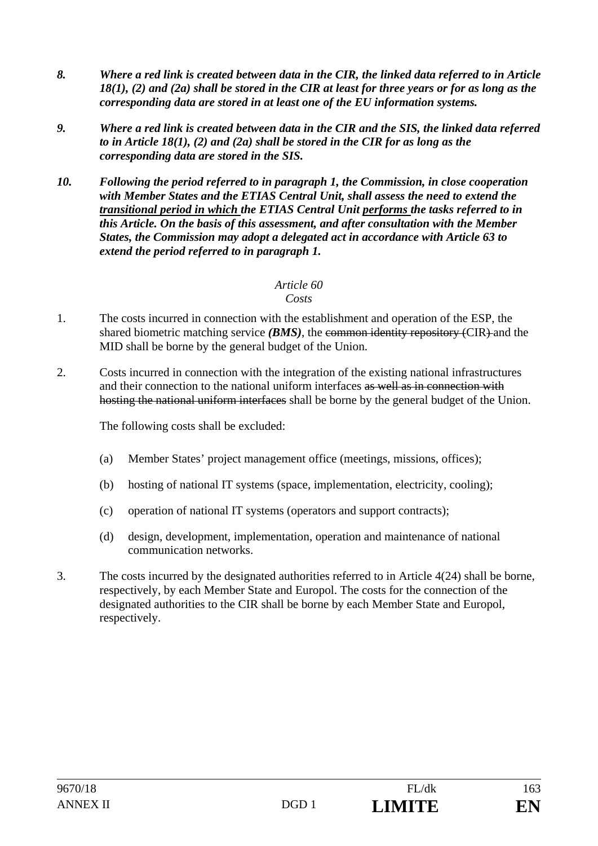- *8. Where a red link is created between data in the CIR, the linked data referred to in Article 18(1), (2) and (2a) shall be stored in the CIR at least for three years or for as long as the corresponding data are stored in at least one of the EU information systems.*
- *9. Where a red link is created between data in the CIR and the SIS, the linked data referred to in Article 18(1), (2) and (2a) shall be stored in the CIR for as long as the corresponding data are stored in the SIS.*
- *10. Following the period referred to in paragraph 1, the Commission, in close cooperation with Member States and the ETIAS Central Unit, shall assess the need to extend the transitional period in which the ETIAS Central Unit performs the tasks referred to in this Article. On the basis of this assessment, and after consultation with the Member States, the Commission may adopt a delegated act in accordance with Article 63 to extend the period referred to in paragraph 1.*

#### *Costs*

- 1. The costs incurred in connection with the establishment and operation of the ESP, the shared biometric matching service *(BMS)*, the common identity repository *(CIR)* and the MID shall be borne by the general budget of the Union.
- 2. Costs incurred in connection with the integration of the existing national infrastructures and their connection to the national uniform interfaces as well as in connection with hosting the national uniform interfaces shall be borne by the general budget of the Union.

The following costs shall be excluded:

- (a) Member States' project management office (meetings, missions, offices);
- (b) hosting of national IT systems (space, implementation, electricity, cooling);
- (c) operation of national IT systems (operators and support contracts);
- (d) design, development, implementation, operation and maintenance of national communication networks.
- 3. The costs incurred by the designated authorities referred to in Article 4(24) shall be borne, respectively, by each Member State and Europol. The costs for the connection of the designated authorities to the CIR shall be borne by each Member State and Europol, respectively.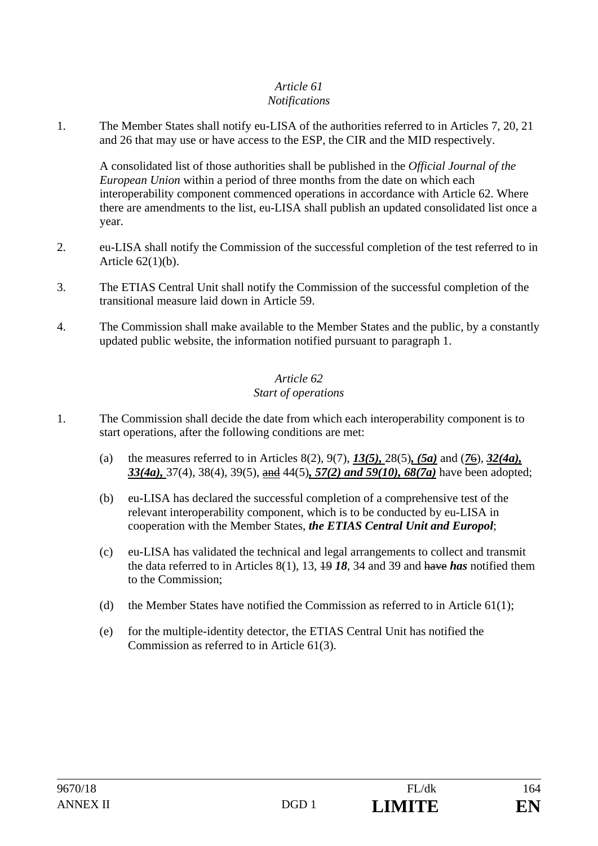#### *Article 61 Notifications*

1. The Member States shall notify eu-LISA of the authorities referred to in Articles 7, 20, 21 and 26 that may use or have access to the ESP, the CIR and the MID respectively.

A consolidated list of those authorities shall be published in the *Official Journal of the European Union* within a period of three months from the date on which each interoperability component commenced operations in accordance with Article 62. Where there are amendments to the list, eu-LISA shall publish an updated consolidated list once a year.

- 2. eu-LISA shall notify the Commission of the successful completion of the test referred to in Article 62(1)(b).
- 3. The ETIAS Central Unit shall notify the Commission of the successful completion of the transitional measure laid down in Article 59.
- 4. The Commission shall make available to the Member States and the public, by a constantly updated public website, the information notified pursuant to paragraph 1.

## *Article 62 Start of operations*

- 1. The Commission shall decide the date from which each interoperability component is to start operations, after the following conditions are met:
	- (a) the measures referred to in Articles 8(2), 9(7), *13(5),* 28(5)*, (5a)* and (*7*6), *32(4a), 33(4a),* 37(4), 38(4), 39(5), and 44(5)*, 57(2) and 59(10), 68(7a)* have been adopted;
	- (b) eu-LISA has declared the successful completion of a comprehensive test of the relevant interoperability component, which is to be conducted by eu-LISA in cooperation with the Member States, *the ETIAS Central Unit and Europol*;
	- (c) eu-LISA has validated the technical and legal arrangements to collect and transmit the data referred to in Articles 8(1), 13, 19 *18*, 34 and 39 and have *has* notified them to the Commission;
	- (d) the Member States have notified the Commission as referred to in Article  $61(1)$ ;
	- (e) for the multiple-identity detector, the ETIAS Central Unit has notified the Commission as referred to in Article 61(3).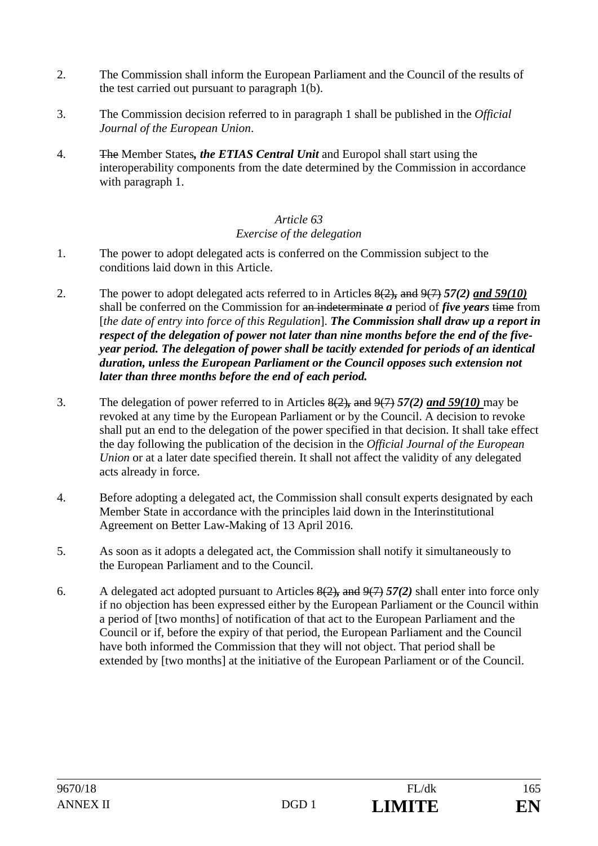- 2. The Commission shall inform the European Parliament and the Council of the results of the test carried out pursuant to paragraph 1(b).
- 3. The Commission decision referred to in paragraph 1 shall be published in the *Official Journal of the European Union*.
- 4. The Member States*, the ETIAS Central Unit* and Europol shall start using the interoperability components from the date determined by the Commission in accordance with paragraph 1.

## *Article 63 Exercise of the delegation*

- 1. The power to adopt delegated acts is conferred on the Commission subject to the conditions laid down in this Article.
- 2. The power to adopt delegated acts referred to in Articles 8(2)*,* and 9(7) *57(2) and 59(10)* shall be conferred on the Commission for an indeterminate *a* period of *five years* time from [*the date of entry into force of this Regulation*]. *The Commission shall draw up a report in respect of the delegation of power not later than nine months before the end of the fiveyear period. The delegation of power shall be tacitly extended for periods of an identical duration, unless the European Parliament or the Council opposes such extension not later than three months before the end of each period.*
- 3. The delegation of power referred to in Articles 8(2)*,* and 9(7) *57(2) and 59(10)* may be revoked at any time by the European Parliament or by the Council. A decision to revoke shall put an end to the delegation of the power specified in that decision. It shall take effect the day following the publication of the decision in the *Official Journal of the European Union* or at a later date specified therein. It shall not affect the validity of any delegated acts already in force.
- 4. Before adopting a delegated act, the Commission shall consult experts designated by each Member State in accordance with the principles laid down in the Interinstitutional Agreement on Better Law-Making of 13 April 2016.
- 5. As soon as it adopts a delegated act, the Commission shall notify it simultaneously to the European Parliament and to the Council.
- 6. A delegated act adopted pursuant to Articles 8(2)*,* and 9(7) *57(2)* shall enter into force only if no objection has been expressed either by the European Parliament or the Council within a period of [two months] of notification of that act to the European Parliament and the Council or if, before the expiry of that period, the European Parliament and the Council have both informed the Commission that they will not object. That period shall be extended by [two months] at the initiative of the European Parliament or of the Council.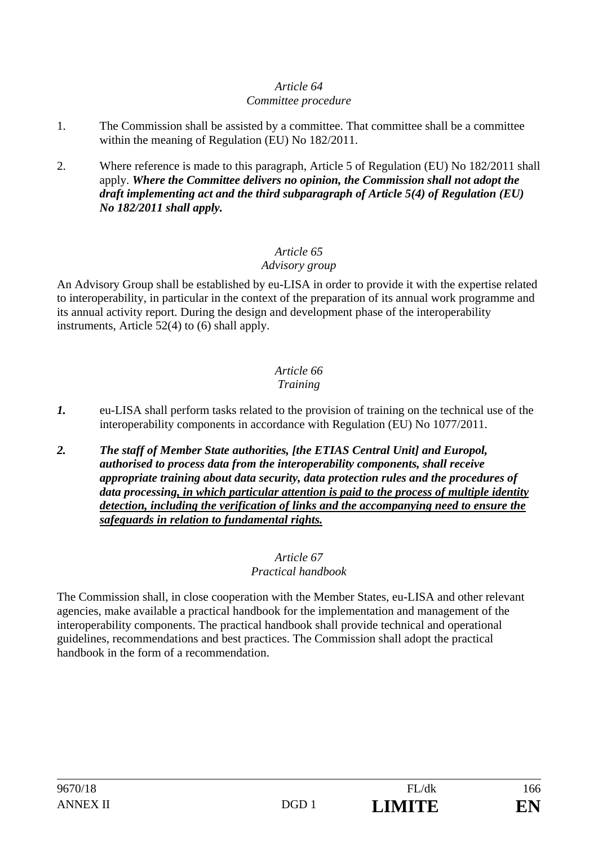#### *Committee procedure*

- 1. The Commission shall be assisted by a committee. That committee shall be a committee within the meaning of Regulation (EU) No 182/2011.
- 2. Where reference is made to this paragraph, Article 5 of Regulation (EU) No 182/2011 shall apply. *Where the Committee delivers no opinion, the Commission shall not adopt the draft implementing act and the third subparagraph of Article 5(4) of Regulation (EU) No 182/2011 shall apply.*

## *Article 65*

## *Advisory group*

An Advisory Group shall be established by eu-LISA in order to provide it with the expertise related to interoperability, in particular in the context of the preparation of its annual work programme and its annual activity report. During the design and development phase of the interoperability instruments, Article 52(4) to (6) shall apply.

#### *Article 66 Training*

- *1.* eu-LISA shall perform tasks related to the provision of training on the technical use of the interoperability components in accordance with Regulation (EU) No 1077/2011.
- *2. The staff of Member State authorities, [the ETIAS Central Unit] and Europol, authorised to process data from the interoperability components, shall receive appropriate training about data security, data protection rules and the procedures of data processing, in which particular attention is paid to the process of multiple identity detection, including the verification of links and the accompanying need to ensure the safeguards in relation to fundamental rights.*

#### *Article 67 Practical handbook*

The Commission shall, in close cooperation with the Member States, eu-LISA and other relevant agencies, make available a practical handbook for the implementation and management of the interoperability components. The practical handbook shall provide technical and operational guidelines, recommendations and best practices. The Commission shall adopt the practical handbook in the form of a recommendation.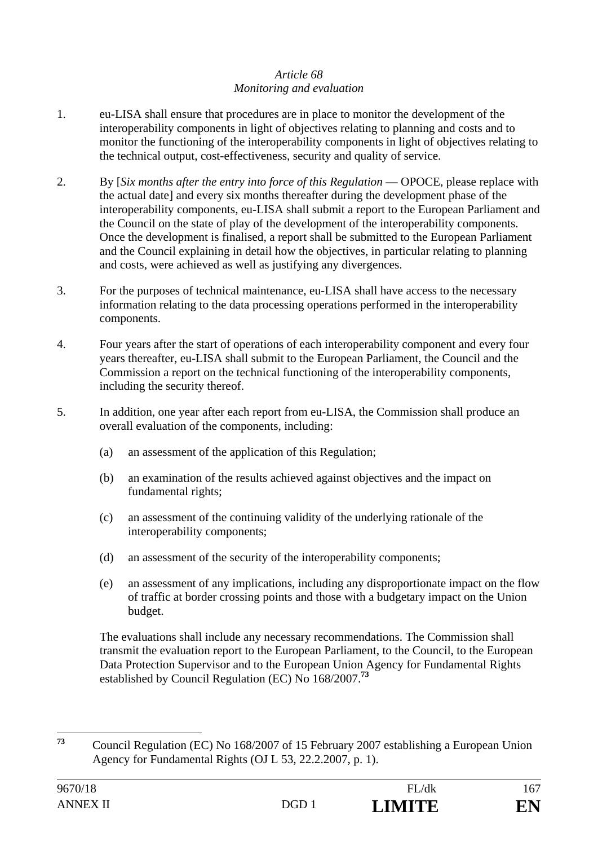## *Article 68 Monitoring and evaluation*

- 1. eu-LISA shall ensure that procedures are in place to monitor the development of the interoperability components in light of objectives relating to planning and costs and to monitor the functioning of the interoperability components in light of objectives relating to the technical output, cost-effectiveness, security and quality of service.
- 2. By [*Six months after the entry into force of this Regulation* OPOCE, please replace with the actual date] and every six months thereafter during the development phase of the interoperability components, eu-LISA shall submit a report to the European Parliament and the Council on the state of play of the development of the interoperability components. Once the development is finalised, a report shall be submitted to the European Parliament and the Council explaining in detail how the objectives, in particular relating to planning and costs, were achieved as well as justifying any divergences.
- 3. For the purposes of technical maintenance, eu-LISA shall have access to the necessary information relating to the data processing operations performed in the interoperability components.
- 4. Four years after the start of operations of each interoperability component and every four years thereafter, eu-LISA shall submit to the European Parliament, the Council and the Commission a report on the technical functioning of the interoperability components, including the security thereof.
- 5. In addition, one year after each report from eu-LISA, the Commission shall produce an overall evaluation of the components, including:
	- (a) an assessment of the application of this Regulation;
	- (b) an examination of the results achieved against objectives and the impact on fundamental rights;
	- (c) an assessment of the continuing validity of the underlying rationale of the interoperability components;
	- (d) an assessment of the security of the interoperability components;
	- (e) an assessment of any implications, including any disproportionate impact on the flow of traffic at border crossing points and those with a budgetary impact on the Union budget.

The evaluations shall include any necessary recommendations. The Commission shall transmit the evaluation report to the European Parliament, to the Council, to the European Data Protection Supervisor and to the European Union Agency for Fundamental Rights established by Council Regulation (EC) No 168/2007.**<sup>73</sup>**

 $73$ **<sup>73</sup>** Council Regulation (EC) No 168/2007 of 15 February 2007 establishing a European Union Agency for Fundamental Rights (OJ L 53, 22.2.2007, p. 1).